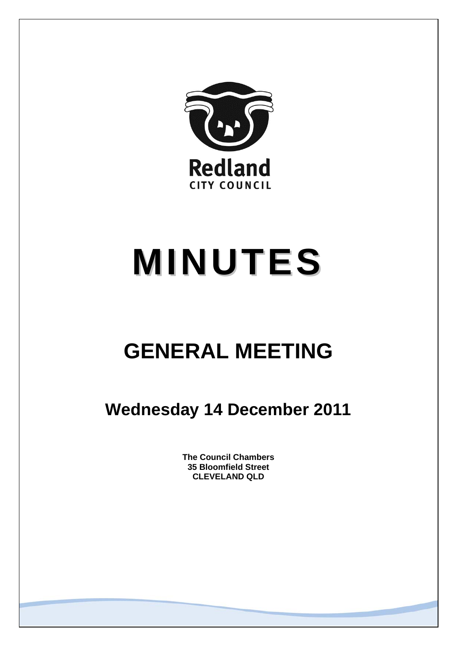

# **MINUTES**

# **GENERAL MEETING**

# **Wednesday 14 December 2011**

**The Council Chambers 35 Bloomfield Street CLEVELAND QLD**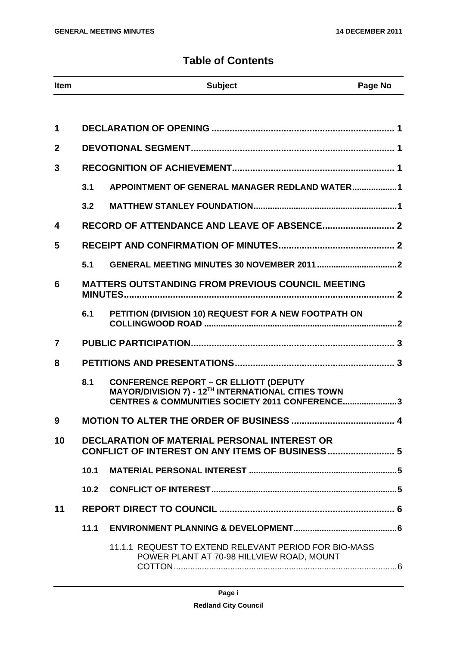# **Table of Contents**

| Item                                                                                                                 |      | <b>Subject</b>                                                                                                                                                | Page No |
|----------------------------------------------------------------------------------------------------------------------|------|---------------------------------------------------------------------------------------------------------------------------------------------------------------|---------|
|                                                                                                                      |      |                                                                                                                                                               |         |
| 1                                                                                                                    |      |                                                                                                                                                               |         |
| $\overline{2}$                                                                                                       |      |                                                                                                                                                               |         |
| 3                                                                                                                    |      |                                                                                                                                                               |         |
|                                                                                                                      | 3.1  | APPOINTMENT OF GENERAL MANAGER REDLAND WATER1                                                                                                                 |         |
|                                                                                                                      | 3.2  |                                                                                                                                                               |         |
| $\overline{\mathbf{4}}$                                                                                              |      |                                                                                                                                                               |         |
| 5                                                                                                                    |      |                                                                                                                                                               |         |
|                                                                                                                      | 5.1  |                                                                                                                                                               |         |
| 6                                                                                                                    |      | <b>MATTERS OUTSTANDING FROM PREVIOUS COUNCIL MEETING</b>                                                                                                      |         |
|                                                                                                                      | 6.1  | PETITION (DIVISION 10) REQUEST FOR A NEW FOOTPATH ON                                                                                                          |         |
| $\overline{7}$                                                                                                       |      |                                                                                                                                                               |         |
| 8                                                                                                                    |      |                                                                                                                                                               |         |
|                                                                                                                      | 8.1  | <b>CONFERENCE REPORT – CR ELLIOTT (DEPUTY MAYOR/DIVISION 7) - 12<sup>TH</sup> INTERNATIONAL CITIES TOWN</b><br>CENTRES & COMMUNITIES SOCIETY 2011 CONFERENCE3 |         |
| У.                                                                                                                   |      | MOTION TO ALTER THE ORDER OF BUSINESS                                                                                                                         |         |
| 10<br><b>DECLARATION OF MATERIAL PERSONAL INTEREST OR</b><br><b>CONFLICT OF INTEREST ON ANY ITEMS OF BUSINESS  5</b> |      |                                                                                                                                                               |         |
|                                                                                                                      | 10.1 |                                                                                                                                                               |         |
|                                                                                                                      |      |                                                                                                                                                               |         |
| 11                                                                                                                   |      |                                                                                                                                                               |         |
|                                                                                                                      | 11.1 |                                                                                                                                                               |         |
|                                                                                                                      |      | 11.1.1 REQUEST TO EXTEND RELEVANT PERIOD FOR BIO-MASS<br>POWER PLANT AT 70-98 HILLVIEW ROAD, MOUNT                                                            |         |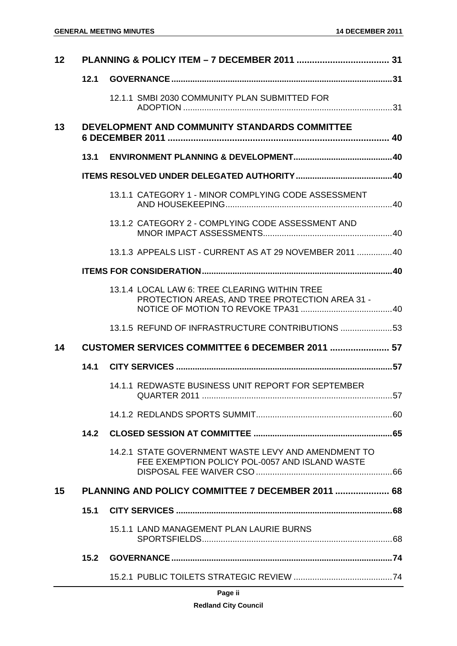| 12 |      |                                                                                                       |    |
|----|------|-------------------------------------------------------------------------------------------------------|----|
|    | 12.1 |                                                                                                       |    |
|    |      | 12.1.1 SMBI 2030 COMMUNITY PLAN SUBMITTED FOR                                                         |    |
| 13 |      | DEVELOPMENT AND COMMUNITY STANDARDS COMMITTEE                                                         |    |
|    | 13.1 |                                                                                                       |    |
|    |      |                                                                                                       |    |
|    |      | 13.1.1 CATEGORY 1 - MINOR COMPLYING CODE ASSESSMENT                                                   |    |
|    |      | 13.1.2 CATEGORY 2 - COMPLYING CODE ASSESSMENT AND                                                     |    |
|    |      | 13.1.3 APPEALS LIST - CURRENT AS AT 29 NOVEMBER 2011  40                                              |    |
|    |      |                                                                                                       |    |
|    |      | 13.1.4 LOCAL LAW 6: TREE CLEARING WITHIN TREE<br>PROTECTION AREAS, AND TREE PROTECTION AREA 31 -      |    |
|    |      | 13.1.5 REFUND OF INFRASTRUCTURE CONTRIBUTIONS  53                                                     |    |
| 14 |      | CUSTOMER SERVICES COMMITTEE 6 DECEMBER 2011  57                                                       |    |
|    | 14.1 |                                                                                                       |    |
|    |      | 14.1.1 REDWASTE BUSINESS UNIT REPORT FOR SEPTEMBER<br>QUARTER 2011.                                   | 57 |
|    |      |                                                                                                       |    |
|    |      |                                                                                                       |    |
|    | 14.2 |                                                                                                       |    |
|    |      | 14.2.1 STATE GOVERNMENT WASTE LEVY AND AMENDMENT TO<br>FEE EXEMPTION POLICY POL-0057 AND ISLAND WASTE |    |
| 15 |      | PLANNING AND POLICY COMMITTEE 7 DECEMBER 2011  68                                                     |    |
|    | 15.1 |                                                                                                       |    |
|    |      | 15.1.1 LAND MANAGEMENT PLAN LAURIE BURNS                                                              |    |
|    | 15.2 |                                                                                                       |    |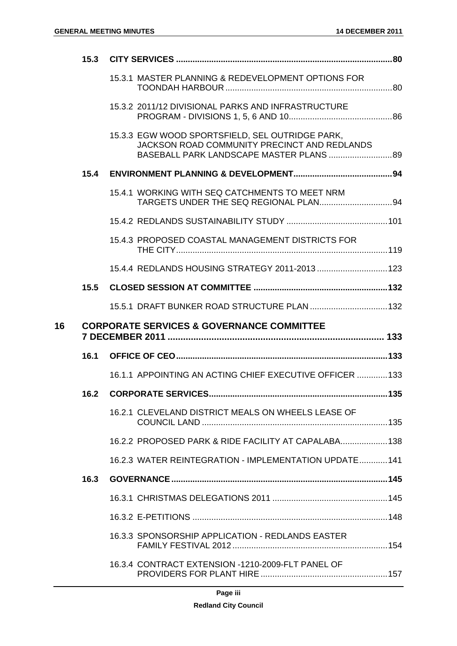|    | 15.3 |                                                                                                                                             |  |
|----|------|---------------------------------------------------------------------------------------------------------------------------------------------|--|
|    |      | 15.3.1 MASTER PLANNING & REDEVELOPMENT OPTIONS FOR                                                                                          |  |
|    |      | 15.3.2 2011/12 DIVISIONAL PARKS AND INFRASTRUCTURE                                                                                          |  |
|    |      | 15.3.3 EGW WOOD SPORTSFIELD, SEL OUTRIDGE PARK,<br>JACKSON ROAD COMMUNITY PRECINCT AND REDLANDS<br>BASEBALL PARK LANDSCAPE MASTER PLANS  89 |  |
|    | 15.4 |                                                                                                                                             |  |
|    |      | 15.4.1 WORKING WITH SEQ CATCHMENTS TO MEET NRM                                                                                              |  |
|    |      |                                                                                                                                             |  |
|    |      | 15.4.3 PROPOSED COASTAL MANAGEMENT DISTRICTS FOR                                                                                            |  |
|    |      | 15.4.4 REDLANDS HOUSING STRATEGY 2011-2013  123                                                                                             |  |
|    | 15.5 |                                                                                                                                             |  |
|    |      | 15.5.1 DRAFT BUNKER ROAD STRUCTURE PLAN  132                                                                                                |  |
|    |      |                                                                                                                                             |  |
|    |      | <b>CORPORATE SERVICES &amp; GOVERNANCE COMMITTEE</b>                                                                                        |  |
|    |      |                                                                                                                                             |  |
|    |      | 16.1.1 APPOINTING AN ACTING CHIEF EXECUTIVE OFFICER  133                                                                                    |  |
|    | 16.2 |                                                                                                                                             |  |
|    |      | 16.2.1 CLEVELAND DISTRICT MEALS ON WHEELS LEASE OF                                                                                          |  |
|    |      | 16.2.2 PROPOSED PARK & RIDE FACILITY AT CAPALABA 138                                                                                        |  |
|    |      | 16.2.3 WATER REINTEGRATION - IMPLEMENTATION UPDATE  141                                                                                     |  |
|    | 16.3 |                                                                                                                                             |  |
|    |      |                                                                                                                                             |  |
|    |      |                                                                                                                                             |  |
| 16 |      | 16.3.3 SPONSORSHIP APPLICATION - REDLANDS EASTER                                                                                            |  |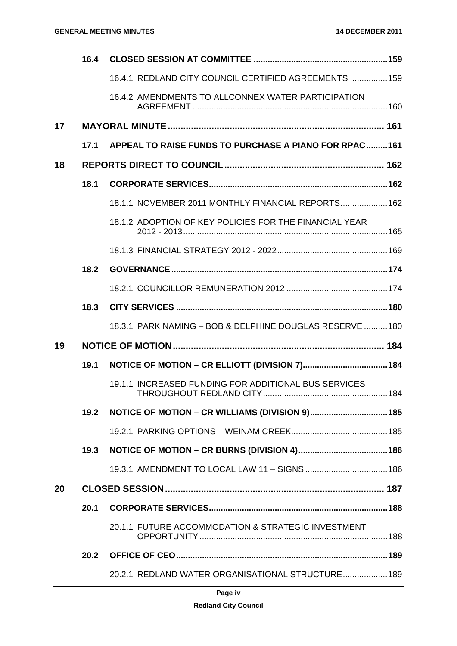|    | 16.4 |                                                          |  |
|----|------|----------------------------------------------------------|--|
|    |      | 16.4.1 REDLAND CITY COUNCIL CERTIFIED AGREEMENTS  159    |  |
|    |      | 16.4.2 AMENDMENTS TO ALLCONNEX WATER PARTICIPATION       |  |
| 17 |      |                                                          |  |
|    | 17.1 | APPEAL TO RAISE FUNDS TO PURCHASE A PIANO FOR RPAC161    |  |
| 18 |      |                                                          |  |
|    | 18.1 |                                                          |  |
|    |      | 18.1.1 NOVEMBER 2011 MONTHLY FINANCIAL REPORTS 162       |  |
|    |      | 18.1.2 ADOPTION OF KEY POLICIES FOR THE FINANCIAL YEAR   |  |
|    |      |                                                          |  |
|    | 18.2 |                                                          |  |
|    |      |                                                          |  |
|    | 18.3 |                                                          |  |
|    |      | 18.3.1 PARK NAMING - BOB & DELPHINE DOUGLAS RESERVE  180 |  |
| 19 |      |                                                          |  |
|    | 19.1 |                                                          |  |
|    |      | 19.1.1 INCREASED FUNDING FOR ADDITIONAL BUS SERVICES     |  |
|    | 19.2 |                                                          |  |
|    |      |                                                          |  |
|    | 19.3 |                                                          |  |
|    |      | 19.3.1 AMENDMENT TO LOCAL LAW 11 - SIGNS  186            |  |
| 20 |      |                                                          |  |
|    | 20.1 |                                                          |  |
|    |      | 20.1.1 FUTURE ACCOMMODATION & STRATEGIC INVESTMENT       |  |
|    | 20.2 |                                                          |  |
|    |      | 20.2.1 REDLAND WATER ORGANISATIONAL STRUCTURE 189        |  |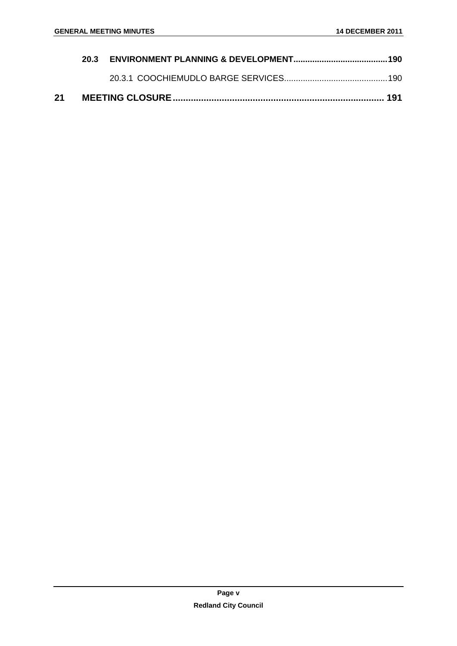| 21 |  |  |
|----|--|--|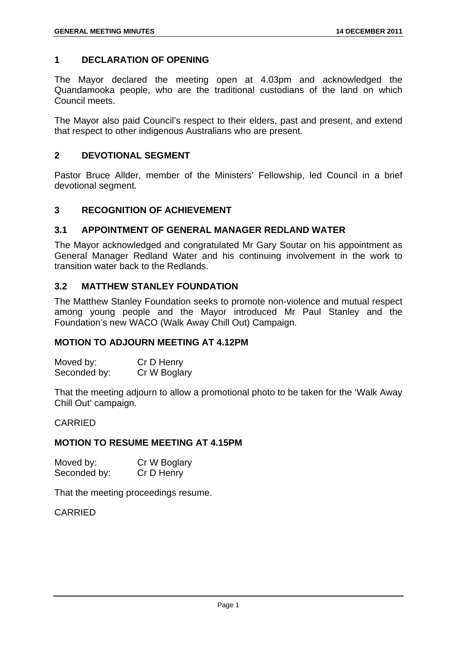# **1 DECLARATION OF OPENING**

The Mayor declared the meeting open at 4.03pm and acknowledged the Quandamooka people, who are the traditional custodians of the land on which Council meets.

The Mayor also paid Council's respect to their elders, past and present, and extend that respect to other indigenous Australians who are present.

#### **2 DEVOTIONAL SEGMENT**

Pastor Bruce Allder, member of the Ministers' Fellowship, led Council in a brief devotional segment.

#### **3 RECOGNITION OF ACHIEVEMENT**

#### **3.1 APPOINTMENT OF GENERAL MANAGER REDLAND WATER**

The Mayor acknowledged and congratulated Mr Gary Soutar on his appointment as General Manager Redland Water and his continuing involvement in the work to transition water back to the Redlands.

# **3.2 MATTHEW STANLEY FOUNDATION**

The Matthew Stanley Foundation seeks to promote non-violence and mutual respect among young people and the Mayor introduced Mr Paul Stanley and the Foundation's new WACO (Walk Away Chill Out) Campaign.

#### **MOTION TO ADJOURN MEETING AT 4.12PM**

Moved by: Cr D Henry Seconded by: Cr W Boglary

That the meeting adjourn to allow a promotional photo to be taken for the 'Walk Away Chill Out' campaign.

#### CARRIED

#### **MOTION TO RESUME MEETING AT 4.15PM**

| Moved by:    | Cr W Boglary |
|--------------|--------------|
| Seconded by: | Cr D Henry   |

That the meeting proceedings resume.

CARRIED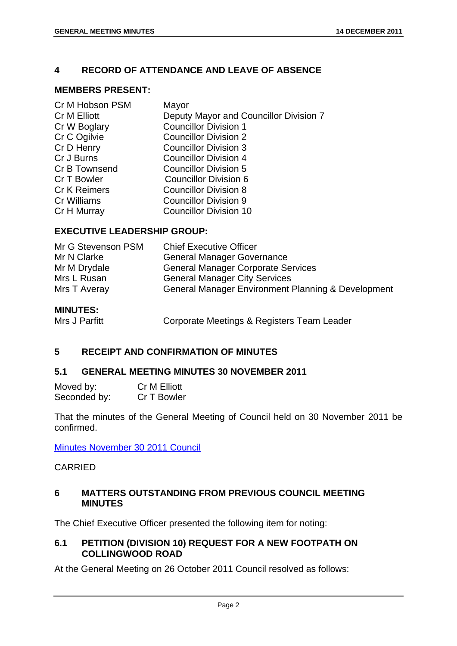# **4 RECORD OF ATTENDANCE AND LEAVE OF ABSENCE**

#### **MEMBERS PRESENT:**

| Cr M Hobson PSM     | Mayor                                  |
|---------------------|----------------------------------------|
| Cr M Elliott        | Deputy Mayor and Councillor Division 7 |
| Cr W Boglary        | <b>Councillor Division 1</b>           |
| Cr C Ogilvie        | <b>Councillor Division 2</b>           |
| Cr D Henry          | <b>Councillor Division 3</b>           |
| Cr J Burns          | <b>Councillor Division 4</b>           |
| Cr B Townsend       | <b>Councillor Division 5</b>           |
| Cr T Bowler         | Councillor Division 6                  |
| <b>Cr K Reimers</b> | <b>Councillor Division 8</b>           |
| Cr Williams         | <b>Councillor Division 9</b>           |
| Cr H Murray         | <b>Councillor Division 10</b>          |

#### **EXECUTIVE LEADERSHIP GROUP:**

| Mr G Stevenson PSM | <b>Chief Executive Officer</b>                                |
|--------------------|---------------------------------------------------------------|
| Mr N Clarke        | <b>General Manager Governance</b>                             |
| Mr M Drydale       | <b>General Manager Corporate Services</b>                     |
| Mrs L Rusan        | <b>General Manager City Services</b>                          |
| Mrs T Averay       | <b>General Manager Environment Planning &amp; Development</b> |
|                    |                                                               |

**MINUTES:** 

Mrs J Parfitt **Corporate Meetings & Registers Team Leader** 

# **5 RECEIPT AND CONFIRMATION OF MINUTES**

#### **5.1 GENERAL MEETING MINUTES 30 NOVEMBER 2011**

| Moved by:    | Cr M Elliott |
|--------------|--------------|
| Seconded by: | Cr T Bowler  |

That the minutes of the General Meeting of Council held on 30 November 2011 be confirmed.

Minutes November 30 2011 Council

# CARRIED

# **6 MATTERS OUTSTANDING FROM PREVIOUS COUNCIL MEETING MINUTES**

The Chief Executive Officer presented the following item for noting:

# **6.1 PETITION (DIVISION 10) REQUEST FOR A NEW FOOTPATH ON COLLINGWOOD ROAD**

At the General Meeting on 26 October 2011 Council resolved as follows: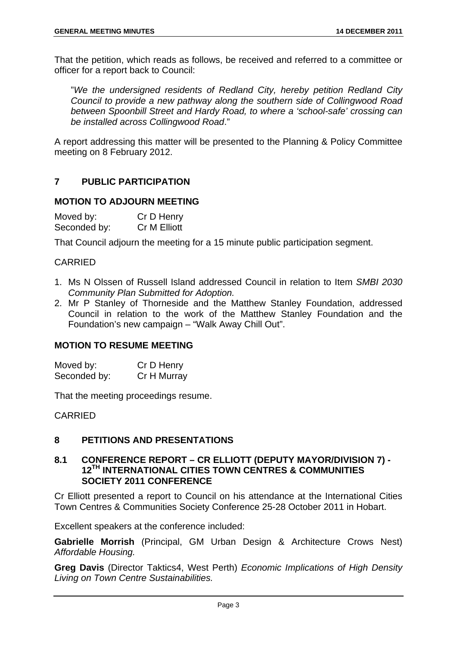That the petition, which reads as follows, be received and referred to a committee or officer for a report back to Council:

"*We the undersigned residents of Redland City, hereby petition Redland City Council to provide a new pathway along the southern side of Collingwood Road between Spoonbill Street and Hardy Road, to where a 'school-safe' crossing can be installed across Collingwood Road*."

A report addressing this matter will be presented to the Planning & Policy Committee meeting on 8 February 2012.

# **7 PUBLIC PARTICIPATION**

#### **MOTION TO ADJOURN MEETING**

Moved by: Cr D Henry Seconded by: Cr M Elliott

That Council adjourn the meeting for a 15 minute public participation segment.

#### CARRIED

- 1. Ms N Olssen of Russell Island addressed Council in relation to Item *SMBI 2030 Community Plan Submitted for Adoption.*
- 2. Mr P Stanley of Thorneside and the Matthew Stanley Foundation, addressed Council in relation to the work of the Matthew Stanley Foundation and the Foundation's new campaign – "Walk Away Chill Out".

#### **MOTION TO RESUME MEETING**

| Moved by:    | Cr D Henry  |
|--------------|-------------|
| Seconded by: | Cr H Murray |

That the meeting proceedings resume.

CARRIED

# **8 PETITIONS AND PRESENTATIONS**

#### **8.1 CONFERENCE REPORT – CR ELLIOTT (DEPUTY MAYOR/DIVISION 7) - 12TH INTERNATIONAL CITIES TOWN CENTRES & COMMUNITIES SOCIETY 2011 CONFERENCE**

Cr Elliott presented a report to Council on his attendance at the International Cities Town Centres & Communities Society Conference 25-28 October 2011 in Hobart.

Excellent speakers at the conference included:

**Gabrielle Morrish** (Principal, GM Urban Design & Architecture Crows Nest) *Affordable Housing.*

**Greg Davis** (Director Taktics4, West Perth) *Economic Implications of High Density Living on Town Centre Sustainabilities.*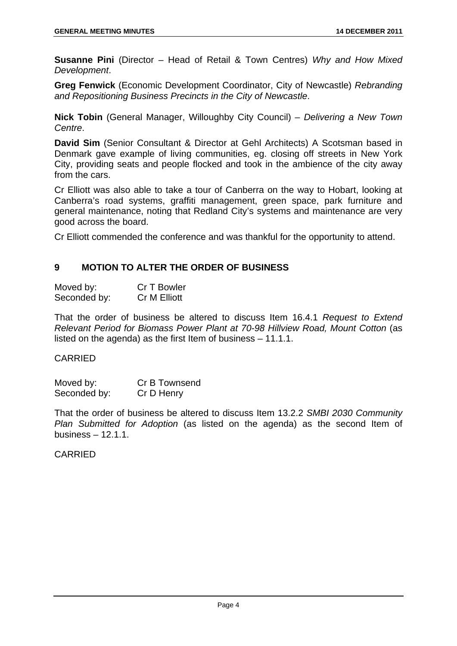**Susanne Pini** (Director – Head of Retail & Town Centres) *Why and How Mixed Development*.

**Greg Fenwick** (Economic Development Coordinator, City of Newcastle) *Rebranding and Repositioning Business Precincts in the City of Newcastle*.

**Nick Tobin** (General Manager, Willoughby City Council) – *Delivering a New Town Centre*.

**David Sim** (Senior Consultant & Director at Gehl Architects) A Scotsman based in Denmark gave example of living communities, eg. closing off streets in New York City, providing seats and people flocked and took in the ambience of the city away from the cars.

Cr Elliott was also able to take a tour of Canberra on the way to Hobart, looking at Canberra's road systems, graffiti management, green space, park furniture and general maintenance, noting that Redland City's systems and maintenance are very good across the board.

Cr Elliott commended the conference and was thankful for the opportunity to attend.

# **9 MOTION TO ALTER THE ORDER OF BUSINESS**

| Moved by:    | Cr T Bowler  |
|--------------|--------------|
| Seconded by: | Cr M Elliott |

That the order of business be altered to discuss Item 16.4.1 *Request to Extend Relevant Period for Biomass Power Plant at 70-98 Hillview Road, Mount Cotton* (as listed on the agenda) as the first Item of business – 11.1.1.

#### CARRIED

| Moved by:    | Cr B Townsend |
|--------------|---------------|
| Seconded by: | Cr D Henry    |

That the order of business be altered to discuss Item 13.2.2 *SMBI 2030 Community Plan Submitted for Adoption* (as listed on the agenda) as the second Item of business – 12.1.1.

# CARRIED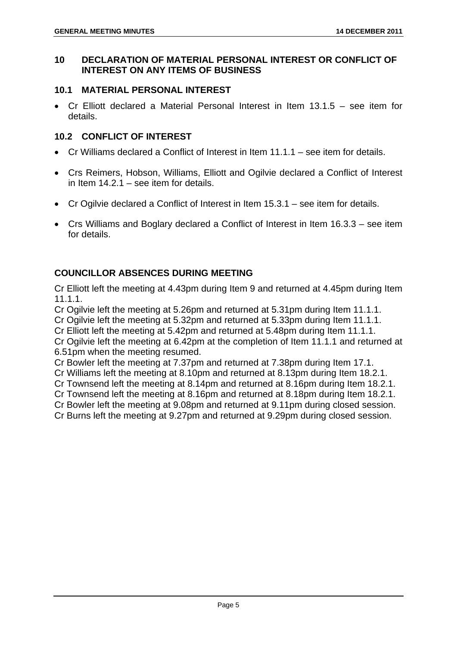# **10 DECLARATION OF MATERIAL PERSONAL INTEREST OR CONFLICT OF INTEREST ON ANY ITEMS OF BUSINESS**

# **10.1 MATERIAL PERSONAL INTEREST**

 Cr Elliott declared a Material Personal Interest in Item 13.1.5 – see item for details.

# **10.2 CONFLICT OF INTEREST**

- Cr Williams declared a Conflict of Interest in Item 11.1.1 see item for details.
- Crs Reimers, Hobson, Williams, Elliott and Ogilvie declared a Conflict of Interest in Item 14.2.1 – see item for details.
- Cr Ogilvie declared a Conflict of Interest in Item 15.3.1 see item for details.
- Crs Williams and Boglary declared a Conflict of Interest in Item 16.3.3 see item for details.

# **COUNCILLOR ABSENCES DURING MEETING**

Cr Elliott left the meeting at 4.43pm during Item 9 and returned at 4.45pm during Item 11.1.1.

Cr Ogilvie left the meeting at 5.26pm and returned at 5.31pm during Item 11.1.1.

Cr Ogilvie left the meeting at 5.32pm and returned at 5.33pm during Item 11.1.1.

Cr Elliott left the meeting at 5.42pm and returned at 5.48pm during Item 11.1.1.

Cr Ogilvie left the meeting at 6.42pm at the completion of Item 11.1.1 and returned at 6.51pm when the meeting resumed.

Cr Bowler left the meeting at 7.37pm and returned at 7.38pm during Item 17.1.

Cr Williams left the meeting at 8.10pm and returned at 8.13pm during Item 18.2.1.

Cr Townsend left the meeting at 8.14pm and returned at 8.16pm during Item 18.2.1.

Cr Townsend left the meeting at 8.16pm and returned at 8.18pm during Item 18.2.1.

Cr Bowler left the meeting at 9.08pm and returned at 9.11pm during closed session.

Cr Burns left the meeting at 9.27pm and returned at 9.29pm during closed session.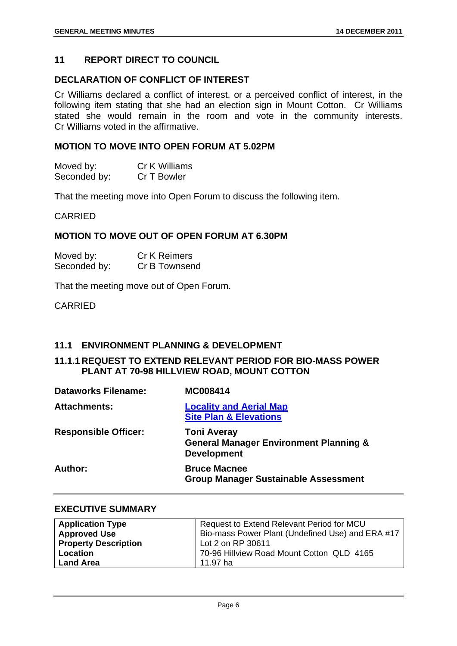#### **11 REPORT DIRECT TO COUNCIL**

#### **DECLARATION OF CONFLICT OF INTEREST**

Cr Williams declared a conflict of interest, or a perceived conflict of interest, in the following item stating that she had an election sign in Mount Cotton. Cr Williams stated she would remain in the room and vote in the community interests. Cr Williams voted in the affirmative.

#### **MOTION TO MOVE INTO OPEN FORUM AT 5.02PM**

| Moved by:    | Cr K Williams |
|--------------|---------------|
| Seconded by: | Cr T Bowler   |

That the meeting move into Open Forum to discuss the following item.

#### CARRIED

#### **MOTION TO MOVE OUT OF OPEN FORUM AT 6.30PM**

| Moved by:    | <b>Cr K Reimers</b> |
|--------------|---------------------|
| Seconded by: | Cr B Townsend       |

That the meeting move out of Open Forum.

CARRIED

# **11.1 ENVIRONMENT PLANNING & DEVELOPMENT**

#### **11.1.1 REQUEST TO EXTEND RELEVANT PERIOD FOR BIO-MASS POWER PLANT AT 70-98 HILLVIEW ROAD, MOUNT COTTON**

| <b>Dataworks Filename:</b>  | <b>MC008414</b>                                                                               |
|-----------------------------|-----------------------------------------------------------------------------------------------|
| <b>Attachments:</b>         | <b>Locality and Aerial Map</b><br><b>Site Plan &amp; Elevations</b>                           |
| <b>Responsible Officer:</b> | <b>Toni Averay</b><br><b>General Manager Environment Planning &amp;</b><br><b>Development</b> |
| Author:                     | <b>Bruce Macnee</b><br><b>Group Manager Sustainable Assessment</b>                            |

#### **EXECUTIVE SUMMARY**

| <b>Application Type</b>     | Request to Extend Relevant Period for MCU        |
|-----------------------------|--------------------------------------------------|
| <b>Approved Use</b>         | Bio-mass Power Plant (Undefined Use) and ERA #17 |
| <b>Property Description</b> | Lot 2 on RP 30611                                |
| Location                    | 70-96 Hillview Road Mount Cotton QLD 4165        |
| <b>Land Area</b>            | 11.97 ha                                         |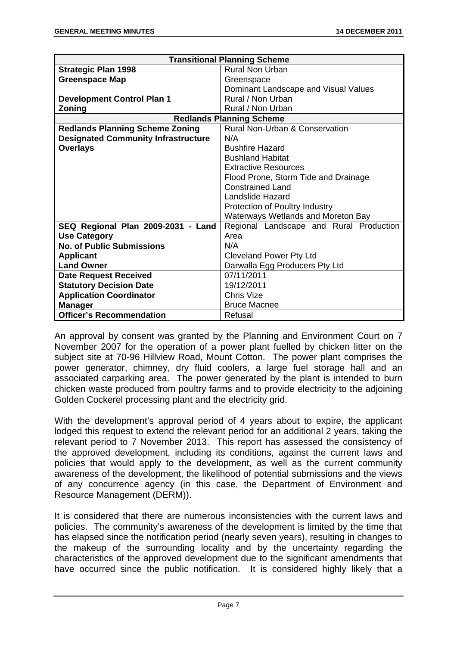| <b>Transitional Planning Scheme</b>        |                                           |
|--------------------------------------------|-------------------------------------------|
| <b>Strategic Plan 1998</b>                 | <b>Rural Non Urban</b>                    |
| <b>Greenspace Map</b>                      | Greenspace                                |
|                                            | Dominant Landscape and Visual Values      |
| <b>Development Control Plan 1</b>          | Rural / Non Urban                         |
| Zoning                                     | Rural / Non Urban                         |
| <b>Redlands Planning Scheme</b>            |                                           |
| <b>Redlands Planning Scheme Zoning</b>     | <b>Rural Non-Urban &amp; Conservation</b> |
| <b>Designated Community Infrastructure</b> | N/A                                       |
| <b>Overlays</b>                            | <b>Bushfire Hazard</b>                    |
|                                            | <b>Bushland Habitat</b>                   |
|                                            | <b>Extractive Resources</b>               |
|                                            | Flood Prone, Storm Tide and Drainage      |
|                                            | <b>Constrained Land</b>                   |
|                                            | <b>Landslide Hazard</b>                   |
|                                            | Protection of Poultry Industry            |
|                                            | Waterways Wetlands and Moreton Bay        |
| SEQ Regional Plan 2009-2031 - Land         | Regional Landscape and Rural Production   |
| <b>Use Category</b>                        | Area                                      |
| <b>No. of Public Submissions</b>           | N/A                                       |
| <b>Applicant</b>                           | <b>Cleveland Power Pty Ltd</b>            |
| <b>Land Owner</b>                          | Darwalla Egg Producers Pty Ltd            |
| <b>Date Request Received</b>               | 07/11/2011                                |
| <b>Statutory Decision Date</b>             | 19/12/2011                                |
| <b>Application Coordinator</b>             | Chris Vize                                |
| <b>Manager</b>                             | <b>Bruce Macnee</b>                       |
| <b>Officer's Recommendation</b>            | Refusal                                   |

An approval by consent was granted by the Planning and Environment Court on 7 November 2007 for the operation of a power plant fuelled by chicken litter on the subject site at 70-96 Hillview Road, Mount Cotton. The power plant comprises the power generator, chimney, dry fluid coolers, a large fuel storage hall and an associated carparking area. The power generated by the plant is intended to burn chicken waste produced from poultry farms and to provide electricity to the adjoining Golden Cockerel processing plant and the electricity grid.

With the development's approval period of 4 years about to expire, the applicant lodged this request to extend the relevant period for an additional 2 years, taking the relevant period to 7 November 2013. This report has assessed the consistency of the approved development, including its conditions, against the current laws and policies that would apply to the development, as well as the current community awareness of the development, the likelihood of potential submissions and the views of any concurrence agency (in this case, the Department of Environment and Resource Management (DERM)).

It is considered that there are numerous inconsistencies with the current laws and policies. The community's awareness of the development is limited by the time that has elapsed since the notification period (nearly seven years), resulting in changes to the makeup of the surrounding locality and by the uncertainty regarding the characteristics of the approved development due to the significant amendments that have occurred since the public notification. It is considered highly likely that a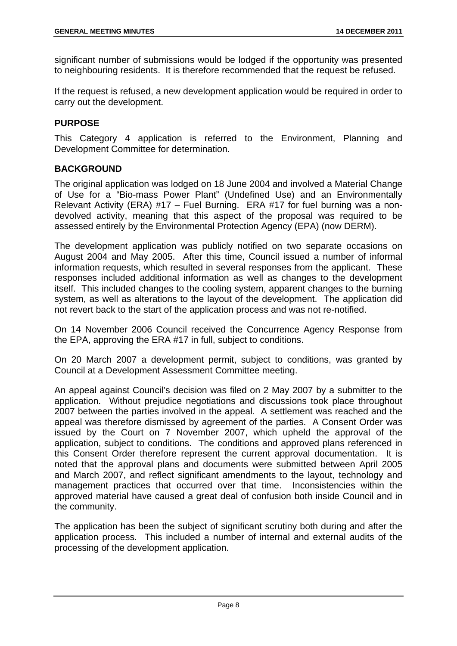significant number of submissions would be lodged if the opportunity was presented to neighbouring residents. It is therefore recommended that the request be refused.

If the request is refused, a new development application would be required in order to carry out the development.

# **PURPOSE**

This Category 4 application is referred to the Environment, Planning and Development Committee for determination.

# **BACKGROUND**

The original application was lodged on 18 June 2004 and involved a Material Change of Use for a "Bio-mass Power Plant" (Undefined Use) and an Environmentally Relevant Activity (ERA) #17 – Fuel Burning. ERA #17 for fuel burning was a nondevolved activity, meaning that this aspect of the proposal was required to be assessed entirely by the Environmental Protection Agency (EPA) (now DERM).

The development application was publicly notified on two separate occasions on August 2004 and May 2005. After this time, Council issued a number of informal information requests, which resulted in several responses from the applicant. These responses included additional information as well as changes to the development itself. This included changes to the cooling system, apparent changes to the burning system, as well as alterations to the layout of the development. The application did not revert back to the start of the application process and was not re-notified.

On 14 November 2006 Council received the Concurrence Agency Response from the EPA, approving the ERA #17 in full, subject to conditions.

On 20 March 2007 a development permit, subject to conditions, was granted by Council at a Development Assessment Committee meeting.

An appeal against Council's decision was filed on 2 May 2007 by a submitter to the application. Without prejudice negotiations and discussions took place throughout 2007 between the parties involved in the appeal. A settlement was reached and the appeal was therefore dismissed by agreement of the parties. A Consent Order was issued by the Court on 7 November 2007, which upheld the approval of the application, subject to conditions. The conditions and approved plans referenced in this Consent Order therefore represent the current approval documentation. It is noted that the approval plans and documents were submitted between April 2005 and March 2007, and reflect significant amendments to the layout, technology and management practices that occurred over that time. Inconsistencies within the approved material have caused a great deal of confusion both inside Council and in the community.

The application has been the subject of significant scrutiny both during and after the application process. This included a number of internal and external audits of the processing of the development application.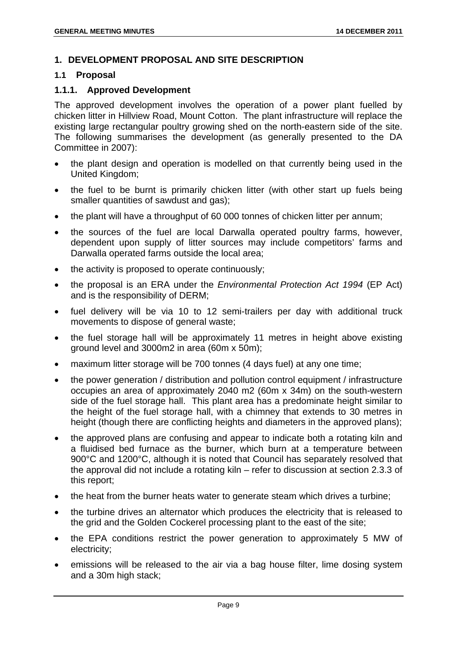# **1. DEVELOPMENT PROPOSAL AND SITE DESCRIPTION**

#### **1.1 Proposal**

#### **1.1.1. Approved Development**

The approved development involves the operation of a power plant fuelled by chicken litter in Hillview Road, Mount Cotton. The plant infrastructure will replace the existing large rectangular poultry growing shed on the north-eastern side of the site. The following summarises the development (as generally presented to the DA Committee in 2007):

- the plant design and operation is modelled on that currently being used in the United Kingdom;
- the fuel to be burnt is primarily chicken litter (with other start up fuels being smaller quantities of sawdust and gas);
- the plant will have a throughput of 60 000 tonnes of chicken litter per annum:
- the sources of the fuel are local Darwalla operated poultry farms, however, dependent upon supply of litter sources may include competitors' farms and Darwalla operated farms outside the local area;
- the activity is proposed to operate continuously;
- the proposal is an ERA under the *Environmental Protection Act 1994* (EP Act) and is the responsibility of DERM;
- fuel delivery will be via 10 to 12 semi-trailers per day with additional truck movements to dispose of general waste;
- the fuel storage hall will be approximately 11 metres in height above existing ground level and 3000m2 in area (60m x 50m);
- maximum litter storage will be 700 tonnes (4 days fuel) at any one time;
- the power generation / distribution and pollution control equipment / infrastructure occupies an area of approximately 2040 m2 (60m x 34m) on the south-western side of the fuel storage hall. This plant area has a predominate height similar to the height of the fuel storage hall, with a chimney that extends to 30 metres in height (though there are conflicting heights and diameters in the approved plans);
- the approved plans are confusing and appear to indicate both a rotating kiln and a fluidised bed furnace as the burner, which burn at a temperature between 900°C and 1200°C, although it is noted that Council has separately resolved that the approval did not include a rotating kiln – refer to discussion at section 2.3.3 of this report;
- the heat from the burner heats water to generate steam which drives a turbine;
- the turbine drives an alternator which produces the electricity that is released to the grid and the Golden Cockerel processing plant to the east of the site;
- the EPA conditions restrict the power generation to approximately 5 MW of electricity;
- emissions will be released to the air via a bag house filter, lime dosing system and a 30m high stack;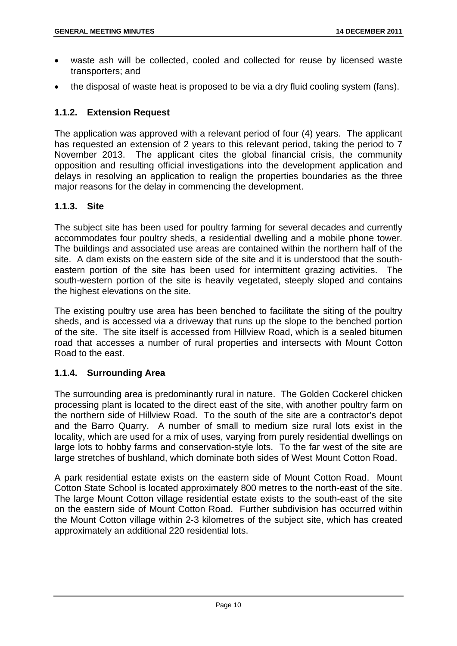- waste ash will be collected, cooled and collected for reuse by licensed waste transporters; and
- the disposal of waste heat is proposed to be via a dry fluid cooling system (fans).

# **1.1.2. Extension Request**

The application was approved with a relevant period of four (4) years. The applicant has requested an extension of 2 years to this relevant period, taking the period to 7 November 2013. The applicant cites the global financial crisis, the community opposition and resulting official investigations into the development application and delays in resolving an application to realign the properties boundaries as the three major reasons for the delay in commencing the development.

# **1.1.3. Site**

The subject site has been used for poultry farming for several decades and currently accommodates four poultry sheds, a residential dwelling and a mobile phone tower. The buildings and associated use areas are contained within the northern half of the site. A dam exists on the eastern side of the site and it is understood that the southeastern portion of the site has been used for intermittent grazing activities. The south-western portion of the site is heavily vegetated, steeply sloped and contains the highest elevations on the site.

The existing poultry use area has been benched to facilitate the siting of the poultry sheds, and is accessed via a driveway that runs up the slope to the benched portion of the site. The site itself is accessed from Hillview Road, which is a sealed bitumen road that accesses a number of rural properties and intersects with Mount Cotton Road to the east.

# **1.1.4. Surrounding Area**

The surrounding area is predominantly rural in nature. The Golden Cockerel chicken processing plant is located to the direct east of the site, with another poultry farm on the northern side of Hillview Road. To the south of the site are a contractor's depot and the Barro Quarry. A number of small to medium size rural lots exist in the locality, which are used for a mix of uses, varying from purely residential dwellings on large lots to hobby farms and conservation-style lots. To the far west of the site are large stretches of bushland, which dominate both sides of West Mount Cotton Road.

A park residential estate exists on the eastern side of Mount Cotton Road. Mount Cotton State School is located approximately 800 metres to the north-east of the site. The large Mount Cotton village residential estate exists to the south-east of the site on the eastern side of Mount Cotton Road. Further subdivision has occurred within the Mount Cotton village within 2-3 kilometres of the subject site, which has created approximately an additional 220 residential lots.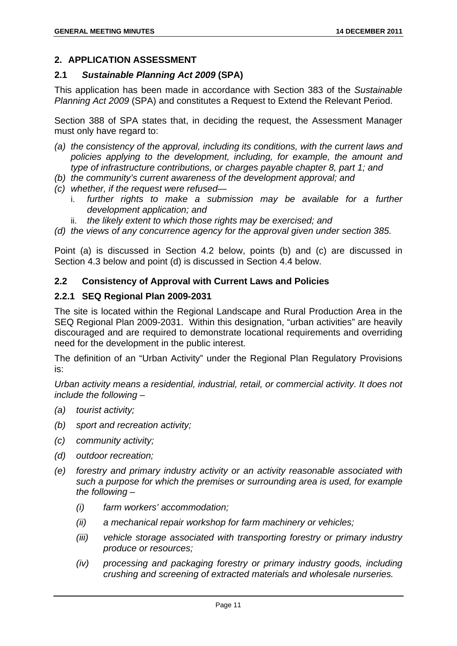# **2. APPLICATION ASSESSMENT**

# **2.1** *Sustainable Planning Act 2009* **(SPA)**

This application has been made in accordance with Section 383 of the *Sustainable Planning Act 2009* (SPA) and constitutes a Request to Extend the Relevant Period.

Section 388 of SPA states that, in deciding the request, the Assessment Manager must only have regard to:

- *(a) the consistency of the approval, including its conditions, with the current laws and policies applying to the development, including, for example, the amount and type of infrastructure contributions, or charges payable chapter 8, part 1; and*
- *(b) the community's current awareness of the development approval; and*
- *(c) whether, if the request were refused* 
	- i. *further rights to make a submission may be available for a further development application; and*
	- ii. *the likely extent to which those rights may be exercised; and*
- *(d) the views of any concurrence agency for the approval given under section 385.*

Point (a) is discussed in Section 4.2 below, points (b) and (c) are discussed in Section 4.3 below and point (d) is discussed in Section 4.4 below.

# **2.2 Consistency of Approval with Current Laws and Policies**

# **2.2.1 SEQ Regional Plan 2009-2031**

The site is located within the Regional Landscape and Rural Production Area in the SEQ Regional Plan 2009-2031. Within this designation, "urban activities" are heavily discouraged and are required to demonstrate locational requirements and overriding need for the development in the public interest.

The definition of an "Urban Activity" under the Regional Plan Regulatory Provisions is:

*Urban activity means a residential, industrial, retail, or commercial activity. It does not include the following –* 

- *(a) tourist activity;*
- *(b) sport and recreation activity;*
- *(c) community activity;*
- *(d) outdoor recreation;*
- *(e) forestry and primary industry activity or an activity reasonable associated with such a purpose for which the premises or surrounding area is used, for example the following –* 
	- *(i) farm workers' accommodation;*
	- *(ii) a mechanical repair workshop for farm machinery or vehicles;*
	- *(iii) vehicle storage associated with transporting forestry or primary industry produce or resources;*
	- *(iv) processing and packaging forestry or primary industry goods, including crushing and screening of extracted materials and wholesale nurseries.*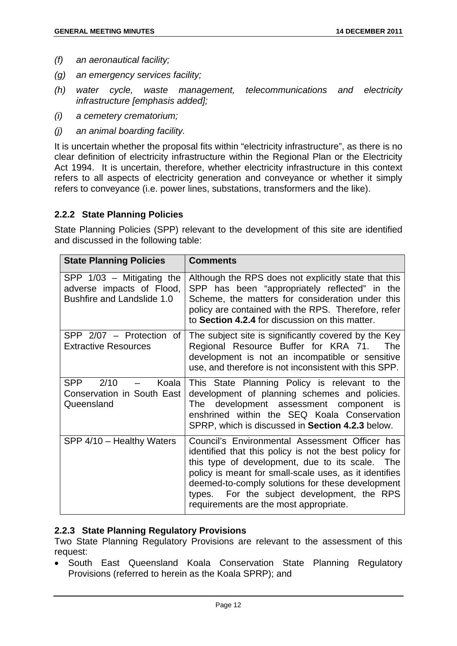- *(f) an aeronautical facility;*
- *(g) an emergency services facility;*
- *(h) water cycle, waste management, telecommunications and electricity infrastructure [emphasis added];*
- *(i) a cemetery crematorium;*
- *(j) an animal boarding facility.*

It is uncertain whether the proposal fits within "electricity infrastructure", as there is no clear definition of electricity infrastructure within the Regional Plan or the Electricity Act 1994. It is uncertain, therefore, whether electricity infrastructure in this context refers to all aspects of electricity generation and conveyance or whether it simply refers to conveyance (i.e. power lines, substations, transformers and the like).

#### **2.2.2 State Planning Policies**

State Planning Policies (SPP) relevant to the development of this site are identified and discussed in the following table:

| <b>State Planning Policies</b>                                                                | <b>Comments</b>                                                                                                                                                                                                                                                                                                                                                    |
|-----------------------------------------------------------------------------------------------|--------------------------------------------------------------------------------------------------------------------------------------------------------------------------------------------------------------------------------------------------------------------------------------------------------------------------------------------------------------------|
| SPP $1/03$ – Mitigating the<br>adverse impacts of Flood,<br><b>Bushfire and Landslide 1.0</b> | Although the RPS does not explicitly state that this<br>SPP has been "appropriately reflected" in the<br>Scheme, the matters for consideration under this<br>policy are contained with the RPS. Therefore, refer<br>to Section 4.2.4 for discussion on this matter.                                                                                                |
| SPP 2/07 - Protection of<br><b>Extractive Resources</b>                                       | The subject site is significantly covered by the Key<br>Regional Resource Buffer for KRA 71.<br>The<br>development is not an incompatible or sensitive<br>use, and therefore is not inconsistent with this SPP.                                                                                                                                                    |
| <b>SPP</b><br>2/10<br>Koala<br>$-$<br>Conservation in South East<br>Queensland                | This State Planning Policy is relevant to the<br>development of planning schemes and policies.<br>The development assessment component is<br>enshrined within the SEQ Koala Conservation<br>SPRP, which is discussed in Section 4.2.3 below.                                                                                                                       |
| SPP 4/10 - Healthy Waters                                                                     | Council's Environmental Assessment Officer has<br>identified that this policy is not the best policy for<br>this type of development, due to its scale. The<br>policy is meant for small-scale uses, as it identifies<br>deemed-to-comply solutions for these development<br>types. For the subject development, the RPS<br>requirements are the most appropriate. |

# **2.2.3 State Planning Regulatory Provisions**

Two State Planning Regulatory Provisions are relevant to the assessment of this request:

• South East Queensland Koala Conservation State Planning Regulatory Provisions (referred to herein as the Koala SPRP); and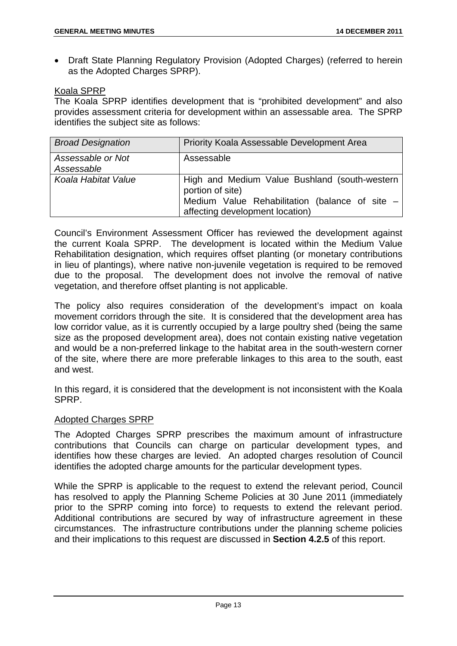• Draft State Planning Regulatory Provision (Adopted Charges) (referred to herein as the Adopted Charges SPRP).

#### Koala SPRP

The Koala SPRP identifies development that is "prohibited development" and also provides assessment criteria for development within an assessable area. The SPRP identifies the subject site as follows:

| <b>Broad Designation</b>        | Priority Koala Assessable Development Area                                                                                                             |
|---------------------------------|--------------------------------------------------------------------------------------------------------------------------------------------------------|
| Assessable or Not<br>Assessable | Assessable                                                                                                                                             |
| Koala Habitat Value             | High and Medium Value Bushland (south-western<br>portion of site)<br>Medium Value Rehabilitation (balance of site -<br>affecting development location) |

Council's Environment Assessment Officer has reviewed the development against the current Koala SPRP. The development is located within the Medium Value Rehabilitation designation, which requires offset planting (or monetary contributions in lieu of plantings), where native non-juvenile vegetation is required to be removed due to the proposal. The development does not involve the removal of native vegetation, and therefore offset planting is not applicable.

The policy also requires consideration of the development's impact on koala movement corridors through the site. It is considered that the development area has low corridor value, as it is currently occupied by a large poultry shed (being the same size as the proposed development area), does not contain existing native vegetation and would be a non-preferred linkage to the habitat area in the south-western corner of the site, where there are more preferable linkages to this area to the south, east and west.

In this regard, it is considered that the development is not inconsistent with the Koala SPRP.

# Adopted Charges SPRP

The Adopted Charges SPRP prescribes the maximum amount of infrastructure contributions that Councils can charge on particular development types, and identifies how these charges are levied. An adopted charges resolution of Council identifies the adopted charge amounts for the particular development types.

While the SPRP is applicable to the request to extend the relevant period, Council has resolved to apply the Planning Scheme Policies at 30 June 2011 (immediately prior to the SPRP coming into force) to requests to extend the relevant period. Additional contributions are secured by way of infrastructure agreement in these circumstances. The infrastructure contributions under the planning scheme policies and their implications to this request are discussed in **Section 4.2.5** of this report.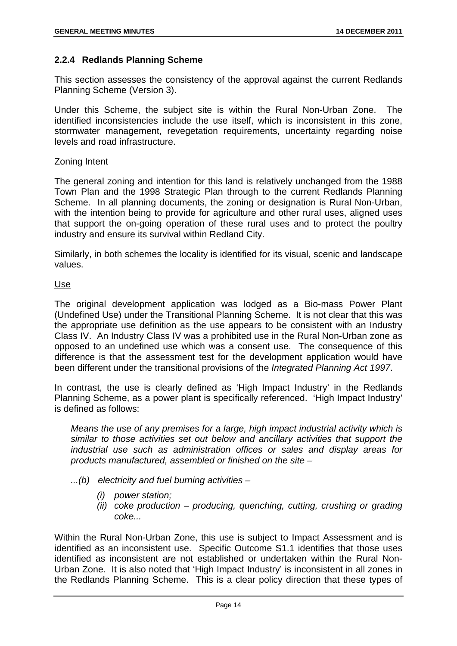# **2.2.4 Redlands Planning Scheme**

This section assesses the consistency of the approval against the current Redlands Planning Scheme (Version 3).

Under this Scheme, the subject site is within the Rural Non-Urban Zone. The identified inconsistencies include the use itself, which is inconsistent in this zone, stormwater management, revegetation requirements, uncertainty regarding noise levels and road infrastructure.

#### Zoning Intent

The general zoning and intention for this land is relatively unchanged from the 1988 Town Plan and the 1998 Strategic Plan through to the current Redlands Planning Scheme. In all planning documents, the zoning or designation is Rural Non-Urban, with the intention being to provide for agriculture and other rural uses, aligned uses that support the on-going operation of these rural uses and to protect the poultry industry and ensure its survival within Redland City.

Similarly, in both schemes the locality is identified for its visual, scenic and landscape values.

#### Use

The original development application was lodged as a Bio-mass Power Plant (Undefined Use) under the Transitional Planning Scheme. It is not clear that this was the appropriate use definition as the use appears to be consistent with an Industry Class IV. An Industry Class IV was a prohibited use in the Rural Non-Urban zone as opposed to an undefined use which was a consent use. The consequence of this difference is that the assessment test for the development application would have been different under the transitional provisions of the *Integrated Planning Act 1997*.

In contrast, the use is clearly defined as 'High Impact Industry' in the Redlands Planning Scheme, as a power plant is specifically referenced. 'High Impact Industry' is defined as follows:

*Means the use of any premises for a large, high impact industrial activity which is similar to those activities set out below and ancillary activities that support the industrial use such as administration offices or sales and display areas for products manufactured, assembled or finished on the site –* 

- *...(b) electricity and fuel burning activities* 
	- *(i) power station;*
	- *(ii) coke production producing, quenching, cutting, crushing or grading coke...*

Within the Rural Non-Urban Zone, this use is subject to Impact Assessment and is identified as an inconsistent use. Specific Outcome S1.1 identifies that those uses identified as inconsistent are not established or undertaken within the Rural Non-Urban Zone. It is also noted that 'High Impact Industry' is inconsistent in all zones in the Redlands Planning Scheme. This is a clear policy direction that these types of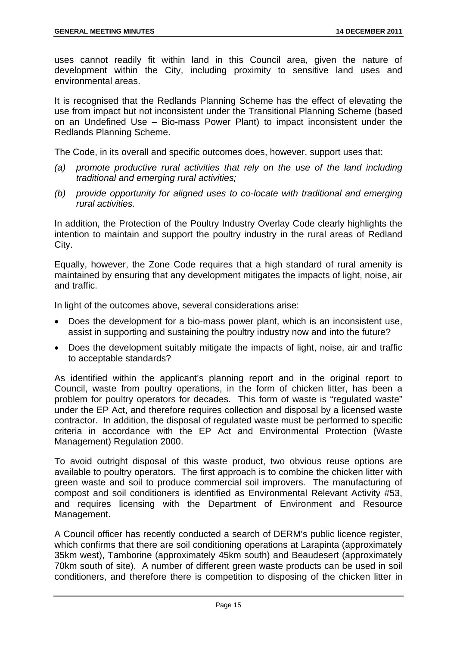uses cannot readily fit within land in this Council area, given the nature of development within the City, including proximity to sensitive land uses and environmental areas.

It is recognised that the Redlands Planning Scheme has the effect of elevating the use from impact but not inconsistent under the Transitional Planning Scheme (based on an Undefined Use – Bio-mass Power Plant) to impact inconsistent under the Redlands Planning Scheme.

The Code, in its overall and specific outcomes does, however, support uses that:

- *(a) promote productive rural activities that rely on the use of the land including traditional and emerging rural activities;*
- *(b) provide opportunity for aligned uses to co-locate with traditional and emerging rural activities.*

In addition, the Protection of the Poultry Industry Overlay Code clearly highlights the intention to maintain and support the poultry industry in the rural areas of Redland City.

Equally, however, the Zone Code requires that a high standard of rural amenity is maintained by ensuring that any development mitigates the impacts of light, noise, air and traffic.

In light of the outcomes above, several considerations arise:

- Does the development for a bio-mass power plant, which is an inconsistent use, assist in supporting and sustaining the poultry industry now and into the future?
- Does the development suitably mitigate the impacts of light, noise, air and traffic to acceptable standards?

As identified within the applicant's planning report and in the original report to Council, waste from poultry operations, in the form of chicken litter, has been a problem for poultry operators for decades. This form of waste is "regulated waste" under the EP Act, and therefore requires collection and disposal by a licensed waste contractor. In addition, the disposal of regulated waste must be performed to specific criteria in accordance with the EP Act and Environmental Protection (Waste Management) Regulation 2000.

To avoid outright disposal of this waste product, two obvious reuse options are available to poultry operators. The first approach is to combine the chicken litter with green waste and soil to produce commercial soil improvers. The manufacturing of compost and soil conditioners is identified as Environmental Relevant Activity #53, and requires licensing with the Department of Environment and Resource Management.

A Council officer has recently conducted a search of DERM's public licence register, which confirms that there are soil conditioning operations at Larapinta (approximately 35km west), Tamborine (approximately 45km south) and Beaudesert (approximately 70km south of site). A number of different green waste products can be used in soil conditioners, and therefore there is competition to disposing of the chicken litter in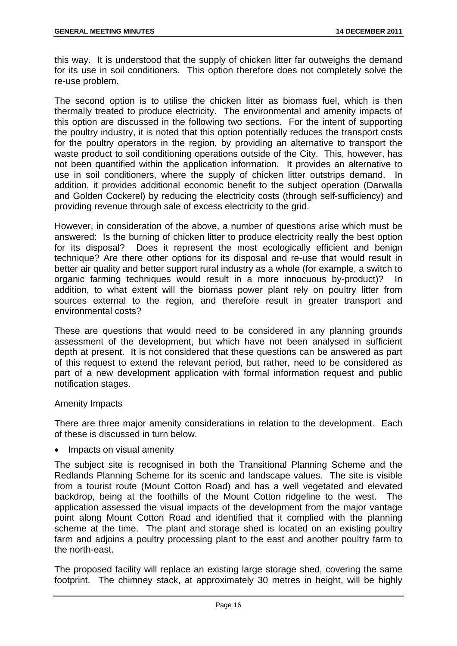this way. It is understood that the supply of chicken litter far outweighs the demand for its use in soil conditioners. This option therefore does not completely solve the re-use problem.

The second option is to utilise the chicken litter as biomass fuel, which is then thermally treated to produce electricity. The environmental and amenity impacts of this option are discussed in the following two sections. For the intent of supporting the poultry industry, it is noted that this option potentially reduces the transport costs for the poultry operators in the region, by providing an alternative to transport the waste product to soil conditioning operations outside of the City. This, however, has not been quantified within the application information. It provides an alternative to use in soil conditioners, where the supply of chicken litter outstrips demand. In addition, it provides additional economic benefit to the subject operation (Darwalla and Golden Cockerel) by reducing the electricity costs (through self-sufficiency) and providing revenue through sale of excess electricity to the grid.

However, in consideration of the above, a number of questions arise which must be answered: Is the burning of chicken litter to produce electricity really the best option for its disposal? Does it represent the most ecologically efficient and benign technique? Are there other options for its disposal and re-use that would result in better air quality and better support rural industry as a whole (for example, a switch to organic farming techniques would result in a more innocuous by-product)? In addition, to what extent will the biomass power plant rely on poultry litter from sources external to the region, and therefore result in greater transport and environmental costs?

These are questions that would need to be considered in any planning grounds assessment of the development, but which have not been analysed in sufficient depth at present. It is not considered that these questions can be answered as part of this request to extend the relevant period, but rather, need to be considered as part of a new development application with formal information request and public notification stages.

#### Amenity Impacts

There are three major amenity considerations in relation to the development. Each of these is discussed in turn below.

Impacts on visual amenity

The subject site is recognised in both the Transitional Planning Scheme and the Redlands Planning Scheme for its scenic and landscape values. The site is visible from a tourist route (Mount Cotton Road) and has a well vegetated and elevated backdrop, being at the foothills of the Mount Cotton ridgeline to the west. The application assessed the visual impacts of the development from the major vantage point along Mount Cotton Road and identified that it complied with the planning scheme at the time. The plant and storage shed is located on an existing poultry farm and adjoins a poultry processing plant to the east and another poultry farm to the north-east.

The proposed facility will replace an existing large storage shed, covering the same footprint. The chimney stack, at approximately 30 metres in height, will be highly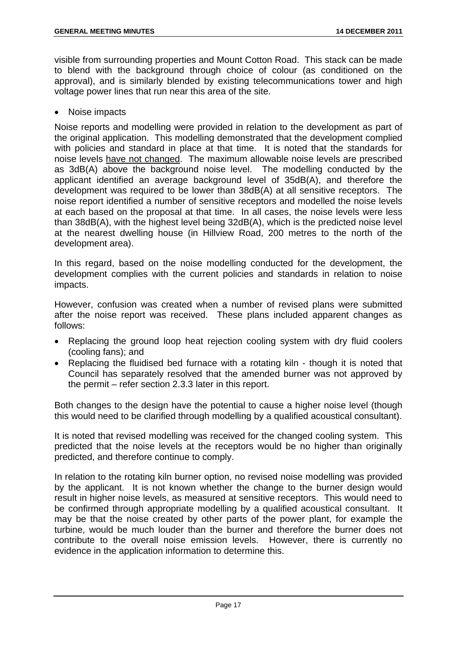visible from surrounding properties and Mount Cotton Road. This stack can be made to blend with the background through choice of colour (as conditioned on the approval), and is similarly blended by existing telecommunications tower and high voltage power lines that run near this area of the site.

Noise impacts

Noise reports and modelling were provided in relation to the development as part of the original application. This modelling demonstrated that the development complied with policies and standard in place at that time. It is noted that the standards for noise levels have not changed. The maximum allowable noise levels are prescribed as 3dB(A) above the background noise level. The modelling conducted by the applicant identified an average background level of 35dB(A), and therefore the development was required to be lower than 38dB(A) at all sensitive receptors. The noise report identified a number of sensitive receptors and modelled the noise levels at each based on the proposal at that time. In all cases, the noise levels were less than 38dB(A), with the highest level being 32dB(A), which is the predicted noise level at the nearest dwelling house (in Hillview Road, 200 metres to the north of the development area).

In this regard, based on the noise modelling conducted for the development, the development complies with the current policies and standards in relation to noise impacts.

However, confusion was created when a number of revised plans were submitted after the noise report was received. These plans included apparent changes as follows:

- Replacing the ground loop heat rejection cooling system with dry fluid coolers (cooling fans); and
- Replacing the fluidised bed furnace with a rotating kiln though it is noted that Council has separately resolved that the amended burner was not approved by the permit – refer section 2.3.3 later in this report.

Both changes to the design have the potential to cause a higher noise level (though this would need to be clarified through modelling by a qualified acoustical consultant).

It is noted that revised modelling was received for the changed cooling system. This predicted that the noise levels at the receptors would be no higher than originally predicted, and therefore continue to comply.

In relation to the rotating kiln burner option, no revised noise modelling was provided by the applicant. It is not known whether the change to the burner design would result in higher noise levels, as measured at sensitive receptors. This would need to be confirmed through appropriate modelling by a qualified acoustical consultant. It may be that the noise created by other parts of the power plant, for example the turbine, would be much louder than the burner and therefore the burner does not contribute to the overall noise emission levels. However, there is currently no evidence in the application information to determine this.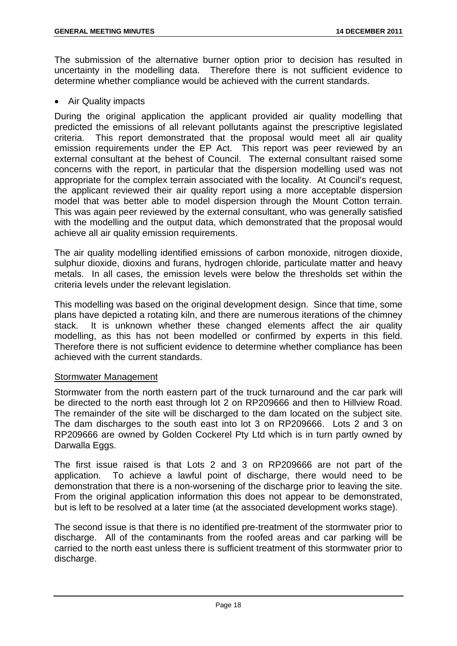The submission of the alternative burner option prior to decision has resulted in uncertainty in the modelling data. Therefore there is not sufficient evidence to determine whether compliance would be achieved with the current standards.

Air Quality impacts

During the original application the applicant provided air quality modelling that predicted the emissions of all relevant pollutants against the prescriptive legislated criteria. This report demonstrated that the proposal would meet all air quality emission requirements under the EP Act. This report was peer reviewed by an external consultant at the behest of Council. The external consultant raised some concerns with the report, in particular that the dispersion modelling used was not appropriate for the complex terrain associated with the locality. At Council's request, the applicant reviewed their air quality report using a more acceptable dispersion model that was better able to model dispersion through the Mount Cotton terrain. This was again peer reviewed by the external consultant, who was generally satisfied with the modelling and the output data, which demonstrated that the proposal would achieve all air quality emission requirements.

The air quality modelling identified emissions of carbon monoxide, nitrogen dioxide, sulphur dioxide, dioxins and furans, hydrogen chloride, particulate matter and heavy metals. In all cases, the emission levels were below the thresholds set within the criteria levels under the relevant legislation.

This modelling was based on the original development design. Since that time, some plans have depicted a rotating kiln, and there are numerous iterations of the chimney stack. It is unknown whether these changed elements affect the air quality modelling, as this has not been modelled or confirmed by experts in this field. Therefore there is not sufficient evidence to determine whether compliance has been achieved with the current standards.

#### Stormwater Management

Stormwater from the north eastern part of the truck turnaround and the car park will be directed to the north east through lot 2 on RP209666 and then to Hillview Road. The remainder of the site will be discharged to the dam located on the subject site. The dam discharges to the south east into lot 3 on RP209666. Lots 2 and 3 on RP209666 are owned by Golden Cockerel Pty Ltd which is in turn partly owned by Darwalla Eggs.

The first issue raised is that Lots 2 and 3 on RP209666 are not part of the application. To achieve a lawful point of discharge, there would need to be demonstration that there is a non-worsening of the discharge prior to leaving the site. From the original application information this does not appear to be demonstrated, but is left to be resolved at a later time (at the associated development works stage).

The second issue is that there is no identified pre-treatment of the stormwater prior to discharge. All of the contaminants from the roofed areas and car parking will be carried to the north east unless there is sufficient treatment of this stormwater prior to discharge.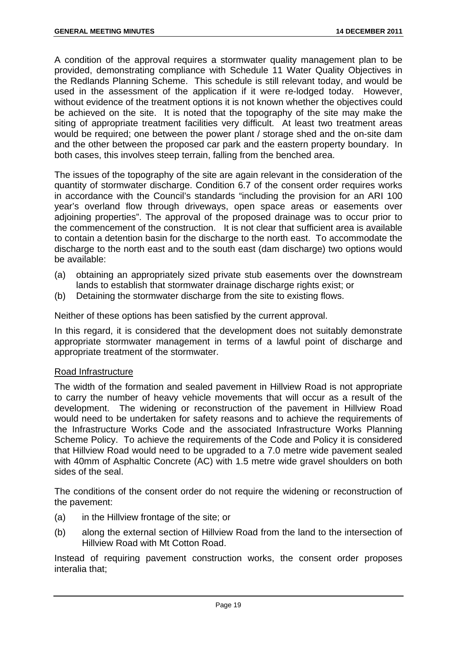A condition of the approval requires a stormwater quality management plan to be provided, demonstrating compliance with Schedule 11 Water Quality Objectives in the Redlands Planning Scheme. This schedule is still relevant today, and would be used in the assessment of the application if it were re-lodged today. However, without evidence of the treatment options it is not known whether the objectives could be achieved on the site. It is noted that the topography of the site may make the siting of appropriate treatment facilities very difficult. At least two treatment areas would be required; one between the power plant / storage shed and the on-site dam and the other between the proposed car park and the eastern property boundary. In both cases, this involves steep terrain, falling from the benched area.

The issues of the topography of the site are again relevant in the consideration of the quantity of stormwater discharge. Condition 6.7 of the consent order requires works in accordance with the Council's standards "including the provision for an ARI 100 year's overland flow through driveways, open space areas or easements over adjoining properties". The approval of the proposed drainage was to occur prior to the commencement of the construction. It is not clear that sufficient area is available to contain a detention basin for the discharge to the north east. To accommodate the discharge to the north east and to the south east (dam discharge) two options would be available:

- (a) obtaining an appropriately sized private stub easements over the downstream lands to establish that stormwater drainage discharge rights exist; or
- (b) Detaining the stormwater discharge from the site to existing flows.

Neither of these options has been satisfied by the current approval.

In this regard, it is considered that the development does not suitably demonstrate appropriate stormwater management in terms of a lawful point of discharge and appropriate treatment of the stormwater.

#### Road Infrastructure

The width of the formation and sealed pavement in Hillview Road is not appropriate to carry the number of heavy vehicle movements that will occur as a result of the development. The widening or reconstruction of the pavement in Hillview Road would need to be undertaken for safety reasons and to achieve the requirements of the Infrastructure Works Code and the associated Infrastructure Works Planning Scheme Policy. To achieve the requirements of the Code and Policy it is considered that Hillview Road would need to be upgraded to a 7.0 metre wide pavement sealed with 40mm of Asphaltic Concrete (AC) with 1.5 metre wide gravel shoulders on both sides of the seal.

The conditions of the consent order do not require the widening or reconstruction of the pavement:

- (a) in the Hillview frontage of the site; or
- (b) along the external section of Hillview Road from the land to the intersection of Hillview Road with Mt Cotton Road.

Instead of requiring pavement construction works, the consent order proposes interalia that;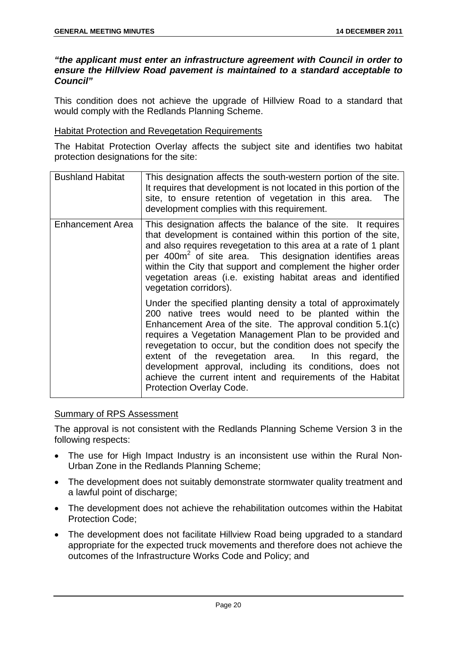#### *"the applicant must enter an infrastructure agreement with Council in order to ensure the Hillview Road pavement is maintained to a standard acceptable to Council"*

This condition does not achieve the upgrade of Hillview Road to a standard that would comply with the Redlands Planning Scheme.

#### Habitat Protection and Revegetation Requirements

The Habitat Protection Overlay affects the subject site and identifies two habitat protection designations for the site:

| <b>Bushland Habitat</b> | This designation affects the south-western portion of the site.<br>It requires that development is not located in this portion of the<br>site, to ensure retention of vegetation in this area. The<br>development complies with this requirement.                                                                                                                                                                                                                                                                                      |
|-------------------------|----------------------------------------------------------------------------------------------------------------------------------------------------------------------------------------------------------------------------------------------------------------------------------------------------------------------------------------------------------------------------------------------------------------------------------------------------------------------------------------------------------------------------------------|
| <b>Enhancement Area</b> | This designation affects the balance of the site. It requires<br>that development is contained within this portion of the site,<br>and also requires revegetation to this area at a rate of 1 plant<br>per 400m <sup>2</sup> of site area. This designation identifies areas<br>within the City that support and complement the higher order<br>vegetation areas (i.e. existing habitat areas and identified<br>vegetation corridors).                                                                                                 |
|                         | Under the specified planting density a total of approximately<br>200 native trees would need to be planted within the<br>Enhancement Area of the site. The approval condition 5.1(c)<br>requires a Vegetation Management Plan to be provided and<br>revegetation to occur, but the condition does not specify the<br>extent of the revegetation area. In this regard, the<br>development approval, including its conditions, does not<br>achieve the current intent and requirements of the Habitat<br><b>Protection Overlay Code.</b> |

#### Summary of RPS Assessment

The approval is not consistent with the Redlands Planning Scheme Version 3 in the following respects:

- The use for High Impact Industry is an inconsistent use within the Rural Non-Urban Zone in the Redlands Planning Scheme;
- The development does not suitably demonstrate stormwater quality treatment and a lawful point of discharge;
- The development does not achieve the rehabilitation outcomes within the Habitat Protection Code;
- The development does not facilitate Hillview Road being upgraded to a standard appropriate for the expected truck movements and therefore does not achieve the outcomes of the Infrastructure Works Code and Policy; and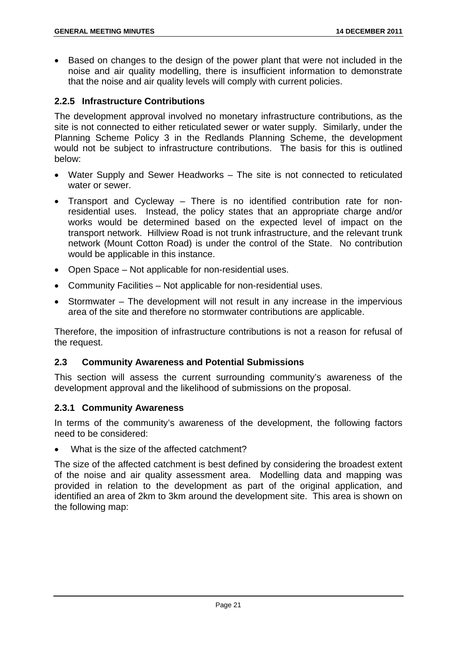Based on changes to the design of the power plant that were not included in the noise and air quality modelling, there is insufficient information to demonstrate that the noise and air quality levels will comply with current policies.

# **2.2.5 Infrastructure Contributions**

The development approval involved no monetary infrastructure contributions, as the site is not connected to either reticulated sewer or water supply. Similarly, under the Planning Scheme Policy 3 in the Redlands Planning Scheme, the development would not be subject to infrastructure contributions. The basis for this is outlined below:

- Water Supply and Sewer Headworks The site is not connected to reticulated water or sewer.
- Transport and Cycleway There is no identified contribution rate for nonresidential uses. Instead, the policy states that an appropriate charge and/or works would be determined based on the expected level of impact on the transport network. Hillview Road is not trunk infrastructure, and the relevant trunk network (Mount Cotton Road) is under the control of the State. No contribution would be applicable in this instance.
- Open Space Not applicable for non-residential uses.
- Community Facilities Not applicable for non-residential uses.
- Stormwater The development will not result in any increase in the impervious area of the site and therefore no stormwater contributions are applicable.

Therefore, the imposition of infrastructure contributions is not a reason for refusal of the request.

#### **2.3 Community Awareness and Potential Submissions**

This section will assess the current surrounding community's awareness of the development approval and the likelihood of submissions on the proposal.

#### **2.3.1 Community Awareness**

In terms of the community's awareness of the development, the following factors need to be considered:

What is the size of the affected catchment?

The size of the affected catchment is best defined by considering the broadest extent of the noise and air quality assessment area. Modelling data and mapping was provided in relation to the development as part of the original application, and identified an area of 2km to 3km around the development site. This area is shown on the following map: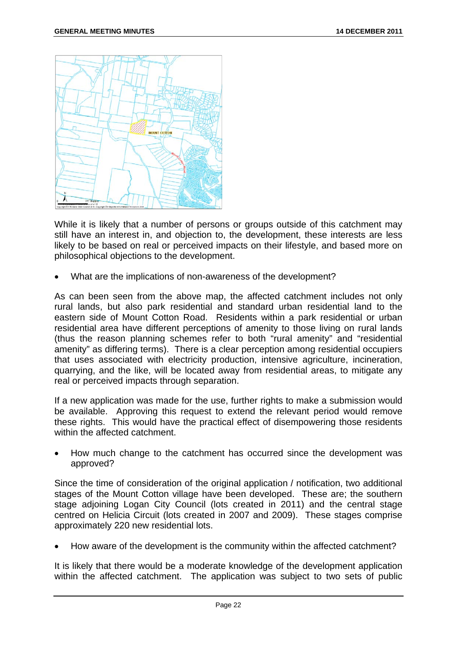

While it is likely that a number of persons or groups outside of this catchment may still have an interest in, and objection to, the development, these interests are less likely to be based on real or perceived impacts on their lifestyle, and based more on philosophical objections to the development.

What are the implications of non-awareness of the development?

As can been seen from the above map, the affected catchment includes not only rural lands, but also park residential and standard urban residential land to the eastern side of Mount Cotton Road. Residents within a park residential or urban residential area have different perceptions of amenity to those living on rural lands (thus the reason planning schemes refer to both "rural amenity" and "residential amenity" as differing terms). There is a clear perception among residential occupiers that uses associated with electricity production, intensive agriculture, incineration, quarrying, and the like, will be located away from residential areas, to mitigate any real or perceived impacts through separation.

If a new application was made for the use, further rights to make a submission would be available. Approving this request to extend the relevant period would remove these rights. This would have the practical effect of disempowering those residents within the affected catchment.

 How much change to the catchment has occurred since the development was approved?

Since the time of consideration of the original application / notification, two additional stages of the Mount Cotton village have been developed. These are; the southern stage adjoining Logan City Council (lots created in 2011) and the central stage centred on Helicia Circuit (lots created in 2007 and 2009). These stages comprise approximately 220 new residential lots.

How aware of the development is the community within the affected catchment?

It is likely that there would be a moderate knowledge of the development application within the affected catchment. The application was subject to two sets of public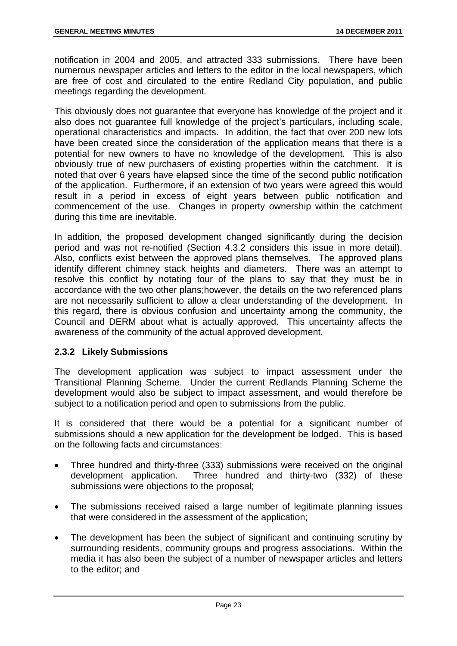notification in 2004 and 2005, and attracted 333 submissions. There have been numerous newspaper articles and letters to the editor in the local newspapers, which are free of cost and circulated to the entire Redland City population, and public meetings regarding the development.

This obviously does not guarantee that everyone has knowledge of the project and it also does not guarantee full knowledge of the project's particulars, including scale, operational characteristics and impacts. In addition, the fact that over 200 new lots have been created since the consideration of the application means that there is a potential for new owners to have no knowledge of the development. This is also obviously true of new purchasers of existing properties within the catchment. It is noted that over 6 years have elapsed since the time of the second public notification of the application. Furthermore, if an extension of two years were agreed this would result in a period in excess of eight years between public notification and commencement of the use. Changes in property ownership within the catchment during this time are inevitable.

In addition, the proposed development changed significantly during the decision period and was not re-notified (Section 4.3.2 considers this issue in more detail). Also, conflicts exist between the approved plans themselves. The approved plans identify different chimney stack heights and diameters. There was an attempt to resolve this conflict by notating four of the plans to say that they must be in accordance with the two other plans;however, the details on the two referenced plans are not necessarily sufficient to allow a clear understanding of the development. In this regard, there is obvious confusion and uncertainty among the community, the Council and DERM about what is actually approved. This uncertainty affects the awareness of the community of the actual approved development.

# **2.3.2 Likely Submissions**

The development application was subject to impact assessment under the Transitional Planning Scheme. Under the current Redlands Planning Scheme the development would also be subject to impact assessment, and would therefore be subject to a notification period and open to submissions from the public.

It is considered that there would be a potential for a significant number of submissions should a new application for the development be lodged. This is based on the following facts and circumstances:

- Three hundred and thirty-three (333) submissions were received on the original development application. Three hundred and thirty-two (332) of these submissions were objections to the proposal;
- The submissions received raised a large number of legitimate planning issues that were considered in the assessment of the application;
- The development has been the subject of significant and continuing scrutiny by surrounding residents, community groups and progress associations. Within the media it has also been the subject of a number of newspaper articles and letters to the editor; and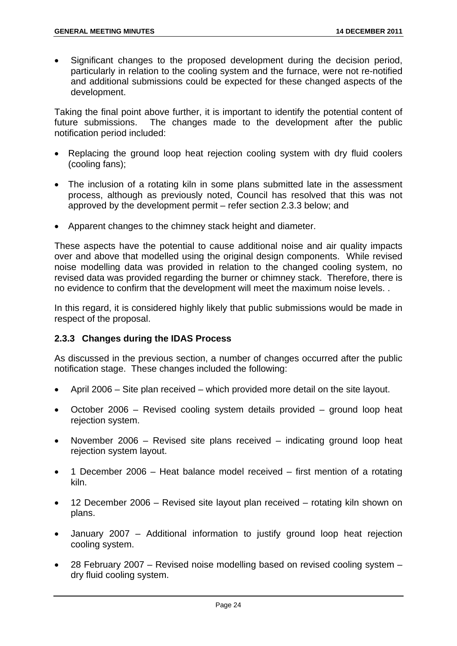Significant changes to the proposed development during the decision period, particularly in relation to the cooling system and the furnace, were not re-notified and additional submissions could be expected for these changed aspects of the development.

Taking the final point above further, it is important to identify the potential content of future submissions. The changes made to the development after the public notification period included:

- Replacing the ground loop heat rejection cooling system with dry fluid coolers (cooling fans);
- The inclusion of a rotating kiln in some plans submitted late in the assessment process, although as previously noted, Council has resolved that this was not approved by the development permit – refer section 2.3.3 below; and
- Apparent changes to the chimney stack height and diameter.

These aspects have the potential to cause additional noise and air quality impacts over and above that modelled using the original design components. While revised noise modelling data was provided in relation to the changed cooling system, no revised data was provided regarding the burner or chimney stack. Therefore, there is no evidence to confirm that the development will meet the maximum noise levels. .

In this regard, it is considered highly likely that public submissions would be made in respect of the proposal.

# **2.3.3 Changes during the IDAS Process**

As discussed in the previous section, a number of changes occurred after the public notification stage. These changes included the following:

- April 2006 Site plan received which provided more detail on the site layout.
- October 2006 Revised cooling system details provided ground loop heat rejection system.
- November 2006 Revised site plans received indicating ground loop heat rejection system layout.
- 1 December 2006 Heat balance model received first mention of a rotating kiln.
- 12 December 2006 Revised site layout plan received rotating kiln shown on plans.
- January 2007 Additional information to justify ground loop heat rejection cooling system.
- 28 February 2007 Revised noise modelling based on revised cooling system dry fluid cooling system.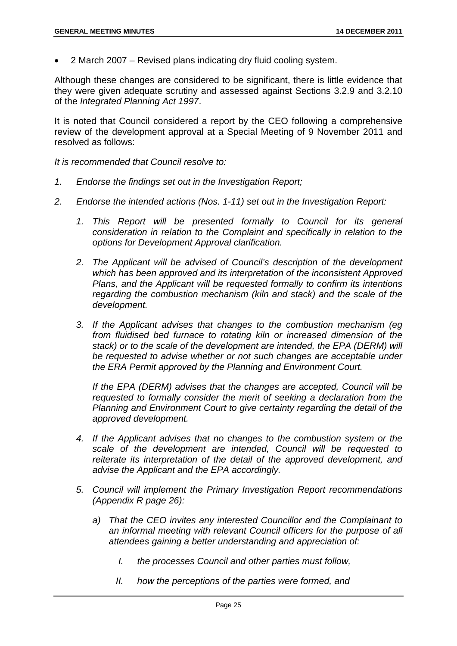2 March 2007 – Revised plans indicating dry fluid cooling system.

Although these changes are considered to be significant, there is little evidence that they were given adequate scrutiny and assessed against Sections 3.2.9 and 3.2.10 of the *Integrated Planning Act 1997*.

It is noted that Council considered a report by the CEO following a comprehensive review of the development approval at a Special Meeting of 9 November 2011 and resolved as follows:

*It is recommended that Council resolve to:* 

- *1. Endorse the findings set out in the Investigation Report;*
- *2. Endorse the intended actions (Nos. 1-11) set out in the Investigation Report:* 
	- 1. This Report will be presented formally to Council for its general *consideration in relation to the Complaint and specifically in relation to the options for Development Approval clarification.*
	- *2. The Applicant will be advised of Council's description of the development which has been approved and its interpretation of the inconsistent Approved Plans, and the Applicant will be requested formally to confirm its intentions regarding the combustion mechanism (kiln and stack) and the scale of the development.*
	- *3. If the Applicant advises that changes to the combustion mechanism (eg from fluidised bed furnace to rotating kiln or increased dimension of the stack)* or to the scale of the development are intended, the EPA (DERM) will *be requested to advise whether or not such changes are acceptable under the ERA Permit approved by the Planning and Environment Court.*

*If the EPA (DERM) advises that the changes are accepted, Council will be requested to formally consider the merit of seeking a declaration from the Planning and Environment Court to give certainty regarding the detail of the approved development.* 

- *4. If the Applicant advises that no changes to the combustion system or the scale of the development are intended, Council will be requested to reiterate its interpretation of the detail of the approved development, and advise the Applicant and the EPA accordingly.*
- *5. Council will implement the Primary Investigation Report recommendations (Appendix R page 26):* 
	- *a) That the CEO invites any interested Councillor and the Complainant to an informal meeting with relevant Council officers for the purpose of all attendees gaining a better understanding and appreciation of:* 
		- *I. the processes Council and other parties must follow,*
		- *II. how the perceptions of the parties were formed, and*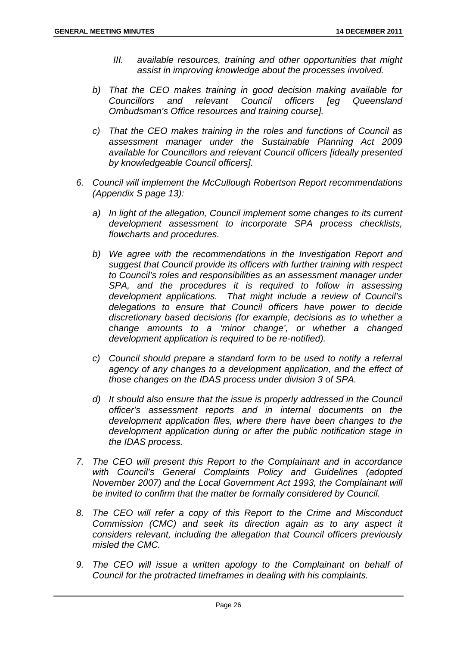- *III. available resources, training and other opportunities that might assist in improving knowledge about the processes involved.*
- *b) That the CEO makes training in good decision making available for Councillors and relevant Council officers [eg Queensland Ombudsman's Office resources and training course].*
- *c) That the CEO makes training in the roles and functions of Council as assessment manager under the Sustainable Planning Act 2009 available for Councillors and relevant Council officers [ideally presented by knowledgeable Council officers].*
- *6. Council will implement the McCullough Robertson Report recommendations (Appendix S page 13):* 
	- *a) In light of the allegation, Council implement some changes to its current development assessment to incorporate SPA process checklists, flowcharts and procedures.*
	- *b) We agree with the recommendations in the Investigation Report and suggest that Council provide its officers with further training with respect to Council's roles and responsibilities as an assessment manager under SPA, and the procedures it is required to follow in assessing development applications. That might include a review of Council's delegations to ensure that Council officers have power to decide discretionary based decisions (for example, decisions as to whether a change amounts to a 'minor change', or whether a changed development application is required to be re-notified).*
	- *c) Council should prepare a standard form to be used to notify a referral agency of any changes to a development application, and the effect of those changes on the IDAS process under division 3 of SPA.*
	- *d) It should also ensure that the issue is properly addressed in the Council officer's assessment reports and in internal documents on the development application files, where there have been changes to the development application during or after the public notification stage in the IDAS process.*
- *7. The CEO will present this Report to the Complainant and in accordance with Council's General Complaints Policy and Guidelines (adopted November 2007) and the Local Government Act 1993, the Complainant will be invited to confirm that the matter be formally considered by Council.*
- *8. The CEO will refer a copy of this Report to the Crime and Misconduct Commission (CMC) and seek its direction again as to any aspect it considers relevant, including the allegation that Council officers previously misled the CMC.*
- *9. The CEO will issue a written apology to the Complainant on behalf of Council for the protracted timeframes in dealing with his complaints.*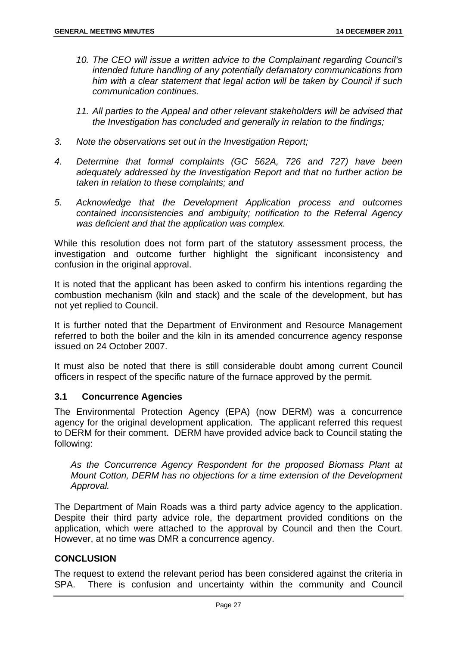- *10. The CEO will issue a written advice to the Complainant regarding Council's intended future handling of any potentially defamatory communications from him with a clear statement that legal action will be taken by Council if such communication continues.*
- *11. All parties to the Appeal and other relevant stakeholders will be advised that the Investigation has concluded and generally in relation to the findings;*
- *3. Note the observations set out in the Investigation Report;*
- *4. Determine that formal complaints (GC 562A, 726 and 727) have been adequately addressed by the Investigation Report and that no further action be taken in relation to these complaints; and*
- *5. Acknowledge that the Development Application process and outcomes contained inconsistencies and ambiguity; notification to the Referral Agency was deficient and that the application was complex.*

While this resolution does not form part of the statutory assessment process, the investigation and outcome further highlight the significant inconsistency and confusion in the original approval.

It is noted that the applicant has been asked to confirm his intentions regarding the combustion mechanism (kiln and stack) and the scale of the development, but has not yet replied to Council.

It is further noted that the Department of Environment and Resource Management referred to both the boiler and the kiln in its amended concurrence agency response issued on 24 October 2007.

It must also be noted that there is still considerable doubt among current Council officers in respect of the specific nature of the furnace approved by the permit.

# **3.1 Concurrence Agencies**

The Environmental Protection Agency (EPA) (now DERM) was a concurrence agency for the original development application. The applicant referred this request to DERM for their comment. DERM have provided advice back to Council stating the following:

*As the Concurrence Agency Respondent for the proposed Biomass Plant at Mount Cotton, DERM has no objections for a time extension of the Development Approval.* 

The Department of Main Roads was a third party advice agency to the application. Despite their third party advice role, the department provided conditions on the application, which were attached to the approval by Council and then the Court. However, at no time was DMR a concurrence agency.

#### **CONCLUSION**

The request to extend the relevant period has been considered against the criteria in SPA. There is confusion and uncertainty within the community and Council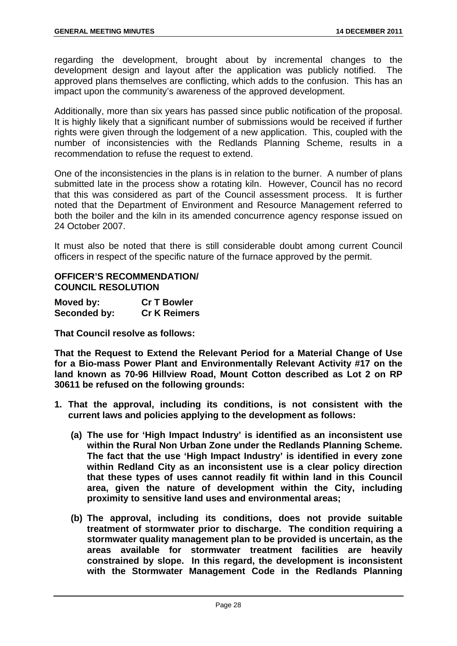regarding the development, brought about by incremental changes to the development design and layout after the application was publicly notified. The approved plans themselves are conflicting, which adds to the confusion. This has an impact upon the community's awareness of the approved development.

Additionally, more than six years has passed since public notification of the proposal. It is highly likely that a significant number of submissions would be received if further rights were given through the lodgement of a new application. This, coupled with the number of inconsistencies with the Redlands Planning Scheme, results in a recommendation to refuse the request to extend.

One of the inconsistencies in the plans is in relation to the burner. A number of plans submitted late in the process show a rotating kiln. However, Council has no record that this was considered as part of the Council assessment process. It is further noted that the Department of Environment and Resource Management referred to both the boiler and the kiln in its amended concurrence agency response issued on 24 October 2007.

It must also be noted that there is still considerable doubt among current Council officers in respect of the specific nature of the furnace approved by the permit.

# **OFFICER'S RECOMMENDATION/ COUNCIL RESOLUTION**

| Moved by:    | <b>Cr T Bowler</b>  |
|--------------|---------------------|
| Seconded by: | <b>Cr K Reimers</b> |

**That Council resolve as follows:** 

**That the Request to Extend the Relevant Period for a Material Change of Use for a Bio-mass Power Plant and Environmentally Relevant Activity #17 on the land known as 70-96 Hillview Road, Mount Cotton described as Lot 2 on RP 30611 be refused on the following grounds:** 

- **1. That the approval, including its conditions, is not consistent with the current laws and policies applying to the development as follows:** 
	- **(a) The use for 'High Impact Industry' is identified as an inconsistent use within the Rural Non Urban Zone under the Redlands Planning Scheme. The fact that the use 'High Impact Industry' is identified in every zone within Redland City as an inconsistent use is a clear policy direction that these types of uses cannot readily fit within land in this Council area, given the nature of development within the City, including proximity to sensitive land uses and environmental areas;**
	- **(b) The approval, including its conditions, does not provide suitable treatment of stormwater prior to discharge. The condition requiring a stormwater quality management plan to be provided is uncertain, as the areas available for stormwater treatment facilities are heavily constrained by slope. In this regard, the development is inconsistent with the Stormwater Management Code in the Redlands Planning**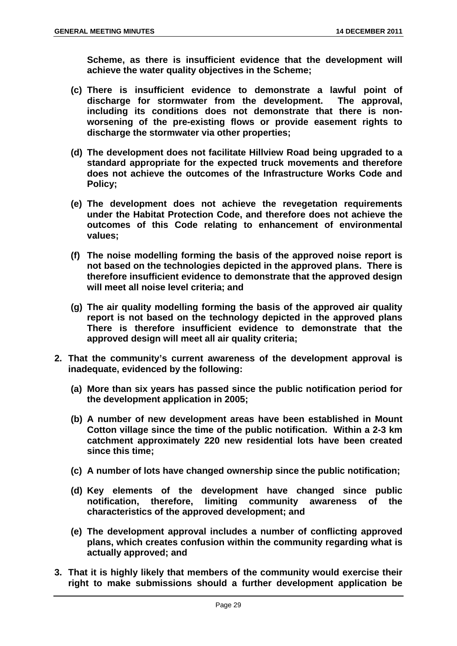**Scheme, as there is insufficient evidence that the development will achieve the water quality objectives in the Scheme;** 

- **(c) There is insufficient evidence to demonstrate a lawful point of discharge for stormwater from the development. The approval, including its conditions does not demonstrate that there is nonworsening of the pre-existing flows or provide easement rights to discharge the stormwater via other properties;**
- **(d) The development does not facilitate Hillview Road being upgraded to a standard appropriate for the expected truck movements and therefore does not achieve the outcomes of the Infrastructure Works Code and Policy;**
- **(e) The development does not achieve the revegetation requirements under the Habitat Protection Code, and therefore does not achieve the outcomes of this Code relating to enhancement of environmental values;**
- **(f) The noise modelling forming the basis of the approved noise report is not based on the technologies depicted in the approved plans. There is therefore insufficient evidence to demonstrate that the approved design will meet all noise level criteria; and**
- **(g) The air quality modelling forming the basis of the approved air quality report is not based on the technology depicted in the approved plans There is therefore insufficient evidence to demonstrate that the approved design will meet all air quality criteria;**
- **2. That the community's current awareness of the development approval is inadequate, evidenced by the following:** 
	- **(a) More than six years has passed since the public notification period for the development application in 2005;**
	- **(b) A number of new development areas have been established in Mount Cotton village since the time of the public notification. Within a 2-3 km catchment approximately 220 new residential lots have been created since this time;**
	- **(c) A number of lots have changed ownership since the public notification;**
	- **(d) Key elements of the development have changed since public notification, therefore, limiting community awareness of the characteristics of the approved development; and**
	- **(e) The development approval includes a number of conflicting approved plans, which creates confusion within the community regarding what is actually approved; and**
- **3. That it is highly likely that members of the community would exercise their right to make submissions should a further development application be**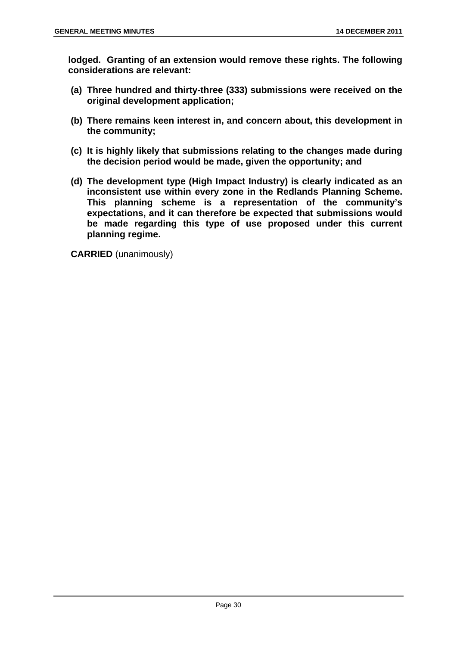**lodged. Granting of an extension would remove these rights. The following considerations are relevant:** 

- **(a) Three hundred and thirty-three (333) submissions were received on the original development application;**
- **(b) There remains keen interest in, and concern about, this development in the community;**
- **(c) It is highly likely that submissions relating to the changes made during the decision period would be made, given the opportunity; and**
- **(d) The development type (High Impact Industry) is clearly indicated as an inconsistent use within every zone in the Redlands Planning Scheme. This planning scheme is a representation of the community's expectations, and it can therefore be expected that submissions would be made regarding this type of use proposed under this current planning regime.**

**CARRIED** (unanimously)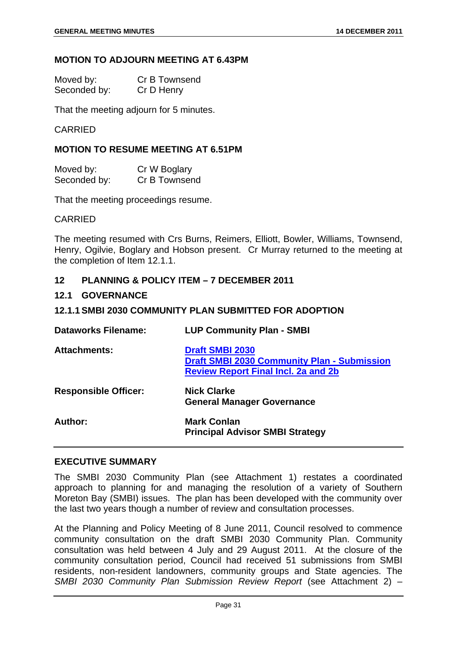#### **MOTION TO ADJOURN MEETING AT 6.43PM**

| Moved by:    | Cr B Townsend |
|--------------|---------------|
| Seconded by: | Cr D Henry    |

That the meeting adjourn for 5 minutes.

### CARRIED

### **MOTION TO RESUME MEETING AT 6.51PM**

| Moved by:    | Cr W Boglary  |
|--------------|---------------|
| Seconded by: | Cr B Townsend |

That the meeting proceedings resume.

#### CARRIED

The meeting resumed with Crs Burns, Reimers, Elliott, Bowler, Williams, Townsend, Henry, Ogilvie, Boglary and Hobson present. Cr Murray returned to the meeting at the completion of Item 12.1.1.

## **12 PLANNING & POLICY ITEM – 7 DECEMBER 2011**

#### **12.1 GOVERNANCE**

### **12.1.1 SMBI 2030 COMMUNITY PLAN SUBMITTED FOR ADOPTION**

| <b>Dataworks Filename:</b>  | <b>LUP Community Plan - SMBI</b>                                                                                           |
|-----------------------------|----------------------------------------------------------------------------------------------------------------------------|
| <b>Attachments:</b>         | <b>Draft SMBI 2030</b><br><b>Draft SMBI 2030 Community Plan - Submission</b><br><b>Review Report Final Incl. 2a and 2b</b> |
| <b>Responsible Officer:</b> | <b>Nick Clarke</b><br><b>General Manager Governance</b>                                                                    |
| Author:                     | <b>Mark Conlan</b><br><b>Principal Advisor SMBI Strategy</b>                                                               |

#### **EXECUTIVE SUMMARY**

The SMBI 2030 Community Plan (see Attachment 1) restates a coordinated approach to planning for and managing the resolution of a variety of Southern Moreton Bay (SMBI) issues. The plan has been developed with the community over the last two years though a number of review and consultation processes.

At the Planning and Policy Meeting of 8 June 2011, Council resolved to commence community consultation on the draft SMBI 2030 Community Plan. Community consultation was held between 4 July and 29 August 2011. At the closure of the community consultation period, Council had received 51 submissions from SMBI residents, non-resident landowners, community groups and State agencies. The *SMBI 2030 Community Plan Submission Review Report* (see Attachment 2) –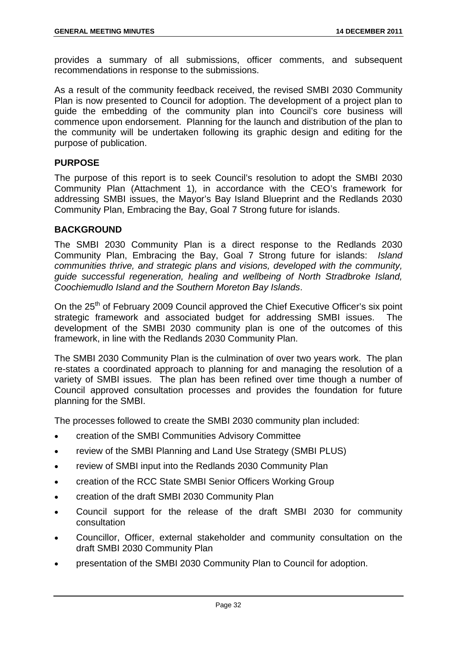provides a summary of all submissions, officer comments, and subsequent recommendations in response to the submissions.

As a result of the community feedback received, the revised SMBI 2030 Community Plan is now presented to Council for adoption. The development of a project plan to guide the embedding of the community plan into Council's core business will commence upon endorsement. Planning for the launch and distribution of the plan to the community will be undertaken following its graphic design and editing for the purpose of publication.

## **PURPOSE**

The purpose of this report is to seek Council's resolution to adopt the SMBI 2030 Community Plan (Attachment 1)*,* in accordance with the CEO's framework for addressing SMBI issues, the Mayor's Bay Island Blueprint and the Redlands 2030 Community Plan, Embracing the Bay, Goal 7 Strong future for islands.

### **BACKGROUND**

The SMBI 2030 Community Plan is a direct response to the Redlands 2030 Community Plan, Embracing the Bay, Goal 7 Strong future for islands: *Island communities thrive, and strategic plans and visions, developed with the community, guide successful regeneration, healing and wellbeing of North Stradbroke Island, Coochiemudlo Island and the Southern Moreton Bay Islands*.

On the 25<sup>th</sup> of February 2009 Council approved the Chief Executive Officer's six point strategic framework and associated budget for addressing SMBI issues. The development of the SMBI 2030 community plan is one of the outcomes of this framework, in line with the Redlands 2030 Community Plan.

The SMBI 2030 Community Plan is the culmination of over two years work. The plan re-states a coordinated approach to planning for and managing the resolution of a variety of SMBI issues. The plan has been refined over time though a number of Council approved consultation processes and provides the foundation for future planning for the SMBI.

The processes followed to create the SMBI 2030 community plan included:

- creation of the SMBI Communities Advisory Committee
- review of the SMBI Planning and Land Use Strategy (SMBI PLUS)
- review of SMBI input into the Redlands 2030 Community Plan
- creation of the RCC State SMBI Senior Officers Working Group
- creation of the draft SMBI 2030 Community Plan
- Council support for the release of the draft SMBI 2030 for community consultation
- Councillor, Officer, external stakeholder and community consultation on the draft SMBI 2030 Community Plan
- presentation of the SMBI 2030 Community Plan to Council for adoption.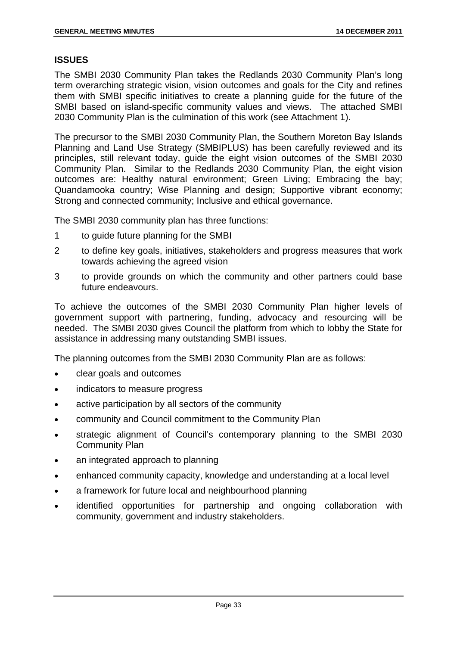## **ISSUES**

The SMBI 2030 Community Plan takes the Redlands 2030 Community Plan's long term overarching strategic vision, vision outcomes and goals for the City and refines them with SMBI specific initiatives to create a planning guide for the future of the SMBI based on island-specific community values and views. The attached SMBI 2030 Community Plan is the culmination of this work (see Attachment 1).

The precursor to the SMBI 2030 Community Plan, the Southern Moreton Bay Islands Planning and Land Use Strategy (SMBIPLUS) has been carefully reviewed and its principles, still relevant today, guide the eight vision outcomes of the SMBI 2030 Community Plan. Similar to the Redlands 2030 Community Plan, the eight vision outcomes are: Healthy natural environment; Green Living; Embracing the bay; Quandamooka country; Wise Planning and design; Supportive vibrant economy; Strong and connected community; Inclusive and ethical governance.

The SMBI 2030 community plan has three functions:

- 1 to guide future planning for the SMBI
- 2 to define key goals, initiatives, stakeholders and progress measures that work towards achieving the agreed vision
- 3 to provide grounds on which the community and other partners could base future endeavours.

To achieve the outcomes of the SMBI 2030 Community Plan higher levels of government support with partnering, funding, advocacy and resourcing will be needed. The SMBI 2030 gives Council the platform from which to lobby the State for assistance in addressing many outstanding SMBI issues.

The planning outcomes from the SMBI 2030 Community Plan are as follows:

- clear goals and outcomes
- indicators to measure progress
- active participation by all sectors of the community
- community and Council commitment to the Community Plan
- strategic alignment of Council's contemporary planning to the SMBI 2030 Community Plan
- an integrated approach to planning
- enhanced community capacity, knowledge and understanding at a local level
- a framework for future local and neighbourhood planning
- identified opportunities for partnership and ongoing collaboration with community, government and industry stakeholders.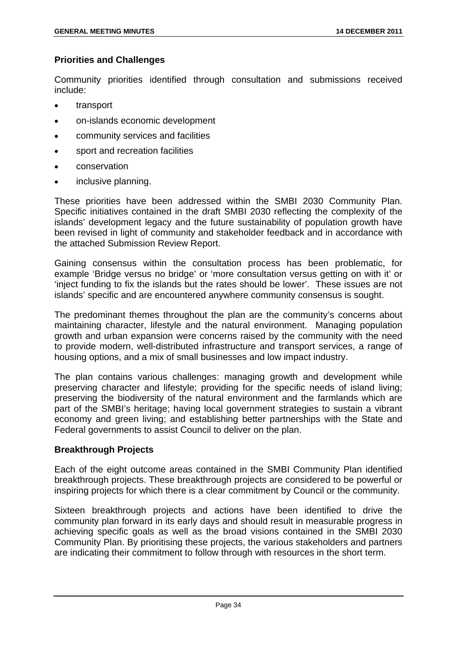# **Priorities and Challenges**

Community priorities identified through consultation and submissions received include:

- transport
- on-islands economic development
- community services and facilities
- sport and recreation facilities
- **•** conservation
- inclusive planning.

These priorities have been addressed within the SMBI 2030 Community Plan. Specific initiatives contained in the draft SMBI 2030 reflecting the complexity of the islands' development legacy and the future sustainability of population growth have been revised in light of community and stakeholder feedback and in accordance with the attached Submission Review Report.

Gaining consensus within the consultation process has been problematic, for example 'Bridge versus no bridge' or 'more consultation versus getting on with it' or 'inject funding to fix the islands but the rates should be lower'. These issues are not islands' specific and are encountered anywhere community consensus is sought.

The predominant themes throughout the plan are the community's concerns about maintaining character, lifestyle and the natural environment. Managing population growth and urban expansion were concerns raised by the community with the need to provide modern, well-distributed infrastructure and transport services, a range of housing options, and a mix of small businesses and low impact industry.

The plan contains various challenges: managing growth and development while preserving character and lifestyle; providing for the specific needs of island living; preserving the biodiversity of the natural environment and the farmlands which are part of the SMBI's heritage; having local government strategies to sustain a vibrant economy and green living; and establishing better partnerships with the State and Federal governments to assist Council to deliver on the plan.

## **Breakthrough Projects**

Each of the eight outcome areas contained in the SMBI Community Plan identified breakthrough projects. These breakthrough projects are considered to be powerful or inspiring projects for which there is a clear commitment by Council or the community.

Sixteen breakthrough projects and actions have been identified to drive the community plan forward in its early days and should result in measurable progress in achieving specific goals as well as the broad visions contained in the SMBI 2030 Community Plan. By prioritising these projects, the various stakeholders and partners are indicating their commitment to follow through with resources in the short term.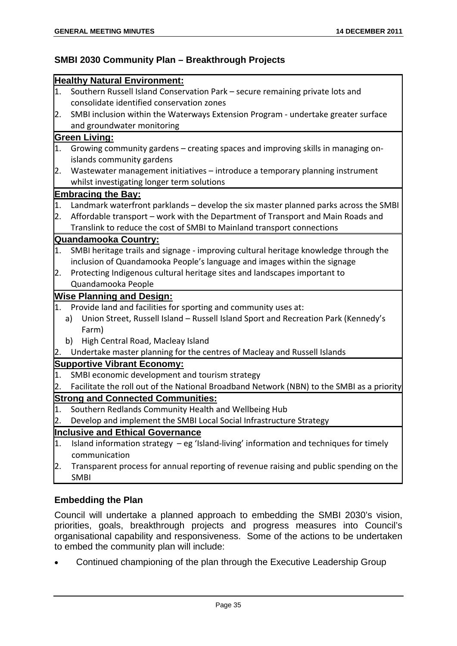# **SMBI 2030 Community Plan – Breakthrough Projects**

|    | <b>Healthy Natural Environment:</b>                                                       |
|----|-------------------------------------------------------------------------------------------|
| 1. | Southern Russell Island Conservation Park - secure remaining private lots and             |
|    | consolidate identified conservation zones                                                 |
| 2. | SMBI inclusion within the Waterways Extension Program - undertake greater surface         |
|    | and groundwater monitoring                                                                |
|    | <b>Green Living:</b>                                                                      |
| 1. | Growing community gardens - creating spaces and improving skills in managing on-          |
|    | islands community gardens                                                                 |
| 2. | Wastewater management initiatives - introduce a temporary planning instrument             |
|    | whilst investigating longer term solutions                                                |
|    | <b>Embracing the Bay:</b>                                                                 |
| 1. | Landmark waterfront parklands – develop the six master planned parks across the SMBI      |
| 2. | Affordable transport - work with the Department of Transport and Main Roads and           |
|    | Translink to reduce the cost of SMBI to Mainland transport connections                    |
|    | <b>Quandamooka Country:</b>                                                               |
| 1. | SMBI heritage trails and signage - improving cultural heritage knowledge through the      |
|    | inclusion of Quandamooka People's language and images within the signage                  |
| 2. | Protecting Indigenous cultural heritage sites and landscapes important to                 |
|    | Quandamooka People                                                                        |
|    | <b>Wise Planning and Design:</b>                                                          |
| 1. | Provide land and facilities for sporting and community uses at:                           |
|    | Union Street, Russell Island - Russell Island Sport and Recreation Park (Kennedy's<br>a)  |
|    | Farm)                                                                                     |
|    | b)<br>High Central Road, Macleay Island                                                   |
| 2. | Undertake master planning for the centres of Macleay and Russell Islands                  |
|    | <b>Supportive Vibrant Economy:</b>                                                        |
| 1. | SMBI economic development and tourism strategy                                            |
| 2. | Facilitate the roll out of the National Broadband Network (NBN) to the SMBI as a priority |
|    | <b>Strong and Connected Communities:</b>                                                  |
| 1. | Southern Redlands Community Health and Wellbeing Hub                                      |
| 2. | Develop and implement the SMBI Local Social Infrastructure Strategy                       |
|    | <b>Inclusive and Ethical Governance</b>                                                   |
| 1. | Island information strategy - eg 'Island-living' information and techniques for timely    |
|    | communication                                                                             |
| 2. | Transparent process for annual reporting of revenue raising and public spending on the    |
|    | <b>SMBI</b>                                                                               |

## **Embedding the Plan**

Council will undertake a planned approach to embedding the SMBI 2030's vision, priorities, goals, breakthrough projects and progress measures into Council's organisational capability and responsiveness. Some of the actions to be undertaken to embed the community plan will include:

Continued championing of the plan through the Executive Leadership Group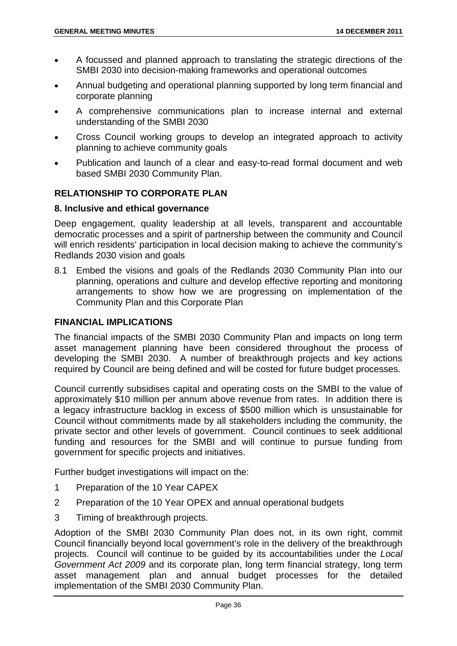- A focussed and planned approach to translating the strategic directions of the SMBI 2030 into decision-making frameworks and operational outcomes
- Annual budgeting and operational planning supported by long term financial and corporate planning
- A comprehensive communications plan to increase internal and external understanding of the SMBI 2030
- Cross Council working groups to develop an integrated approach to activity planning to achieve community goals
- Publication and launch of a clear and easy-to-read formal document and web based SMBI 2030 Community Plan.

# **RELATIONSHIP TO CORPORATE PLAN**

### **8. Inclusive and ethical governance**

Deep engagement, quality leadership at all levels, transparent and accountable democratic processes and a spirit of partnership between the community and Council will enrich residents' participation in local decision making to achieve the community's Redlands 2030 vision and goals

8.1 Embed the visions and goals of the Redlands 2030 Community Plan into our planning, operations and culture and develop effective reporting and monitoring arrangements to show how we are progressing on implementation of the Community Plan and this Corporate Plan

## **FINANCIAL IMPLICATIONS**

The financial impacts of the SMBI 2030 Community Plan and impacts on long term asset management planning have been considered throughout the process of developing the SMBI 2030. A number of breakthrough projects and key actions required by Council are being defined and will be costed for future budget processes.

Council currently subsidises capital and operating costs on the SMBI to the value of approximately \$10 million per annum above revenue from rates. In addition there is a legacy infrastructure backlog in excess of \$500 million which is unsustainable for Council without commitments made by all stakeholders including the community, the private sector and other levels of government. Council continues to seek additional funding and resources for the SMBI and will continue to pursue funding from government for specific projects and initiatives.

Further budget investigations will impact on the:

- 1 Preparation of the 10 Year CAPEX
- 2 Preparation of the 10 Year OPEX and annual operational budgets
- 3 Timing of breakthrough projects.

Adoption of the SMBI 2030 Community Plan does not, in its own right, commit Council financially beyond local government's role in the delivery of the breakthrough projects. Council will continue to be guided by its accountabilities under the *Local Government Act 2009* and its corporate plan, long term financial strategy, long term asset management plan and annual budget processes for the detailed implementation of the SMBI 2030 Community Plan.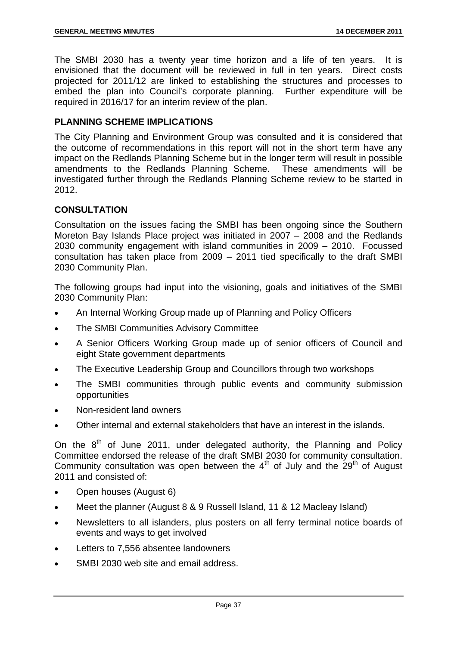The SMBI 2030 has a twenty year time horizon and a life of ten years. It is envisioned that the document will be reviewed in full in ten years. Direct costs projected for 2011/12 are linked to establishing the structures and processes to embed the plan into Council's corporate planning. Further expenditure will be required in 2016/17 for an interim review of the plan.

## **PLANNING SCHEME IMPLICATIONS**

The City Planning and Environment Group was consulted and it is considered that the outcome of recommendations in this report will not in the short term have any impact on the Redlands Planning Scheme but in the longer term will result in possible amendments to the Redlands Planning Scheme. These amendments will be investigated further through the Redlands Planning Scheme review to be started in 2012.

## **CONSULTATION**

Consultation on the issues facing the SMBI has been ongoing since the Southern Moreton Bay Islands Place project was initiated in 2007 – 2008 and the Redlands 2030 community engagement with island communities in 2009 – 2010. Focussed consultation has taken place from 2009 – 2011 tied specifically to the draft SMBI 2030 Community Plan.

The following groups had input into the visioning, goals and initiatives of the SMBI 2030 Community Plan:

- An Internal Working Group made up of Planning and Policy Officers
- The SMBI Communities Advisory Committee
- A Senior Officers Working Group made up of senior officers of Council and eight State government departments
- The Executive Leadership Group and Councillors through two workshops
- The SMBI communities through public events and community submission opportunities
- Non-resident land owners
- Other internal and external stakeholders that have an interest in the islands.

On the  $8<sup>th</sup>$  of June 2011, under delegated authority, the Planning and Policy Committee endorsed the release of the draft SMBI 2030 for community consultation. Community consultation was open between the  $4<sup>th</sup>$  of July and the 29<sup>th</sup> of August 2011 and consisted of:

- Open houses (August 6)
- Meet the planner (August 8 & 9 Russell Island, 11 & 12 Macleay Island)
- Newsletters to all islanders, plus posters on all ferry terminal notice boards of events and ways to get involved
- Letters to 7.556 absentee landowners
- SMBI 2030 web site and email address.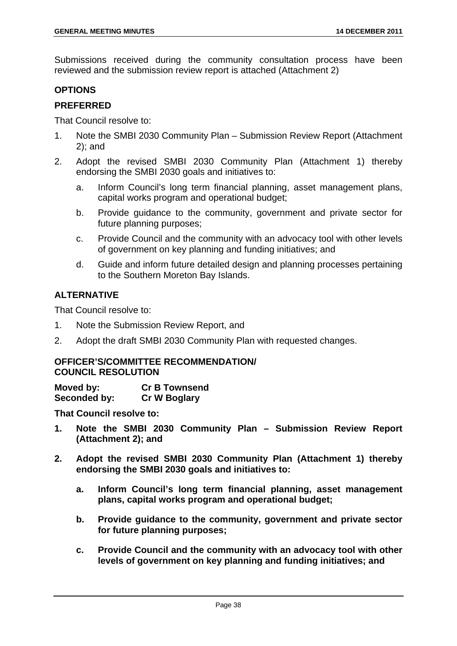Submissions received during the community consultation process have been reviewed and the submission review report is attached (Attachment 2)

# **OPTIONS**

## **PREFERRED**

That Council resolve to:

- 1. Note the SMBI 2030 Community Plan Submission Review Report (Attachment 2); and
- 2. Adopt the revised SMBI 2030 Community Plan (Attachment 1) thereby endorsing the SMBI 2030 goals and initiatives to:
	- a. Inform Council's long term financial planning, asset management plans, capital works program and operational budget;
	- b. Provide guidance to the community, government and private sector for future planning purposes;
	- c. Provide Council and the community with an advocacy tool with other levels of government on key planning and funding initiatives; and
	- d. Guide and inform future detailed design and planning processes pertaining to the Southern Moreton Bay Islands.

# **ALTERNATIVE**

That Council resolve to:

- 1. Note the Submission Review Report, and
- 2. Adopt the draft SMBI 2030 Community Plan with requested changes.

## **OFFICER'S/COMMITTEE RECOMMENDATION/ COUNCIL RESOLUTION**

**Moved by: Cr B Townsend Seconded by: Cr W Boglary** 

**That Council resolve to:** 

- **1. Note the SMBI 2030 Community Plan Submission Review Report (Attachment 2); and**
- **2. Adopt the revised SMBI 2030 Community Plan (Attachment 1) thereby endorsing the SMBI 2030 goals and initiatives to:** 
	- **a. Inform Council's long term financial planning, asset management plans, capital works program and operational budget;**
	- **b. Provide guidance to the community, government and private sector for future planning purposes;**
	- **c. Provide Council and the community with an advocacy tool with other levels of government on key planning and funding initiatives; and**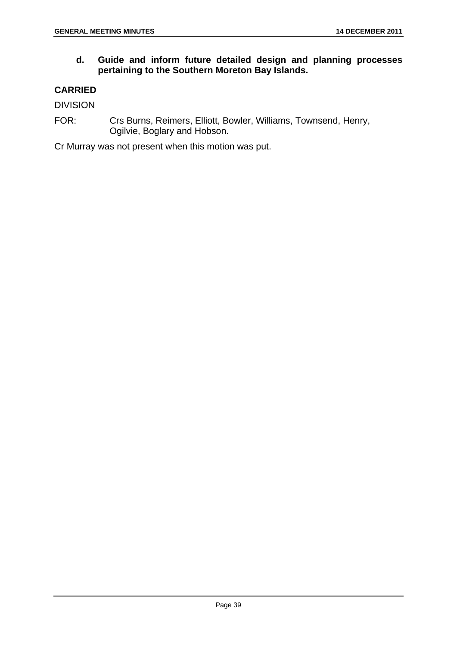# **d. Guide and inform future detailed design and planning processes pertaining to the Southern Moreton Bay Islands.**

# **CARRIED**

DIVISION

FOR: Crs Burns, Reimers, Elliott, Bowler, Williams, Townsend, Henry, Ogilvie, Boglary and Hobson.

Cr Murray was not present when this motion was put.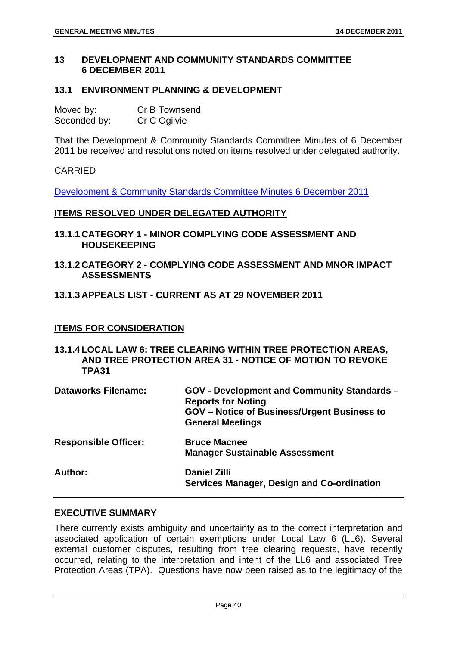## **13 DEVELOPMENT AND COMMUNITY STANDARDS COMMITTEE 6 DECEMBER 2011**

### **13.1 ENVIRONMENT PLANNING & DEVELOPMENT**

| Moved by:    | Cr B Townsend |
|--------------|---------------|
| Seconded by: | Cr C Ogilvie  |

That the Development & Community Standards Committee Minutes of 6 December 2011 be received and resolutions noted on items resolved under delegated authority.

### CARRIED

Development & Community Standards Committee Minutes 6 December 2011

#### **ITEMS RESOLVED UNDER DELEGATED AUTHORITY**

- **13.1.1 CATEGORY 1 MINOR COMPLYING CODE ASSESSMENT AND HOUSEKEEPING**
- **13.1.2 CATEGORY 2 COMPLYING CODE ASSESSMENT AND MNOR IMPACT ASSESSMENTS**

### **13.1.3 APPEALS LIST - CURRENT AS AT 29 NOVEMBER 2011**

## **ITEMS FOR CONSIDERATION**

**13.1.4 LOCAL LAW 6: TREE CLEARING WITHIN TREE PROTECTION AREAS, AND TREE PROTECTION AREA 31 - NOTICE OF MOTION TO REVOKE TPA31** 

| <b>Dataworks Filename:</b>  | <b>GOV - Development and Community Standards -</b><br><b>Reports for Noting</b><br><b>GOV</b> – Notice of Business/Urgent Business to<br><b>General Meetings</b> |
|-----------------------------|------------------------------------------------------------------------------------------------------------------------------------------------------------------|
| <b>Responsible Officer:</b> | <b>Bruce Macnee</b><br><b>Manager Sustainable Assessment</b>                                                                                                     |
| Author:                     | <b>Daniel Zilli</b><br><b>Services Manager, Design and Co-ordination</b>                                                                                         |

### **EXECUTIVE SUMMARY**

There currently exists ambiguity and uncertainty as to the correct interpretation and associated application of certain exemptions under Local Law 6 (LL6). Several external customer disputes, resulting from tree clearing requests, have recently occurred, relating to the interpretation and intent of the LL6 and associated Tree Protection Areas (TPA). Questions have now been raised as to the legitimacy of the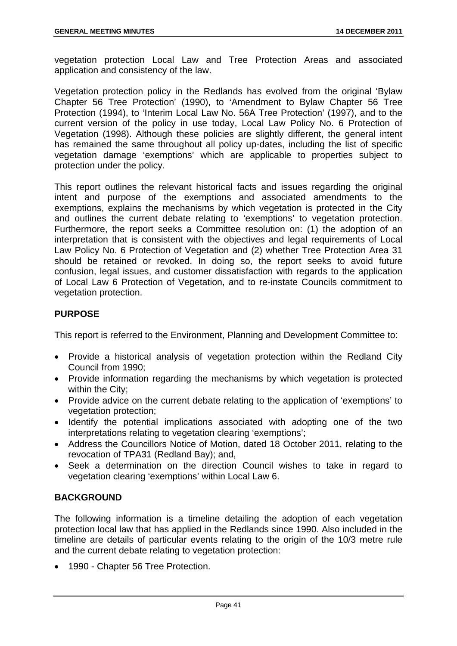vegetation protection Local Law and Tree Protection Areas and associated application and consistency of the law.

Vegetation protection policy in the Redlands has evolved from the original 'Bylaw Chapter 56 Tree Protection' (1990), to 'Amendment to Bylaw Chapter 56 Tree Protection (1994), to 'Interim Local Law No. 56A Tree Protection' (1997), and to the current version of the policy in use today, Local Law Policy No. 6 Protection of Vegetation (1998). Although these policies are slightly different, the general intent has remained the same throughout all policy up-dates, including the list of specific vegetation damage 'exemptions' which are applicable to properties subject to protection under the policy.

This report outlines the relevant historical facts and issues regarding the original intent and purpose of the exemptions and associated amendments to the exemptions, explains the mechanisms by which vegetation is protected in the City and outlines the current debate relating to 'exemptions' to vegetation protection. Furthermore, the report seeks a Committee resolution on: (1) the adoption of an interpretation that is consistent with the objectives and legal requirements of Local Law Policy No. 6 Protection of Vegetation and (2) whether Tree Protection Area 31 should be retained or revoked. In doing so, the report seeks to avoid future confusion, legal issues, and customer dissatisfaction with regards to the application of Local Law 6 Protection of Vegetation, and to re-instate Councils commitment to vegetation protection.

# **PURPOSE**

This report is referred to the Environment, Planning and Development Committee to:

- Provide a historical analysis of vegetation protection within the Redland City Council from 1990;
- Provide information regarding the mechanisms by which vegetation is protected within the City;
- Provide advice on the current debate relating to the application of 'exemptions' to vegetation protection;
- Identify the potential implications associated with adopting one of the two interpretations relating to vegetation clearing 'exemptions';
- Address the Councillors Notice of Motion, dated 18 October 2011, relating to the revocation of TPA31 (Redland Bay); and,
- Seek a determination on the direction Council wishes to take in regard to vegetation clearing 'exemptions' within Local Law 6.

## **BACKGROUND**

The following information is a timeline detailing the adoption of each vegetation protection local law that has applied in the Redlands since 1990. Also included in the timeline are details of particular events relating to the origin of the 10/3 metre rule and the current debate relating to vegetation protection:

1990 - Chapter 56 Tree Protection.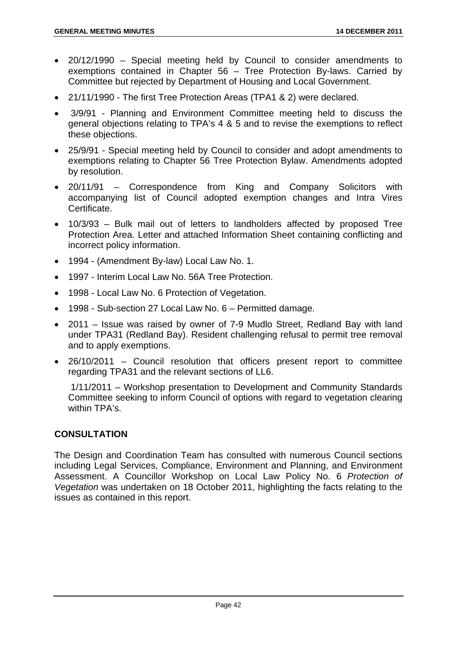- 20/12/1990 Special meeting held by Council to consider amendments to exemptions contained in Chapter 56 – Tree Protection By-laws. Carried by Committee but rejected by Department of Housing and Local Government.
- 21/11/1990 The first Tree Protection Areas (TPA1 & 2) were declared.
- 3/9/91 Planning and Environment Committee meeting held to discuss the general objections relating to TPA's 4 & 5 and to revise the exemptions to reflect these objections.
- 25/9/91 Special meeting held by Council to consider and adopt amendments to exemptions relating to Chapter 56 Tree Protection Bylaw. Amendments adopted by resolution.
- 20/11/91 Correspondence from King and Company Solicitors with accompanying list of Council adopted exemption changes and Intra Vires Certificate.
- 10/3/93 Bulk mail out of letters to landholders affected by proposed Tree Protection Area. Letter and attached Information Sheet containing conflicting and incorrect policy information.
- 1994 (Amendment By-law) Local Law No. 1.
- 1997 Interim Local Law No. 56A Tree Protection.
- 1998 Local Law No. 6 Protection of Vegetation.
- 1998 Sub-section 27 Local Law No. 6 Permitted damage.
- 2011 Issue was raised by owner of 7-9 Mudlo Street, Redland Bay with land under TPA31 (Redland Bay). Resident challenging refusal to permit tree removal and to apply exemptions.
- 26/10/2011 Council resolution that officers present report to committee regarding TPA31 and the relevant sections of LL6.

 1/11/2011 – Workshop presentation to Development and Community Standards Committee seeking to inform Council of options with regard to vegetation clearing within TPA's.

# **CONSULTATION**

The Design and Coordination Team has consulted with numerous Council sections including Legal Services, Compliance, Environment and Planning, and Environment Assessment. A Councillor Workshop on Local Law Policy No. 6 *Protection of Vegetation* was undertaken on 18 October 2011, highlighting the facts relating to the issues as contained in this report.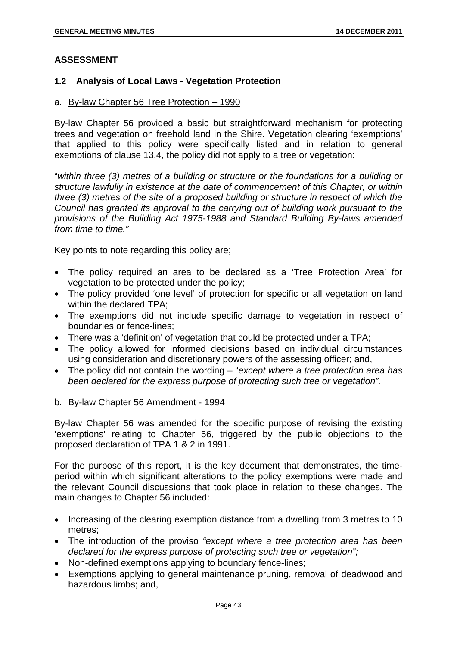## **ASSESSMENT**

### **1.2 Analysis of Local Laws - Vegetation Protection**

#### a. By-law Chapter 56 Tree Protection – 1990

By-law Chapter 56 provided a basic but straightforward mechanism for protecting trees and vegetation on freehold land in the Shire. Vegetation clearing 'exemptions' that applied to this policy were specifically listed and in relation to general exemptions of clause 13.4, the policy did not apply to a tree or vegetation:

"*within three (3) metres of a building or structure or the foundations for a building or structure lawfully in existence at the date of commencement of this Chapter, or within three (3) metres of the site of a proposed building or structure in respect of which the Council has granted its approval to the carrying out of building work pursuant to the provisions of the Building Act 1975-1988 and Standard Building By-laws amended from time to time."* 

Key points to note regarding this policy are;

- The policy required an area to be declared as a 'Tree Protection Area' for vegetation to be protected under the policy;
- The policy provided 'one level' of protection for specific or all vegetation on land within the declared TPA;
- The exemptions did not include specific damage to vegetation in respect of boundaries or fence-lines;
- There was a 'definition' of vegetation that could be protected under a TPA;
- The policy allowed for informed decisions based on individual circumstances using consideration and discretionary powers of the assessing officer; and,
- The policy did not contain the wording "*except where a tree protection area has been declared for the express purpose of protecting such tree or vegetation".*
- b. By-law Chapter 56 Amendment 1994

By-law Chapter 56 was amended for the specific purpose of revising the existing 'exemptions' relating to Chapter 56, triggered by the public objections to the proposed declaration of TPA 1 & 2 in 1991.

For the purpose of this report, it is the key document that demonstrates, the timeperiod within which significant alterations to the policy exemptions were made and the relevant Council discussions that took place in relation to these changes. The main changes to Chapter 56 included:

- Increasing of the clearing exemption distance from a dwelling from 3 metres to 10 metres;
- The introduction of the proviso *"except where a tree protection area has been declared for the express purpose of protecting such tree or vegetation";*
- Non-defined exemptions applying to boundary fence-lines;
- Exemptions applying to general maintenance pruning, removal of deadwood and hazardous limbs; and,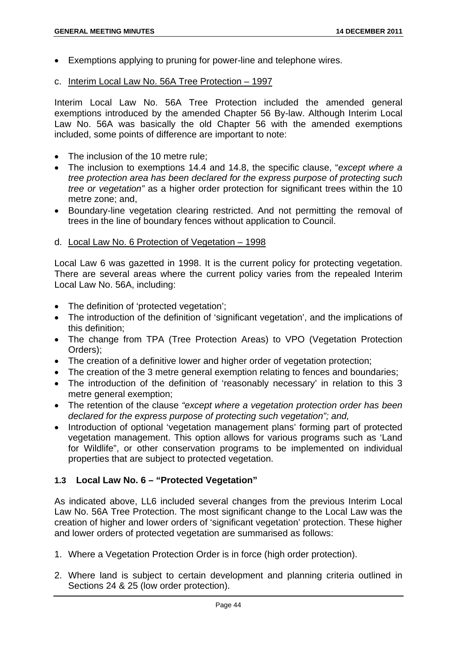- Exemptions applying to pruning for power-line and telephone wires.
- c. Interim Local Law No. 56A Tree Protection 1997

Interim Local Law No. 56A Tree Protection included the amended general exemptions introduced by the amended Chapter 56 By-law. Although Interim Local Law No. 56A was basically the old Chapter 56 with the amended exemptions included, some points of difference are important to note:

- The inclusion of the 10 metre rule:
- The inclusion to exemptions 14.4 and 14.8, the specific clause, "*except where a tree protection area has been declared for the express purpose of protecting such tree or vegetation"* as a higher order protection for significant trees within the 10 metre zone; and,
- Boundary-line vegetation clearing restricted. And not permitting the removal of trees in the line of boundary fences without application to Council.

#### d. Local Law No. 6 Protection of Vegetation – 1998

Local Law 6 was gazetted in 1998. It is the current policy for protecting vegetation. There are several areas where the current policy varies from the repealed Interim Local Law No. 56A, including:

- The definition of 'protected vegetation';
- The introduction of the definition of 'significant vegetation', and the implications of this definition;
- The change from TPA (Tree Protection Areas) to VPO (Vegetation Protection Orders);
- The creation of a definitive lower and higher order of vegetation protection;
- The creation of the 3 metre general exemption relating to fences and boundaries;
- The introduction of the definition of 'reasonably necessary' in relation to this 3 metre general exemption;
- The retention of the clause *"except where a vegetation protection order has been declared for the express purpose of protecting such vegetation"; and,*
- Introduction of optional 'vegetation management plans' forming part of protected vegetation management. This option allows for various programs such as 'Land for Wildlife", or other conservation programs to be implemented on individual properties that are subject to protected vegetation.

# **1.3 Local Law No. 6 – "Protected Vegetation"**

As indicated above, LL6 included several changes from the previous Interim Local Law No. 56A Tree Protection. The most significant change to the Local Law was the creation of higher and lower orders of 'significant vegetation' protection. These higher and lower orders of protected vegetation are summarised as follows:

- 1. Where a Vegetation Protection Order is in force (high order protection).
- 2. Where land is subject to certain development and planning criteria outlined in Sections 24 & 25 (low order protection).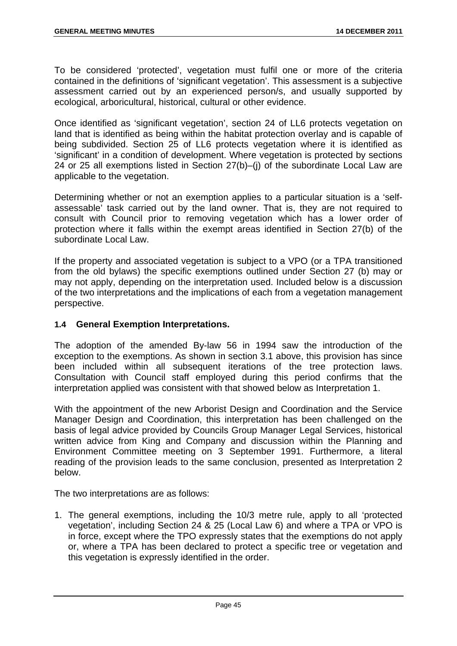To be considered 'protected', vegetation must fulfil one or more of the criteria contained in the definitions of 'significant vegetation'. This assessment is a subjective assessment carried out by an experienced person/s, and usually supported by ecological, arboricultural, historical, cultural or other evidence.

Once identified as 'significant vegetation', section 24 of LL6 protects vegetation on land that is identified as being within the habitat protection overlay and is capable of being subdivided. Section 25 of LL6 protects vegetation where it is identified as 'significant' in a condition of development. Where vegetation is protected by sections 24 or 25 all exemptions listed in Section 27(b)–(j) of the subordinate Local Law are applicable to the vegetation.

Determining whether or not an exemption applies to a particular situation is a 'selfassessable' task carried out by the land owner. That is, they are not required to consult with Council prior to removing vegetation which has a lower order of protection where it falls within the exempt areas identified in Section 27(b) of the subordinate Local Law.

If the property and associated vegetation is subject to a VPO (or a TPA transitioned from the old bylaws) the specific exemptions outlined under Section 27 (b) may or may not apply, depending on the interpretation used. Included below is a discussion of the two interpretations and the implications of each from a vegetation management perspective.

## **1.4 General Exemption Interpretations.**

The adoption of the amended By-law 56 in 1994 saw the introduction of the exception to the exemptions. As shown in section 3.1 above, this provision has since been included within all subsequent iterations of the tree protection laws. Consultation with Council staff employed during this period confirms that the interpretation applied was consistent with that showed below as Interpretation 1.

With the appointment of the new Arborist Design and Coordination and the Service Manager Design and Coordination, this interpretation has been challenged on the basis of legal advice provided by Councils Group Manager Legal Services, historical written advice from King and Company and discussion within the Planning and Environment Committee meeting on 3 September 1991. Furthermore, a literal reading of the provision leads to the same conclusion, presented as Interpretation 2 below.

The two interpretations are as follows:

1. The general exemptions, including the 10/3 metre rule, apply to all 'protected vegetation', including Section 24 & 25 (Local Law 6) and where a TPA or VPO is in force, except where the TPO expressly states that the exemptions do not apply or, where a TPA has been declared to protect a specific tree or vegetation and this vegetation is expressly identified in the order.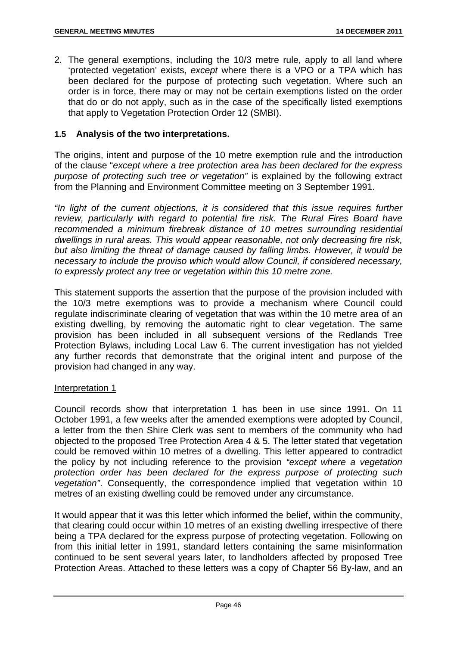2. The general exemptions, including the 10/3 metre rule, apply to all land where 'protected vegetation' exists, *except* where there is a VPO or a TPA which has been declared for the purpose of protecting such vegetation. Where such an order is in force, there may or may not be certain exemptions listed on the order that do or do not apply, such as in the case of the specifically listed exemptions that apply to Vegetation Protection Order 12 (SMBI).

## **1.5 Analysis of the two interpretations.**

The origins, intent and purpose of the 10 metre exemption rule and the introduction of the clause "*except where a tree protection area has been declared for the express purpose of protecting such tree or vegetation"* is explained by the following extract from the Planning and Environment Committee meeting on 3 September 1991.

*"In light of the current objections, it is considered that this issue requires further review, particularly with regard to potential fire risk. The Rural Fires Board have*  recommended a minimum firebreak distance of 10 metres surrounding residential *dwellings in rural areas. This would appear reasonable, not only decreasing fire risk, but also limiting the threat of damage caused by falling limbs. However, it would be necessary to include the proviso which would allow Council, if considered necessary, to expressly protect any tree or vegetation within this 10 metre zone.* 

This statement supports the assertion that the purpose of the provision included with the 10/3 metre exemptions was to provide a mechanism where Council could regulate indiscriminate clearing of vegetation that was within the 10 metre area of an existing dwelling, by removing the automatic right to clear vegetation. The same provision has been included in all subsequent versions of the Redlands Tree Protection Bylaws, including Local Law 6. The current investigation has not yielded any further records that demonstrate that the original intent and purpose of the provision had changed in any way.

#### Interpretation 1

Council records show that interpretation 1 has been in use since 1991. On 11 October 1991, a few weeks after the amended exemptions were adopted by Council, a letter from the then Shire Clerk was sent to members of the community who had objected to the proposed Tree Protection Area 4 & 5. The letter stated that vegetation could be removed within 10 metres of a dwelling. This letter appeared to contradict the policy by not including reference to the provision *"except where a vegetation protection order has been declared for the express purpose of protecting such vegetation"*. Consequently, the correspondence implied that vegetation within 10 metres of an existing dwelling could be removed under any circumstance.

It would appear that it was this letter which informed the belief, within the community, that clearing could occur within 10 metres of an existing dwelling irrespective of there being a TPA declared for the express purpose of protecting vegetation. Following on from this initial letter in 1991, standard letters containing the same misinformation continued to be sent several years later, to landholders affected by proposed Tree Protection Areas. Attached to these letters was a copy of Chapter 56 By-law, and an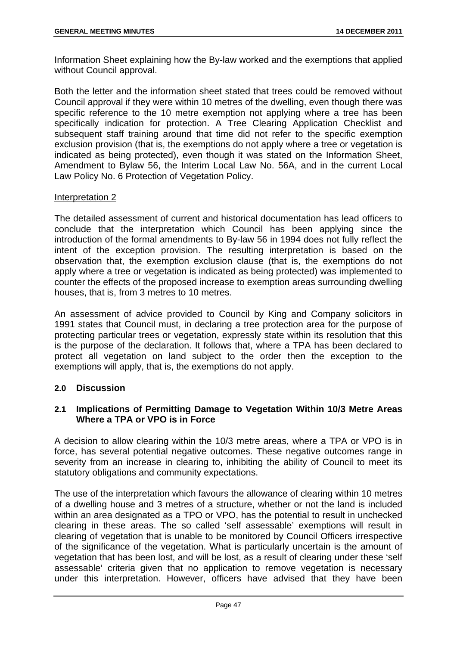Information Sheet explaining how the By-law worked and the exemptions that applied without Council approval.

Both the letter and the information sheet stated that trees could be removed without Council approval if they were within 10 metres of the dwelling, even though there was specific reference to the 10 metre exemption not applying where a tree has been specifically indication for protection. A Tree Clearing Application Checklist and subsequent staff training around that time did not refer to the specific exemption exclusion provision (that is, the exemptions do not apply where a tree or vegetation is indicated as being protected), even though it was stated on the Information Sheet, Amendment to Bylaw 56, the Interim Local Law No. 56A, and in the current Local Law Policy No. 6 Protection of Vegetation Policy.

### Interpretation 2

The detailed assessment of current and historical documentation has lead officers to conclude that the interpretation which Council has been applying since the introduction of the formal amendments to By-law 56 in 1994 does not fully reflect the intent of the exception provision. The resulting interpretation is based on the observation that, the exemption exclusion clause (that is, the exemptions do not apply where a tree or vegetation is indicated as being protected) was implemented to counter the effects of the proposed increase to exemption areas surrounding dwelling houses, that is, from 3 metres to 10 metres.

An assessment of advice provided to Council by King and Company solicitors in 1991 states that Council must, in declaring a tree protection area for the purpose of protecting particular trees or vegetation, expressly state within its resolution that this is the purpose of the declaration. It follows that, where a TPA has been declared to protect all vegetation on land subject to the order then the exception to the exemptions will apply, that is, the exemptions do not apply.

### **2.0 Discussion**

## **2.1 Implications of Permitting Damage to Vegetation Within 10/3 Metre Areas Where a TPA or VPO is in Force**

A decision to allow clearing within the 10/3 metre areas, where a TPA or VPO is in force, has several potential negative outcomes. These negative outcomes range in severity from an increase in clearing to, inhibiting the ability of Council to meet its statutory obligations and community expectations.

The use of the interpretation which favours the allowance of clearing within 10 metres of a dwelling house and 3 metres of a structure, whether or not the land is included within an area designated as a TPO or VPO, has the potential to result in unchecked clearing in these areas. The so called 'self assessable' exemptions will result in clearing of vegetation that is unable to be monitored by Council Officers irrespective of the significance of the vegetation. What is particularly uncertain is the amount of vegetation that has been lost, and will be lost, as a result of clearing under these 'self assessable' criteria given that no application to remove vegetation is necessary under this interpretation. However, officers have advised that they have been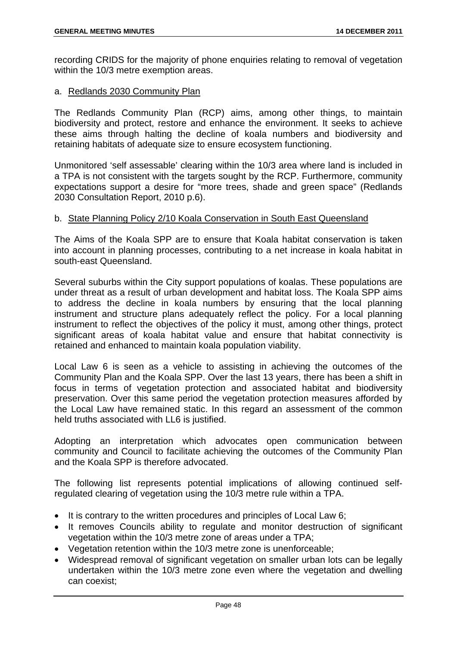recording CRIDS for the majority of phone enquiries relating to removal of vegetation within the 10/3 metre exemption areas.

### a. Redlands 2030 Community Plan

The Redlands Community Plan (RCP) aims, among other things, to maintain biodiversity and protect, restore and enhance the environment. It seeks to achieve these aims through halting the decline of koala numbers and biodiversity and retaining habitats of adequate size to ensure ecosystem functioning.

Unmonitored 'self assessable' clearing within the 10/3 area where land is included in a TPA is not consistent with the targets sought by the RCP. Furthermore, community expectations support a desire for "more trees, shade and green space" (Redlands 2030 Consultation Report, 2010 p.6).

### b. State Planning Policy 2/10 Koala Conservation in South East Queensland

The Aims of the Koala SPP are to ensure that Koala habitat conservation is taken into account in planning processes, contributing to a net increase in koala habitat in south-east Queensland.

Several suburbs within the City support populations of koalas. These populations are under threat as a result of urban development and habitat loss. The Koala SPP aims to address the decline in koala numbers by ensuring that the local planning instrument and structure plans adequately reflect the policy. For a local planning instrument to reflect the objectives of the policy it must, among other things, protect significant areas of koala habitat value and ensure that habitat connectivity is retained and enhanced to maintain koala population viability.

Local Law 6 is seen as a vehicle to assisting in achieving the outcomes of the Community Plan and the Koala SPP. Over the last 13 years, there has been a shift in focus in terms of vegetation protection and associated habitat and biodiversity preservation. Over this same period the vegetation protection measures afforded by the Local Law have remained static. In this regard an assessment of the common held truths associated with LL6 is justified.

Adopting an interpretation which advocates open communication between community and Council to facilitate achieving the outcomes of the Community Plan and the Koala SPP is therefore advocated.

The following list represents potential implications of allowing continued selfregulated clearing of vegetation using the 10/3 metre rule within a TPA.

- It is contrary to the written procedures and principles of Local Law 6;
- It removes Councils ability to regulate and monitor destruction of significant vegetation within the 10/3 metre zone of areas under a TPA;
- Vegetation retention within the 10/3 metre zone is unenforceable;
- Widespread removal of significant vegetation on smaller urban lots can be legally undertaken within the 10/3 metre zone even where the vegetation and dwelling can coexist;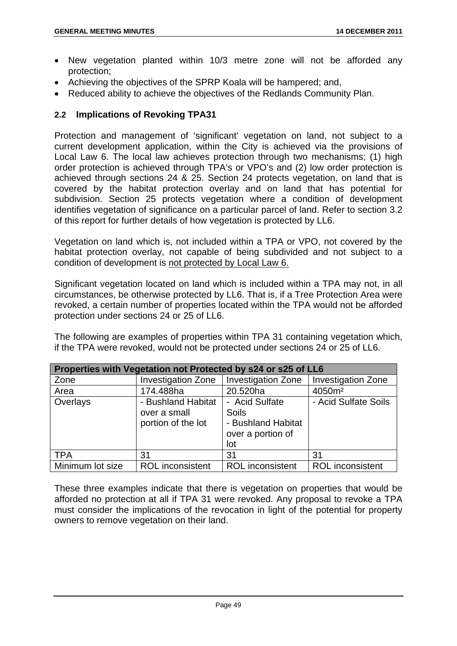- New vegetation planted within 10/3 metre zone will not be afforded any protection;
- Achieving the objectives of the SPRP Koala will be hampered; and,
- Reduced ability to achieve the objectives of the Redlands Community Plan.

## **2.2 Implications of Revoking TPA31**

Protection and management of 'significant' vegetation on land, not subject to a current development application, within the City is achieved via the provisions of Local Law 6. The local law achieves protection through two mechanisms; (1) high order protection is achieved through TPA's or VPO's and (2) low order protection is achieved through sections 24 & 25. Section 24 protects vegetation, on land that is covered by the habitat protection overlay and on land that has potential for subdivision. Section 25 protects vegetation where a condition of development identifies vegetation of significance on a particular parcel of land. Refer to section 3.2 of this report for further details of how vegetation is protected by LL6.

Vegetation on land which is, not included within a TPA or VPO, not covered by the habitat protection overlay, not capable of being subdivided and not subject to a condition of development is not protected by Local Law 6.

Significant vegetation located on land which is included within a TPA may not, in all circumstances, be otherwise protected by LL6. That is, if a Tree Protection Area were revoked, a certain number of properties located within the TPA would not be afforded protection under sections 24 or 25 of LL6.

The following are examples of properties within TPA 31 containing vegetation which, if the TPA were revoked, would not be protected under sections 24 or 25 of LL6.

| Properties with Vegetation not Protected by s24 or s25 of LL6 |                                                          |                                                                           |                           |
|---------------------------------------------------------------|----------------------------------------------------------|---------------------------------------------------------------------------|---------------------------|
| Zone                                                          | <b>Investigation Zone</b>                                | <b>Investigation Zone</b>                                                 | <b>Investigation Zone</b> |
| Area                                                          | 174.488ha                                                | 20.520ha                                                                  | 4050m <sup>2</sup>        |
| Overlays                                                      | - Bushland Habitat<br>over a small<br>portion of the lot | - Acid Sulfate<br>Soils<br>- Bushland Habitat<br>over a portion of<br>lot | - Acid Sulfate Soils      |
| <b>TPA</b>                                                    | 31                                                       | 31                                                                        | 31                        |
| Minimum lot size                                              | <b>ROL</b> inconsistent                                  | <b>ROL</b> inconsistent                                                   | <b>ROL</b> inconsistent   |

These three examples indicate that there is vegetation on properties that would be afforded no protection at all if TPA 31 were revoked. Any proposal to revoke a TPA must consider the implications of the revocation in light of the potential for property owners to remove vegetation on their land.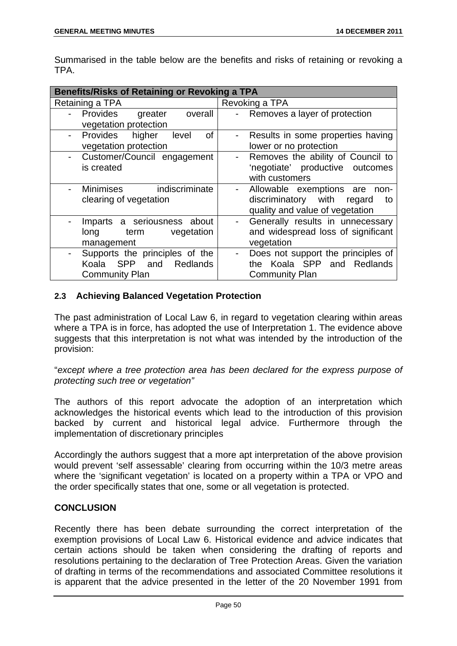Summarised in the table below are the benefits and risks of retaining or revoking a TPA.

| <b>Benefits/Risks of Retaining or Revoking a TPA</b>                                                     |                                                                                                                               |  |
|----------------------------------------------------------------------------------------------------------|-------------------------------------------------------------------------------------------------------------------------------|--|
| Retaining a TPA                                                                                          | Revoking a TPA                                                                                                                |  |
| Provides<br>overall<br>greater<br>vegetation protection                                                  | Removes a layer of protection                                                                                                 |  |
| Provides higher<br>level<br>οf<br>vegetation protection                                                  | Results in some properties having<br>lower or no protection                                                                   |  |
| Customer/Council engagement<br>is created                                                                | Removes the ability of Council to<br>$\overline{\phantom{a}}$<br>'negotiate' productive outcomes<br>with customers            |  |
| Minimises indiscriminate<br>clearing of vegetation                                                       | Allowable exemptions are<br>-non-<br>$\blacksquare$<br>discriminatory with<br>regard<br>to<br>quality and value of vegetation |  |
| Imparts a seriousness<br>about<br>vegetation<br>term<br>long<br>management                               | Generally results in unnecessary<br>$\blacksquare$<br>and widespread loss of significant<br>vegetation                        |  |
| Supports the principles of the<br><b>SPP</b><br>Koala<br>and<br><b>Redlands</b><br><b>Community Plan</b> | Does not support the principles of<br>$\blacksquare$<br>the Koala SPP and Redlands<br><b>Community Plan</b>                   |  |

# **2.3 Achieving Balanced Vegetation Protection**

The past administration of Local Law 6, in regard to vegetation clearing within areas where a TPA is in force, has adopted the use of Interpretation 1. The evidence above suggests that this interpretation is not what was intended by the introduction of the provision:

"*except where a tree protection area has been declared for the express purpose of protecting such tree or vegetation"*

The authors of this report advocate the adoption of an interpretation which acknowledges the historical events which lead to the introduction of this provision backed by current and historical legal advice. Furthermore through the implementation of discretionary principles

Accordingly the authors suggest that a more apt interpretation of the above provision would prevent 'self assessable' clearing from occurring within the 10/3 metre areas where the 'significant vegetation' is located on a property within a TPA or VPO and the order specifically states that one, some or all vegetation is protected.

## **CONCLUSION**

Recently there has been debate surrounding the correct interpretation of the exemption provisions of Local Law 6. Historical evidence and advice indicates that certain actions should be taken when considering the drafting of reports and resolutions pertaining to the declaration of Tree Protection Areas. Given the variation of drafting in terms of the recommendations and associated Committee resolutions it is apparent that the advice presented in the letter of the 20 November 1991 from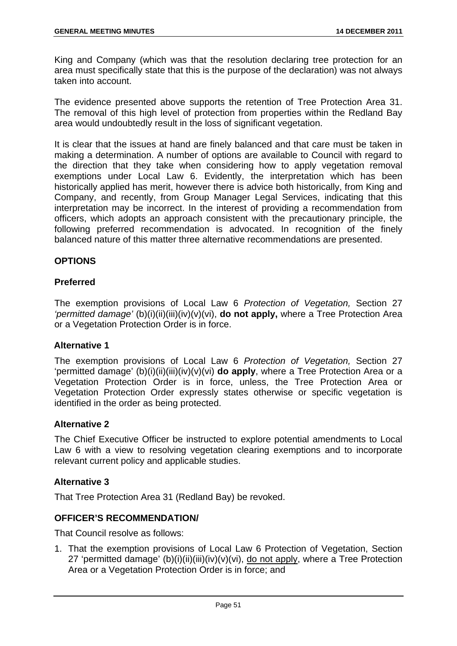King and Company (which was that the resolution declaring tree protection for an area must specifically state that this is the purpose of the declaration) was not always taken into account.

The evidence presented above supports the retention of Tree Protection Area 31. The removal of this high level of protection from properties within the Redland Bay area would undoubtedly result in the loss of significant vegetation.

It is clear that the issues at hand are finely balanced and that care must be taken in making a determination. A number of options are available to Council with regard to the direction that they take when considering how to apply vegetation removal exemptions under Local Law 6. Evidently, the interpretation which has been historically applied has merit, however there is advice both historically, from King and Company, and recently, from Group Manager Legal Services, indicating that this interpretation may be incorrect. In the interest of providing a recommendation from officers, which adopts an approach consistent with the precautionary principle, the following preferred recommendation is advocated. In recognition of the finely balanced nature of this matter three alternative recommendations are presented.

# **OPTIONS**

## **Preferred**

The exemption provisions of Local Law 6 *Protection of Vegetation,* Section 27 *'permitted damage'* (b)(i)(ii)(iii)(iv)(v)(vi), **do not apply,** where a Tree Protection Area or a Vegetation Protection Order is in force.

## **Alternative 1**

The exemption provisions of Local Law 6 *Protection of Vegetation,* Section 27 'permitted damage' (b)(i)(ii)(iii)(iv)(v)(vi) **do apply**, where a Tree Protection Area or a Vegetation Protection Order is in force, unless, the Tree Protection Area or Vegetation Protection Order expressly states otherwise or specific vegetation is identified in the order as being protected.

## **Alternative 2**

The Chief Executive Officer be instructed to explore potential amendments to Local Law 6 with a view to resolving vegetation clearing exemptions and to incorporate relevant current policy and applicable studies.

## **Alternative 3**

That Tree Protection Area 31 (Redland Bay) be revoked.

#### **OFFICER'S RECOMMENDATION/**

That Council resolve as follows:

1. That the exemption provisions of Local Law 6 Protection of Vegetation, Section 27 'permitted damage' (b)(i)(ii)(iii)(iv)(v)(vi), do not apply, where a Tree Protection Area or a Vegetation Protection Order is in force; and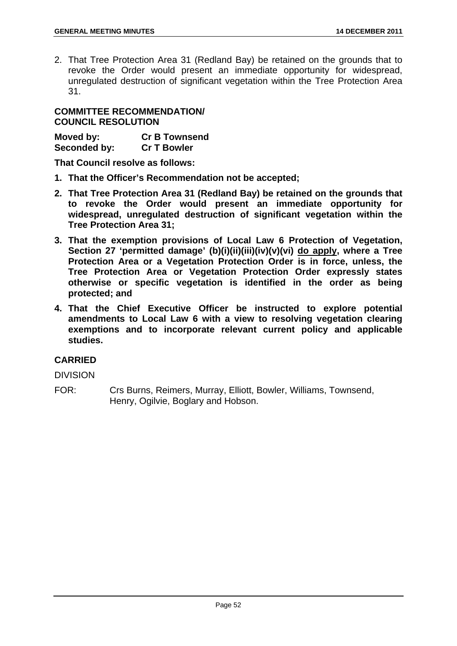2. That Tree Protection Area 31 (Redland Bay) be retained on the grounds that to revoke the Order would present an immediate opportunity for widespread, unregulated destruction of significant vegetation within the Tree Protection Area 31.

## **COMMITTEE RECOMMENDATION/ COUNCIL RESOLUTION**

| Moved by:    | <b>Cr B Townsend</b> |
|--------------|----------------------|
| Seconded by: | <b>Cr T Bowler</b>   |

**That Council resolve as follows:** 

- **1. That the Officer's Recommendation not be accepted;**
- **2. That Tree Protection Area 31 (Redland Bay) be retained on the grounds that to revoke the Order would present an immediate opportunity for widespread, unregulated destruction of significant vegetation within the Tree Protection Area 31;**
- **3. That the exemption provisions of Local Law 6 Protection of Vegetation, Section 27 'permitted damage' (b)(i)(ii)(iii)(iv)(v)(vi) do apply, where a Tree Protection Area or a Vegetation Protection Order is in force, unless, the Tree Protection Area or Vegetation Protection Order expressly states otherwise or specific vegetation is identified in the order as being protected; and**
- **4. That the Chief Executive Officer be instructed to explore potential amendments to Local Law 6 with a view to resolving vegetation clearing exemptions and to incorporate relevant current policy and applicable studies.**

# **CARRIED**

DIVISION

FOR: Crs Burns, Reimers, Murray, Elliott, Bowler, Williams, Townsend, Henry, Ogilvie, Boglary and Hobson.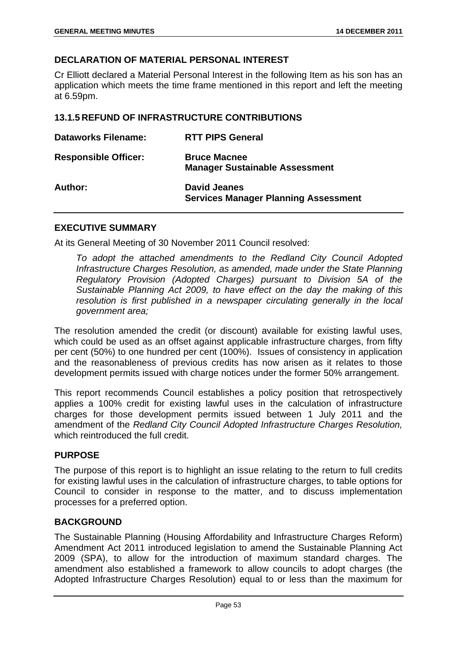## **DECLARATION OF MATERIAL PERSONAL INTEREST**

Cr Elliott declared a Material Personal Interest in the following Item as his son has an application which meets the time frame mentioned in this report and left the meeting at 6.59pm.

### **13.1.5 REFUND OF INFRASTRUCTURE CONTRIBUTIONS**

| <b>Dataworks Filename:</b>  | <b>RTT PIPS General</b>                                            |
|-----------------------------|--------------------------------------------------------------------|
| <b>Responsible Officer:</b> | <b>Bruce Macnee</b><br><b>Manager Sustainable Assessment</b>       |
| Author:                     | <b>David Jeanes</b><br><b>Services Manager Planning Assessment</b> |

### **EXECUTIVE SUMMARY**

At its General Meeting of 30 November 2011 Council resolved:

*To adopt the attached amendments to the Redland City Council Adopted Infrastructure Charges Resolution, as amended, made under the State Planning Regulatory Provision (Adopted Charges) pursuant to Division 5A of the Sustainable Planning Act 2009, to have effect on the day the making of this resolution is first published in a newspaper circulating generally in the local government area;* 

The resolution amended the credit (or discount) available for existing lawful uses, which could be used as an offset against applicable infrastructure charges, from fifty per cent (50%) to one hundred per cent (100%). Issues of consistency in application and the reasonableness of previous credits has now arisen as it relates to those development permits issued with charge notices under the former 50% arrangement.

This report recommends Council establishes a policy position that retrospectively applies a 100% credit for existing lawful uses in the calculation of infrastructure charges for those development permits issued between 1 July 2011 and the amendment of the *Redland City Council Adopted Infrastructure Charges Resolution,* which reintroduced the full credit.

#### **PURPOSE**

The purpose of this report is to highlight an issue relating to the return to full credits for existing lawful uses in the calculation of infrastructure charges, to table options for Council to consider in response to the matter, and to discuss implementation processes for a preferred option.

### **BACKGROUND**

The Sustainable Planning (Housing Affordability and Infrastructure Charges Reform) Amendment Act 2011 introduced legislation to amend the Sustainable Planning Act 2009 (SPA), to allow for the introduction of maximum standard charges. The amendment also established a framework to allow councils to adopt charges (the Adopted Infrastructure Charges Resolution) equal to or less than the maximum for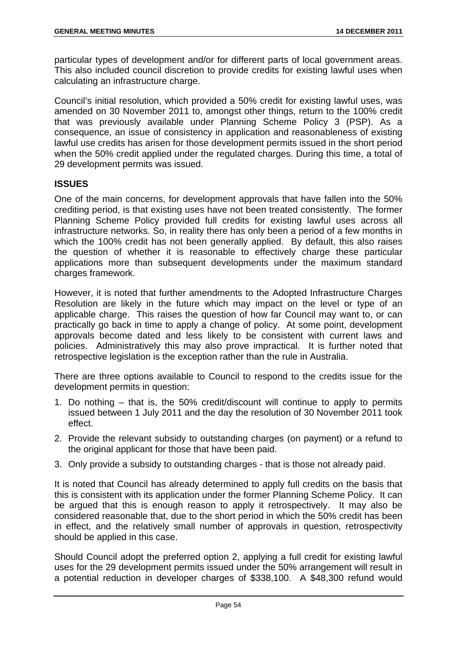particular types of development and/or for different parts of local government areas. This also included council discretion to provide credits for existing lawful uses when calculating an infrastructure charge.

Council's initial resolution, which provided a 50% credit for existing lawful uses, was amended on 30 November 2011 to, amongst other things, return to the 100% credit that was previously available under Planning Scheme Policy 3 (PSP). As a consequence, an issue of consistency in application and reasonableness of existing lawful use credits has arisen for those development permits issued in the short period when the 50% credit applied under the regulated charges. During this time, a total of 29 development permits was issued.

## **ISSUES**

One of the main concerns, for development approvals that have fallen into the 50% crediting period, is that existing uses have not been treated consistently. The former Planning Scheme Policy provided full credits for existing lawful uses across all infrastructure networks. So, in reality there has only been a period of a few months in which the 100% credit has not been generally applied. By default, this also raises the question of whether it is reasonable to effectively charge these particular applications more than subsequent developments under the maximum standard charges framework.

However, it is noted that further amendments to the Adopted Infrastructure Charges Resolution are likely in the future which may impact on the level or type of an applicable charge. This raises the question of how far Council may want to, or can practically go back in time to apply a change of policy. At some point, development approvals become dated and less likely to be consistent with current laws and policies. Administratively this may also prove impractical. It is further noted that retrospective legislation is the exception rather than the rule in Australia.

There are three options available to Council to respond to the credits issue for the development permits in question:

- 1. Do nothing that is, the 50% credit/discount will continue to apply to permits issued between 1 July 2011 and the day the resolution of 30 November 2011 took effect.
- 2. Provide the relevant subsidy to outstanding charges (on payment) or a refund to the original applicant for those that have been paid.
- 3. Only provide a subsidy to outstanding charges that is those not already paid.

It is noted that Council has already determined to apply full credits on the basis that this is consistent with its application under the former Planning Scheme Policy. It can be argued that this is enough reason to apply it retrospectively. It may also be considered reasonable that, due to the short period in which the 50% credit has been in effect, and the relatively small number of approvals in question, retrospectivity should be applied in this case.

Should Council adopt the preferred option 2, applying a full credit for existing lawful uses for the 29 development permits issued under the 50% arrangement will result in a potential reduction in developer charges of \$338,100. A \$48,300 refund would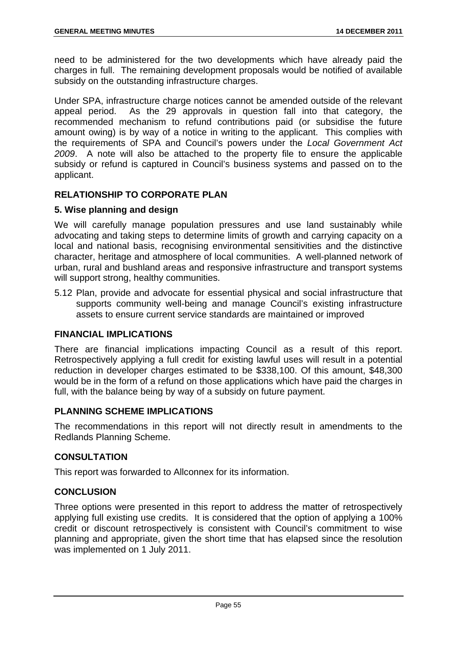need to be administered for the two developments which have already paid the charges in full. The remaining development proposals would be notified of available subsidy on the outstanding infrastructure charges.

Under SPA, infrastructure charge notices cannot be amended outside of the relevant appeal period. As the 29 approvals in question fall into that category, the recommended mechanism to refund contributions paid (or subsidise the future amount owing) is by way of a notice in writing to the applicant. This complies with the requirements of SPA and Council's powers under the *Local Government Act 2009*. A note will also be attached to the property file to ensure the applicable subsidy or refund is captured in Council's business systems and passed on to the applicant.

# **RELATIONSHIP TO CORPORATE PLAN**

## **5. Wise planning and design**

We will carefully manage population pressures and use land sustainably while advocating and taking steps to determine limits of growth and carrying capacity on a local and national basis, recognising environmental sensitivities and the distinctive character, heritage and atmosphere of local communities. A well-planned network of urban, rural and bushland areas and responsive infrastructure and transport systems will support strong, healthy communities.

5.12 Plan, provide and advocate for essential physical and social infrastructure that supports community well-being and manage Council's existing infrastructure assets to ensure current service standards are maintained or improved

## **FINANCIAL IMPLICATIONS**

There are financial implications impacting Council as a result of this report. Retrospectively applying a full credit for existing lawful uses will result in a potential reduction in developer charges estimated to be \$338,100. Of this amount, \$48,300 would be in the form of a refund on those applications which have paid the charges in full, with the balance being by way of a subsidy on future payment.

## **PLANNING SCHEME IMPLICATIONS**

The recommendations in this report will not directly result in amendments to the Redlands Planning Scheme.

## **CONSULTATION**

This report was forwarded to Allconnex for its information.

# **CONCLUSION**

Three options were presented in this report to address the matter of retrospectively applying full existing use credits. It is considered that the option of applying a 100% credit or discount retrospectively is consistent with Council's commitment to wise planning and appropriate, given the short time that has elapsed since the resolution was implemented on 1 July 2011.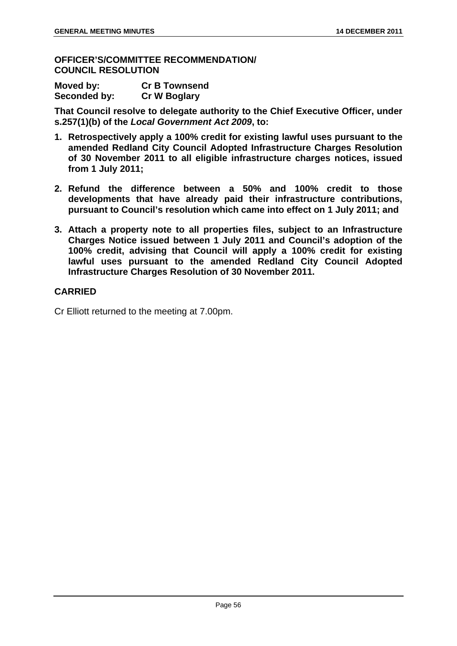### **OFFICER'S/COMMITTEE RECOMMENDATION/ COUNCIL RESOLUTION**

| Moved by:    | <b>Cr B Townsend</b> |
|--------------|----------------------|
| Seconded by: | <b>Cr W Boglary</b>  |

**That Council resolve to delegate authority to the Chief Executive Officer, under s.257(1)(b) of the** *Local Government Act 2009***, to:** 

- **1. Retrospectively apply a 100% credit for existing lawful uses pursuant to the amended Redland City Council Adopted Infrastructure Charges Resolution of 30 November 2011 to all eligible infrastructure charges notices, issued from 1 July 2011;**
- **2. Refund the difference between a 50% and 100% credit to those developments that have already paid their infrastructure contributions, pursuant to Council's resolution which came into effect on 1 July 2011; and**
- **3. Attach a property note to all properties files, subject to an Infrastructure Charges Notice issued between 1 July 2011 and Council's adoption of the 100% credit, advising that Council will apply a 100% credit for existing lawful uses pursuant to the amended Redland City Council Adopted Infrastructure Charges Resolution of 30 November 2011.**

## **CARRIED**

Cr Elliott returned to the meeting at 7.00pm.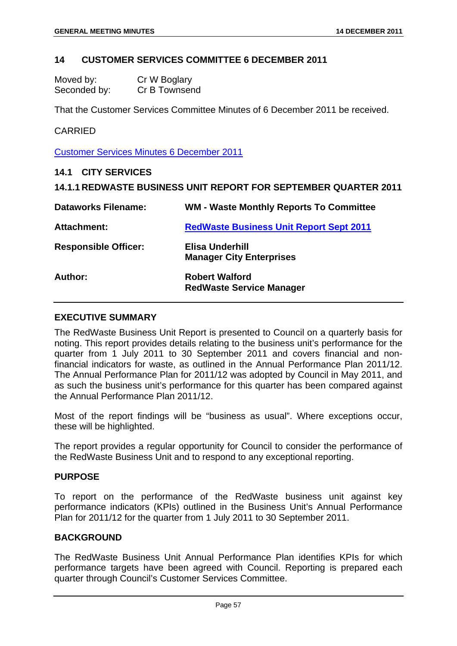### **14 CUSTOMER SERVICES COMMITTEE 6 DECEMBER 2011**

| Moved by:    | Cr W Boglary  |
|--------------|---------------|
| Seconded by: | Cr B Townsend |

That the Customer Services Committee Minutes of 6 December 2011 be received.

## CARRIED

Customer Services Minutes 6 December 2011

### **14.1 CITY SERVICES**

## **14.1.1 REDWASTE BUSINESS UNIT REPORT FOR SEPTEMBER QUARTER 2011**

| <b>Dataworks Filename:</b>  | <b>WM - Waste Monthly Reports To Committee</b>           |
|-----------------------------|----------------------------------------------------------|
| <b>Attachment:</b>          | <b>RedWaste Business Unit Report Sept 2011</b>           |
| <b>Responsible Officer:</b> | Elisa Underhill<br><b>Manager City Enterprises</b>       |
| Author:                     | <b>Robert Walford</b><br><b>RedWaste Service Manager</b> |

#### **EXECUTIVE SUMMARY**

The RedWaste Business Unit Report is presented to Council on a quarterly basis for noting. This report provides details relating to the business unit's performance for the quarter from 1 July 2011 to 30 September 2011 and covers financial and nonfinancial indicators for waste, as outlined in the Annual Performance Plan 2011/12. The Annual Performance Plan for 2011/12 was adopted by Council in May 2011, and as such the business unit's performance for this quarter has been compared against the Annual Performance Plan 2011/12.

Most of the report findings will be "business as usual". Where exceptions occur, these will be highlighted.

The report provides a regular opportunity for Council to consider the performance of the RedWaste Business Unit and to respond to any exceptional reporting.

#### **PURPOSE**

To report on the performance of the RedWaste business unit against key performance indicators (KPIs) outlined in the Business Unit's Annual Performance Plan for 2011/12 for the quarter from 1 July 2011 to 30 September 2011.

# **BACKGROUND**

The RedWaste Business Unit Annual Performance Plan identifies KPIs for which performance targets have been agreed with Council. Reporting is prepared each quarter through Council's Customer Services Committee.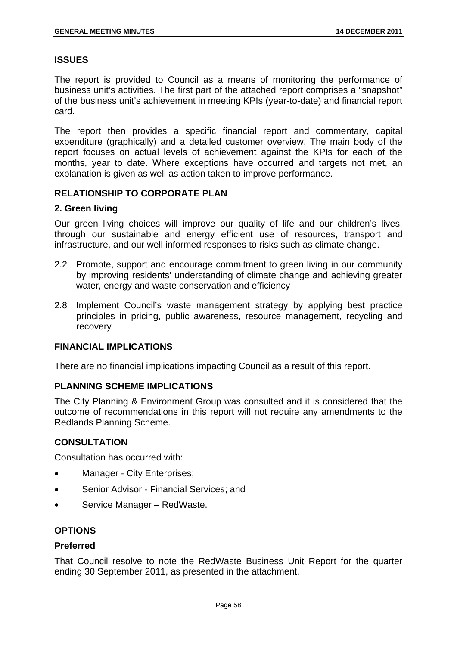### **ISSUES**

The report is provided to Council as a means of monitoring the performance of business unit's activities. The first part of the attached report comprises a "snapshot" of the business unit's achievement in meeting KPIs (year-to-date) and financial report card.

The report then provides a specific financial report and commentary, capital expenditure (graphically) and a detailed customer overview. The main body of the report focuses on actual levels of achievement against the KPIs for each of the months, year to date. Where exceptions have occurred and targets not met, an explanation is given as well as action taken to improve performance.

## **RELATIONSHIP TO CORPORATE PLAN**

## **2. Green living**

Our green living choices will improve our quality of life and our children's lives, through our sustainable and energy efficient use of resources, transport and infrastructure, and our well informed responses to risks such as climate change.

- 2.2 Promote, support and encourage commitment to green living in our community by improving residents' understanding of climate change and achieving greater water, energy and waste conservation and efficiency
- 2.8 Implement Council's waste management strategy by applying best practice principles in pricing, public awareness, resource management, recycling and recovery

## **FINANCIAL IMPLICATIONS**

There are no financial implications impacting Council as a result of this report.

### **PLANNING SCHEME IMPLICATIONS**

The City Planning & Environment Group was consulted and it is considered that the outcome of recommendations in this report will not require any amendments to the Redlands Planning Scheme.

## **CONSULTATION**

Consultation has occurred with:

- Manager City Enterprises;
- Senior Advisor Financial Services; and
- Service Manager RedWaste.

## **OPTIONS**

#### **Preferred**

That Council resolve to note the RedWaste Business Unit Report for the quarter ending 30 September 2011, as presented in the attachment.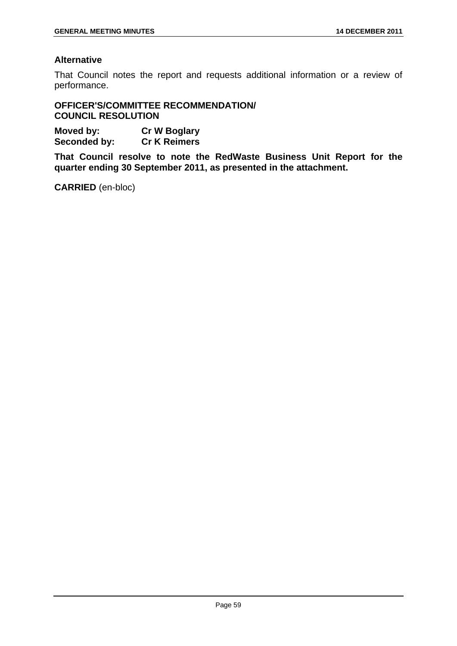# **Alternative**

That Council notes the report and requests additional information or a review of performance.

**OFFICER'S/COMMITTEE RECOMMENDATION/ COUNCIL RESOLUTION** 

**Moved by: Cr W Boglary Seconded by: Cr K Reimers** 

**That Council resolve to note the RedWaste Business Unit Report for the quarter ending 30 September 2011, as presented in the attachment.** 

**CARRIED** (en-bloc)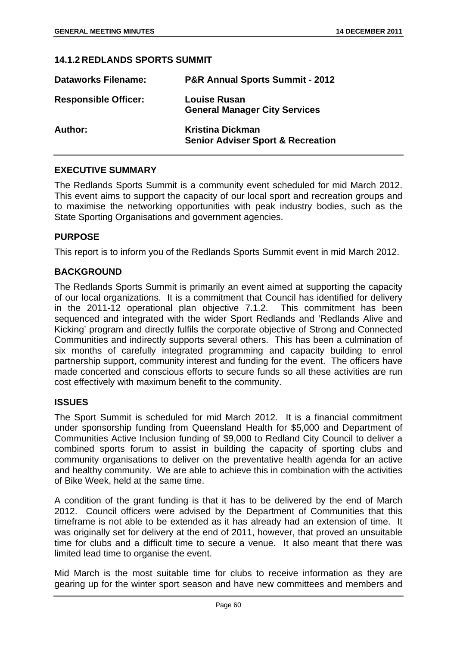#### **14.1.2 REDLANDS SPORTS SUMMIT**

| <b>Dataworks Filename:</b>  | <b>P&amp;R Annual Sports Summit - 2012</b>                              |
|-----------------------------|-------------------------------------------------------------------------|
| <b>Responsible Officer:</b> | <b>Louise Rusan</b><br><b>General Manager City Services</b>             |
| Author:                     | <b>Kristina Dickman</b><br><b>Senior Adviser Sport &amp; Recreation</b> |

#### **EXECUTIVE SUMMARY**

The Redlands Sports Summit is a community event scheduled for mid March 2012. This event aims to support the capacity of our local sport and recreation groups and to maximise the networking opportunities with peak industry bodies, such as the State Sporting Organisations and government agencies.

#### **PURPOSE**

This report is to inform you of the Redlands Sports Summit event in mid March 2012.

### **BACKGROUND**

The Redlands Sports Summit is primarily an event aimed at supporting the capacity of our local organizations. It is a commitment that Council has identified for delivery in the 2011-12 operational plan objective 7.1.2. This commitment has been sequenced and integrated with the wider Sport Redlands and 'Redlands Alive and Kicking' program and directly fulfils the corporate objective of Strong and Connected Communities and indirectly supports several others. This has been a culmination of six months of carefully integrated programming and capacity building to enrol partnership support, community interest and funding for the event. The officers have made concerted and conscious efforts to secure funds so all these activities are run cost effectively with maximum benefit to the community.

## **ISSUES**

The Sport Summit is scheduled for mid March 2012. It is a financial commitment under sponsorship funding from Queensland Health for \$5,000 and Department of Communities Active Inclusion funding of \$9,000 to Redland City Council to deliver a combined sports forum to assist in building the capacity of sporting clubs and community organisations to deliver on the preventative health agenda for an active and healthy community. We are able to achieve this in combination with the activities of Bike Week, held at the same time.

A condition of the grant funding is that it has to be delivered by the end of March 2012. Council officers were advised by the Department of Communities that this timeframe is not able to be extended as it has already had an extension of time. It was originally set for delivery at the end of 2011, however, that proved an unsuitable time for clubs and a difficult time to secure a venue. It also meant that there was limited lead time to organise the event.

Mid March is the most suitable time for clubs to receive information as they are gearing up for the winter sport season and have new committees and members and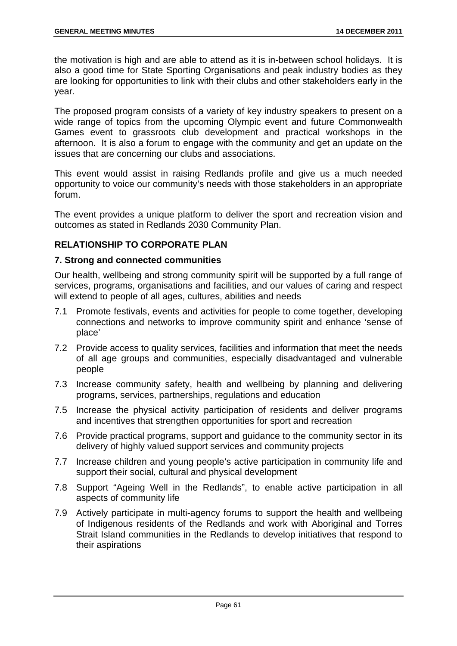the motivation is high and are able to attend as it is in-between school holidays. It is also a good time for State Sporting Organisations and peak industry bodies as they are looking for opportunities to link with their clubs and other stakeholders early in the year.

The proposed program consists of a variety of key industry speakers to present on a wide range of topics from the upcoming Olympic event and future Commonwealth Games event to grassroots club development and practical workshops in the afternoon. It is also a forum to engage with the community and get an update on the issues that are concerning our clubs and associations.

This event would assist in raising Redlands profile and give us a much needed opportunity to voice our community's needs with those stakeholders in an appropriate forum.

The event provides a unique platform to deliver the sport and recreation vision and outcomes as stated in Redlands 2030 Community Plan.

# **RELATIONSHIP TO CORPORATE PLAN**

## **7. Strong and connected communities**

Our health, wellbeing and strong community spirit will be supported by a full range of services, programs, organisations and facilities, and our values of caring and respect will extend to people of all ages, cultures, abilities and needs

- 7.1 Promote festivals, events and activities for people to come together, developing connections and networks to improve community spirit and enhance 'sense of place'
- 7.2 Provide access to quality services, facilities and information that meet the needs of all age groups and communities, especially disadvantaged and vulnerable people
- 7.3 Increase community safety, health and wellbeing by planning and delivering programs, services, partnerships, regulations and education
- 7.5 Increase the physical activity participation of residents and deliver programs and incentives that strengthen opportunities for sport and recreation
- 7.6 Provide practical programs, support and guidance to the community sector in its delivery of highly valued support services and community projects
- 7.7 Increase children and young people's active participation in community life and support their social, cultural and physical development
- 7.8 Support "Ageing Well in the Redlands", to enable active participation in all aspects of community life
- 7.9 Actively participate in multi-agency forums to support the health and wellbeing of Indigenous residents of the Redlands and work with Aboriginal and Torres Strait Island communities in the Redlands to develop initiatives that respond to their aspirations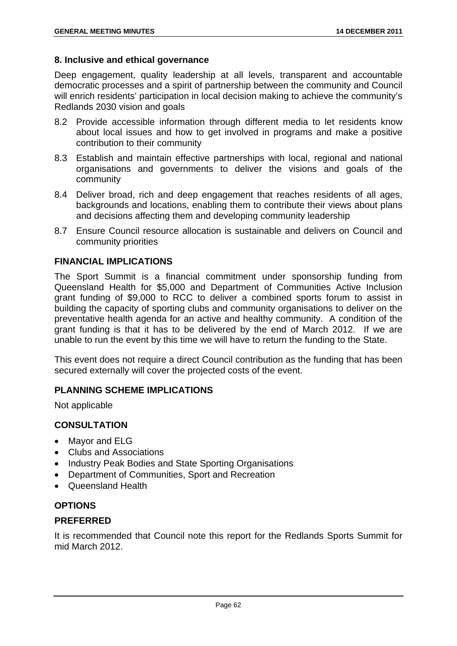### **8. Inclusive and ethical governance**

Deep engagement, quality leadership at all levels, transparent and accountable democratic processes and a spirit of partnership between the community and Council will enrich residents' participation in local decision making to achieve the community's Redlands 2030 vision and goals

- 8.2 Provide accessible information through different media to let residents know about local issues and how to get involved in programs and make a positive contribution to their community
- 8.3 Establish and maintain effective partnerships with local, regional and national organisations and governments to deliver the visions and goals of the community
- 8.4 Deliver broad, rich and deep engagement that reaches residents of all ages, backgrounds and locations, enabling them to contribute their views about plans and decisions affecting them and developing community leadership
- 8.7 Ensure Council resource allocation is sustainable and delivers on Council and community priorities

# **FINANCIAL IMPLICATIONS**

The Sport Summit is a financial commitment under sponsorship funding from Queensland Health for \$5,000 and Department of Communities Active Inclusion grant funding of \$9,000 to RCC to deliver a combined sports forum to assist in building the capacity of sporting clubs and community organisations to deliver on the preventative health agenda for an active and healthy community. A condition of the grant funding is that it has to be delivered by the end of March 2012. If we are unable to run the event by this time we will have to return the funding to the State.

This event does not require a direct Council contribution as the funding that has been secured externally will cover the projected costs of the event.

## **PLANNING SCHEME IMPLICATIONS**

Not applicable

# **CONSULTATION**

- Mavor and ELG
- Clubs and Associations
- Industry Peak Bodies and State Sporting Organisations
- Department of Communities, Sport and Recreation
- Queensland Health

# **OPTIONS**

## **PREFERRED**

It is recommended that Council note this report for the Redlands Sports Summit for mid March 2012.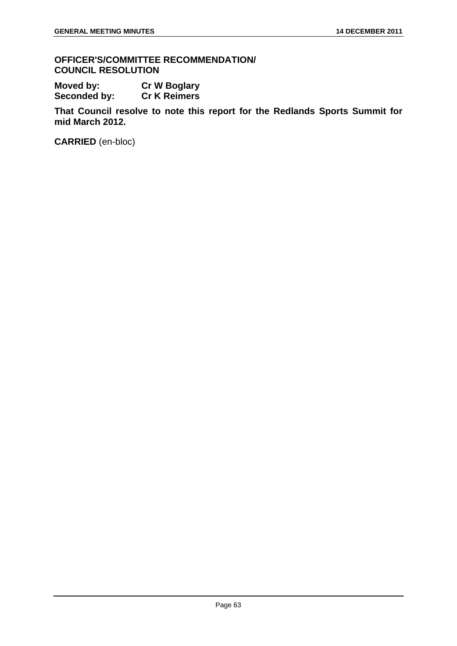**OFFICER'S/COMMITTEE RECOMMENDATION/ COUNCIL RESOLUTION** 

**Moved by: Cr W Boglary Seconded by: Cr K Reimers** 

**That Council resolve to note this report for the Redlands Sports Summit for mid March 2012.** 

**CARRIED** (en-bloc)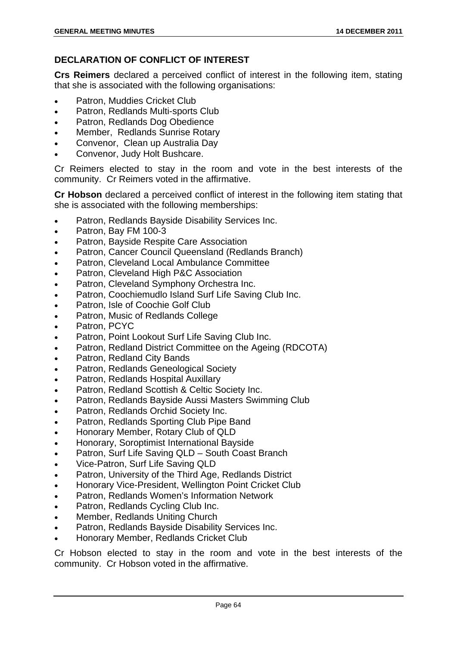# **DECLARATION OF CONFLICT OF INTEREST**

**Crs Reimers** declared a perceived conflict of interest in the following item, stating that she is associated with the following organisations:

- Patron, Muddies Cricket Club
- Patron, Redlands Multi-sports Club
- Patron, Redlands Dog Obedience
- Member, Redlands Sunrise Rotary
- Convenor, Clean up Australia Day
- Convenor, Judy Holt Bushcare.

Cr Reimers elected to stay in the room and vote in the best interests of the community. Cr Reimers voted in the affirmative.

**Cr Hobson** declared a perceived conflict of interest in the following item stating that she is associated with the following memberships:

- Patron, Redlands Bayside Disability Services Inc.
- Patron, Bay FM 100-3
- Patron, Bayside Respite Care Association
- Patron, Cancer Council Queensland (Redlands Branch)
- Patron, Cleveland Local Ambulance Committee
- Patron, Cleveland High P&C Association
- Patron, Cleveland Symphony Orchestra Inc.
- Patron, Coochiemudlo Island Surf Life Saving Club Inc.
- Patron, Isle of Coochie Golf Club
- Patron, Music of Redlands College
- Patron, PCYC
- Patron, Point Lookout Surf Life Saving Club Inc.
- Patron, Redland District Committee on the Ageing (RDCOTA)
- Patron, Redland City Bands
- **•** Patron, Redlands Geneological Society
- Patron, Redlands Hospital Auxillary
- Patron, Redland Scottish & Celtic Society Inc.
- Patron, Redlands Bayside Aussi Masters Swimming Club
- Patron, Redlands Orchid Society Inc.
- Patron, Redlands Sporting Club Pipe Band
- Honorary Member, Rotary Club of QLD
- Honorary, Soroptimist International Bayside
- Patron, Surf Life Saving QLD South Coast Branch
- Vice-Patron, Surf Life Saving QLD
- Patron, University of the Third Age, Redlands District
- Honorary Vice-President, Wellington Point Cricket Club
- Patron, Redlands Women's Information Network
- Patron, Redlands Cycling Club Inc.
- Member, Redlands Uniting Church
- Patron, Redlands Bayside Disability Services Inc.
- Honorary Member, Redlands Cricket Club

Cr Hobson elected to stay in the room and vote in the best interests of the community. Cr Hobson voted in the affirmative.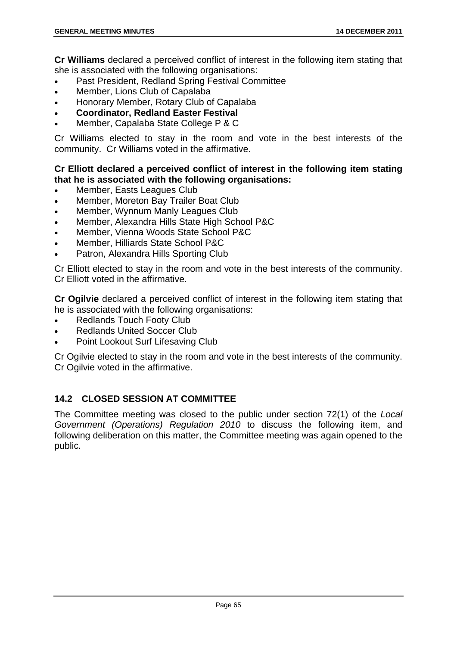**Cr Williams** declared a perceived conflict of interest in the following item stating that she is associated with the following organisations:

- Past President, Redland Spring Festival Committee
- Member, Lions Club of Capalaba
- Honorary Member, Rotary Club of Capalaba
- **Coordinator, Redland Easter Festival**
- Member, Capalaba State College P & C

Cr Williams elected to stay in the room and vote in the best interests of the community. Cr Williams voted in the affirmative.

## **Cr Elliott declared a perceived conflict of interest in the following item stating that he is associated with the following organisations:**

- Member, Easts Leagues Club
- Member, Moreton Bay Trailer Boat Club
- Member, Wynnum Manly Leagues Club
- Member, Alexandra Hills State High School P&C
- Member, Vienna Woods State School P&C
- Member, Hilliards State School P&C
- Patron, Alexandra Hills Sporting Club

Cr Elliott elected to stay in the room and vote in the best interests of the community. Cr Elliott voted in the affirmative.

**Cr Ogilvie** declared a perceived conflict of interest in the following item stating that he is associated with the following organisations:

- Redlands Touch Footy Club
- Redlands United Soccer Club
- Point Lookout Surf Lifesaving Club

Cr Ogilvie elected to stay in the room and vote in the best interests of the community. Cr Ogilvie voted in the affirmative.

# **14.2 CLOSED SESSION AT COMMITTEE**

The Committee meeting was closed to the public under section 72(1) of the *Local Government (Operations) Regulation 2010* to discuss the following item, and following deliberation on this matter, the Committee meeting was again opened to the public.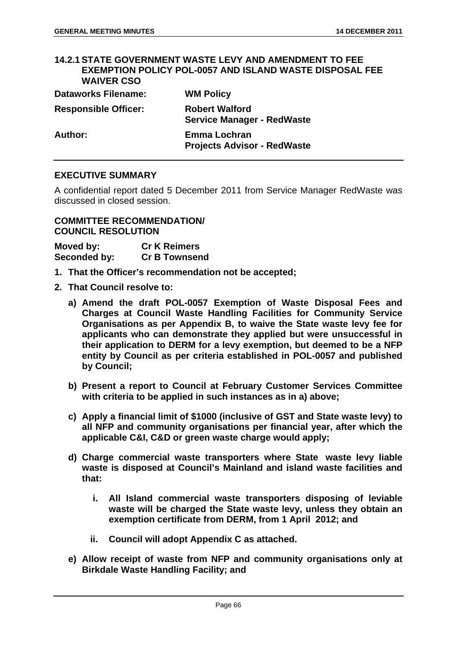#### **14.2.1 STATE GOVERNMENT WASTE LEVY AND AMENDMENT TO FEE EXEMPTION POLICY POL-0057 AND ISLAND WASTE DISPOSAL FEE WAIVER CSO**

| <b>Dataworks Filename:</b>  | <b>WM Policy</b>                                           |
|-----------------------------|------------------------------------------------------------|
| <b>Responsible Officer:</b> | <b>Robert Walford</b><br><b>Service Manager - RedWaste</b> |
| Author:                     | <b>Emma Lochran</b><br><b>Projects Advisor - RedWaste</b>  |

#### **EXECUTIVE SUMMARY**

A confidential report dated 5 December 2011 from Service Manager RedWaste was discussed in closed session.

# **COMMITTEE RECOMMENDATION/ COUNCIL RESOLUTION**

| Moved by:    | <b>Cr K Reimers</b>  |
|--------------|----------------------|
| Seconded by: | <b>Cr B Townsend</b> |

- **1. That the Officer's recommendation not be accepted;**
- **2. That Council resolve to:** 
	- **a) Amend the draft POL-0057 Exemption of Waste Disposal Fees and Charges at Council Waste Handling Facilities for Community Service Organisations as per Appendix B, to waive the State waste levy fee for applicants who can demonstrate they applied but were unsuccessful in their application to DERM for a levy exemption, but deemed to be a NFP entity by Council as per criteria established in POL-0057 and published by Council;**
	- **b) Present a report to Council at February Customer Services Committee with criteria to be applied in such instances as in a) above;**
	- **c) Apply a financial limit of \$1000 (inclusive of GST and State waste levy) to all NFP and community organisations per financial year, after which the applicable C&I, C&D or green waste charge would apply;**
	- **d) Charge commercial waste transporters where State waste levy liable waste is disposed at Council's Mainland and island waste facilities and that:** 
		- **i. All Island commercial waste transporters disposing of leviable waste will be charged the State waste levy, unless they obtain an exemption certificate from DERM, from 1 April 2012; and**
		- **ii. Council will adopt Appendix C as attached.**
	- **e) Allow receipt of waste from NFP and community organisations only at Birkdale Waste Handling Facility; and**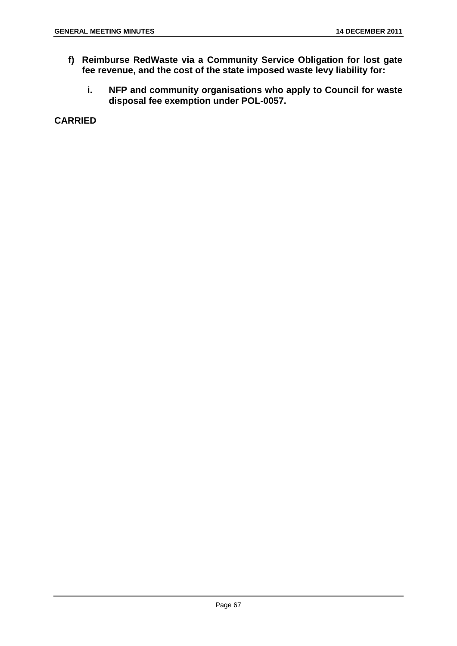- **f) Reimburse RedWaste via a Community Service Obligation for lost gate fee revenue, and the cost of the state imposed waste levy liability for:** 
	- **i. NFP and community organisations who apply to Council for waste disposal fee exemption under POL-0057.**

**CARRIED**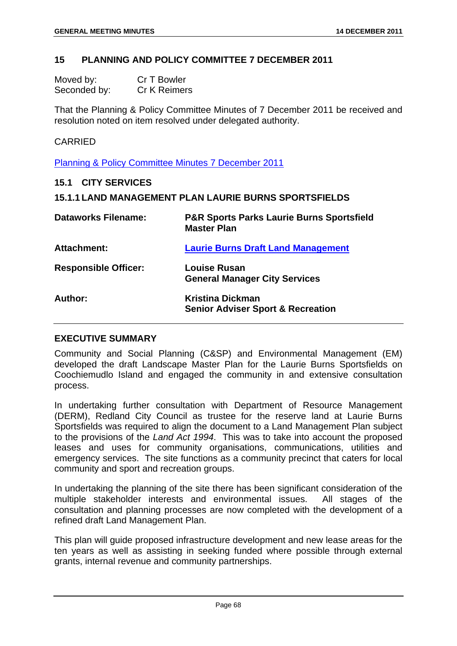### **15 PLANNING AND POLICY COMMITTEE 7 DECEMBER 2011**

| Moved by:    | Cr T Bowler         |
|--------------|---------------------|
| Seconded by: | <b>Cr K Reimers</b> |

That the Planning & Policy Committee Minutes of 7 December 2011 be received and resolution noted on item resolved under delegated authority.

#### CARRIED

Planning & Policy Committee Minutes 7 December 2011

#### **15.1 CITY SERVICES**

| <b>15.1.1 LAND MANAGEMENT PLAN LAURIE BURNS SPORTSFIELDS</b> |
|--------------------------------------------------------------|
|--------------------------------------------------------------|

| <b>Dataworks Filename:</b>  | <b>P&amp;R Sports Parks Laurie Burns Sportsfield</b><br><b>Master Plan</b> |
|-----------------------------|----------------------------------------------------------------------------|
| Attachment:                 | <b>Laurie Burns Draft Land Management</b>                                  |
| <b>Responsible Officer:</b> | Louise Rusan<br><b>General Manager City Services</b>                       |
| Author:                     | <b>Kristina Dickman</b><br><b>Senior Adviser Sport &amp; Recreation</b>    |

#### **EXECUTIVE SUMMARY**

Community and Social Planning (C&SP) and Environmental Management (EM) developed the draft Landscape Master Plan for the Laurie Burns Sportsfields on Coochiemudlo Island and engaged the community in and extensive consultation process.

In undertaking further consultation with Department of Resource Management (DERM), Redland City Council as trustee for the reserve land at Laurie Burns Sportsfields was required to align the document to a Land Management Plan subject to the provisions of the *Land Act 1994*. This was to take into account the proposed leases and uses for community organisations, communications, utilities and emergency services. The site functions as a community precinct that caters for local community and sport and recreation groups.

In undertaking the planning of the site there has been significant consideration of the multiple stakeholder interests and environmental issues. All stages of the consultation and planning processes are now completed with the development of a refined draft Land Management Plan.

This plan will guide proposed infrastructure development and new lease areas for the ten years as well as assisting in seeking funded where possible through external grants, internal revenue and community partnerships.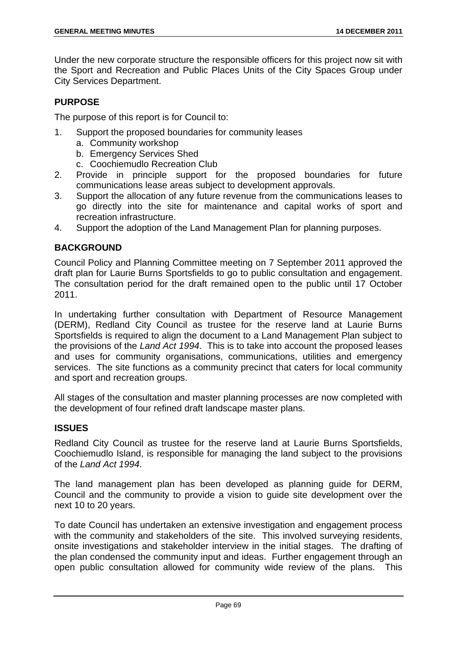Under the new corporate structure the responsible officers for this project now sit with the Sport and Recreation and Public Places Units of the City Spaces Group under City Services Department.

# **PURPOSE**

The purpose of this report is for Council to:

- 1. Support the proposed boundaries for community leases
	- a. Community workshop
	- b. Emergency Services Shed
	- c. Coochiemudlo Recreation Club
- 2. Provide in principle support for the proposed boundaries for future communications lease areas subject to development approvals.
- 3. Support the allocation of any future revenue from the communications leases to go directly into the site for maintenance and capital works of sport and recreation infrastructure.
- 4. Support the adoption of the Land Management Plan for planning purposes.

# **BACKGROUND**

Council Policy and Planning Committee meeting on 7 September 2011 approved the draft plan for Laurie Burns Sportsfields to go to public consultation and engagement. The consultation period for the draft remained open to the public until 17 October 2011.

In undertaking further consultation with Department of Resource Management (DERM), Redland City Council as trustee for the reserve land at Laurie Burns Sportsfields is required to align the document to a Land Management Plan subject to the provisions of the *Land Act 1994*. This is to take into account the proposed leases and uses for community organisations, communications, utilities and emergency services. The site functions as a community precinct that caters for local community and sport and recreation groups.

All stages of the consultation and master planning processes are now completed with the development of four refined draft landscape master plans.

# **ISSUES**

Redland City Council as trustee for the reserve land at Laurie Burns Sportsfields, Coochiemudlo Island, is responsible for managing the land subject to the provisions of the *Land Act 1994*.

The land management plan has been developed as planning guide for DERM, Council and the community to provide a vision to guide site development over the next 10 to 20 years.

To date Council has undertaken an extensive investigation and engagement process with the community and stakeholders of the site. This involved surveying residents. onsite investigations and stakeholder interview in the initial stages. The drafting of the plan condensed the community input and ideas. Further engagement through an open public consultation allowed for community wide review of the plans. This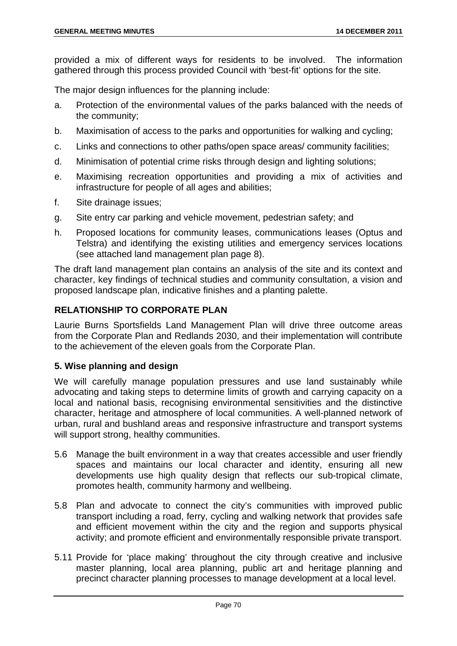provided a mix of different ways for residents to be involved. The information gathered through this process provided Council with 'best-fit' options for the site.

The major design influences for the planning include:

- a. Protection of the environmental values of the parks balanced with the needs of the community;
- b. Maximisation of access to the parks and opportunities for walking and cycling;
- c. Links and connections to other paths/open space areas/ community facilities;
- d. Minimisation of potential crime risks through design and lighting solutions;
- e. Maximising recreation opportunities and providing a mix of activities and infrastructure for people of all ages and abilities;
- f. Site drainage issues;
- g. Site entry car parking and vehicle movement, pedestrian safety; and
- h. Proposed locations for community leases, communications leases (Optus and Telstra) and identifying the existing utilities and emergency services locations (see attached land management plan page 8).

The draft land management plan contains an analysis of the site and its context and character, key findings of technical studies and community consultation, a vision and proposed landscape plan, indicative finishes and a planting palette.

# **RELATIONSHIP TO CORPORATE PLAN**

Laurie Burns Sportsfields Land Management Plan will drive three outcome areas from the Corporate Plan and Redlands 2030, and their implementation will contribute to the achievement of the eleven goals from the Corporate Plan.

# **5. Wise planning and design**

We will carefully manage population pressures and use land sustainably while advocating and taking steps to determine limits of growth and carrying capacity on a local and national basis, recognising environmental sensitivities and the distinctive character, heritage and atmosphere of local communities. A well-planned network of urban, rural and bushland areas and responsive infrastructure and transport systems will support strong, healthy communities.

- 5.6 Manage the built environment in a way that creates accessible and user friendly spaces and maintains our local character and identity, ensuring all new developments use high quality design that reflects our sub-tropical climate, promotes health, community harmony and wellbeing.
- 5.8 Plan and advocate to connect the city's communities with improved public transport including a road, ferry, cycling and walking network that provides safe and efficient movement within the city and the region and supports physical activity; and promote efficient and environmentally responsible private transport.
- 5.11 Provide for 'place making' throughout the city through creative and inclusive master planning, local area planning, public art and heritage planning and precinct character planning processes to manage development at a local level.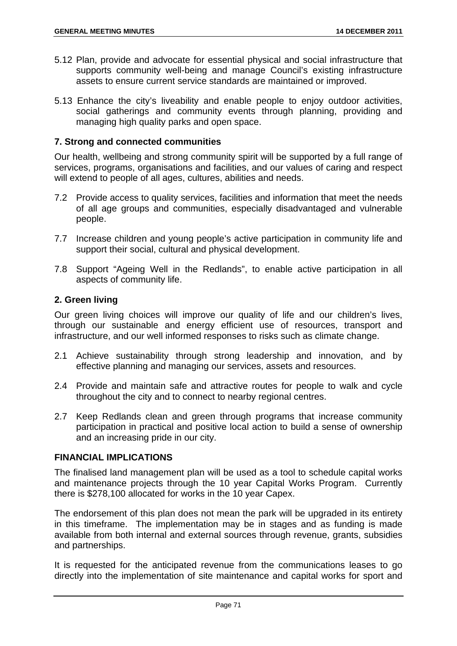- 5.12 Plan, provide and advocate for essential physical and social infrastructure that supports community well-being and manage Council's existing infrastructure assets to ensure current service standards are maintained or improved.
- 5.13 Enhance the city's liveability and enable people to enjoy outdoor activities, social gatherings and community events through planning, providing and managing high quality parks and open space.

# **7. Strong and connected communities**

Our health, wellbeing and strong community spirit will be supported by a full range of services, programs, organisations and facilities, and our values of caring and respect will extend to people of all ages, cultures, abilities and needs.

- 7.2 Provide access to quality services, facilities and information that meet the needs of all age groups and communities, especially disadvantaged and vulnerable people.
- 7.7 Increase children and young people's active participation in community life and support their social, cultural and physical development.
- 7.8 Support "Ageing Well in the Redlands", to enable active participation in all aspects of community life.

# **2. Green living**

Our green living choices will improve our quality of life and our children's lives, through our sustainable and energy efficient use of resources, transport and infrastructure, and our well informed responses to risks such as climate change.

- 2.1 Achieve sustainability through strong leadership and innovation, and by effective planning and managing our services, assets and resources.
- 2.4 Provide and maintain safe and attractive routes for people to walk and cycle throughout the city and to connect to nearby regional centres.
- 2.7 Keep Redlands clean and green through programs that increase community participation in practical and positive local action to build a sense of ownership and an increasing pride in our city.

# **FINANCIAL IMPLICATIONS**

The finalised land management plan will be used as a tool to schedule capital works and maintenance projects through the 10 year Capital Works Program. Currently there is \$278,100 allocated for works in the 10 year Capex.

The endorsement of this plan does not mean the park will be upgraded in its entirety in this timeframe. The implementation may be in stages and as funding is made available from both internal and external sources through revenue, grants, subsidies and partnerships.

It is requested for the anticipated revenue from the communications leases to go directly into the implementation of site maintenance and capital works for sport and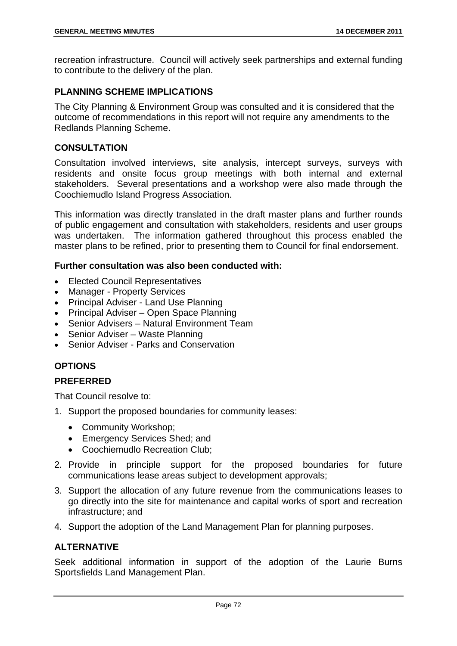recreation infrastructure. Council will actively seek partnerships and external funding to contribute to the delivery of the plan.

# **PLANNING SCHEME IMPLICATIONS**

The City Planning & Environment Group was consulted and it is considered that the outcome of recommendations in this report will not require any amendments to the Redlands Planning Scheme.

# **CONSULTATION**

Consultation involved interviews, site analysis, intercept surveys, surveys with residents and onsite focus group meetings with both internal and external stakeholders. Several presentations and a workshop were also made through the Coochiemudlo Island Progress Association.

This information was directly translated in the draft master plans and further rounds of public engagement and consultation with stakeholders, residents and user groups was undertaken. The information gathered throughout this process enabled the master plans to be refined, prior to presenting them to Council for final endorsement.

# **Further consultation was also been conducted with:**

- Elected Council Representatives
- Manager Property Services
- Principal Adviser Land Use Planning
- Principal Adviser Open Space Planning
- Senior Advisers Natural Environment Team
- Senior Adviser Waste Planning
- Senior Adviser Parks and Conservation

# **OPTIONS**

# **PREFERRED**

That Council resolve to:

- 1. Support the proposed boundaries for community leases:
	- Community Workshop;
	- Emergency Services Shed; and
	- Coochiemudlo Recreation Club:
- 2. Provide in principle support for the proposed boundaries for future communications lease areas subject to development approvals;
- 3. Support the allocation of any future revenue from the communications leases to go directly into the site for maintenance and capital works of sport and recreation infrastructure; and
- 4. Support the adoption of the Land Management Plan for planning purposes.

# **ALTERNATIVE**

Seek additional information in support of the adoption of the Laurie Burns Sportsfields Land Management Plan.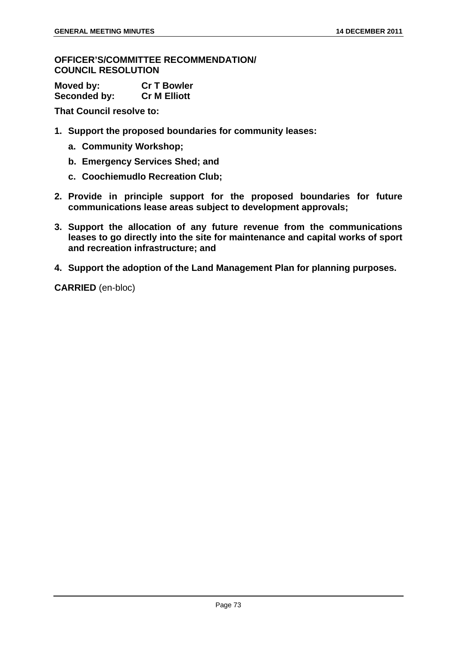#### **OFFICER'S/COMMITTEE RECOMMENDATION/ COUNCIL RESOLUTION**

| Moved by:    | <b>Cr T Bowler</b>  |
|--------------|---------------------|
| Seconded by: | <b>Cr M Elliott</b> |

**That Council resolve to:** 

- **1. Support the proposed boundaries for community leases:** 
	- **a. Community Workshop;**
	- **b. Emergency Services Shed; and**
	- **c. Coochiemudlo Recreation Club;**
- **2. Provide in principle support for the proposed boundaries for future communications lease areas subject to development approvals;**
- **3. Support the allocation of any future revenue from the communications leases to go directly into the site for maintenance and capital works of sport and recreation infrastructure; and**
- **4. Support the adoption of the Land Management Plan for planning purposes.**

**CARRIED** (en-bloc)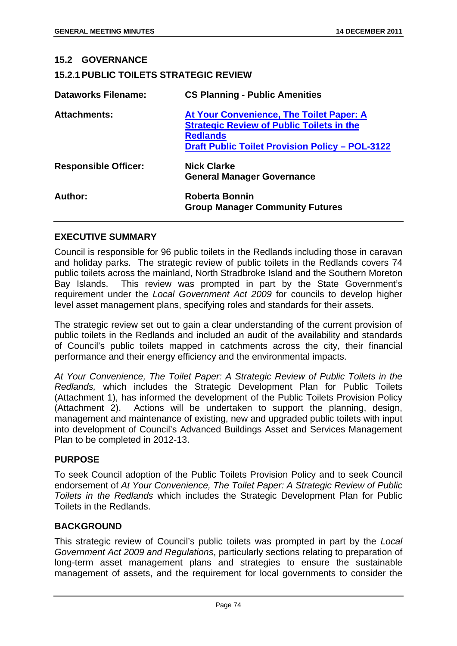# **15.2 GOVERNANCE 15.2.1 PUBLIC TOILETS STRATEGIC REVIEW Dataworks Filename: CS Planning - Public Amenities Attachments: At Your Convenience, The Toilet Paper: A Strategic Review of Public Toilets in the Redlands Draft Public Toilet Provision Policy – POL-3122 Responsible Officer: Nick Clarke General Manager Governance Author: Roberta Bonnin Group Manager Community Futures**

### **EXECUTIVE SUMMARY**

Council is responsible for 96 public toilets in the Redlands including those in caravan and holiday parks. The strategic review of public toilets in the Redlands covers 74 public toilets across the mainland, North Stradbroke Island and the Southern Moreton Bay Islands. This review was prompted in part by the State Government's requirement under the *Local Government Act 2009* for councils to develop higher level asset management plans, specifying roles and standards for their assets.

The strategic review set out to gain a clear understanding of the current provision of public toilets in the Redlands and included an audit of the availability and standards of Council's public toilets mapped in catchments across the city, their financial performance and their energy efficiency and the environmental impacts.

*At Your Convenience, The Toilet Paper: A Strategic Review of Public Toilets in the Redlands,* which includes the Strategic Development Plan for Public Toilets (Attachment 1), has informed the development of the Public Toilets Provision Policy (Attachment 2). Actions will be undertaken to support the planning, design, management and maintenance of existing, new and upgraded public toilets with input into development of Council's Advanced Buildings Asset and Services Management Plan to be completed in 2012-13.

### **PURPOSE**

To seek Council adoption of the Public Toilets Provision Policy and to seek Council endorsement of *At Your Convenience, The Toilet Paper: A Strategic Review of Public Toilets in the Redlands* which includes the Strategic Development Plan for Public Toilets in the Redlands.

#### **BACKGROUND**

This strategic review of Council's public toilets was prompted in part by the *Local Government Act 2009 and Regulations*, particularly sections relating to preparation of long-term asset management plans and strategies to ensure the sustainable management of assets, and the requirement for local governments to consider the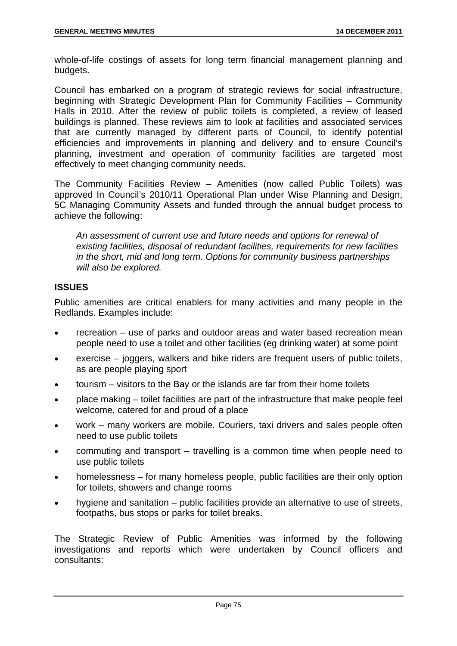whole-of-life costings of assets for long term financial management planning and budgets.

Council has embarked on a program of strategic reviews for social infrastructure, beginning with Strategic Development Plan for Community Facilities – Community Halls in 2010. After the review of public toilets is completed, a review of leased buildings is planned. These reviews aim to look at facilities and associated services that are currently managed by different parts of Council, to identify potential efficiencies and improvements in planning and delivery and to ensure Council's planning, investment and operation of community facilities are targeted most effectively to meet changing community needs.

The Community Facilities Review – Amenities (now called Public Toilets) was approved In Council's 2010/11 Operational Plan under Wise Planning and Design, 5C Managing Community Assets and funded through the annual budget process to achieve the following:

*An assessment of current use and future needs and options for renewal of existing facilities, disposal of redundant facilities, requirements for new facilities in the short, mid and long term. Options for community business partnerships will also be explored.* 

# **ISSUES**

Public amenities are critical enablers for many activities and many people in the Redlands. Examples include:

- recreation use of parks and outdoor areas and water based recreation mean people need to use a toilet and other facilities (eg drinking water) at some point
- exercise joggers, walkers and bike riders are frequent users of public toilets, as are people playing sport
- tourism visitors to the Bay or the islands are far from their home toilets
- place making toilet facilities are part of the infrastructure that make people feel welcome, catered for and proud of a place
- work many workers are mobile. Couriers, taxi drivers and sales people often need to use public toilets
- commuting and transport travelling is a common time when people need to use public toilets
- homelessness for many homeless people, public facilities are their only option for toilets, showers and change rooms
- hygiene and sanitation public facilities provide an alternative to use of streets, footpaths, bus stops or parks for toilet breaks.

The Strategic Review of Public Amenities was informed by the following investigations and reports which were undertaken by Council officers and consultants: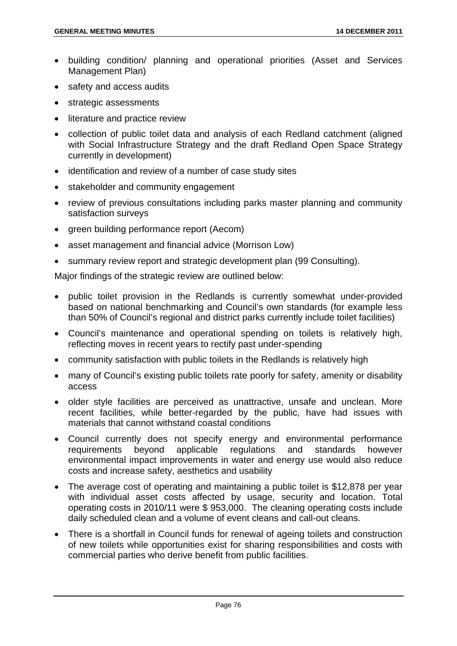- building condition/ planning and operational priorities (Asset and Services Management Plan)
- safety and access audits
- strategic assessments
- literature and practice review
- collection of public toilet data and analysis of each Redland catchment (aligned with Social Infrastructure Strategy and the draft Redland Open Space Strategy currently in development)
- identification and review of a number of case study sites
- stakeholder and community engagement
- review of previous consultations including parks master planning and community satisfaction surveys
- green building performance report (Aecom)
- asset management and financial advice (Morrison Low)
- summary review report and strategic development plan (99 Consulting).

Major findings of the strategic review are outlined below:

- public toilet provision in the Redlands is currently somewhat under-provided based on national benchmarking and Council's own standards (for example less than 50% of Council's regional and district parks currently include toilet facilities)
- Council's maintenance and operational spending on toilets is relatively high, reflecting moves in recent years to rectify past under-spending
- community satisfaction with public toilets in the Redlands is relatively high
- many of Council's existing public toilets rate poorly for safety, amenity or disability access
- older style facilities are perceived as unattractive, unsafe and unclean. More recent facilities, while better-regarded by the public, have had issues with materials that cannot withstand coastal conditions
- Council currently does not specify energy and environmental performance requirements beyond applicable regulations and standards however environmental impact improvements in water and energy use would also reduce costs and increase safety, aesthetics and usability
- The average cost of operating and maintaining a public toilet is \$12,878 per year with individual asset costs affected by usage, security and location. Total operating costs in 2010/11 were \$ 953,000. The cleaning operating costs include daily scheduled clean and a volume of event cleans and call-out cleans.
- There is a shortfall in Council funds for renewal of ageing toilets and construction of new toilets while opportunities exist for sharing responsibilities and costs with commercial parties who derive benefit from public facilities.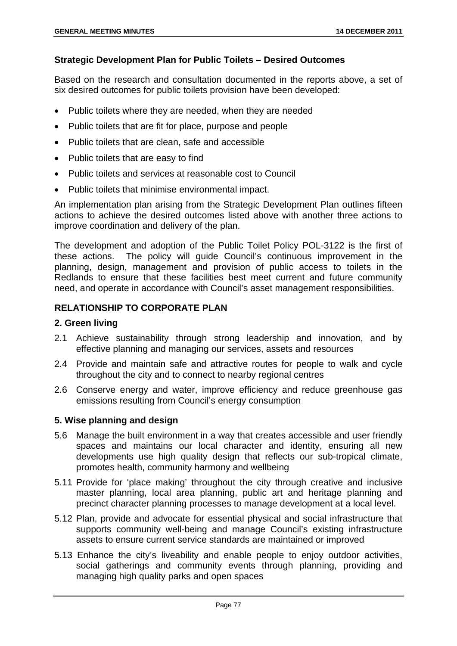# **Strategic Development Plan for Public Toilets – Desired Outcomes**

Based on the research and consultation documented in the reports above, a set of six desired outcomes for public toilets provision have been developed:

- Public toilets where they are needed, when they are needed
- Public toilets that are fit for place, purpose and people
- Public toilets that are clean, safe and accessible
- Public toilets that are easy to find
- Public toilets and services at reasonable cost to Council
- Public toilets that minimise environmental impact.

An implementation plan arising from the Strategic Development Plan outlines fifteen actions to achieve the desired outcomes listed above with another three actions to improve coordination and delivery of the plan.

The development and adoption of the Public Toilet Policy POL-3122 is the first of these actions. The policy will guide Council's continuous improvement in the planning, design, management and provision of public access to toilets in the Redlands to ensure that these facilities best meet current and future community need, and operate in accordance with Council's asset management responsibilities.

# **RELATIONSHIP TO CORPORATE PLAN**

#### **2. Green living**

- 2.1 Achieve sustainability through strong leadership and innovation, and by effective planning and managing our services, assets and resources
- 2.4 Provide and maintain safe and attractive routes for people to walk and cycle throughout the city and to connect to nearby regional centres
- 2.6 Conserve energy and water, improve efficiency and reduce greenhouse gas emissions resulting from Council's energy consumption

#### **5. Wise planning and design**

- 5.6 Manage the built environment in a way that creates accessible and user friendly spaces and maintains our local character and identity, ensuring all new developments use high quality design that reflects our sub-tropical climate, promotes health, community harmony and wellbeing
- 5.11 Provide for 'place making' throughout the city through creative and inclusive master planning, local area planning, public art and heritage planning and precinct character planning processes to manage development at a local level.
- 5.12 Plan, provide and advocate for essential physical and social infrastructure that supports community well-being and manage Council's existing infrastructure assets to ensure current service standards are maintained or improved
- 5.13 Enhance the city's liveability and enable people to enjoy outdoor activities, social gatherings and community events through planning, providing and managing high quality parks and open spaces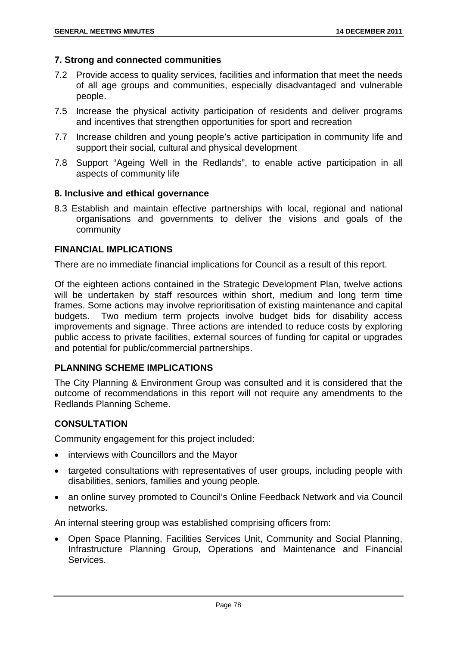### **7. Strong and connected communities**

- 7.2 Provide access to quality services, facilities and information that meet the needs of all age groups and communities, especially disadvantaged and vulnerable people.
- 7.5 Increase the physical activity participation of residents and deliver programs and incentives that strengthen opportunities for sport and recreation
- 7.7 Increase children and young people's active participation in community life and support their social, cultural and physical development
- 7.8 Support "Ageing Well in the Redlands", to enable active participation in all aspects of community life

### **8. Inclusive and ethical governance**

8.3 Establish and maintain effective partnerships with local, regional and national organisations and governments to deliver the visions and goals of the community

### **FINANCIAL IMPLICATIONS**

There are no immediate financial implications for Council as a result of this report.

Of the eighteen actions contained in the Strategic Development Plan, twelve actions will be undertaken by staff resources within short, medium and long term time frames. Some actions may involve reprioritisation of existing maintenance and capital budgets. Two medium term projects involve budget bids for disability access improvements and signage. Three actions are intended to reduce costs by exploring public access to private facilities, external sources of funding for capital or upgrades and potential for public/commercial partnerships.

# **PLANNING SCHEME IMPLICATIONS**

The City Planning & Environment Group was consulted and it is considered that the outcome of recommendations in this report will not require any amendments to the Redlands Planning Scheme.

# **CONSULTATION**

Community engagement for this project included:

- interviews with Councillors and the Mayor
- targeted consultations with representatives of user groups, including people with disabilities, seniors, families and young people.
- an online survey promoted to Council's Online Feedback Network and via Council networks.

An internal steering group was established comprising officers from:

 Open Space Planning, Facilities Services Unit, Community and Social Planning, Infrastructure Planning Group, Operations and Maintenance and Financial Services.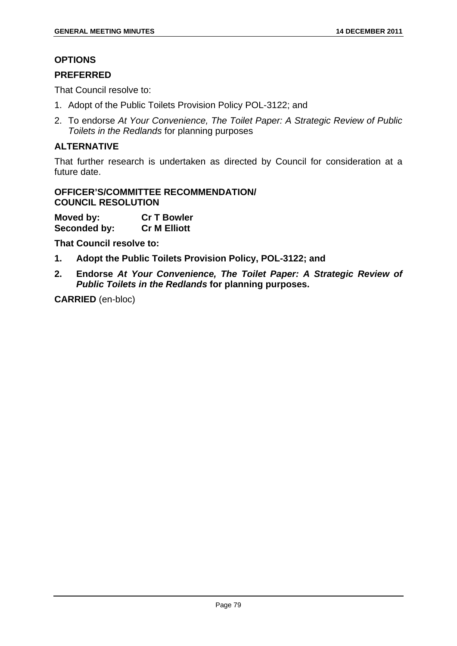# **OPTIONS**

# **PREFERRED**

That Council resolve to:

- 1. Adopt of the Public Toilets Provision Policy POL-3122; and
- 2. To endorse *At Your Convenience, The Toilet Paper: A Strategic Review of Public Toilets in the Redlands* for planning purposes

# **ALTERNATIVE**

That further research is undertaken as directed by Council for consideration at a future date.

# **OFFICER'S/COMMITTEE RECOMMENDATION/ COUNCIL RESOLUTION**

**Moved by: Cr T Bowler Seconded by: Cr M Elliott** 

**That Council resolve to:** 

- **1. Adopt the Public Toilets Provision Policy, POL-3122; and**
- **2. Endorse** *At Your Convenience, The Toilet Paper: A Strategic Review of Public Toilets in the Redlands* **for planning purposes.**

**CARRIED** (en-bloc)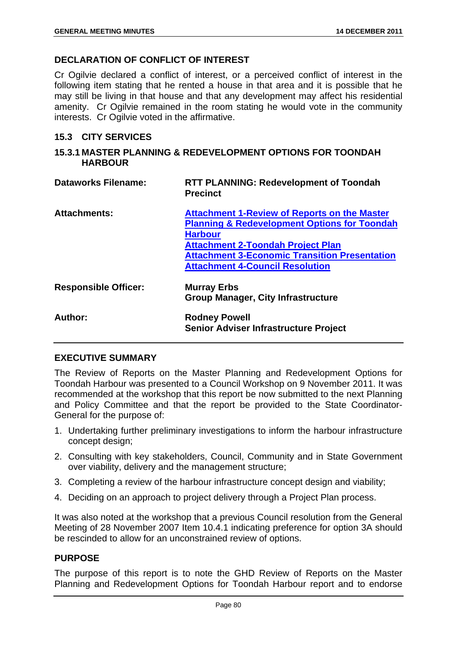# **DECLARATION OF CONFLICT OF INTEREST**

Cr Ogilvie declared a conflict of interest, or a perceived conflict of interest in the following item stating that he rented a house in that area and it is possible that he may still be living in that house and that any development may affect his residential amenity. Cr Ogilvie remained in the room stating he would vote in the community interests. Cr Ogilvie voted in the affirmative.

### **15.3 CITY SERVICES**

#### **15.3.1 MASTER PLANNING & REDEVELOPMENT OPTIONS FOR TOONDAH HARBOUR**

| <b>Dataworks Filename:</b>  | <b>RTT PLANNING: Redevelopment of Toondah</b><br><b>Precinct</b>                                                                                                                                                                                                               |
|-----------------------------|--------------------------------------------------------------------------------------------------------------------------------------------------------------------------------------------------------------------------------------------------------------------------------|
| <b>Attachments:</b>         | <b>Attachment 1-Review of Reports on the Master</b><br><b>Planning &amp; Redevelopment Options for Toondah</b><br><b>Harbour</b><br><b>Attachment 2-Toondah Project Plan</b><br><b>Attachment 3-Economic Transition Presentation</b><br><b>Attachment 4-Council Resolution</b> |
| <b>Responsible Officer:</b> | <b>Murray Erbs</b><br><b>Group Manager, City Infrastructure</b>                                                                                                                                                                                                                |
| Author:                     | <b>Rodney Powell</b><br><b>Senior Adviser Infrastructure Project</b>                                                                                                                                                                                                           |

# **EXECUTIVE SUMMARY**

The Review of Reports on the Master Planning and Redevelopment Options for Toondah Harbour was presented to a Council Workshop on 9 November 2011. It was recommended at the workshop that this report be now submitted to the next Planning and Policy Committee and that the report be provided to the State Coordinator-General for the purpose of:

- 1. Undertaking further preliminary investigations to inform the harbour infrastructure concept design;
- 2. Consulting with key stakeholders, Council, Community and in State Government over viability, delivery and the management structure;
- 3. Completing a review of the harbour infrastructure concept design and viability;
- 4. Deciding on an approach to project delivery through a Project Plan process.

It was also noted at the workshop that a previous Council resolution from the General Meeting of 28 November 2007 Item 10.4.1 indicating preference for option 3A should be rescinded to allow for an unconstrained review of options.

# **PURPOSE**

The purpose of this report is to note the GHD Review of Reports on the Master Planning and Redevelopment Options for Toondah Harbour report and to endorse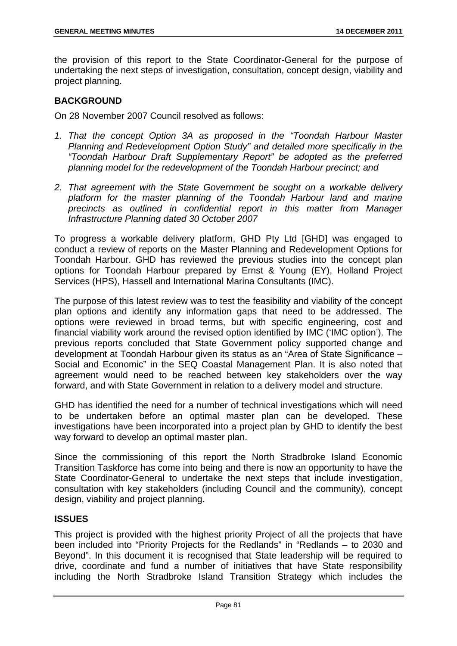the provision of this report to the State Coordinator-General for the purpose of undertaking the next steps of investigation, consultation, concept design, viability and project planning.

# **BACKGROUND**

On 28 November 2007 Council resolved as follows:

- *1. That the concept Option 3A as proposed in the "Toondah Harbour Master Planning and Redevelopment Option Study" and detailed more specifically in the "Toondah Harbour Draft Supplementary Report" be adopted as the preferred planning model for the redevelopment of the Toondah Harbour precinct; and*
- *2. That agreement with the State Government be sought on a workable delivery platform for the master planning of the Toondah Harbour land and marine precincts as outlined in confidential report in this matter from Manager Infrastructure Planning dated 30 October 2007*

To progress a workable delivery platform, GHD Pty Ltd [GHD] was engaged to conduct a review of reports on the Master Planning and Redevelopment Options for Toondah Harbour. GHD has reviewed the previous studies into the concept plan options for Toondah Harbour prepared by Ernst & Young (EY), Holland Project Services (HPS), Hassell and International Marina Consultants (IMC).

The purpose of this latest review was to test the feasibility and viability of the concept plan options and identify any information gaps that need to be addressed. The options were reviewed in broad terms, but with specific engineering, cost and financial viability work around the revised option identified by IMC ('IMC option'). The previous reports concluded that State Government policy supported change and development at Toondah Harbour given its status as an "Area of State Significance – Social and Economic" in the SEQ Coastal Management Plan. It is also noted that agreement would need to be reached between key stakeholders over the way forward, and with State Government in relation to a delivery model and structure.

GHD has identified the need for a number of technical investigations which will need to be undertaken before an optimal master plan can be developed. These investigations have been incorporated into a project plan by GHD to identify the best way forward to develop an optimal master plan.

Since the commissioning of this report the North Stradbroke Island Economic Transition Taskforce has come into being and there is now an opportunity to have the State Coordinator-General to undertake the next steps that include investigation, consultation with key stakeholders (including Council and the community), concept design, viability and project planning.

# **ISSUES**

This project is provided with the highest priority Project of all the projects that have been included into "Priority Projects for the Redlands" in "Redlands – to 2030 and Beyond". In this document it is recognised that State leadership will be required to drive, coordinate and fund a number of initiatives that have State responsibility including the North Stradbroke Island Transition Strategy which includes the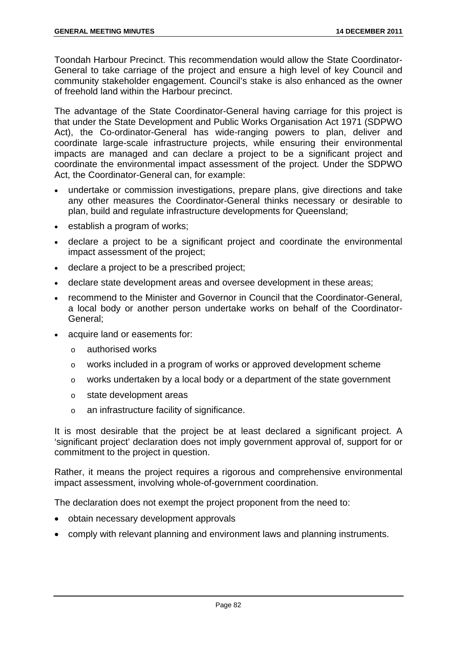Toondah Harbour Precinct. This recommendation would allow the State Coordinator-General to take carriage of the project and ensure a high level of key Council and community stakeholder engagement. Council's stake is also enhanced as the owner of freehold land within the Harbour precinct.

The advantage of the State Coordinator-General having carriage for this project is that under the State Development and Public Works Organisation Act 1971 (SDPWO Act), the Co-ordinator-General has wide-ranging powers to plan, deliver and coordinate large-scale infrastructure projects, while ensuring their environmental impacts are managed and can declare a project to be a significant project and coordinate the environmental impact assessment of the project. Under the SDPWO Act, the Coordinator-General can, for example:

- undertake or commission investigations, prepare plans, give directions and take any other measures the Coordinator-General thinks necessary or desirable to plan, build and regulate infrastructure developments for Queensland;
- establish a program of works;
- declare a project to be a significant project and coordinate the environmental impact assessment of the project;
- declare a project to be a prescribed project;
- declare state development areas and oversee development in these areas;
- recommend to the Minister and Governor in Council that the Coordinator-General, a local body or another person undertake works on behalf of the Coordinator-General;
- acquire land or easements for:
	- o authorised works
	- o works included in a program of works or approved development scheme
	- o works undertaken by a local body or a department of the state government
	- o state development areas
	- o an infrastructure facility of significance.

It is most desirable that the project be at least declared a significant project. A 'significant project' declaration does not imply government approval of, support for or commitment to the project in question.

Rather, it means the project requires a rigorous and comprehensive environmental impact assessment, involving whole-of-government coordination.

The declaration does not exempt the project proponent from the need to:

- obtain necessary development approvals
- comply with relevant planning and environment laws and planning instruments.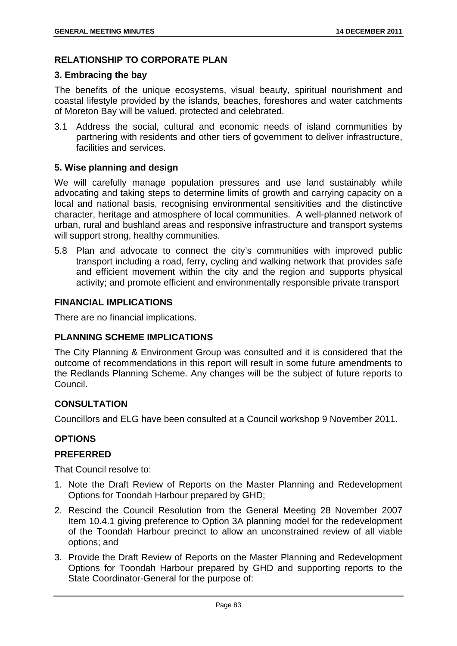# **RELATIONSHIP TO CORPORATE PLAN**

#### **3. Embracing the bay**

The benefits of the unique ecosystems, visual beauty, spiritual nourishment and coastal lifestyle provided by the islands, beaches, foreshores and water catchments of Moreton Bay will be valued, protected and celebrated.

3.1 Address the social, cultural and economic needs of island communities by partnering with residents and other tiers of government to deliver infrastructure, facilities and services.

# **5. Wise planning and design**

We will carefully manage population pressures and use land sustainably while advocating and taking steps to determine limits of growth and carrying capacity on a local and national basis, recognising environmental sensitivities and the distinctive character, heritage and atmosphere of local communities. A well-planned network of urban, rural and bushland areas and responsive infrastructure and transport systems will support strong, healthy communities.

5.8 Plan and advocate to connect the city's communities with improved public transport including a road, ferry, cycling and walking network that provides safe and efficient movement within the city and the region and supports physical activity; and promote efficient and environmentally responsible private transport

# **FINANCIAL IMPLICATIONS**

There are no financial implications.

# **PLANNING SCHEME IMPLICATIONS**

The City Planning & Environment Group was consulted and it is considered that the outcome of recommendations in this report will result in some future amendments to the Redlands Planning Scheme. Any changes will be the subject of future reports to Council.

# **CONSULTATION**

Councillors and ELG have been consulted at a Council workshop 9 November 2011.

# **OPTIONS**

# **PREFERRED**

That Council resolve to:

- 1. Note the Draft Review of Reports on the Master Planning and Redevelopment Options for Toondah Harbour prepared by GHD;
- 2. Rescind the Council Resolution from the General Meeting 28 November 2007 Item 10.4.1 giving preference to Option 3A planning model for the redevelopment of the Toondah Harbour precinct to allow an unconstrained review of all viable options; and
- 3. Provide the Draft Review of Reports on the Master Planning and Redevelopment Options for Toondah Harbour prepared by GHD and supporting reports to the State Coordinator-General for the purpose of: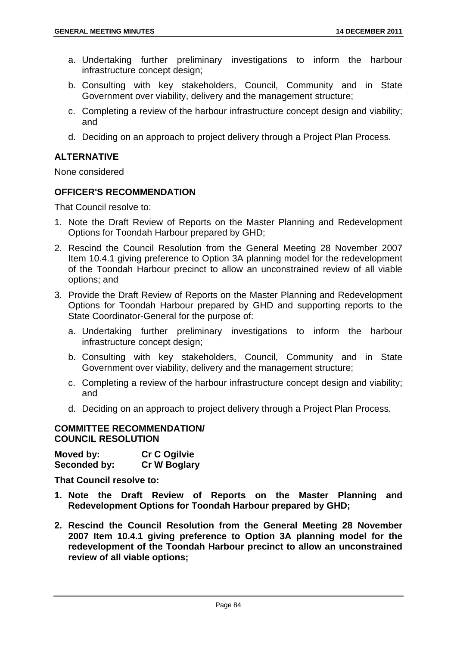- a. Undertaking further preliminary investigations to inform the harbour infrastructure concept design;
- b. Consulting with key stakeholders, Council, Community and in State Government over viability, delivery and the management structure;
- c. Completing a review of the harbour infrastructure concept design and viability; and
- d. Deciding on an approach to project delivery through a Project Plan Process.

# **ALTERNATIVE**

None considered

# **OFFICER'S RECOMMENDATION**

That Council resolve to:

- 1. Note the Draft Review of Reports on the Master Planning and Redevelopment Options for Toondah Harbour prepared by GHD;
- 2. Rescind the Council Resolution from the General Meeting 28 November 2007 Item 10.4.1 giving preference to Option 3A planning model for the redevelopment of the Toondah Harbour precinct to allow an unconstrained review of all viable options; and
- 3. Provide the Draft Review of Reports on the Master Planning and Redevelopment Options for Toondah Harbour prepared by GHD and supporting reports to the State Coordinator-General for the purpose of:
	- a. Undertaking further preliminary investigations to inform the harbour infrastructure concept design;
	- b. Consulting with key stakeholders, Council, Community and in State Government over viability, delivery and the management structure;
	- c. Completing a review of the harbour infrastructure concept design and viability; and
	- d. Deciding on an approach to project delivery through a Project Plan Process.

#### **COMMITTEE RECOMMENDATION/ COUNCIL RESOLUTION**

| Moved by:    | <b>Cr C Ogilvie</b> |
|--------------|---------------------|
| Seconded by: | <b>Cr W Boglary</b> |

**That Council resolve to:** 

- **1. Note the Draft Review of Reports on the Master Planning and Redevelopment Options for Toondah Harbour prepared by GHD;**
- **2. Rescind the Council Resolution from the General Meeting 28 November 2007 Item 10.4.1 giving preference to Option 3A planning model for the redevelopment of the Toondah Harbour precinct to allow an unconstrained review of all viable options;**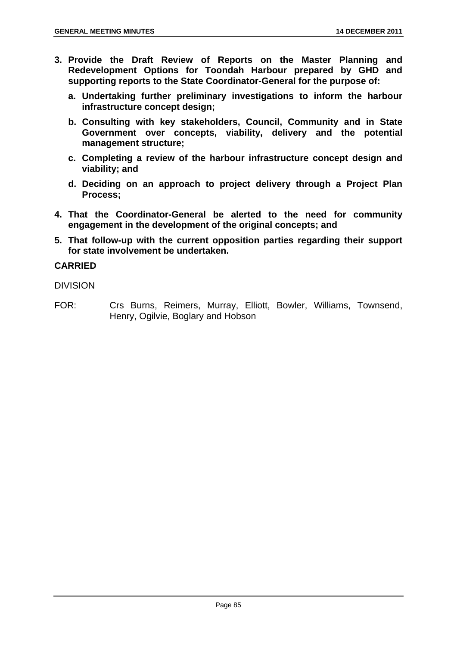- **3. Provide the Draft Review of Reports on the Master Planning and Redevelopment Options for Toondah Harbour prepared by GHD and supporting reports to the State Coordinator-General for the purpose of:** 
	- **a. Undertaking further preliminary investigations to inform the harbour infrastructure concept design;**
	- **b. Consulting with key stakeholders, Council, Community and in State Government over concepts, viability, delivery and the potential management structure;**
	- **c. Completing a review of the harbour infrastructure concept design and viability; and**
	- **d. Deciding on an approach to project delivery through a Project Plan Process;**
- **4. That the Coordinator-General be alerted to the need for community engagement in the development of the original concepts; and**
- **5. That follow-up with the current opposition parties regarding their support for state involvement be undertaken.**

# **CARRIED**

DIVISION

FOR: Crs Burns, Reimers, Murray, Elliott, Bowler, Williams, Townsend, Henry, Ogilvie, Boglary and Hobson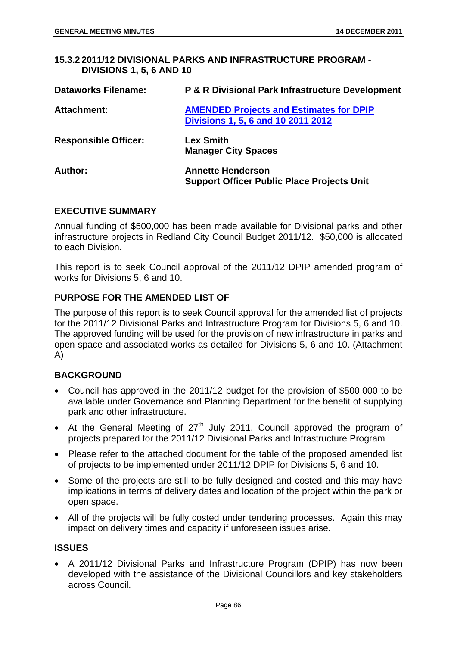#### **15.3.2 2011/12 DIVISIONAL PARKS AND INFRASTRUCTURE PROGRAM - DIVISIONS 1, 5, 6 AND 10**

| <b>Dataworks Filename:</b>  | <b>P &amp; R Divisional Park Infrastructure Development</b>                          |
|-----------------------------|--------------------------------------------------------------------------------------|
| <b>Attachment:</b>          | <b>AMENDED Projects and Estimates for DPIP</b><br>Divisions 1, 5, 6 and 10 2011 2012 |
| <b>Responsible Officer:</b> | <b>Lex Smith</b><br><b>Manager City Spaces</b>                                       |
| Author:                     | <b>Annette Henderson</b><br><b>Support Officer Public Place Projects Unit</b>        |

### **EXECUTIVE SUMMARY**

Annual funding of \$500,000 has been made available for Divisional parks and other infrastructure projects in Redland City Council Budget 2011/12. \$50,000 is allocated to each Division.

This report is to seek Council approval of the 2011/12 DPIP amended program of works for Divisions 5, 6 and 10.

### **PURPOSE FOR THE AMENDED LIST OF**

The purpose of this report is to seek Council approval for the amended list of projects for the 2011/12 Divisional Parks and Infrastructure Program for Divisions 5, 6 and 10. The approved funding will be used for the provision of new infrastructure in parks and open space and associated works as detailed for Divisions 5, 6 and 10. (Attachment A)

# **BACKGROUND**

- Council has approved in the 2011/12 budget for the provision of \$500,000 to be available under Governance and Planning Department for the benefit of supplying park and other infrastructure.
- At the General Meeting of  $27<sup>th</sup>$  July 2011, Council approved the program of projects prepared for the 2011/12 Divisional Parks and Infrastructure Program
- Please refer to the attached document for the table of the proposed amended list of projects to be implemented under 2011/12 DPIP for Divisions 5, 6 and 10.
- Some of the projects are still to be fully designed and costed and this may have implications in terms of delivery dates and location of the project within the park or open space.
- All of the projects will be fully costed under tendering processes. Again this may impact on delivery times and capacity if unforeseen issues arise.

#### **ISSUES**

 A 2011/12 Divisional Parks and Infrastructure Program (DPIP) has now been developed with the assistance of the Divisional Councillors and key stakeholders across Council.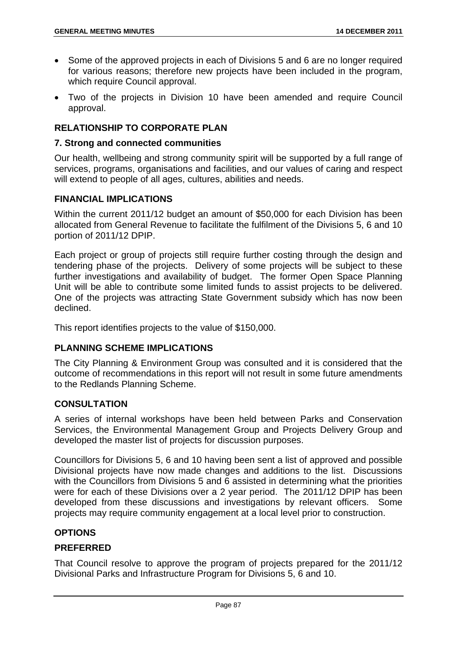- Some of the approved projects in each of Divisions 5 and 6 are no longer required for various reasons; therefore new projects have been included in the program, which require Council approval.
- Two of the projects in Division 10 have been amended and require Council approval.

# **RELATIONSHIP TO CORPORATE PLAN**

#### **7. Strong and connected communities**

Our health, wellbeing and strong community spirit will be supported by a full range of services, programs, organisations and facilities, and our values of caring and respect will extend to people of all ages, cultures, abilities and needs.

# **FINANCIAL IMPLICATIONS**

Within the current 2011/12 budget an amount of \$50,000 for each Division has been allocated from General Revenue to facilitate the fulfilment of the Divisions 5, 6 and 10 portion of 2011/12 DPIP.

Each project or group of projects still require further costing through the design and tendering phase of the projects. Delivery of some projects will be subject to these further investigations and availability of budget. The former Open Space Planning Unit will be able to contribute some limited funds to assist projects to be delivered. One of the projects was attracting State Government subsidy which has now been declined.

This report identifies projects to the value of \$150,000.

# **PLANNING SCHEME IMPLICATIONS**

The City Planning & Environment Group was consulted and it is considered that the outcome of recommendations in this report will not result in some future amendments to the Redlands Planning Scheme.

#### **CONSULTATION**

A series of internal workshops have been held between Parks and Conservation Services, the Environmental Management Group and Projects Delivery Group and developed the master list of projects for discussion purposes.

Councillors for Divisions 5, 6 and 10 having been sent a list of approved and possible Divisional projects have now made changes and additions to the list. Discussions with the Councillors from Divisions 5 and 6 assisted in determining what the priorities were for each of these Divisions over a 2 year period. The 2011/12 DPIP has been developed from these discussions and investigations by relevant officers. Some projects may require community engagement at a local level prior to construction.

# **OPTIONS**

# **PREFERRED**

That Council resolve to approve the program of projects prepared for the 2011/12 Divisional Parks and Infrastructure Program for Divisions 5, 6 and 10.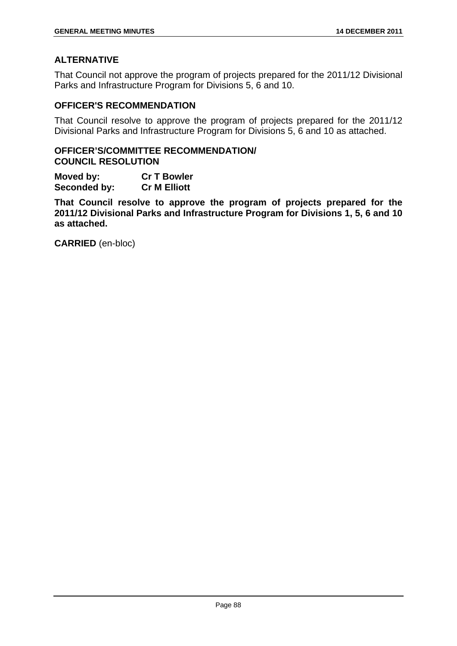# **ALTERNATIVE**

That Council not approve the program of projects prepared for the 2011/12 Divisional Parks and Infrastructure Program for Divisions 5, 6 and 10.

### **OFFICER'S RECOMMENDATION**

That Council resolve to approve the program of projects prepared for the 2011/12 Divisional Parks and Infrastructure Program for Divisions 5, 6 and 10 as attached.

### **OFFICER'S/COMMITTEE RECOMMENDATION/ COUNCIL RESOLUTION**

**Moved by: Cr T Bowler Seconded by: Cr M Elliott** 

**That Council resolve to approve the program of projects prepared for the 2011/12 Divisional Parks and Infrastructure Program for Divisions 1, 5, 6 and 10 as attached.** 

**CARRIED** (en-bloc)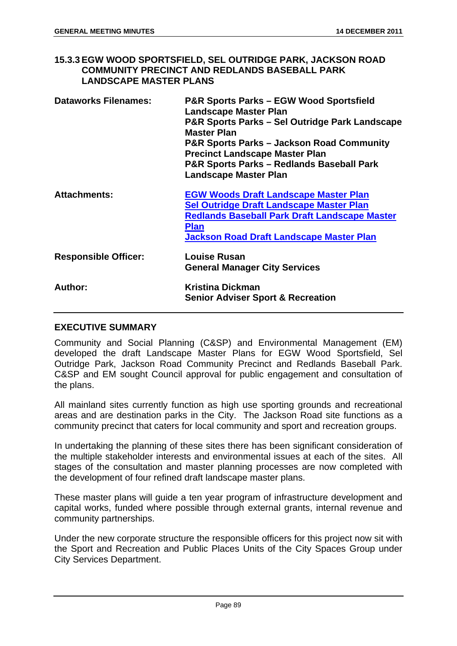# **15.3.3 EGW WOOD SPORTSFIELD, SEL OUTRIDGE PARK, JACKSON ROAD COMMUNITY PRECINCT AND REDLANDS BASEBALL PARK LANDSCAPE MASTER PLANS**

| <b>Dataworks Filenames:</b> | <b>P&amp;R Sports Parks - EGW Wood Sportsfield</b><br><b>Landscape Master Plan</b><br>P&R Sports Parks - Sel Outridge Park Landscape<br><b>Master Plan</b><br><b>P&amp;R Sports Parks – Jackson Road Community</b><br><b>Precinct Landscape Master Plan</b><br><b>P&amp;R Sports Parks - Redlands Baseball Park</b><br><b>Landscape Master Plan</b> |
|-----------------------------|-----------------------------------------------------------------------------------------------------------------------------------------------------------------------------------------------------------------------------------------------------------------------------------------------------------------------------------------------------|
| <b>Attachments:</b>         | <b>EGW Woods Draft Landscape Master Plan</b><br><b>Sel Outridge Draft Landscape Master Plan</b><br><b>Redlands Baseball Park Draft Landscape Master</b><br><b>Plan</b><br>Jackson Road Draft Landscape Master Plan                                                                                                                                  |
| <b>Responsible Officer:</b> | Louise Rusan<br><b>General Manager City Services</b>                                                                                                                                                                                                                                                                                                |
| Author:                     | <b>Kristina Dickman</b><br><b>Senior Adviser Sport &amp; Recreation</b>                                                                                                                                                                                                                                                                             |

# **EXECUTIVE SUMMARY**

Community and Social Planning (C&SP) and Environmental Management (EM) developed the draft Landscape Master Plans for EGW Wood Sportsfield, Sel Outridge Park, Jackson Road Community Precinct and Redlands Baseball Park. C&SP and EM sought Council approval for public engagement and consultation of the plans.

All mainland sites currently function as high use sporting grounds and recreational areas and are destination parks in the City. The Jackson Road site functions as a community precinct that caters for local community and sport and recreation groups.

In undertaking the planning of these sites there has been significant consideration of the multiple stakeholder interests and environmental issues at each of the sites. All stages of the consultation and master planning processes are now completed with the development of four refined draft landscape master plans.

These master plans will guide a ten year program of infrastructure development and capital works, funded where possible through external grants, internal revenue and community partnerships.

Under the new corporate structure the responsible officers for this project now sit with the Sport and Recreation and Public Places Units of the City Spaces Group under City Services Department.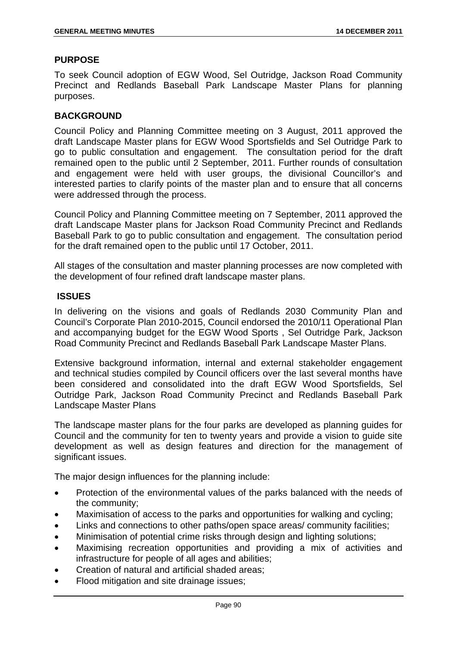### **PURPOSE**

To seek Council adoption of EGW Wood, Sel Outridge, Jackson Road Community Precinct and Redlands Baseball Park Landscape Master Plans for planning purposes.

### **BACKGROUND**

Council Policy and Planning Committee meeting on 3 August, 2011 approved the draft Landscape Master plans for EGW Wood Sportsfields and Sel Outridge Park to go to public consultation and engagement. The consultation period for the draft remained open to the public until 2 September, 2011. Further rounds of consultation and engagement were held with user groups, the divisional Councillor's and interested parties to clarify points of the master plan and to ensure that all concerns were addressed through the process.

Council Policy and Planning Committee meeting on 7 September, 2011 approved the draft Landscape Master plans for Jackson Road Community Precinct and Redlands Baseball Park to go to public consultation and engagement. The consultation period for the draft remained open to the public until 17 October, 2011.

All stages of the consultation and master planning processes are now completed with the development of four refined draft landscape master plans.

#### **ISSUES**

In delivering on the visions and goals of Redlands 2030 Community Plan and Council's Corporate Plan 2010-2015, Council endorsed the 2010/11 Operational Plan and accompanying budget for the EGW Wood Sports , Sel Outridge Park, Jackson Road Community Precinct and Redlands Baseball Park Landscape Master Plans.

Extensive background information, internal and external stakeholder engagement and technical studies compiled by Council officers over the last several months have been considered and consolidated into the draft EGW Wood Sportsfields, Sel Outridge Park, Jackson Road Community Precinct and Redlands Baseball Park Landscape Master Plans

The landscape master plans for the four parks are developed as planning guides for Council and the community for ten to twenty years and provide a vision to guide site development as well as design features and direction for the management of significant issues.

The major design influences for the planning include:

- Protection of the environmental values of the parks balanced with the needs of the community;
- Maximisation of access to the parks and opportunities for walking and cycling;
- Links and connections to other paths/open space areas/ community facilities;
- Minimisation of potential crime risks through design and lighting solutions;
- Maximising recreation opportunities and providing a mix of activities and infrastructure for people of all ages and abilities;
- Creation of natural and artificial shaded areas;
- Flood mitigation and site drainage issues;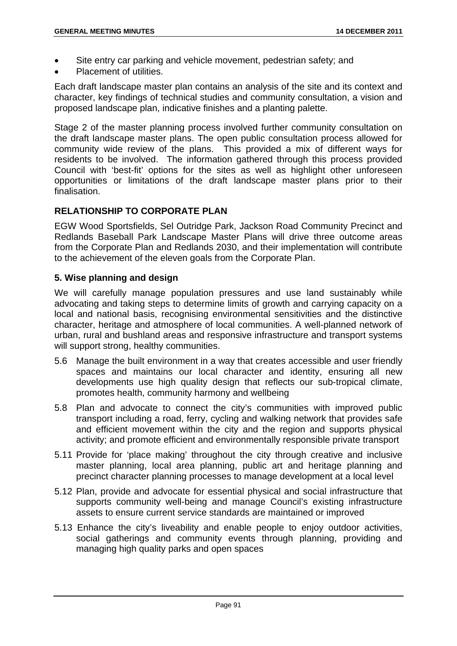- Site entry car parking and vehicle movement, pedestrian safety; and
- Placement of utilities.

Each draft landscape master plan contains an analysis of the site and its context and character, key findings of technical studies and community consultation, a vision and proposed landscape plan, indicative finishes and a planting palette.

Stage 2 of the master planning process involved further community consultation on the draft landscape master plans. The open public consultation process allowed for community wide review of the plans. This provided a mix of different ways for residents to be involved. The information gathered through this process provided Council with 'best-fit' options for the sites as well as highlight other unforeseen opportunities or limitations of the draft landscape master plans prior to their finalisation.

# **RELATIONSHIP TO CORPORATE PLAN**

EGW Wood Sportsfields, Sel Outridge Park, Jackson Road Community Precinct and Redlands Baseball Park Landscape Master Plans will drive three outcome areas from the Corporate Plan and Redlands 2030, and their implementation will contribute to the achievement of the eleven goals from the Corporate Plan.

# **5. Wise planning and design**

We will carefully manage population pressures and use land sustainably while advocating and taking steps to determine limits of growth and carrying capacity on a local and national basis, recognising environmental sensitivities and the distinctive character, heritage and atmosphere of local communities. A well-planned network of urban, rural and bushland areas and responsive infrastructure and transport systems will support strong, healthy communities.

- 5.6 Manage the built environment in a way that creates accessible and user friendly spaces and maintains our local character and identity, ensuring all new developments use high quality design that reflects our sub-tropical climate, promotes health, community harmony and wellbeing
- 5.8 Plan and advocate to connect the city's communities with improved public transport including a road, ferry, cycling and walking network that provides safe and efficient movement within the city and the region and supports physical activity; and promote efficient and environmentally responsible private transport
- 5.11 Provide for 'place making' throughout the city through creative and inclusive master planning, local area planning, public art and heritage planning and precinct character planning processes to manage development at a local level
- 5.12 Plan, provide and advocate for essential physical and social infrastructure that supports community well-being and manage Council's existing infrastructure assets to ensure current service standards are maintained or improved
- 5.13 Enhance the city's liveability and enable people to enjoy outdoor activities, social gatherings and community events through planning, providing and managing high quality parks and open spaces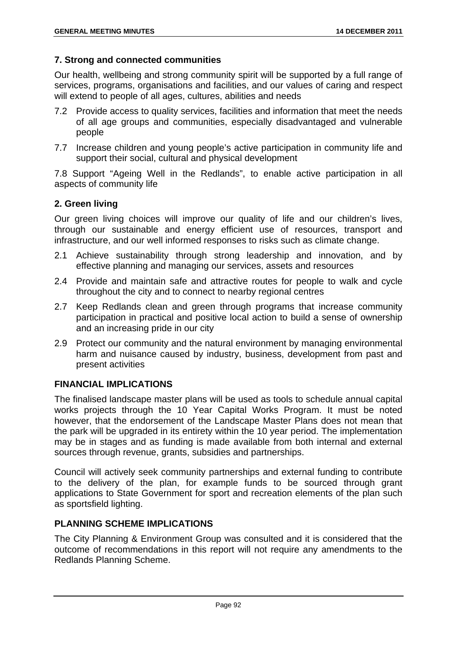# **7. Strong and connected communities**

Our health, wellbeing and strong community spirit will be supported by a full range of services, programs, organisations and facilities, and our values of caring and respect will extend to people of all ages, cultures, abilities and needs

- 7.2 Provide access to quality services, facilities and information that meet the needs of all age groups and communities, especially disadvantaged and vulnerable people
- 7.7 Increase children and young people's active participation in community life and support their social, cultural and physical development

7.8 Support "Ageing Well in the Redlands", to enable active participation in all aspects of community life

# **2. Green living**

Our green living choices will improve our quality of life and our children's lives, through our sustainable and energy efficient use of resources, transport and infrastructure, and our well informed responses to risks such as climate change.

- 2.1 Achieve sustainability through strong leadership and innovation, and by effective planning and managing our services, assets and resources
- 2.4 Provide and maintain safe and attractive routes for people to walk and cycle throughout the city and to connect to nearby regional centres
- 2.7 Keep Redlands clean and green through programs that increase community participation in practical and positive local action to build a sense of ownership and an increasing pride in our city
- 2.9 Protect our community and the natural environment by managing environmental harm and nuisance caused by industry, business, development from past and present activities

# **FINANCIAL IMPLICATIONS**

The finalised landscape master plans will be used as tools to schedule annual capital works projects through the 10 Year Capital Works Program. It must be noted however, that the endorsement of the Landscape Master Plans does not mean that the park will be upgraded in its entirety within the 10 year period. The implementation may be in stages and as funding is made available from both internal and external sources through revenue, grants, subsidies and partnerships.

Council will actively seek community partnerships and external funding to contribute to the delivery of the plan, for example funds to be sourced through grant applications to State Government for sport and recreation elements of the plan such as sportsfield lighting.

# **PLANNING SCHEME IMPLICATIONS**

The City Planning & Environment Group was consulted and it is considered that the outcome of recommendations in this report will not require any amendments to the Redlands Planning Scheme.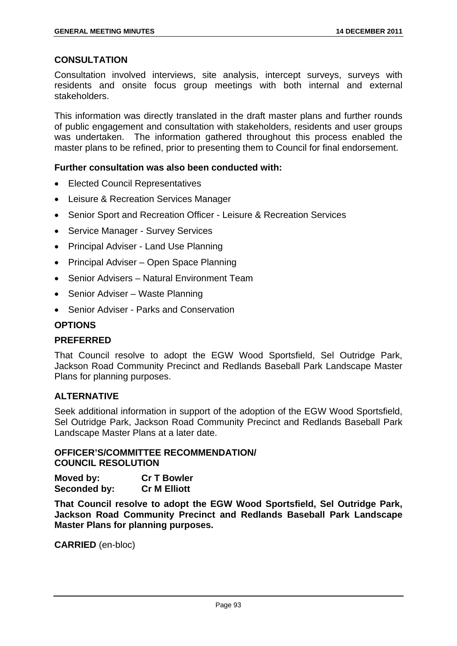# **CONSULTATION**

Consultation involved interviews, site analysis, intercept surveys, surveys with residents and onsite focus group meetings with both internal and external stakeholders.

This information was directly translated in the draft master plans and further rounds of public engagement and consultation with stakeholders, residents and user groups was undertaken. The information gathered throughout this process enabled the master plans to be refined, prior to presenting them to Council for final endorsement.

### **Further consultation was also been conducted with:**

- Elected Council Representatives
- Leisure & Recreation Services Manager
- Senior Sport and Recreation Officer Leisure & Recreation Services
- Service Manager Survey Services
- Principal Adviser Land Use Planning
- Principal Adviser Open Space Planning
- Senior Advisers Natural Environment Team
- Senior Adviser Waste Planning
- Senior Adviser Parks and Conservation

# **OPTIONS**

#### **PREFERRED**

That Council resolve to adopt the EGW Wood Sportsfield, Sel Outridge Park, Jackson Road Community Precinct and Redlands Baseball Park Landscape Master Plans for planning purposes.

#### **ALTERNATIVE**

Seek additional information in support of the adoption of the EGW Wood Sportsfield, Sel Outridge Park, Jackson Road Community Precinct and Redlands Baseball Park Landscape Master Plans at a later date.

# **OFFICER'S/COMMITTEE RECOMMENDATION/ COUNCIL RESOLUTION**

**Moved by: Cr T Bowler Seconded by: Cr M Elliott** 

**That Council resolve to adopt the EGW Wood Sportsfield, Sel Outridge Park, Jackson Road Community Precinct and Redlands Baseball Park Landscape Master Plans for planning purposes.**

**CARRIED** (en-bloc)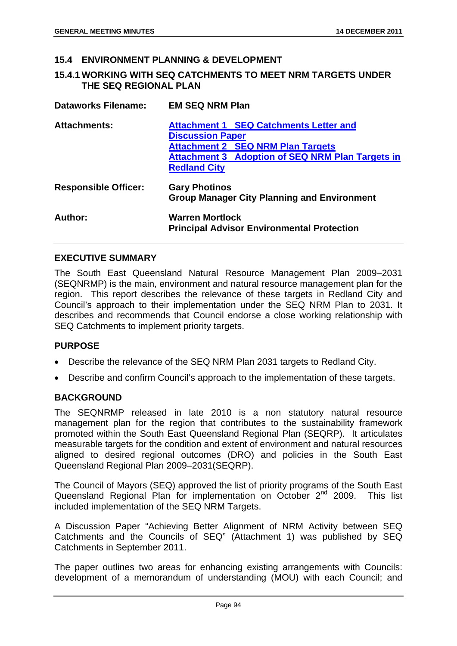#### **15.4 ENVIRONMENT PLANNING & DEVELOPMENT**

#### **15.4.1 WORKING WITH SEQ CATCHMENTS TO MEET NRM TARGETS UNDER THE SEQ REGIONAL PLAN**

| <b>Dataworks Filename:</b>  | <b>EM SEQ NRM Plan</b>                                                      |  |
|-----------------------------|-----------------------------------------------------------------------------|--|
| <b>Attachments:</b>         | <b>Attachment 1 SEQ Catchments Letter and</b>                               |  |
|                             | <b>Discussion Paper</b>                                                     |  |
|                             | <b>Attachment 2 SEQ NRM Plan Targets</b>                                    |  |
|                             | <b>Attachment 3 Adoption of SEQ NRM Plan Targets in</b>                     |  |
|                             | <b>Redland City</b>                                                         |  |
| <b>Responsible Officer:</b> | <b>Gary Photinos</b><br><b>Group Manager City Planning and Environment</b>  |  |
| Author:                     | <b>Warren Mortlock</b><br><b>Principal Advisor Environmental Protection</b> |  |

#### **EXECUTIVE SUMMARY**

The South East Queensland Natural Resource Management Plan 2009–2031 (SEQNRMP) is the main, environment and natural resource management plan for the region. This report describes the relevance of these targets in Redland City and Council's approach to their implementation under the SEQ NRM Plan to 2031. It describes and recommends that Council endorse a close working relationship with SEQ Catchments to implement priority targets.

#### **PURPOSE**

- Describe the relevance of the SEQ NRM Plan 2031 targets to Redland City.
- Describe and confirm Council's approach to the implementation of these targets.

#### **BACKGROUND**

The SEQNRMP released in late 2010 is a non statutory natural resource management plan for the region that contributes to the sustainability framework promoted within the South East Queensland Regional Plan (SEQRP). It articulates measurable targets for the condition and extent of environment and natural resources aligned to desired regional outcomes (DRO) and policies in the South East Queensland Regional Plan 2009–2031(SEQRP).

The Council of Mayors (SEQ) approved the list of priority programs of the South East Queensland Regional Plan for implementation on October 2<sup>nd</sup> 2009. This list included implementation of the SEQ NRM Targets.

A Discussion Paper "Achieving Better Alignment of NRM Activity between SEQ Catchments and the Councils of SEQ" (Attachment 1) was published by SEQ Catchments in September 2011.

The paper outlines two areas for enhancing existing arrangements with Councils: development of a memorandum of understanding (MOU) with each Council; and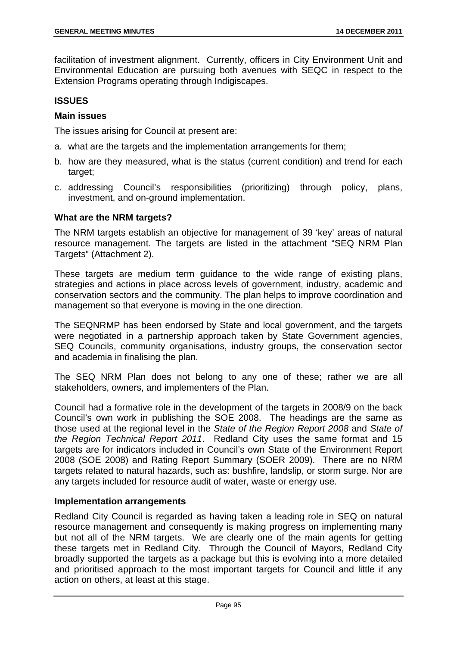facilitation of investment alignment. Currently, officers in City Environment Unit and Environmental Education are pursuing both avenues with SEQC in respect to the Extension Programs operating through Indigiscapes.

# **ISSUES**

# **Main issues**

The issues arising for Council at present are:

- a. what are the targets and the implementation arrangements for them;
- b. how are they measured, what is the status (current condition) and trend for each target;
- c. addressing Council's responsibilities (prioritizing) through policy, plans, investment, and on-ground implementation.

### **What are the NRM targets?**

The NRM targets establish an objective for management of 39 'key' areas of natural resource management. The targets are listed in the attachment "SEQ NRM Plan Targets" (Attachment 2).

These targets are medium term guidance to the wide range of existing plans, strategies and actions in place across levels of government, industry, academic and conservation sectors and the community. The plan helps to improve coordination and management so that everyone is moving in the one direction.

The SEQNRMP has been endorsed by State and local government, and the targets were negotiated in a partnership approach taken by State Government agencies, SEQ Councils, community organisations, industry groups, the conservation sector and academia in finalising the plan.

The SEQ NRM Plan does not belong to any one of these; rather we are all stakeholders, owners, and implementers of the Plan.

Council had a formative role in the development of the targets in 2008/9 on the back Council's own work in publishing the SOE 2008. The headings are the same as those used at the regional level in the *State of the Region Report 2008* and *State of the Region Technical Report 2011*. Redland City uses the same format and 15 targets are for indicators included in Council's own State of the Environment Report 2008 (SOE 2008) and Rating Report Summary (SOER 2009). There are no NRM targets related to natural hazards, such as: bushfire, landslip, or storm surge. Nor are any targets included for resource audit of water, waste or energy use.

# **Implementation arrangements**

Redland City Council is regarded as having taken a leading role in SEQ on natural resource management and consequently is making progress on implementing many but not all of the NRM targets. We are clearly one of the main agents for getting these targets met in Redland City. Through the Council of Mayors, Redland City broadly supported the targets as a package but this is evolving into a more detailed and prioritised approach to the most important targets for Council and little if any action on others, at least at this stage.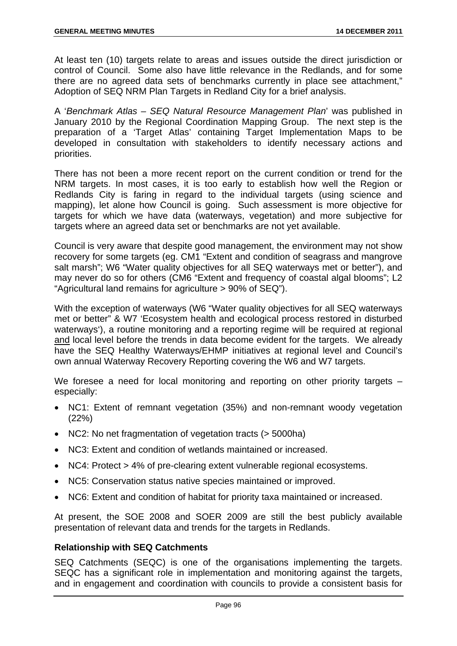At least ten (10) targets relate to areas and issues outside the direct jurisdiction or control of Council. Some also have little relevance in the Redlands, and for some there are no agreed data sets of benchmarks currently in place see attachment," Adoption of SEQ NRM Plan Targets in Redland City for a brief analysis.

A '*Benchmark Atlas – SEQ Natural Resource Management Plan*' was published in January 2010 by the Regional Coordination Mapping Group. The next step is the preparation of a 'Target Atlas' containing Target Implementation Maps to be developed in consultation with stakeholders to identify necessary actions and priorities.

There has not been a more recent report on the current condition or trend for the NRM targets. In most cases, it is too early to establish how well the Region or Redlands City is faring in regard to the individual targets (using science and mapping), let alone how Council is going. Such assessment is more objective for targets for which we have data (waterways, vegetation) and more subjective for targets where an agreed data set or benchmarks are not yet available.

Council is very aware that despite good management, the environment may not show recovery for some targets (eg. CM1 "Extent and condition of seagrass and mangrove salt marsh"; W6 "Water quality objectives for all SEQ waterways met or better"), and may never do so for others (CM6 "Extent and frequency of coastal algal blooms"; L2 "Agricultural land remains for agriculture > 90% of SEQ").

With the exception of waterways (W6 "Water quality objectives for all SEQ waterways met or better" & W7 'Ecosystem health and ecological process restored in disturbed waterways'), a routine monitoring and a reporting regime will be required at regional and local level before the trends in data become evident for the targets. We already have the SEQ Healthy Waterways/EHMP initiatives at regional level and Council's own annual Waterway Recovery Reporting covering the W6 and W7 targets.

We foresee a need for local monitoring and reporting on other priority targets – especially:

- NC1: Extent of remnant vegetation (35%) and non-remnant woody vegetation (22%)
- NC2: No net fragmentation of vegetation tracts (> 5000ha)
- NC3: Extent and condition of wetlands maintained or increased.
- NC4: Protect > 4% of pre-clearing extent vulnerable regional ecosystems.
- NC5: Conservation status native species maintained or improved.
- NC6: Extent and condition of habitat for priority taxa maintained or increased.

At present, the SOE 2008 and SOER 2009 are still the best publicly available presentation of relevant data and trends for the targets in Redlands.

# **Relationship with SEQ Catchments**

SEQ Catchments (SEQC) is one of the organisations implementing the targets. SEQC has a significant role in implementation and monitoring against the targets, and in engagement and coordination with councils to provide a consistent basis for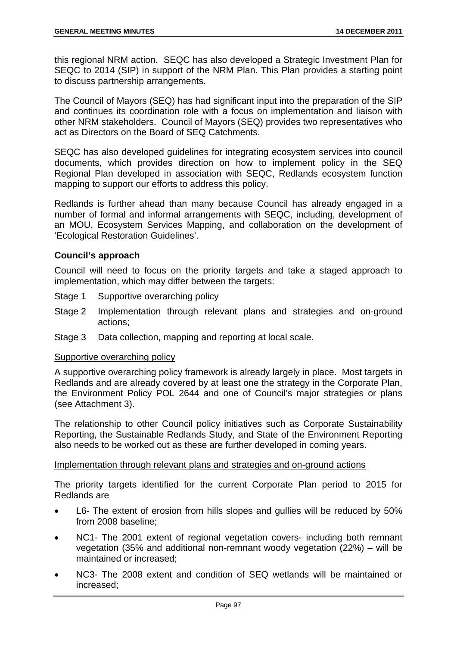this regional NRM action. SEQC has also developed a Strategic Investment Plan for SEQC to 2014 (SIP) in support of the NRM Plan. This Plan provides a starting point to discuss partnership arrangements.

The Council of Mayors (SEQ) has had significant input into the preparation of the SIP and continues its coordination role with a focus on implementation and liaison with other NRM stakeholders. Council of Mayors (SEQ) provides two representatives who act as Directors on the Board of SEQ Catchments.

SEQC has also developed guidelines for integrating ecosystem services into council documents, which provides direction on how to implement policy in the SEQ Regional Plan developed in association with SEQC, Redlands ecosystem function mapping to support our efforts to address this policy.

Redlands is further ahead than many because Council has already engaged in a number of formal and informal arrangements with SEQC, including, development of an MOU, Ecosystem Services Mapping, and collaboration on the development of 'Ecological Restoration Guidelines'.

# **Council's approach**

Council will need to focus on the priority targets and take a staged approach to implementation, which may differ between the targets:

- Stage 1 Supportive overarching policy
- Stage 2 Implementation through relevant plans and strategies and on-ground actions;
- Stage 3 Data collection, mapping and reporting at local scale.

#### Supportive overarching policy

A supportive overarching policy framework is already largely in place. Most targets in Redlands and are already covered by at least one the strategy in the Corporate Plan, the Environment Policy POL 2644 and one of Council's major strategies or plans (see Attachment 3).

The relationship to other Council policy initiatives such as Corporate Sustainability Reporting, the Sustainable Redlands Study, and State of the Environment Reporting also needs to be worked out as these are further developed in coming years.

#### Implementation through relevant plans and strategies and on-ground actions

The priority targets identified for the current Corporate Plan period to 2015 for Redlands are

- L6- The extent of erosion from hills slopes and gullies will be reduced by 50% from 2008 baseline;
- NC1- The 2001 extent of regional vegetation covers- including both remnant vegetation (35% and additional non-remnant woody vegetation (22%) – will be maintained or increased;
- NC3- The 2008 extent and condition of SEQ wetlands will be maintained or increased;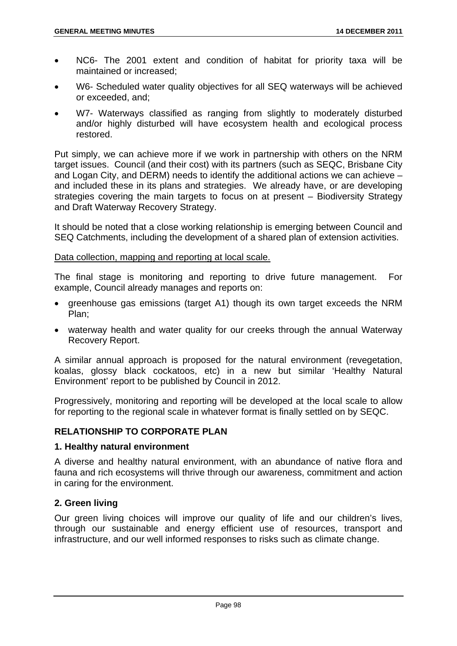- NC6- The 2001 extent and condition of habitat for priority taxa will be maintained or increased;
- W6- Scheduled water quality objectives for all SEQ waterways will be achieved or exceeded, and;
- W7- Waterways classified as ranging from slightly to moderately disturbed and/or highly disturbed will have ecosystem health and ecological process restored.

Put simply, we can achieve more if we work in partnership with others on the NRM target issues. Council (and their cost) with its partners (such as SEQC, Brisbane City and Logan City, and DERM) needs to identify the additional actions we can achieve – and included these in its plans and strategies. We already have, or are developing strategies covering the main targets to focus on at present – Biodiversity Strategy and Draft Waterway Recovery Strategy.

It should be noted that a close working relationship is emerging between Council and SEQ Catchments, including the development of a shared plan of extension activities.

# Data collection, mapping and reporting at local scale.

The final stage is monitoring and reporting to drive future management. For example, Council already manages and reports on:

- greenhouse gas emissions (target A1) though its own target exceeds the NRM Plan;
- waterway health and water quality for our creeks through the annual Waterway Recovery Report.

A similar annual approach is proposed for the natural environment (revegetation, koalas, glossy black cockatoos, etc) in a new but similar 'Healthy Natural Environment' report to be published by Council in 2012.

Progressively, monitoring and reporting will be developed at the local scale to allow for reporting to the regional scale in whatever format is finally settled on by SEQC.

# **RELATIONSHIP TO CORPORATE PLAN**

# **1. Healthy natural environment**

A diverse and healthy natural environment, with an abundance of native flora and fauna and rich ecosystems will thrive through our awareness, commitment and action in caring for the environment.

# **2. Green living**

Our green living choices will improve our quality of life and our children's lives, through our sustainable and energy efficient use of resources, transport and infrastructure, and our well informed responses to risks such as climate change.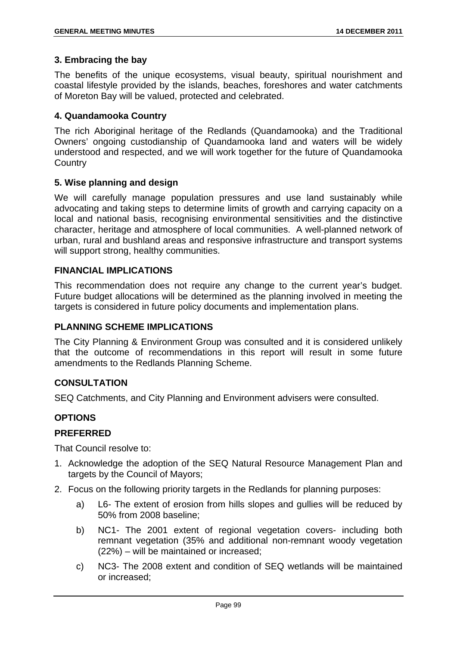### **3. Embracing the bay**

The benefits of the unique ecosystems, visual beauty, spiritual nourishment and coastal lifestyle provided by the islands, beaches, foreshores and water catchments of Moreton Bay will be valued, protected and celebrated.

### **4. Quandamooka Country**

The rich Aboriginal heritage of the Redlands (Quandamooka) and the Traditional Owners' ongoing custodianship of Quandamooka land and waters will be widely understood and respected, and we will work together for the future of Quandamooka **Country** 

### **5. Wise planning and design**

We will carefully manage population pressures and use land sustainably while advocating and taking steps to determine limits of growth and carrying capacity on a local and national basis, recognising environmental sensitivities and the distinctive character, heritage and atmosphere of local communities. A well-planned network of urban, rural and bushland areas and responsive infrastructure and transport systems will support strong, healthy communities.

### **FINANCIAL IMPLICATIONS**

This recommendation does not require any change to the current year's budget. Future budget allocations will be determined as the planning involved in meeting the targets is considered in future policy documents and implementation plans.

### **PLANNING SCHEME IMPLICATIONS**

The City Planning & Environment Group was consulted and it is considered unlikely that the outcome of recommendations in this report will result in some future amendments to the Redlands Planning Scheme.

# **CONSULTATION**

SEQ Catchments, and City Planning and Environment advisers were consulted.

# **OPTIONS**

#### **PREFERRED**

That Council resolve to:

- 1. Acknowledge the adoption of the SEQ Natural Resource Management Plan and targets by the Council of Mayors;
- 2. Focus on the following priority targets in the Redlands for planning purposes:
	- a) L6- The extent of erosion from hills slopes and gullies will be reduced by 50% from 2008 baseline;
	- b) NC1- The 2001 extent of regional vegetation covers- including both remnant vegetation (35% and additional non-remnant woody vegetation (22%) – will be maintained or increased;
	- c) NC3- The 2008 extent and condition of SEQ wetlands will be maintained or increased;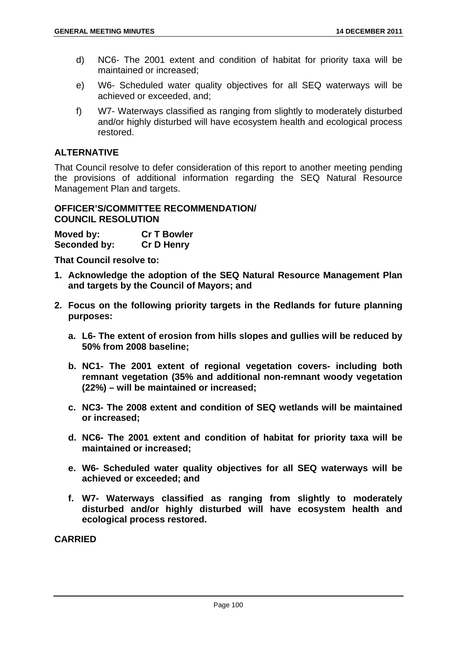- d) NC6- The 2001 extent and condition of habitat for priority taxa will be maintained or increased;
- e) W6- Scheduled water quality objectives for all SEQ waterways will be achieved or exceeded, and;
- f) W7- Waterways classified as ranging from slightly to moderately disturbed and/or highly disturbed will have ecosystem health and ecological process restored.

# **ALTERNATIVE**

That Council resolve to defer consideration of this report to another meeting pending the provisions of additional information regarding the SEQ Natural Resource Management Plan and targets.

### **OFFICER'S/COMMITTEE RECOMMENDATION/ COUNCIL RESOLUTION**

**Moved by: Cr T Bowler Seconded by: Cr D Henry** 

**That Council resolve to:** 

- **1. Acknowledge the adoption of the SEQ Natural Resource Management Plan and targets by the Council of Mayors; and**
- **2. Focus on the following priority targets in the Redlands for future planning purposes:** 
	- **a. L6- The extent of erosion from hills slopes and gullies will be reduced by 50% from 2008 baseline;**
	- **b. NC1- The 2001 extent of regional vegetation covers- including both remnant vegetation (35% and additional non-remnant woody vegetation (22%) – will be maintained or increased;**
	- **c. NC3- The 2008 extent and condition of SEQ wetlands will be maintained or increased;**
	- **d. NC6- The 2001 extent and condition of habitat for priority taxa will be maintained or increased;**
	- **e. W6- Scheduled water quality objectives for all SEQ waterways will be achieved or exceeded; and**
	- **f. W7- Waterways classified as ranging from slightly to moderately disturbed and/or highly disturbed will have ecosystem health and ecological process restored.**

**CARRIED**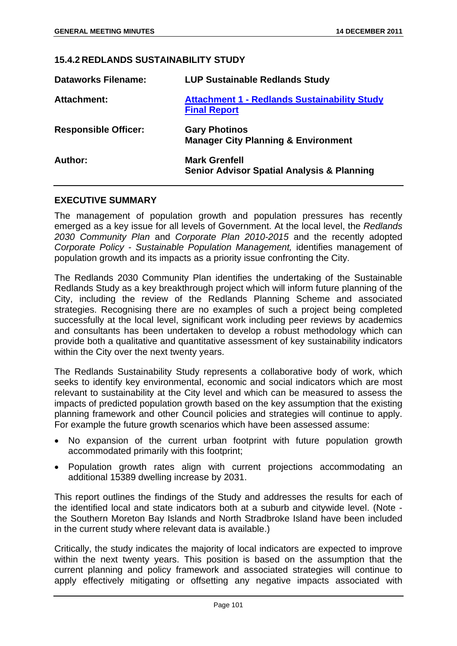#### **15.4.2 REDLANDS SUSTAINABILITY STUDY**

| <b>Dataworks Filename:</b>  | <b>LUP Sustainable Redlands Study</b>                                         |
|-----------------------------|-------------------------------------------------------------------------------|
| <b>Attachment:</b>          | <b>Attachment 1 - Redlands Sustainability Study</b><br><b>Final Report</b>    |
| <b>Responsible Officer:</b> | <b>Gary Photinos</b><br><b>Manager City Planning &amp; Environment</b>        |
| Author:                     | <b>Mark Grenfell</b><br><b>Senior Advisor Spatial Analysis &amp; Planning</b> |

### **EXECUTIVE SUMMARY**

The management of population growth and population pressures has recently emerged as a key issue for all levels of Government. At the local level, the *Redlands 2030 Community Plan* and *Corporate Plan 2010-2015* and the recently adopted *Corporate Policy - Sustainable Population Management,* identifies management of population growth and its impacts as a priority issue confronting the City.

The Redlands 2030 Community Plan identifies the undertaking of the Sustainable Redlands Study as a key breakthrough project which will inform future planning of the City, including the review of the Redlands Planning Scheme and associated strategies. Recognising there are no examples of such a project being completed successfully at the local level, significant work including peer reviews by academics and consultants has been undertaken to develop a robust methodology which can provide both a qualitative and quantitative assessment of key sustainability indicators within the City over the next twenty years.

The Redlands Sustainability Study represents a collaborative body of work, which seeks to identify key environmental, economic and social indicators which are most relevant to sustainability at the City level and which can be measured to assess the impacts of predicted population growth based on the key assumption that the existing planning framework and other Council policies and strategies will continue to apply. For example the future growth scenarios which have been assessed assume:

- No expansion of the current urban footprint with future population growth accommodated primarily with this footprint;
- Population growth rates align with current projections accommodating an additional 15389 dwelling increase by 2031.

This report outlines the findings of the Study and addresses the results for each of the identified local and state indicators both at a suburb and citywide level. (Note the Southern Moreton Bay Islands and North Stradbroke Island have been included in the current study where relevant data is available.)

Critically, the study indicates the majority of local indicators are expected to improve within the next twenty years. This position is based on the assumption that the current planning and policy framework and associated strategies will continue to apply effectively mitigating or offsetting any negative impacts associated with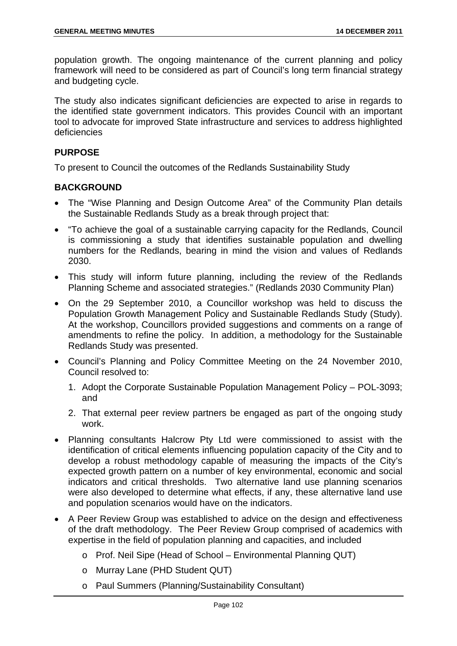population growth. The ongoing maintenance of the current planning and policy framework will need to be considered as part of Council's long term financial strategy and budgeting cycle.

The study also indicates significant deficiencies are expected to arise in regards to the identified state government indicators. This provides Council with an important tool to advocate for improved State infrastructure and services to address highlighted deficiencies

### **PURPOSE**

To present to Council the outcomes of the Redlands Sustainability Study

### **BACKGROUND**

- The "Wise Planning and Design Outcome Area" of the Community Plan details the Sustainable Redlands Study as a break through project that:
- "To achieve the goal of a sustainable carrying capacity for the Redlands, Council is commissioning a study that identifies sustainable population and dwelling numbers for the Redlands, bearing in mind the vision and values of Redlands 2030.
- This study will inform future planning, including the review of the Redlands Planning Scheme and associated strategies." (Redlands 2030 Community Plan)
- On the 29 September 2010, a Councillor workshop was held to discuss the Population Growth Management Policy and Sustainable Redlands Study (Study). At the workshop, Councillors provided suggestions and comments on a range of amendments to refine the policy. In addition, a methodology for the Sustainable Redlands Study was presented.
- Council's Planning and Policy Committee Meeting on the 24 November 2010, Council resolved to:
	- 1. Adopt the Corporate Sustainable Population Management Policy POL-3093; and
	- 2. That external peer review partners be engaged as part of the ongoing study work.
- Planning consultants Halcrow Pty Ltd were commissioned to assist with the identification of critical elements influencing population capacity of the City and to develop a robust methodology capable of measuring the impacts of the City's expected growth pattern on a number of key environmental, economic and social indicators and critical thresholds. Two alternative land use planning scenarios were also developed to determine what effects, if any, these alternative land use and population scenarios would have on the indicators.
- A Peer Review Group was established to advice on the design and effectiveness of the draft methodology. The Peer Review Group comprised of academics with expertise in the field of population planning and capacities, and included
	- o Prof. Neil Sipe (Head of School Environmental Planning QUT)
	- o Murray Lane (PHD Student QUT)
	- o Paul Summers (Planning/Sustainability Consultant)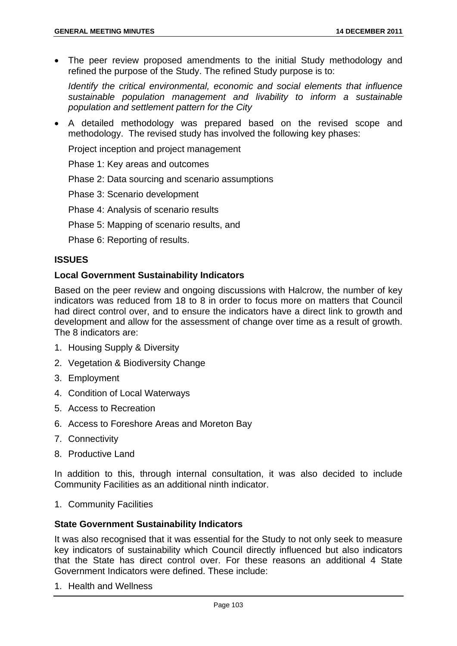The peer review proposed amendments to the initial Study methodology and refined the purpose of the Study. The refined Study purpose is to:

*Identify the critical environmental, economic and social elements that influence sustainable population management and livability to inform a sustainable population and settlement pattern for the City* 

 A detailed methodology was prepared based on the revised scope and methodology. The revised study has involved the following key phases:

Project inception and project management

Phase 1: Key areas and outcomes

Phase 2: Data sourcing and scenario assumptions

Phase 3: Scenario development

Phase 4: Analysis of scenario results

Phase 5: Mapping of scenario results, and

Phase 6: Reporting of results.

## **ISSUES**

#### **Local Government Sustainability Indicators**

Based on the peer review and ongoing discussions with Halcrow, the number of key indicators was reduced from 18 to 8 in order to focus more on matters that Council had direct control over, and to ensure the indicators have a direct link to growth and development and allow for the assessment of change over time as a result of growth. The 8 indicators are:

- 1. Housing Supply & Diversity
- 2. Vegetation & Biodiversity Change
- 3. Employment
- 4. Condition of Local Waterways
- 5. Access to Recreation
- 6. Access to Foreshore Areas and Moreton Bay
- 7. Connectivity
- 8. Productive Land

In addition to this, through internal consultation, it was also decided to include Community Facilities as an additional ninth indicator.

1. Community Facilities

#### **State Government Sustainability Indicators**

It was also recognised that it was essential for the Study to not only seek to measure key indicators of sustainability which Council directly influenced but also indicators that the State has direct control over. For these reasons an additional 4 State Government Indicators were defined. These include:

1. Health and Wellness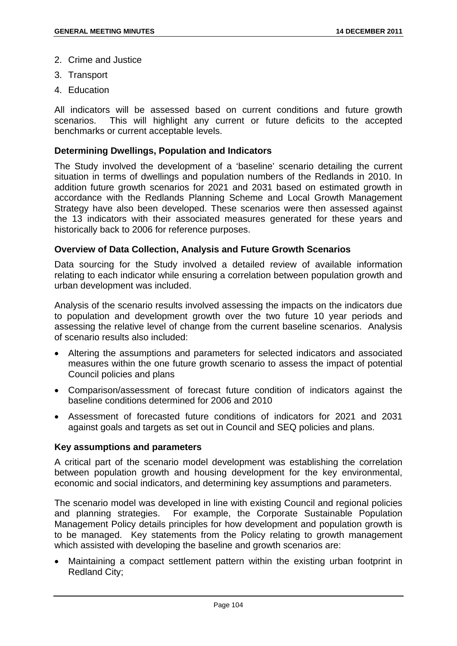- 2. Crime and Justice
- 3. Transport
- 4. Education

All indicators will be assessed based on current conditions and future growth scenarios. This will highlight any current or future deficits to the accepted benchmarks or current acceptable levels.

## **Determining Dwellings, Population and Indicators**

The Study involved the development of a 'baseline' scenario detailing the current situation in terms of dwellings and population numbers of the Redlands in 2010. In addition future growth scenarios for 2021 and 2031 based on estimated growth in accordance with the Redlands Planning Scheme and Local Growth Management Strategy have also been developed. These scenarios were then assessed against the 13 indicators with their associated measures generated for these years and historically back to 2006 for reference purposes.

## **Overview of Data Collection, Analysis and Future Growth Scenarios**

Data sourcing for the Study involved a detailed review of available information relating to each indicator while ensuring a correlation between population growth and urban development was included.

Analysis of the scenario results involved assessing the impacts on the indicators due to population and development growth over the two future 10 year periods and assessing the relative level of change from the current baseline scenarios. Analysis of scenario results also included:

- Altering the assumptions and parameters for selected indicators and associated measures within the one future growth scenario to assess the impact of potential Council policies and plans
- Comparison/assessment of forecast future condition of indicators against the baseline conditions determined for 2006 and 2010
- Assessment of forecasted future conditions of indicators for 2021 and 2031 against goals and targets as set out in Council and SEQ policies and plans.

#### **Key assumptions and parameters**

A critical part of the scenario model development was establishing the correlation between population growth and housing development for the key environmental, economic and social indicators, and determining key assumptions and parameters.

The scenario model was developed in line with existing Council and regional policies and planning strategies. For example, the Corporate Sustainable Population Management Policy details principles for how development and population growth is to be managed. Key statements from the Policy relating to growth management which assisted with developing the baseline and growth scenarios are:

 Maintaining a compact settlement pattern within the existing urban footprint in Redland City;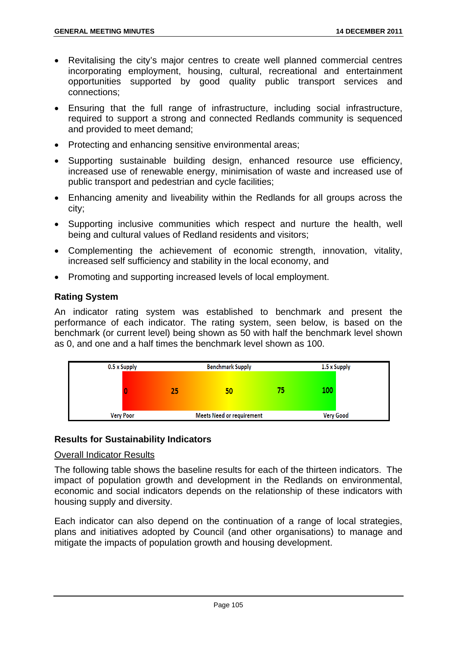- Revitalising the city's major centres to create well planned commercial centres incorporating employment, housing, cultural, recreational and entertainment opportunities supported by good quality public transport services and connections;
- Ensuring that the full range of infrastructure, including social infrastructure, required to support a strong and connected Redlands community is sequenced and provided to meet demand;
- Protecting and enhancing sensitive environmental areas:
- Supporting sustainable building design, enhanced resource use efficiency, increased use of renewable energy, minimisation of waste and increased use of public transport and pedestrian and cycle facilities;
- Enhancing amenity and liveability within the Redlands for all groups across the city;
- Supporting inclusive communities which respect and nurture the health, well being and cultural values of Redland residents and visitors;
- Complementing the achievement of economic strength, innovation, vitality, increased self sufficiency and stability in the local economy, and
- Promoting and supporting increased levels of local employment.

## **Rating System**

An indicator rating system was established to benchmark and present the performance of each indicator. The rating system, seen below, is based on the benchmark (or current level) being shown as 50 with half the benchmark level shown as 0, and one and a half times the benchmark level shown as 100.



## **Results for Sustainability Indicators**

#### Overall Indicator Results

The following table shows the baseline results for each of the thirteen indicators. The impact of population growth and development in the Redlands on environmental, economic and social indicators depends on the relationship of these indicators with housing supply and diversity.

Each indicator can also depend on the continuation of a range of local strategies, plans and initiatives adopted by Council (and other organisations) to manage and mitigate the impacts of population growth and housing development.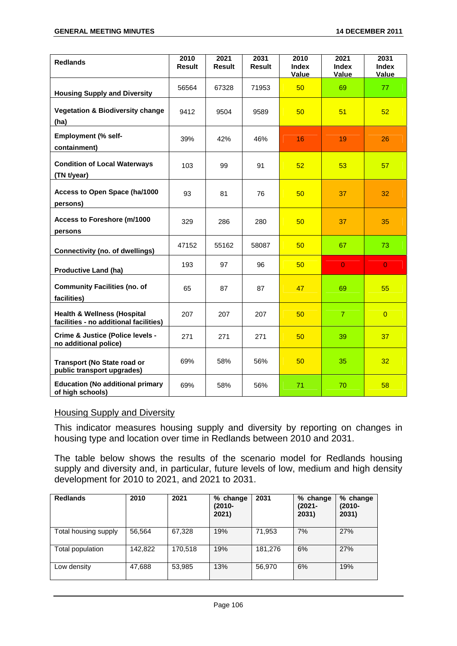| <b>Redlands</b>                                                                  | 2010<br><b>Result</b> | 2021<br><b>Result</b> | 2031<br><b>Result</b> | 2010<br><b>Index</b><br>Value | 2021<br><b>Index</b><br>Value | 2031<br><b>Index</b><br>Value |
|----------------------------------------------------------------------------------|-----------------------|-----------------------|-----------------------|-------------------------------|-------------------------------|-------------------------------|
| <b>Housing Supply and Diversity</b>                                              | 56564                 | 67328                 | 71953                 | 50                            | 69                            | 77                            |
| <b>Vegetation &amp; Biodiversity change</b><br>(ha)                              | 9412                  | 9504                  | 9589                  | 50                            | 51                            | 52                            |
| <b>Employment (% self-</b><br>containment)                                       | 39%                   | 42%                   | 46%                   | 16                            | 19                            | 26                            |
| <b>Condition of Local Waterways</b><br>(TN t/year)                               | 103                   | 99                    | 91                    | 52                            | 53                            | 57                            |
| Access to Open Space (ha/1000<br>persons)                                        | 93                    | 81                    | 76                    | 50                            | 37                            | 32                            |
| Access to Foreshore (m/1000<br>persons                                           | 329                   | 286                   | 280                   | 50                            | 37                            | 35                            |
| <b>Connectivity (no. of dwellings)</b>                                           | 47152                 | 55162                 | 58087                 | 50                            | 67                            | 73                            |
| <b>Productive Land (ha)</b>                                                      | 193                   | 97                    | 96                    | 50                            | $\overline{0}$                | $\overline{0}$                |
| <b>Community Facilities (no. of</b><br>facilities)                               | 65                    | 87                    | 87                    | 47                            | 69                            | 55                            |
| <b>Health &amp; Wellness (Hospital</b><br>facilities - no additional facilities) | 207                   | 207                   | 207                   | 50                            | $\overline{7}$                | $\overline{0}$                |
| Crime & Justice (Police levels -<br>no additional police)                        | 271                   | 271                   | 271                   | 50                            | 39                            | 37                            |
| <b>Transport (No State road or</b><br>public transport upgrades)                 | 69%                   | 58%                   | 56%                   | 50                            | 35                            | 32                            |
| <b>Education (No additional primary</b><br>of high schools)                      | 69%                   | 58%                   | 56%                   | 71                            | 70                            | 58                            |

#### Housing Supply and Diversity

This indicator measures housing supply and diversity by reporting on changes in housing type and location over time in Redlands between 2010 and 2031.

The table below shows the results of the scenario model for Redlands housing supply and diversity and, in particular, future levels of low, medium and high density development for 2010 to 2021, and 2021 to 2031.

| <b>Redlands</b>      | 2010    | 2021    | % change<br>$(2010 -$<br>2021) | 2031    | % change<br>(2021-<br>2031) | % change<br>$(2010 -$<br>2031) |
|----------------------|---------|---------|--------------------------------|---------|-----------------------------|--------------------------------|
| Total housing supply | 56,564  | 67,328  | 19%                            | 71,953  | 7%                          | 27%                            |
| Total population     | 142,822 | 170.518 | 19%                            | 181,276 | 6%                          | 27%                            |
| Low density          | 47,688  | 53,985  | 13%                            | 56.970  | 6%                          | 19%                            |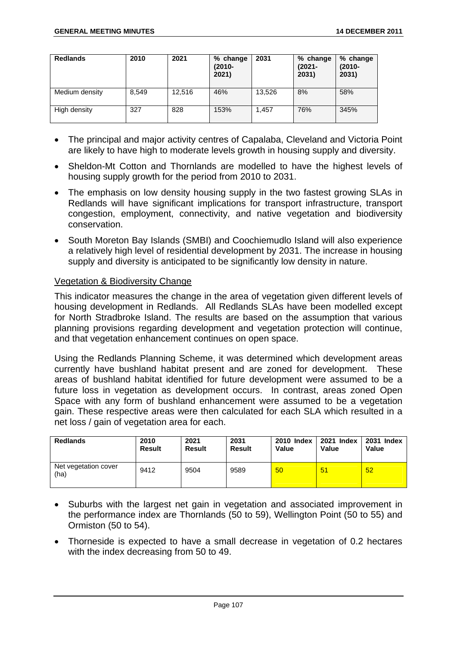| <b>Redlands</b> | 2010  | 2021   | % change<br>$(2010 -$<br>2021) | 2031   | % change<br>$(2021 -$<br>2031) | % change<br>$(2010 -$<br>2031) |
|-----------------|-------|--------|--------------------------------|--------|--------------------------------|--------------------------------|
| Medium density  | 8.549 | 12,516 | 46%                            | 13.526 | 8%                             | 58%                            |
| High density    | 327   | 828    | 153%                           | 1.457  | 76%                            | 345%                           |

- The principal and major activity centres of Capalaba, Cleveland and Victoria Point are likely to have high to moderate levels growth in housing supply and diversity.
- Sheldon-Mt Cotton and Thornlands are modelled to have the highest levels of housing supply growth for the period from 2010 to 2031.
- The emphasis on low density housing supply in the two fastest growing SLAs in Redlands will have significant implications for transport infrastructure, transport congestion, employment, connectivity, and native vegetation and biodiversity conservation.
- South Moreton Bay Islands (SMBI) and Coochiemudlo Island will also experience a relatively high level of residential development by 2031. The increase in housing supply and diversity is anticipated to be significantly low density in nature.

## Vegetation & Biodiversity Change

This indicator measures the change in the area of vegetation given different levels of housing development in Redlands. All Redlands SLAs have been modelled except for North Stradbroke Island. The results are based on the assumption that various planning provisions regarding development and vegetation protection will continue, and that vegetation enhancement continues on open space.

Using the Redlands Planning Scheme, it was determined which development areas currently have bushland habitat present and are zoned for development. These areas of bushland habitat identified for future development were assumed to be a future loss in vegetation as development occurs. In contrast, areas zoned Open Space with any form of bushland enhancement were assumed to be a vegetation gain. These respective areas were then calculated for each SLA which resulted in a net loss / gain of vegetation area for each.

| <b>Redlands</b>              | 2010   | 2021   | 2031   | 2010 Index | 2021 Index | 2031 Index |
|------------------------------|--------|--------|--------|------------|------------|------------|
|                              | Result | Result | Result | Value      | Value      | Value      |
| Net vegetation cover<br>(ha) | 9412   | 9504   | 9589   | 50         | 51         | 52         |

- Suburbs with the largest net gain in vegetation and associated improvement in the performance index are Thornlands (50 to 59), Wellington Point (50 to 55) and Ormiston (50 to 54).
- Thorneside is expected to have a small decrease in vegetation of 0.2 hectares with the index decreasing from 50 to 49.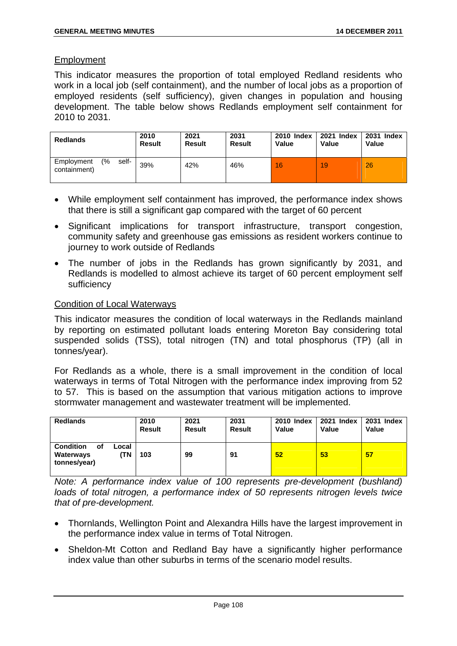## Employment

This indicator measures the proportion of total employed Redland residents who work in a local job (self containment), and the number of local jobs as a proportion of employed residents (self sufficiency), given changes in population and housing development. The table below shows Redlands employment self containment for 2010 to 2031.

| <b>Redlands</b>                                      | 2010   | 2021          | 2031          | <b>2010 Index</b> | 2021 Index | 2031 Index |
|------------------------------------------------------|--------|---------------|---------------|-------------------|------------|------------|
|                                                      | Result | <b>Result</b> | <b>Result</b> | Value             | Value      | Value      |
| $\frac{6}{6}$<br>self-<br>Employment<br>containment) | 39%    | 42%           | 46%           | 16                | 19         | 26         |

- While employment self containment has improved, the performance index shows that there is still a significant gap compared with the target of 60 percent
- Significant implications for transport infrastructure, transport congestion, community safety and greenhouse gas emissions as resident workers continue to journey to work outside of Redlands
- The number of jobs in the Redlands has grown significantly by 2031, and Redlands is modelled to almost achieve its target of 60 percent employment self sufficiency

## Condition of Local Waterways

This indicator measures the condition of local waterways in the Redlands mainland by reporting on estimated pollutant loads entering Moreton Bay considering total suspended solids (TSS), total nitrogen (TN) and total phosphorus (TP) (all in tonnes/year).

For Redlands as a whole, there is a small improvement in the condition of local waterways in terms of Total Nitrogen with the performance index improving from 52 to 57. This is based on the assumption that various mitigation actions to improve stormwater management and wastewater treatment will be implemented.

| <b>Redlands</b>                                                     | 2010          | 2021          | 2031          | <b>2010 Index</b> | 2021 Index | 2031 Index |
|---------------------------------------------------------------------|---------------|---------------|---------------|-------------------|------------|------------|
|                                                                     | <b>Result</b> | <b>Result</b> | <b>Result</b> | Value             | Value      | Value      |
| <b>Condition</b><br>οf<br>Local<br>ΊN.<br>Waterways<br>tonnes/year) | 103           | 99            | 91            | 52                | 53         | 57         |

*Note: A performance index value of 100 represents pre-development (bushland) loads of total nitrogen, a performance index of 50 represents nitrogen levels twice that of pre-development.* 

- Thornlands, Wellington Point and Alexandra Hills have the largest improvement in the performance index value in terms of Total Nitrogen.
- Sheldon-Mt Cotton and Redland Bay have a significantly higher performance index value than other suburbs in terms of the scenario model results.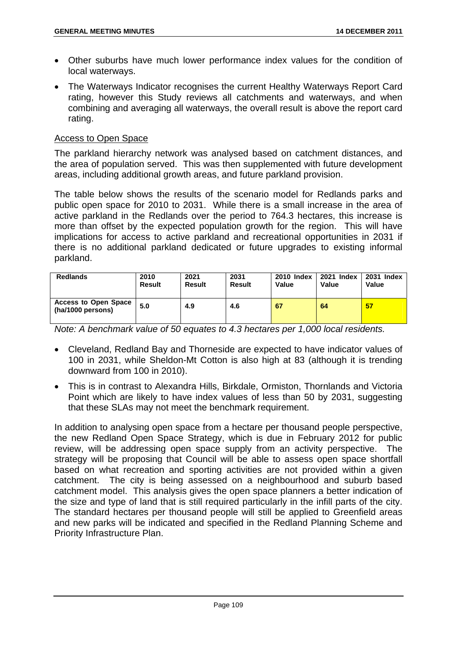- Other suburbs have much lower performance index values for the condition of local waterways.
- The Waterways Indicator recognises the current Healthy Waterways Report Card rating, however this Study reviews all catchments and waterways, and when combining and averaging all waterways, the overall result is above the report card rating.

## Access to Open Space

The parkland hierarchy network was analysed based on catchment distances, and the area of population served. This was then supplemented with future development areas, including additional growth areas, and future parkland provision.

The table below shows the results of the scenario model for Redlands parks and public open space for 2010 to 2031. While there is a small increase in the area of active parkland in the Redlands over the period to 764.3 hectares, this increase is more than offset by the expected population growth for the region. This will have implications for access to active parkland and recreational opportunities in 2031 if there is no additional parkland dedicated or future upgrades to existing informal parkland.

| <b>Redlands</b>                                  | 2010          | 2021   | 2031   | <b>2010 Index</b> | 2021 Index | 2031 Index |
|--------------------------------------------------|---------------|--------|--------|-------------------|------------|------------|
|                                                  | <b>Result</b> | Result | Result | Value             | Value      | Value      |
| <b>Access to Open Space</b><br>(ha/1000 persons) | 5.0           | 4.9    | 4.6    | 67                | 64         | 57         |

*Note: A benchmark value of 50 equates to 4.3 hectares per 1,000 local residents.* 

- Cleveland, Redland Bay and Thorneside are expected to have indicator values of 100 in 2031, while Sheldon-Mt Cotton is also high at 83 (although it is trending downward from 100 in 2010).
- This is in contrast to Alexandra Hills, Birkdale, Ormiston, Thornlands and Victoria Point which are likely to have index values of less than 50 by 2031, suggesting that these SLAs may not meet the benchmark requirement.

In addition to analysing open space from a hectare per thousand people perspective, the new Redland Open Space Strategy, which is due in February 2012 for public review, will be addressing open space supply from an activity perspective. The strategy will be proposing that Council will be able to assess open space shortfall based on what recreation and sporting activities are not provided within a given catchment. The city is being assessed on a neighbourhood and suburb based catchment model. This analysis gives the open space planners a better indication of the size and type of land that is still required particularly in the infill parts of the city. The standard hectares per thousand people will still be applied to Greenfield areas and new parks will be indicated and specified in the Redland Planning Scheme and Priority Infrastructure Plan.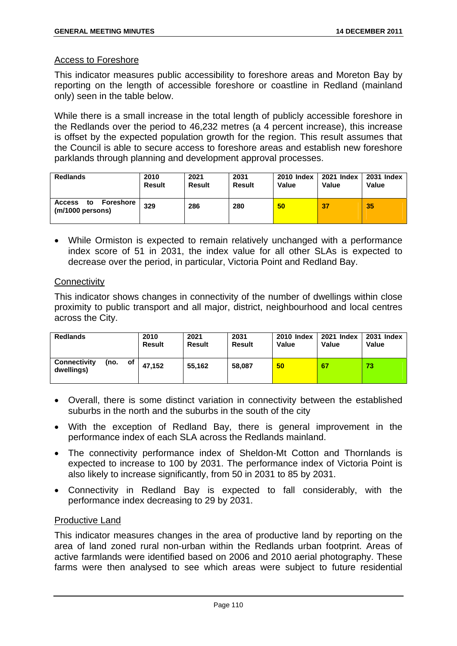## Access to Foreshore

This indicator measures public accessibility to foreshore areas and Moreton Bay by reporting on the length of accessible foreshore or coastline in Redland (mainland only) seen in the table below.

While there is a small increase in the total length of publicly accessible foreshore in the Redlands over the period to 46,232 metres (a 4 percent increase), this increase is offset by the expected population growth for the region. This result assumes that the Council is able to secure access to foreshore areas and establish new foreshore parklands through planning and development approval processes.

| <b>Redlands</b>                                      | 2010          | 2021   | 2031          | <b>2010 Index</b> | 2021 Index | <b>2031 Index</b> |
|------------------------------------------------------|---------------|--------|---------------|-------------------|------------|-------------------|
|                                                      | <b>Result</b> | Result | <b>Result</b> | Value             | Value      | <b>Value</b>      |
| Foreshore<br><b>Access</b><br>to<br>(m/1000 persons) | 329           | 286    | 280           | 50                | 37         | 35                |

 While Ormiston is expected to remain relatively unchanged with a performance index score of 51 in 2031, the index value for all other SLAs is expected to decrease over the period, in particular, Victoria Point and Redland Bay.

## **Connectivity**

This indicator shows changes in connectivity of the number of dwellings within close proximity to public transport and all major, district, neighbourhood and local centres across the City.

| <b>Redlands</b>                   |      |    | 2010<br><b>Result</b> | 2021<br><b>Result</b> | 2031<br><b>Result</b> | <b>2010 Index</b><br>Value | 2021 Index<br>Value | 2031 Index<br>Value |
|-----------------------------------|------|----|-----------------------|-----------------------|-----------------------|----------------------------|---------------------|---------------------|
| <b>Connectivity</b><br>dwellings) | (no. | of | 47.152                | 55.162                | 58.087                | 50                         | 67                  | 73                  |

- Overall, there is some distinct variation in connectivity between the established suburbs in the north and the suburbs in the south of the city
- With the exception of Redland Bay, there is general improvement in the performance index of each SLA across the Redlands mainland.
- The connectivity performance index of Sheldon-Mt Cotton and Thornlands is expected to increase to 100 by 2031. The performance index of Victoria Point is also likely to increase significantly, from 50 in 2031 to 85 by 2031.
- Connectivity in Redland Bay is expected to fall considerably, with the performance index decreasing to 29 by 2031.

## Productive Land

This indicator measures changes in the area of productive land by reporting on the area of land zoned rural non-urban within the Redlands urban footprint. Areas of active farmlands were identified based on 2006 and 2010 aerial photography. These farms were then analysed to see which areas were subject to future residential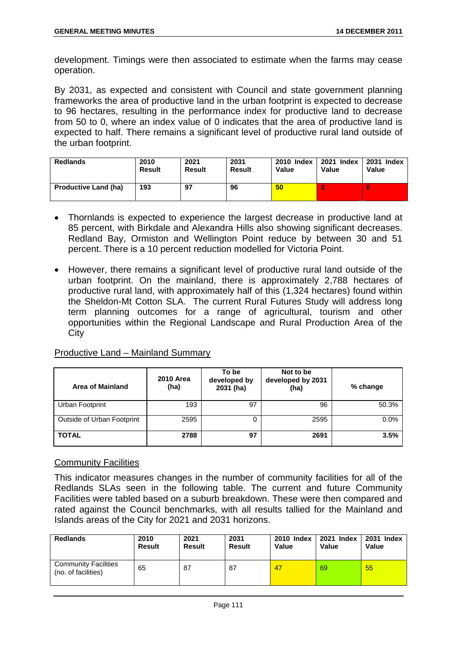development. Timings were then associated to estimate when the farms may cease operation.

By 2031, as expected and consistent with Council and state government planning frameworks the area of productive land in the urban footprint is expected to decrease to 96 hectares, resulting in the performance index for productive land to decrease from 50 to 0, where an index value of 0 indicates that the area of productive land is expected to half. There remains a significant level of productive rural land outside of the urban footprint.

| <b>Redlands</b>             | 2010          | 2021   | 2031   | 2010 Index | 2021 Index | 2031 Index |
|-----------------------------|---------------|--------|--------|------------|------------|------------|
|                             | <b>Result</b> | Result | Result | Value      | Value      | Value      |
| <b>Productive Land (ha)</b> | 193           | 97     | 96     | 50         |            | 0          |

- Thornlands is expected to experience the largest decrease in productive land at 85 percent, with Birkdale and Alexandra Hills also showing significant decreases. Redland Bay, Ormiston and Wellington Point reduce by between 30 and 51 percent. There is a 10 percent reduction modelled for Victoria Point.
- However, there remains a significant level of productive rural land outside of the urban footprint. On the mainland, there is approximately 2,788 hectares of productive rural land, with approximately half of this (1,324 hectares) found within the Sheldon-Mt Cotton SLA. The current Rural Futures Study will address long term planning outcomes for a range of agricultural, tourism and other opportunities within the Regional Landscape and Rural Production Area of the **City**

## Productive Land – Mainland Summary

| <b>Area of Mainland</b>    | <b>2010 Area</b><br>(ha) | To be<br>developed by<br>2031 (ha) | Not to be<br>developed by 2031<br>(ha) | % change |
|----------------------------|--------------------------|------------------------------------|----------------------------------------|----------|
| Urban Footprint            | 193                      | 97                                 | 96                                     | 50.3%    |
| Outside of Urban Footprint | 2595                     |                                    | 2595                                   | 0.0%     |
| <b>TOTAL</b>               | 2788                     | 97                                 | 2691                                   | 3.5%     |

## Community Facilities

This indicator measures changes in the number of community facilities for all of the Redlands SLAs seen in the following table. The current and future Community Facilities were tabled based on a suburb breakdown. These were then compared and rated against the Council benchmarks, with all results tallied for the Mainland and Islands areas of the City for 2021 and 2031 horizons.

| <b>Redlands</b>                                    | 2010          | 2021   | 2031          | 2010 Index | 2021 Index | 2031 Index |
|----------------------------------------------------|---------------|--------|---------------|------------|------------|------------|
|                                                    | <b>Result</b> | Result | <b>Result</b> | Value      | Value      | Value      |
| <b>Community Facilities</b><br>(no. of facilities) | 65            | 87     | 87            | 47         | 69         | 55         |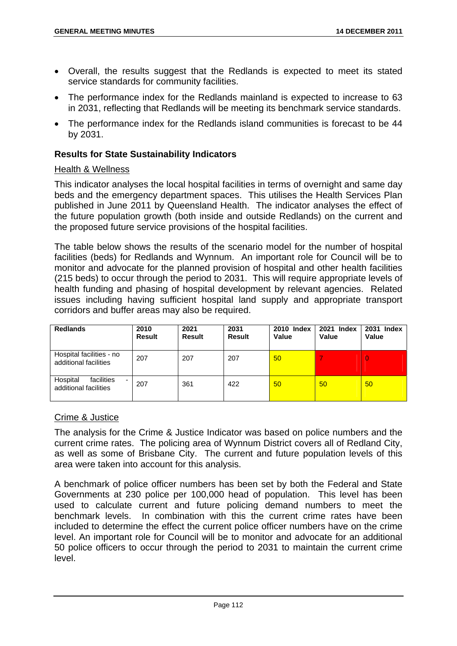- Overall, the results suggest that the Redlands is expected to meet its stated service standards for community facilities.
- The performance index for the Redlands mainland is expected to increase to 63 in 2031, reflecting that Redlands will be meeting its benchmark service standards.
- The performance index for the Redlands island communities is forecast to be 44 by 2031.

## **Results for State Sustainability Indicators**

#### Health & Wellness

This indicator analyses the local hospital facilities in terms of overnight and same day beds and the emergency department spaces. This utilises the Health Services Plan published in June 2011 by Queensland Health. The indicator analyses the effect of the future population growth (both inside and outside Redlands) on the current and the proposed future service provisions of the hospital facilities.

The table below shows the results of the scenario model for the number of hospital facilities (beds) for Redlands and Wynnum. An important role for Council will be to monitor and advocate for the planned provision of hospital and other health facilities (215 beds) to occur through the period to 2031. This will require appropriate levels of health funding and phasing of hospital development by relevant agencies. Related issues including having sufficient hospital land supply and appropriate transport corridors and buffer areas may also be required.

| <b>Redlands</b>                                      | 2010<br><b>Result</b> | 2021<br><b>Result</b> | 2031<br>Result | <b>2010 Index</b><br>Value | 2021 Index<br>Value | 2031 Index<br>Value |
|------------------------------------------------------|-----------------------|-----------------------|----------------|----------------------------|---------------------|---------------------|
| Hospital facilities - no<br>additional facilities    | 207                   | 207                   | 207            | 50                         |                     | $\overline{0}$      |
| facilities<br>Hospital<br>-<br>additional facilities | 207                   | 361                   | 422            | 50                         | 50                  | 50                  |

## Crime & Justice

The analysis for the Crime & Justice Indicator was based on police numbers and the current crime rates. The policing area of Wynnum District covers all of Redland City, as well as some of Brisbane City. The current and future population levels of this area were taken into account for this analysis.

A benchmark of police officer numbers has been set by both the Federal and State Governments at 230 police per 100,000 head of population. This level has been used to calculate current and future policing demand numbers to meet the benchmark levels. In combination with this the current crime rates have been included to determine the effect the current police officer numbers have on the crime level. An important role for Council will be to monitor and advocate for an additional 50 police officers to occur through the period to 2031 to maintain the current crime level.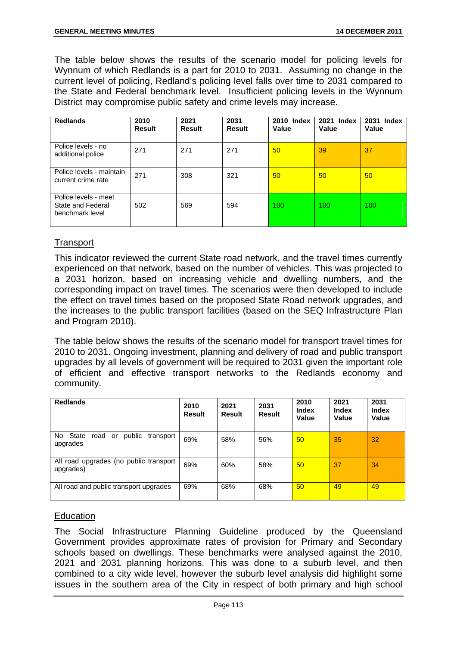The table below shows the results of the scenario model for policing levels for Wynnum of which Redlands is a part for 2010 to 2031. Assuming no change in the current level of policing, Redland's policing level falls over time to 2031 compared to the State and Federal benchmark level. Insufficient policing levels in the Wynnum District may compromise public safety and crime levels may increase.

| <b>Redlands</b>                                              | 2010<br><b>Result</b> | 2021<br>Result | 2031<br><b>Result</b> | 2010 Index<br>Value | 2021 Index<br>Value | 2031 Index<br>Value |
|--------------------------------------------------------------|-----------------------|----------------|-----------------------|---------------------|---------------------|---------------------|
| Police levels - no<br>additional police                      | 271                   | 271            | 271                   | 50                  | 39                  | 37                  |
| Police levels - maintain<br>current crime rate               | 271                   | 308            | 321                   | 50                  | 50                  | 50 <sup>°</sup>     |
| Police levels - meet<br>State and Federal<br>benchmark level | 502                   | 569            | 594                   | 100                 | 100                 | 100                 |

# **Transport**

This indicator reviewed the current State road network, and the travel times currently experienced on that network, based on the number of vehicles. This was projected to a 2031 horizon, based on increasing vehicle and dwelling numbers, and the corresponding impact on travel times. The scenarios were then developed to include the effect on travel times based on the proposed State Road network upgrades, and the increases to the public transport facilities (based on the SEQ Infrastructure Plan and Program 2010).

The table below shows the results of the scenario model for transport travel times for 2010 to 2031. Ongoing investment, planning and delivery of road and public transport upgrades by all levels of government will be required to 2031 given the important role of efficient and effective transport networks to the Redlands economy and community.

| <b>Redlands</b>                                           | 2010<br><b>Result</b> | 2021<br><b>Result</b> | 2031<br><b>Result</b> | 2010<br><b>Index</b><br>Value | 2021<br><b>Index</b><br>Value | 2031<br><b>Index</b><br>Value |
|-----------------------------------------------------------|-----------------------|-----------------------|-----------------------|-------------------------------|-------------------------------|-------------------------------|
| No State<br>public<br>road<br>or<br>transport<br>upgrades | 69%                   | 58%                   | 56%                   | 50                            | 35                            | 32                            |
| All road upgrades (no public transport<br>upgrades)       | 69%                   | 60%                   | 58%                   | 50                            | 37                            | 34                            |
| All road and public transport upgrades                    | 69%                   | 68%                   | 68%                   | 50 <sup>°</sup>               | 49                            | 49                            |

## **Education**

The Social Infrastructure Planning Guideline produced by the Queensland Government provides approximate rates of provision for Primary and Secondary schools based on dwellings. These benchmarks were analysed against the 2010, 2021 and 2031 planning horizons. This was done to a suburb level, and then combined to a city wide level, however the suburb level analysis did highlight some issues in the southern area of the City in respect of both primary and high school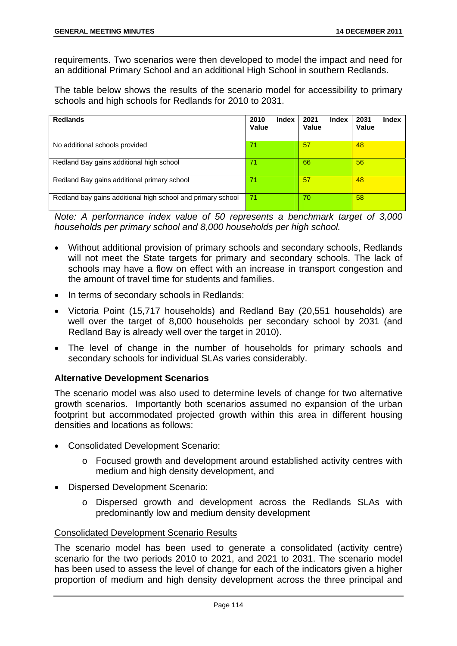requirements. Two scenarios were then developed to model the impact and need for an additional Primary School and an additional High School in southern Redlands.

The table below shows the results of the scenario model for accessibility to primary schools and high schools for Redlands for 2010 to 2031.

| <b>Redlands</b>                                             | 2010<br>Index<br><b>Value</b> | 2021<br>Index<br>Value | 2031<br><b>Index</b><br><b>Value</b> |
|-------------------------------------------------------------|-------------------------------|------------------------|--------------------------------------|
| No additional schools provided                              | 71                            | 57                     | 48                                   |
| Redland Bay gains additional high school                    | 71                            | 66                     | 56                                   |
| Redland Bay gains additional primary school                 | 71                            | 57                     | 48                                   |
| Redland bay gains additional high school and primary school | 71                            | 70                     | 58                                   |

*Note: A performance index value of 50 represents a benchmark target of 3,000 households per primary school and 8,000 households per high school.* 

- Without additional provision of primary schools and secondary schools, Redlands will not meet the State targets for primary and secondary schools. The lack of schools may have a flow on effect with an increase in transport congestion and the amount of travel time for students and families.
- In terms of secondary schools in Redlands:
- Victoria Point (15,717 households) and Redland Bay (20,551 households) are well over the target of 8,000 households per secondary school by 2031 (and Redland Bay is already well over the target in 2010).
- The level of change in the number of households for primary schools and secondary schools for individual SLAs varies considerably.

## **Alternative Development Scenarios**

The scenario model was also used to determine levels of change for two alternative growth scenarios. Importantly both scenarios assumed no expansion of the urban footprint but accommodated projected growth within this area in different housing densities and locations as follows:

- Consolidated Development Scenario:
	- o Focused growth and development around established activity centres with medium and high density development, and
- Dispersed Development Scenario:
	- o Dispersed growth and development across the Redlands SLAs with predominantly low and medium density development

# Consolidated Development Scenario Results

The scenario model has been used to generate a consolidated (activity centre) scenario for the two periods 2010 to 2021, and 2021 to 2031. The scenario model has been used to assess the level of change for each of the indicators given a higher proportion of medium and high density development across the three principal and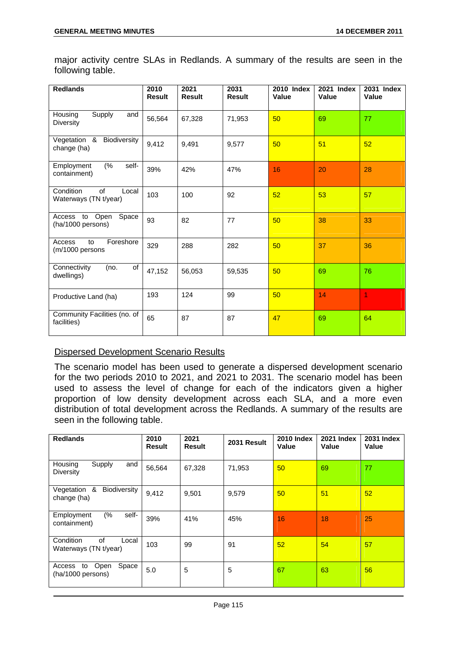| <b>Redlands</b>                                   | 2010<br><b>Result</b> | 2021<br><b>Result</b> | 2031<br><b>Result</b> | <b>2010 Index</b><br>Value | 2021 Index<br>Value | 2031 Index<br>Value |
|---------------------------------------------------|-----------------------|-----------------------|-----------------------|----------------------------|---------------------|---------------------|
| Supply<br>Housing<br>and<br>Diversity             | 56,564                | 67,328                | 71,953                | 50                         | 69                  | 77                  |
| Vegetation & Biodiversity<br>change (ha)          | 9,412                 | 9,491                 | 9,577                 | 50                         | 51                  | 52                  |
| (%<br>Employment<br>self-<br>containment)         | 39%                   | 42%                   | 47%                   | 16                         | 20                  | 28                  |
| Condition<br>of<br>Local<br>Waterways (TN t/year) | 103                   | 100                   | 92                    | 52                         | 53                  | 57                  |
| Access to Open<br>Space<br>(ha/1000 persons)      | 93                    | 82                    | 77                    | 50                         | 38                  | 33                  |
| Foreshore<br>Access<br>to<br>(m/1000 persons      | 329                   | 288                   | 282                   | 50                         | 37                  | 36                  |
| of<br>Connectivity<br>(no.<br>dwellings)          | 47,152                | 56,053                | 59,535                | 50                         | 69                  | 76                  |
| Productive Land (ha)                              | 193                   | 124                   | 99                    | 50                         | 14                  | 1                   |
| Community Facilities (no. of<br>facilities)       | 65                    | 87                    | 87                    | 47                         | 69                  | 64                  |

major activity centre SLAs in Redlands. A summary of the results are seen in the following table.

# Dispersed Development Scenario Results

The scenario model has been used to generate a dispersed development scenario for the two periods 2010 to 2021, and 2021 to 2031. The scenario model has been used to assess the level of change for each of the indicators given a higher proportion of low density development across each SLA, and a more even distribution of total development across the Redlands. A summary of the results are seen in the following table.

| <b>Redlands</b>                                    | 2010<br><b>Result</b> | 2021<br>Result | 2031 Result | <b>2010 Index</b><br>Value | <b>2021 Index</b><br>Value | <b>2031 Index</b><br>Value |
|----------------------------------------------------|-----------------------|----------------|-------------|----------------------------|----------------------------|----------------------------|
| Supply<br>and<br>Housing<br><b>Diversity</b>       | 56,564                | 67,328         | 71,953      | 50                         | 69                         | 77                         |
| Vegetation &<br>Biodiversity<br>change (ha)        | 9,412                 | 9,501          | 9,579       | 50                         | 51                         | 52                         |
| (%<br>self-<br>Employment<br>containment)          | 39%                   | 41%            | 45%         | 16                         | 18                         | 25                         |
| of<br>Condition<br>Local<br>Waterways (TN t/year)  | 103                   | 99             | 91          | 52                         | 54                         | 57                         |
| Open<br>Space<br>to<br>Access<br>(ha/1000 persons) | 5.0                   | 5              | 5           | 67                         | 63                         | 56                         |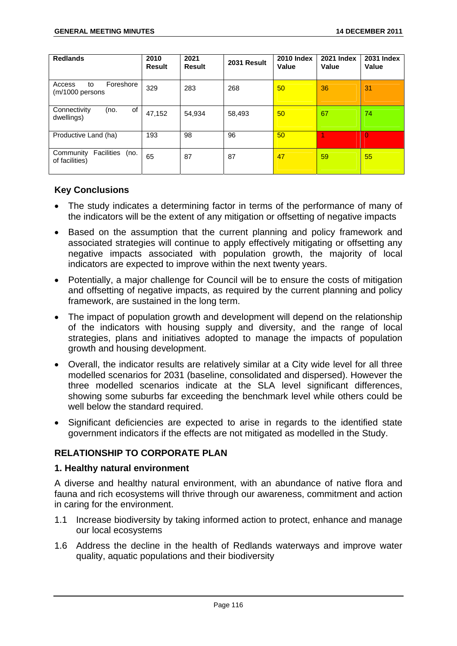| <b>Redlands</b>                                          | 2010<br><b>Result</b> | 2021<br><b>Result</b> | 2031 Result | <b>2010 Index</b><br>Value | <b>2021 Index</b><br>Value | <b>2031 Index</b><br>Value |
|----------------------------------------------------------|-----------------------|-----------------------|-------------|----------------------------|----------------------------|----------------------------|
| Foreshore<br>Access<br>to<br>(m/1000 persons             | 329                   | 283                   | 268         | 50                         | 36                         | 31                         |
| of<br>Connectivity<br>(no.<br>dwellings)                 | 47,152                | 54,934                | 58,493      | 50                         | 67                         | 74                         |
| Productive Land (ha)                                     | 193                   | 98                    | 96          | 50                         |                            | n                          |
| <b>Facilities</b><br>Community<br>(no.<br>of facilities) | 65                    | 87                    | 87          | 47                         | 59                         | 55                         |

# **Key Conclusions**

- The study indicates a determining factor in terms of the performance of many of the indicators will be the extent of any mitigation or offsetting of negative impacts
- Based on the assumption that the current planning and policy framework and associated strategies will continue to apply effectively mitigating or offsetting any negative impacts associated with population growth, the majority of local indicators are expected to improve within the next twenty years.
- Potentially, a major challenge for Council will be to ensure the costs of mitigation and offsetting of negative impacts, as required by the current planning and policy framework, are sustained in the long term.
- The impact of population growth and development will depend on the relationship of the indicators with housing supply and diversity, and the range of local strategies, plans and initiatives adopted to manage the impacts of population growth and housing development.
- Overall, the indicator results are relatively similar at a City wide level for all three modelled scenarios for 2031 (baseline, consolidated and dispersed). However the three modelled scenarios indicate at the SLA level significant differences, showing some suburbs far exceeding the benchmark level while others could be well below the standard required.
- Significant deficiencies are expected to arise in regards to the identified state government indicators if the effects are not mitigated as modelled in the Study.

# **RELATIONSHIP TO CORPORATE PLAN**

#### **1. Healthy natural environment**

A diverse and healthy natural environment, with an abundance of native flora and fauna and rich ecosystems will thrive through our awareness, commitment and action in caring for the environment.

- 1.1 Increase biodiversity by taking informed action to protect, enhance and manage our local ecosystems
- 1.6 Address the decline in the health of Redlands waterways and improve water quality, aquatic populations and their biodiversity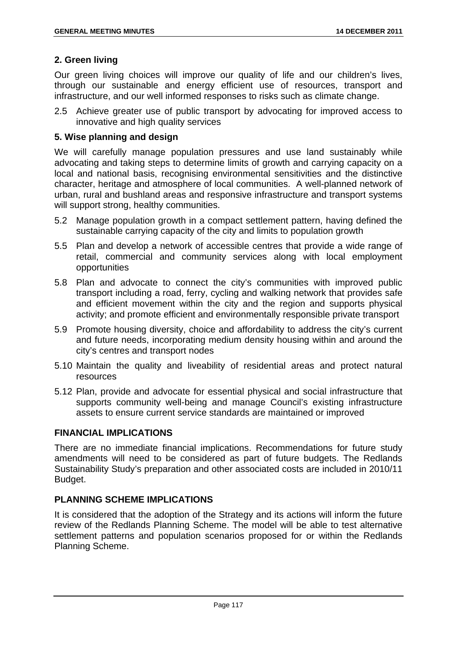# **2. Green living**

Our green living choices will improve our quality of life and our children's lives, through our sustainable and energy efficient use of resources, transport and infrastructure, and our well informed responses to risks such as climate change.

2.5 Achieve greater use of public transport by advocating for improved access to innovative and high quality services

# **5. Wise planning and design**

We will carefully manage population pressures and use land sustainably while advocating and taking steps to determine limits of growth and carrying capacity on a local and national basis, recognising environmental sensitivities and the distinctive character, heritage and atmosphere of local communities. A well-planned network of urban, rural and bushland areas and responsive infrastructure and transport systems will support strong, healthy communities.

- 5.2 Manage population growth in a compact settlement pattern, having defined the sustainable carrying capacity of the city and limits to population growth
- 5.5 Plan and develop a network of accessible centres that provide a wide range of retail, commercial and community services along with local employment opportunities
- 5.8 Plan and advocate to connect the city's communities with improved public transport including a road, ferry, cycling and walking network that provides safe and efficient movement within the city and the region and supports physical activity; and promote efficient and environmentally responsible private transport
- 5.9 Promote housing diversity, choice and affordability to address the city's current and future needs, incorporating medium density housing within and around the city's centres and transport nodes
- 5.10 Maintain the quality and liveability of residential areas and protect natural resources
- 5.12 Plan, provide and advocate for essential physical and social infrastructure that supports community well-being and manage Council's existing infrastructure assets to ensure current service standards are maintained or improved

# **FINANCIAL IMPLICATIONS**

There are no immediate financial implications. Recommendations for future study amendments will need to be considered as part of future budgets. The Redlands Sustainability Study's preparation and other associated costs are included in 2010/11 Budget.

# **PLANNING SCHEME IMPLICATIONS**

It is considered that the adoption of the Strategy and its actions will inform the future review of the Redlands Planning Scheme. The model will be able to test alternative settlement patterns and population scenarios proposed for or within the Redlands Planning Scheme.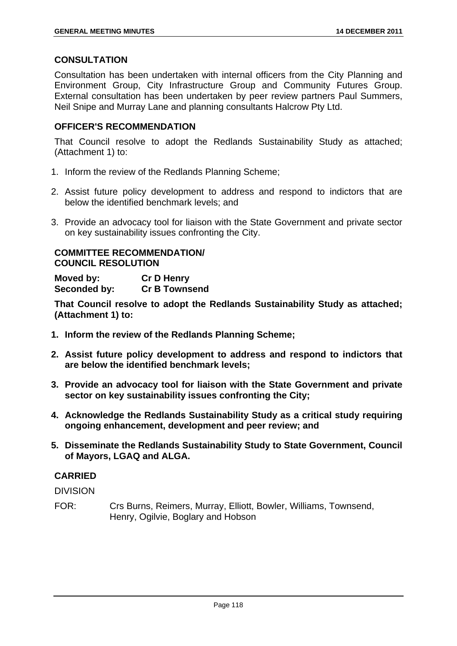## **CONSULTATION**

Consultation has been undertaken with internal officers from the City Planning and Environment Group, City Infrastructure Group and Community Futures Group. External consultation has been undertaken by peer review partners Paul Summers, Neil Snipe and Murray Lane and planning consultants Halcrow Pty Ltd.

# **OFFICER'S RECOMMENDATION**

That Council resolve to adopt the Redlands Sustainability Study as attached; (Attachment 1) to:

- 1. Inform the review of the Redlands Planning Scheme;
- 2. Assist future policy development to address and respond to indictors that are below the identified benchmark levels; and
- 3. Provide an advocacy tool for liaison with the State Government and private sector on key sustainability issues confronting the City.

## **COMMITTEE RECOMMENDATION/ COUNCIL RESOLUTION**

**Moved by: Cr D Henry Seconded by: Cr B Townsend** 

**That Council resolve to adopt the Redlands Sustainability Study as attached; (Attachment 1) to:** 

- **1. Inform the review of the Redlands Planning Scheme;**
- **2. Assist future policy development to address and respond to indictors that are below the identified benchmark levels;**
- **3. Provide an advocacy tool for liaison with the State Government and private sector on key sustainability issues confronting the City;**
- **4. Acknowledge the Redlands Sustainability Study as a critical study requiring ongoing enhancement, development and peer review; and**
- **5. Disseminate the Redlands Sustainability Study to State Government, Council of Mayors, LGAQ and ALGA.**

# **CARRIED**

DIVISION

FOR: Crs Burns, Reimers, Murray, Elliott, Bowler, Williams, Townsend, Henry, Ogilvie, Boglary and Hobson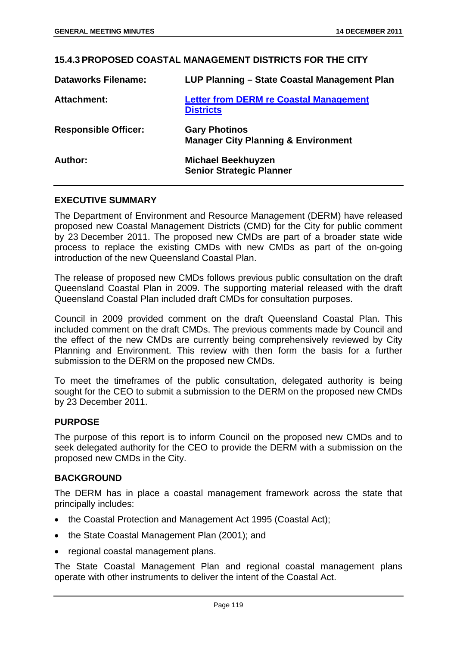# **15.4.3 PROPOSED COASTAL MANAGEMENT DISTRICTS FOR THE CITY**

| <b>Dataworks Filename:</b>  | LUP Planning – State Coastal Management Plan                           |
|-----------------------------|------------------------------------------------------------------------|
| <b>Attachment:</b>          | <b>Letter from DERM re Coastal Management</b><br><b>Districts</b>      |
| <b>Responsible Officer:</b> | <b>Gary Photinos</b><br><b>Manager City Planning &amp; Environment</b> |
| Author:                     | <b>Michael Beekhuyzen</b><br><b>Senior Strategic Planner</b>           |

## **EXECUTIVE SUMMARY**

The Department of Environment and Resource Management (DERM) have released proposed new Coastal Management Districts (CMD) for the City for public comment by 23 December 2011. The proposed new CMDs are part of a broader state wide process to replace the existing CMDs with new CMDs as part of the on-going introduction of the new Queensland Coastal Plan.

The release of proposed new CMDs follows previous public consultation on the draft Queensland Coastal Plan in 2009. The supporting material released with the draft Queensland Coastal Plan included draft CMDs for consultation purposes.

Council in 2009 provided comment on the draft Queensland Coastal Plan. This included comment on the draft CMDs. The previous comments made by Council and the effect of the new CMDs are currently being comprehensively reviewed by City Planning and Environment. This review with then form the basis for a further submission to the DERM on the proposed new CMDs.

To meet the timeframes of the public consultation, delegated authority is being sought for the CEO to submit a submission to the DERM on the proposed new CMDs by 23 December 2011.

#### **PURPOSE**

The purpose of this report is to inform Council on the proposed new CMDs and to seek delegated authority for the CEO to provide the DERM with a submission on the proposed new CMDs in the City.

#### **BACKGROUND**

The DERM has in place a coastal management framework across the state that principally includes:

- the Coastal Protection and Management Act 1995 (Coastal Act);
- the State Coastal Management Plan (2001): and
- regional coastal management plans.

The State Coastal Management Plan and regional coastal management plans operate with other instruments to deliver the intent of the Coastal Act.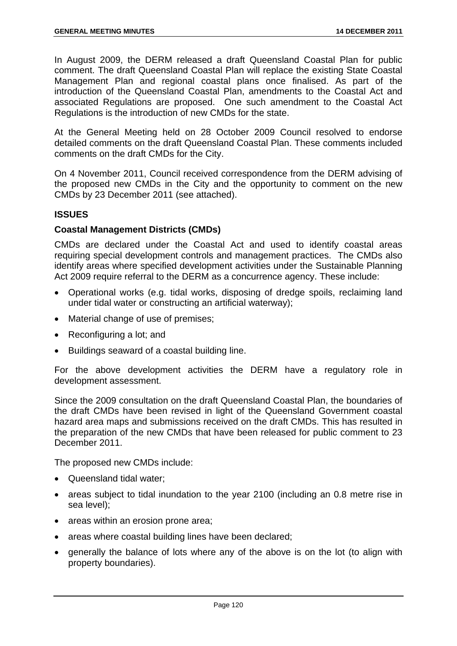In August 2009, the DERM released a draft Queensland Coastal Plan for public comment. The draft Queensland Coastal Plan will replace the existing State Coastal Management Plan and regional coastal plans once finalised. As part of the introduction of the Queensland Coastal Plan, amendments to the Coastal Act and associated Regulations are proposed. One such amendment to the Coastal Act Regulations is the introduction of new CMDs for the state.

At the General Meeting held on 28 October 2009 Council resolved to endorse detailed comments on the draft Queensland Coastal Plan. These comments included comments on the draft CMDs for the City.

On 4 November 2011, Council received correspondence from the DERM advising of the proposed new CMDs in the City and the opportunity to comment on the new CMDs by 23 December 2011 (see attached).

## **ISSUES**

## **Coastal Management Districts (CMDs)**

CMDs are declared under the Coastal Act and used to identify coastal areas requiring special development controls and management practices. The CMDs also identify areas where specified development activities under the Sustainable Planning Act 2009 require referral to the DERM as a concurrence agency. These include:

- Operational works (e.g. tidal works, disposing of dredge spoils, reclaiming land under tidal water or constructing an artificial waterway);
- Material change of use of premises;
- Reconfiguring a lot; and
- Buildings seaward of a coastal building line.

For the above development activities the DERM have a regulatory role in development assessment.

Since the 2009 consultation on the draft Queensland Coastal Plan, the boundaries of the draft CMDs have been revised in light of the Queensland Government coastal hazard area maps and submissions received on the draft CMDs. This has resulted in the preparation of the new CMDs that have been released for public comment to 23 December 2011.

The proposed new CMDs include:

- Queensland tidal water:
- areas subject to tidal inundation to the year 2100 (including an 0.8 metre rise in sea level);
- areas within an erosion prone area;
- areas where coastal building lines have been declared;
- generally the balance of lots where any of the above is on the lot (to align with property boundaries).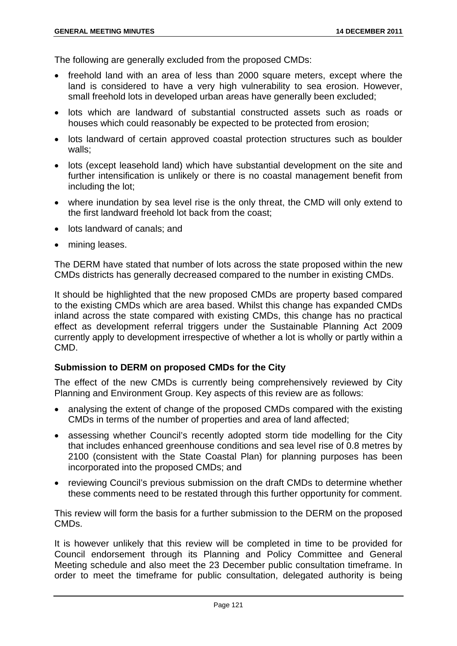The following are generally excluded from the proposed CMDs:

- freehold land with an area of less than 2000 square meters, except where the land is considered to have a very high vulnerability to sea erosion. However, small freehold lots in developed urban areas have generally been excluded;
- lots which are landward of substantial constructed assets such as roads or houses which could reasonably be expected to be protected from erosion;
- lots landward of certain approved coastal protection structures such as boulder walls;
- lots (except leasehold land) which have substantial development on the site and further intensification is unlikely or there is no coastal management benefit from including the lot;
- where inundation by sea level rise is the only threat, the CMD will only extend to the first landward freehold lot back from the coast;
- lots landward of canals; and
- mining leases.

The DERM have stated that number of lots across the state proposed within the new CMDs districts has generally decreased compared to the number in existing CMDs.

It should be highlighted that the new proposed CMDs are property based compared to the existing CMDs which are area based. Whilst this change has expanded CMDs inland across the state compared with existing CMDs, this change has no practical effect as development referral triggers under the Sustainable Planning Act 2009 currently apply to development irrespective of whether a lot is wholly or partly within a CMD.

## **Submission to DERM on proposed CMDs for the City**

The effect of the new CMDs is currently being comprehensively reviewed by City Planning and Environment Group. Key aspects of this review are as follows:

- analysing the extent of change of the proposed CMDs compared with the existing CMDs in terms of the number of properties and area of land affected;
- assessing whether Council's recently adopted storm tide modelling for the City that includes enhanced greenhouse conditions and sea level rise of 0.8 metres by 2100 (consistent with the State Coastal Plan) for planning purposes has been incorporated into the proposed CMDs; and
- reviewing Council's previous submission on the draft CMDs to determine whether these comments need to be restated through this further opportunity for comment.

This review will form the basis for a further submission to the DERM on the proposed CMDs.

It is however unlikely that this review will be completed in time to be provided for Council endorsement through its Planning and Policy Committee and General Meeting schedule and also meet the 23 December public consultation timeframe. In order to meet the timeframe for public consultation, delegated authority is being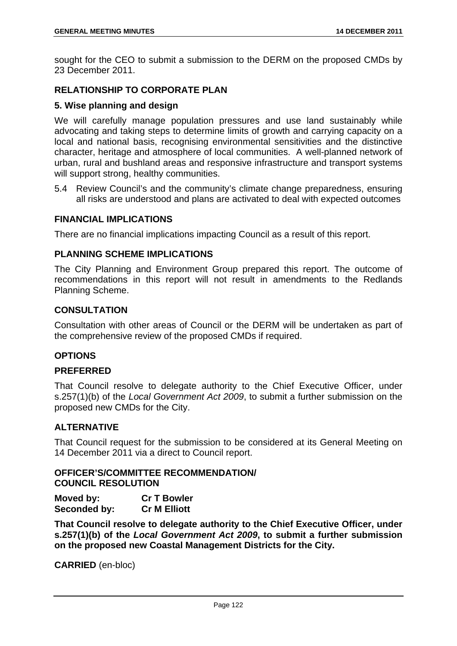sought for the CEO to submit a submission to the DERM on the proposed CMDs by 23 December 2011.

# **RELATIONSHIP TO CORPORATE PLAN**

## **5. Wise planning and design**

We will carefully manage population pressures and use land sustainably while advocating and taking steps to determine limits of growth and carrying capacity on a local and national basis, recognising environmental sensitivities and the distinctive character, heritage and atmosphere of local communities. A well-planned network of urban, rural and bushland areas and responsive infrastructure and transport systems will support strong, healthy communities.

5.4 Review Council's and the community's climate change preparedness, ensuring all risks are understood and plans are activated to deal with expected outcomes

## **FINANCIAL IMPLICATIONS**

There are no financial implications impacting Council as a result of this report.

## **PLANNING SCHEME IMPLICATIONS**

The City Planning and Environment Group prepared this report. The outcome of recommendations in this report will not result in amendments to the Redlands Planning Scheme.

## **CONSULTATION**

Consultation with other areas of Council or the DERM will be undertaken as part of the comprehensive review of the proposed CMDs if required.

## **OPTIONS**

#### **PREFERRED**

That Council resolve to delegate authority to the Chief Executive Officer, under s.257(1)(b) of the *Local Government Act 2009*, to submit a further submission on the proposed new CMDs for the City.

## **ALTERNATIVE**

That Council request for the submission to be considered at its General Meeting on 14 December 2011 via a direct to Council report.

## **OFFICER'S/COMMITTEE RECOMMENDATION/ COUNCIL RESOLUTION**

**Moved by:** Cr T Bowler<br> **Seconded by:** Cr M Elliott **Seconded by:** 

**That Council resolve to delegate authority to the Chief Executive Officer, under s.257(1)(b) of the** *Local Government Act 2009***, to submit a further submission on the proposed new Coastal Management Districts for the City.** 

**CARRIED** (en-bloc)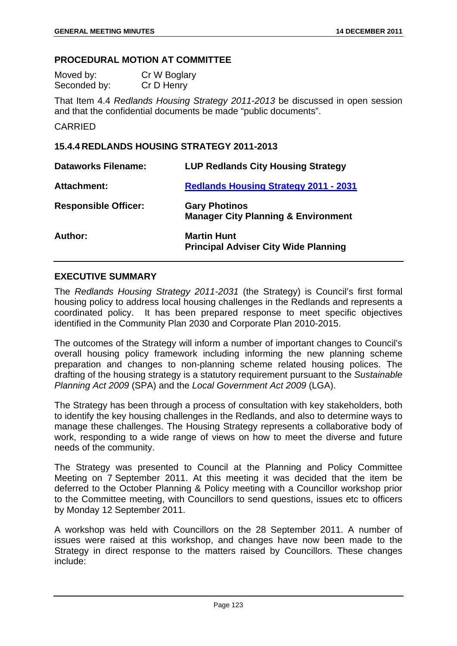#### **PROCEDURAL MOTION AT COMMITTEE**

| Moved by:    | Cr W Boglary |
|--------------|--------------|
| Seconded by: | Cr D Henry   |

That Item 4.4 *Redlands Housing Strategy 2011-2013* be discussed in open session and that the confidential documents be made "public documents".

### CARRIED

#### **15.4.4 REDLANDS HOUSING STRATEGY 2011-2013**

| <b>Dataworks Filename:</b>  | <b>LUP Redlands City Housing Strategy</b>                              |
|-----------------------------|------------------------------------------------------------------------|
| <b>Attachment:</b>          | <b>Redlands Housing Strategy 2011 - 2031</b>                           |
| <b>Responsible Officer:</b> | <b>Gary Photinos</b><br><b>Manager City Planning &amp; Environment</b> |
| Author:                     | <b>Martin Hunt</b><br><b>Principal Adviser City Wide Planning</b>      |

### **EXECUTIVE SUMMARY**

The *Redlands Housing Strategy 2011-2031* (the Strategy) is Council's first formal housing policy to address local housing challenges in the Redlands and represents a coordinated policy. It has been prepared response to meet specific objectives identified in the Community Plan 2030 and Corporate Plan 2010-2015.

The outcomes of the Strategy will inform a number of important changes to Council's overall housing policy framework including informing the new planning scheme preparation and changes to non-planning scheme related housing polices. The drafting of the housing strategy is a statutory requirement pursuant to the *Sustainable Planning Act 2009* (SPA) and the *Local Government Act 2009* (LGA).

The Strategy has been through a process of consultation with key stakeholders, both to identify the key housing challenges in the Redlands, and also to determine ways to manage these challenges. The Housing Strategy represents a collaborative body of work, responding to a wide range of views on how to meet the diverse and future needs of the community.

The Strategy was presented to Council at the Planning and Policy Committee Meeting on 7 September 2011. At this meeting it was decided that the item be deferred to the October Planning & Policy meeting with a Councillor workshop prior to the Committee meeting, with Councillors to send questions, issues etc to officers by Monday 12 September 2011.

A workshop was held with Councillors on the 28 September 2011. A number of issues were raised at this workshop, and changes have now been made to the Strategy in direct response to the matters raised by Councillors. These changes include: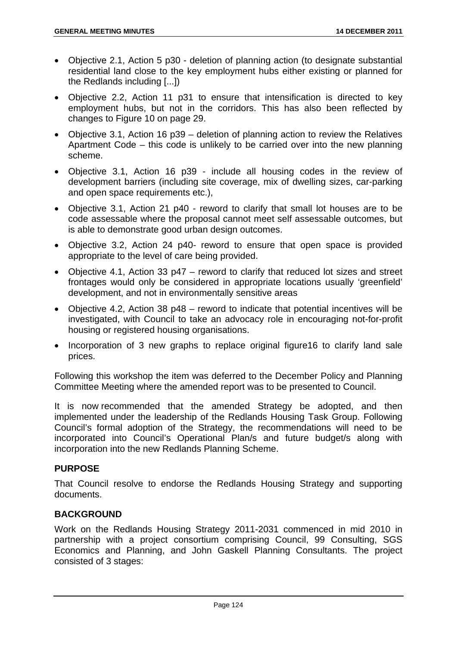- Objective 2.1, Action 5 p30 deletion of planning action (to designate substantial residential land close to the key employment hubs either existing or planned for the Redlands including [...])
- Objective 2.2, Action 11 p31 to ensure that intensification is directed to key employment hubs, but not in the corridors. This has also been reflected by changes to Figure 10 on page 29.
- Objective 3.1, Action 16 p39 deletion of planning action to review the Relatives Apartment Code – this code is unlikely to be carried over into the new planning scheme.
- Objective 3.1, Action 16 p39 include all housing codes in the review of development barriers (including site coverage, mix of dwelling sizes, car-parking and open space requirements etc.),
- Objective 3.1, Action 21 p40 reword to clarify that small lot houses are to be code assessable where the proposal cannot meet self assessable outcomes, but is able to demonstrate good urban design outcomes.
- Objective 3.2, Action 24 p40- reword to ensure that open space is provided appropriate to the level of care being provided.
- Objective 4.1, Action 33 p47 reword to clarify that reduced lot sizes and street frontages would only be considered in appropriate locations usually 'greenfield' development, and not in environmentally sensitive areas
- Objective 4.2, Action 38 p48 reword to indicate that potential incentives will be investigated, with Council to take an advocacy role in encouraging not-for-profit housing or registered housing organisations.
- Incorporation of 3 new graphs to replace original figure16 to clarify land sale prices.

Following this workshop the item was deferred to the December Policy and Planning Committee Meeting where the amended report was to be presented to Council.

It is now recommended that the amended Strategy be adopted, and then implemented under the leadership of the Redlands Housing Task Group. Following Council's formal adoption of the Strategy, the recommendations will need to be incorporated into Council's Operational Plan/s and future budget/s along with incorporation into the new Redlands Planning Scheme.

# **PURPOSE**

That Council resolve to endorse the Redlands Housing Strategy and supporting documents.

# **BACKGROUND**

Work on the Redlands Housing Strategy 2011-2031 commenced in mid 2010 in partnership with a project consortium comprising Council, 99 Consulting, SGS Economics and Planning, and John Gaskell Planning Consultants. The project consisted of 3 stages: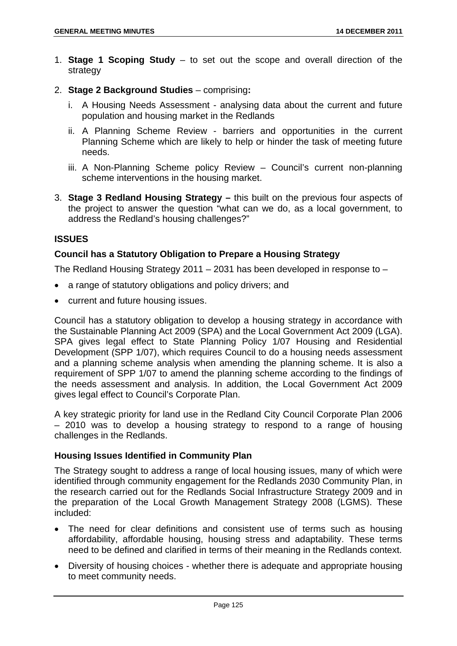- 1. **Stage 1 Scoping Study** to set out the scope and overall direction of the strategy
- 2. **Stage 2 Background Studies**  comprising**:** 
	- i. A Housing Needs Assessment analysing data about the current and future population and housing market in the Redlands
	- ii. A Planning Scheme Review barriers and opportunities in the current Planning Scheme which are likely to help or hinder the task of meeting future needs.
	- iii. A Non-Planning Scheme policy Review Council's current non-planning scheme interventions in the housing market.
- 3. **Stage 3 Redland Housing Strategy** this built on the previous four aspects of the project to answer the question "what can we do, as a local government, to address the Redland's housing challenges?"

# **ISSUES**

## **Council has a Statutory Obligation to Prepare a Housing Strategy**

The Redland Housing Strategy 2011 – 2031 has been developed in response to –

- a range of statutory obligations and policy drivers; and
- current and future housing issues.

Council has a statutory obligation to develop a housing strategy in accordance with the Sustainable Planning Act 2009 (SPA) and the Local Government Act 2009 (LGA). SPA gives legal effect to State Planning Policy 1/07 Housing and Residential Development (SPP 1/07), which requires Council to do a housing needs assessment and a planning scheme analysis when amending the planning scheme. It is also a requirement of SPP 1/07 to amend the planning scheme according to the findings of the needs assessment and analysis. In addition, the Local Government Act 2009 gives legal effect to Council's Corporate Plan.

A key strategic priority for land use in the Redland City Council Corporate Plan 2006 – 2010 was to develop a housing strategy to respond to a range of housing challenges in the Redlands.

## **Housing Issues Identified in Community Plan**

The Strategy sought to address a range of local housing issues, many of which were identified through community engagement for the Redlands 2030 Community Plan, in the research carried out for the Redlands Social Infrastructure Strategy 2009 and in the preparation of the Local Growth Management Strategy 2008 (LGMS). These included:

- The need for clear definitions and consistent use of terms such as housing affordability, affordable housing, housing stress and adaptability. These terms need to be defined and clarified in terms of their meaning in the Redlands context.
- Diversity of housing choices whether there is adequate and appropriate housing to meet community needs.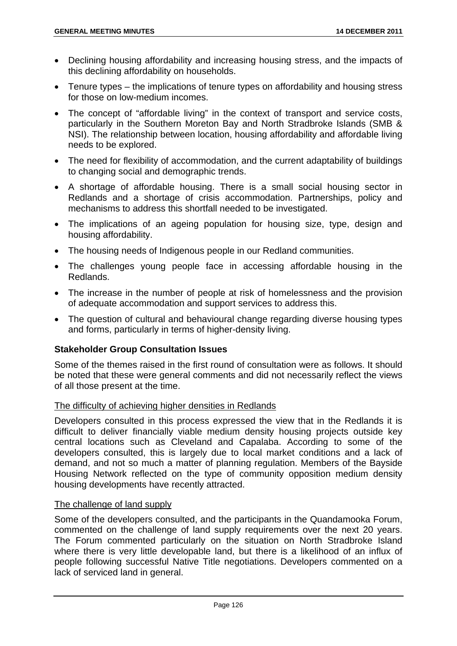- Declining housing affordability and increasing housing stress, and the impacts of this declining affordability on households.
- Tenure types the implications of tenure types on affordability and housing stress for those on low-medium incomes.
- The concept of "affordable living" in the context of transport and service costs, particularly in the Southern Moreton Bay and North Stradbroke Islands (SMB & NSI). The relationship between location, housing affordability and affordable living needs to be explored.
- The need for flexibility of accommodation, and the current adaptability of buildings to changing social and demographic trends.
- A shortage of affordable housing. There is a small social housing sector in Redlands and a shortage of crisis accommodation. Partnerships, policy and mechanisms to address this shortfall needed to be investigated.
- The implications of an ageing population for housing size, type, design and housing affordability.
- The housing needs of Indigenous people in our Redland communities.
- The challenges young people face in accessing affordable housing in the Redlands.
- The increase in the number of people at risk of homelessness and the provision of adequate accommodation and support services to address this.
- The question of cultural and behavioural change regarding diverse housing types and forms, particularly in terms of higher-density living.

## **Stakeholder Group Consultation Issues**

Some of the themes raised in the first round of consultation were as follows. It should be noted that these were general comments and did not necessarily reflect the views of all those present at the time.

## The difficulty of achieving higher densities in Redlands

Developers consulted in this process expressed the view that in the Redlands it is difficult to deliver financially viable medium density housing projects outside key central locations such as Cleveland and Capalaba. According to some of the developers consulted, this is largely due to local market conditions and a lack of demand, and not so much a matter of planning regulation. Members of the Bayside Housing Network reflected on the type of community opposition medium density housing developments have recently attracted.

## The challenge of land supply

Some of the developers consulted, and the participants in the Quandamooka Forum, commented on the challenge of land supply requirements over the next 20 years. The Forum commented particularly on the situation on North Stradbroke Island where there is very little developable land, but there is a likelihood of an influx of people following successful Native Title negotiations. Developers commented on a lack of serviced land in general.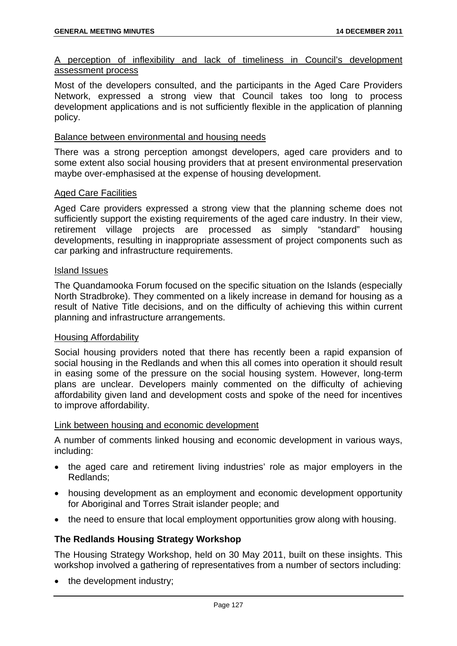# A perception of inflexibility and lack of timeliness in Council's development assessment process

Most of the developers consulted, and the participants in the Aged Care Providers Network, expressed a strong view that Council takes too long to process development applications and is not sufficiently flexible in the application of planning policy.

#### Balance between environmental and housing needs

There was a strong perception amongst developers, aged care providers and to some extent also social housing providers that at present environmental preservation maybe over-emphasised at the expense of housing development.

#### Aged Care Facilities

Aged Care providers expressed a strong view that the planning scheme does not sufficiently support the existing requirements of the aged care industry. In their view, retirement village projects are processed as simply "standard" housing developments, resulting in inappropriate assessment of project components such as car parking and infrastructure requirements.

#### Island Issues

The Quandamooka Forum focused on the specific situation on the Islands (especially North Stradbroke). They commented on a likely increase in demand for housing as a result of Native Title decisions, and on the difficulty of achieving this within current planning and infrastructure arrangements.

#### Housing Affordability

Social housing providers noted that there has recently been a rapid expansion of social housing in the Redlands and when this all comes into operation it should result in easing some of the pressure on the social housing system. However, long-term plans are unclear. Developers mainly commented on the difficulty of achieving affordability given land and development costs and spoke of the need for incentives to improve affordability.

#### Link between housing and economic development

A number of comments linked housing and economic development in various ways, including:

- the aged care and retirement living industries' role as major employers in the Redlands;
- housing development as an employment and economic development opportunity for Aboriginal and Torres Strait islander people; and
- the need to ensure that local employment opportunities grow along with housing.

#### **The Redlands Housing Strategy Workshop**

The Housing Strategy Workshop, held on 30 May 2011, built on these insights. This workshop involved a gathering of representatives from a number of sectors including:

• the development industry;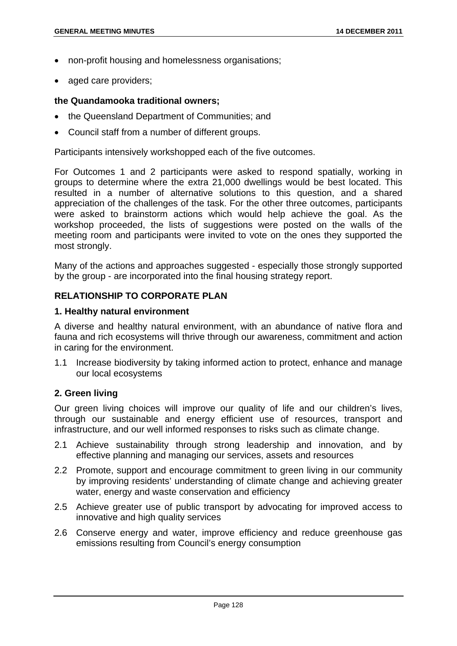- non-profit housing and homelessness organisations;
- aged care providers;

### **the Quandamooka traditional owners;**

- the Queensland Department of Communities; and
- Council staff from a number of different groups.

Participants intensively workshopped each of the five outcomes.

For Outcomes 1 and 2 participants were asked to respond spatially, working in groups to determine where the extra 21,000 dwellings would be best located. This resulted in a number of alternative solutions to this question, and a shared appreciation of the challenges of the task. For the other three outcomes, participants were asked to brainstorm actions which would help achieve the goal. As the workshop proceeded, the lists of suggestions were posted on the walls of the meeting room and participants were invited to vote on the ones they supported the most strongly.

Many of the actions and approaches suggested - especially those strongly supported by the group - are incorporated into the final housing strategy report.

## **RELATIONSHIP TO CORPORATE PLAN**

#### **1. Healthy natural environment**

A diverse and healthy natural environment, with an abundance of native flora and fauna and rich ecosystems will thrive through our awareness, commitment and action in caring for the environment.

1.1 Increase biodiversity by taking informed action to protect, enhance and manage our local ecosystems

## **2. Green living**

Our green living choices will improve our quality of life and our children's lives, through our sustainable and energy efficient use of resources, transport and infrastructure, and our well informed responses to risks such as climate change.

- 2.1 Achieve sustainability through strong leadership and innovation, and by effective planning and managing our services, assets and resources
- 2.2 Promote, support and encourage commitment to green living in our community by improving residents' understanding of climate change and achieving greater water, energy and waste conservation and efficiency
- 2.5 Achieve greater use of public transport by advocating for improved access to innovative and high quality services
- 2.6 Conserve energy and water, improve efficiency and reduce greenhouse gas emissions resulting from Council's energy consumption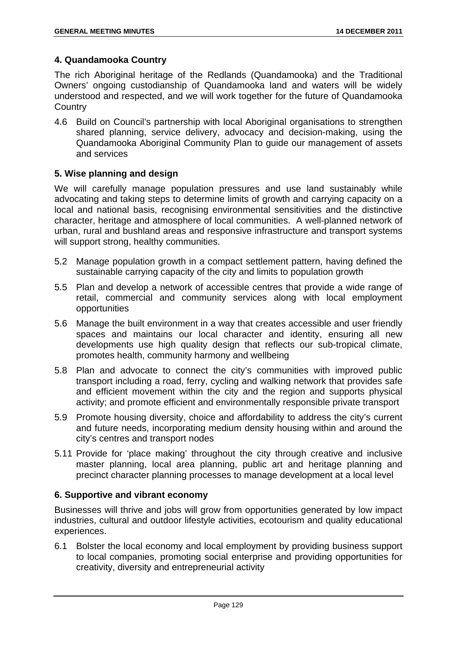# **4. Quandamooka Country**

The rich Aboriginal heritage of the Redlands (Quandamooka) and the Traditional Owners' ongoing custodianship of Quandamooka land and waters will be widely understood and respected, and we will work together for the future of Quandamooka **Country** 

4.6 Build on Council's partnership with local Aboriginal organisations to strengthen shared planning, service delivery, advocacy and decision-making, using the Quandamooka Aboriginal Community Plan to guide our management of assets and services

## **5. Wise planning and design**

We will carefully manage population pressures and use land sustainably while advocating and taking steps to determine limits of growth and carrying capacity on a local and national basis, recognising environmental sensitivities and the distinctive character, heritage and atmosphere of local communities. A well-planned network of urban, rural and bushland areas and responsive infrastructure and transport systems will support strong, healthy communities.

- 5.2 Manage population growth in a compact settlement pattern, having defined the sustainable carrying capacity of the city and limits to population growth
- 5.5 Plan and develop a network of accessible centres that provide a wide range of retail, commercial and community services along with local employment opportunities
- 5.6 Manage the built environment in a way that creates accessible and user friendly spaces and maintains our local character and identity, ensuring all new developments use high quality design that reflects our sub-tropical climate, promotes health, community harmony and wellbeing
- 5.8 Plan and advocate to connect the city's communities with improved public transport including a road, ferry, cycling and walking network that provides safe and efficient movement within the city and the region and supports physical activity; and promote efficient and environmentally responsible private transport
- 5.9 Promote housing diversity, choice and affordability to address the city's current and future needs, incorporating medium density housing within and around the city's centres and transport nodes
- 5.11 Provide for 'place making' throughout the city through creative and inclusive master planning, local area planning, public art and heritage planning and precinct character planning processes to manage development at a local level

## **6. Supportive and vibrant economy**

Businesses will thrive and jobs will grow from opportunities generated by low impact industries, cultural and outdoor lifestyle activities, ecotourism and quality educational experiences.

6.1 Bolster the local economy and local employment by providing business support to local companies, promoting social enterprise and providing opportunities for creativity, diversity and entrepreneurial activity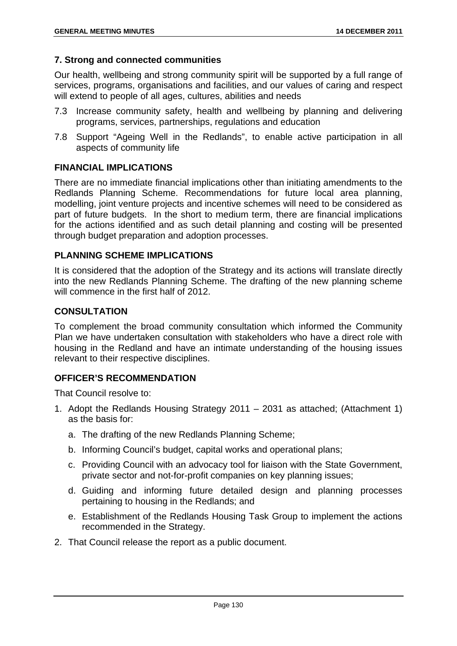# **7. Strong and connected communities**

Our health, wellbeing and strong community spirit will be supported by a full range of services, programs, organisations and facilities, and our values of caring and respect will extend to people of all ages, cultures, abilities and needs

- 7.3 Increase community safety, health and wellbeing by planning and delivering programs, services, partnerships, regulations and education
- 7.8 Support "Ageing Well in the Redlands", to enable active participation in all aspects of community life

## **FINANCIAL IMPLICATIONS**

There are no immediate financial implications other than initiating amendments to the Redlands Planning Scheme. Recommendations for future local area planning, modelling, joint venture projects and incentive schemes will need to be considered as part of future budgets. In the short to medium term, there are financial implications for the actions identified and as such detail planning and costing will be presented through budget preparation and adoption processes.

# **PLANNING SCHEME IMPLICATIONS**

It is considered that the adoption of the Strategy and its actions will translate directly into the new Redlands Planning Scheme. The drafting of the new planning scheme will commence in the first half of 2012.

## **CONSULTATION**

To complement the broad community consultation which informed the Community Plan we have undertaken consultation with stakeholders who have a direct role with housing in the Redland and have an intimate understanding of the housing issues relevant to their respective disciplines.

# **OFFICER'S RECOMMENDATION**

That Council resolve to:

- 1. Adopt the Redlands Housing Strategy 2011 2031 as attached; (Attachment 1) as the basis for:
	- a. The drafting of the new Redlands Planning Scheme;
	- b. Informing Council's budget, capital works and operational plans;
	- c. Providing Council with an advocacy tool for liaison with the State Government, private sector and not-for-profit companies on key planning issues;
	- d. Guiding and informing future detailed design and planning processes pertaining to housing in the Redlands; and
	- e. Establishment of the Redlands Housing Task Group to implement the actions recommended in the Strategy.
- 2. That Council release the report as a public document.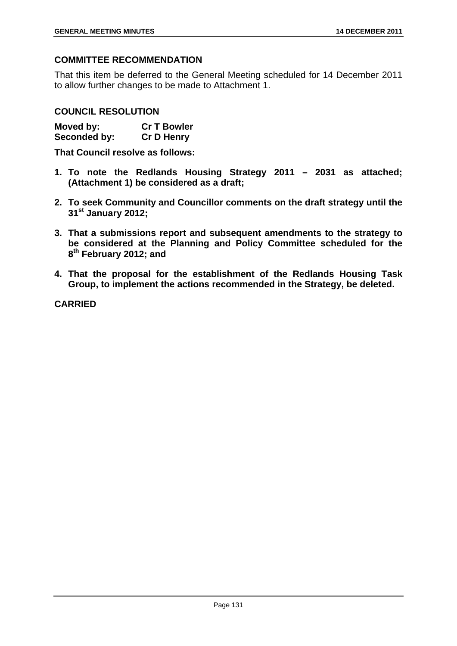# **COMMITTEE RECOMMENDATION**

That this item be deferred to the General Meeting scheduled for 14 December 2011 to allow further changes to be made to Attachment 1.

## **COUNCIL RESOLUTION**

**Moved by: Cr T Bowler Seconded by: Cr D Henry** 

**That Council resolve as follows:** 

- **1. To note the Redlands Housing Strategy 2011 2031 as attached; (Attachment 1) be considered as a draft;**
- **2. To seek Community and Councillor comments on the draft strategy until the 31st January 2012;**
- **3. That a submissions report and subsequent amendments to the strategy to be considered at the Planning and Policy Committee scheduled for the 8th February 2012; and**
- **4. That the proposal for the establishment of the Redlands Housing Task Group, to implement the actions recommended in the Strategy, be deleted.**

**CARRIED**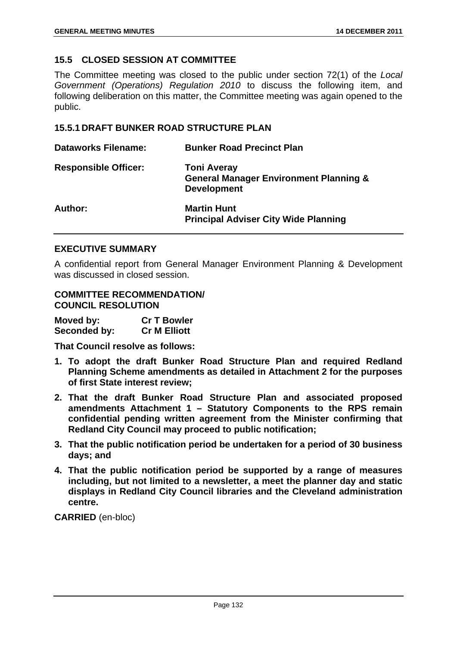# **15.5 CLOSED SESSION AT COMMITTEE**

The Committee meeting was closed to the public under section 72(1) of the *Local Government (Operations) Regulation 2010* to discuss the following item, and following deliberation on this matter, the Committee meeting was again opened to the public.

## **15.5.1 DRAFT BUNKER ROAD STRUCTURE PLAN**

| <b>Dataworks Filename:</b>  | <b>Bunker Road Precinct Plan</b>                                                              |
|-----------------------------|-----------------------------------------------------------------------------------------------|
| <b>Responsible Officer:</b> | <b>Toni Averay</b><br><b>General Manager Environment Planning &amp;</b><br><b>Development</b> |
| Author:                     | <b>Martin Hunt</b><br><b>Principal Adviser City Wide Planning</b>                             |

## **EXECUTIVE SUMMARY**

A confidential report from General Manager Environment Planning & Development was discussed in closed session.

## **COMMITTEE RECOMMENDATION/ COUNCIL RESOLUTION**

| Moved by:    | <b>Cr T Bowler</b>  |
|--------------|---------------------|
| Seconded by: | <b>Cr M Elliott</b> |

**That Council resolve as follows:** 

- **1. To adopt the draft Bunker Road Structure Plan and required Redland Planning Scheme amendments as detailed in Attachment 2 for the purposes of first State interest review;**
- **2. That the draft Bunker Road Structure Plan and associated proposed amendments Attachment 1 – Statutory Components to the RPS remain confidential pending written agreement from the Minister confirming that Redland City Council may proceed to public notification;**
- **3. That the public notification period be undertaken for a period of 30 business days; and**
- **4. That the public notification period be supported by a range of measures including, but not limited to a newsletter, a meet the planner day and static displays in Redland City Council libraries and the Cleveland administration centre.**

**CARRIED** (en-bloc)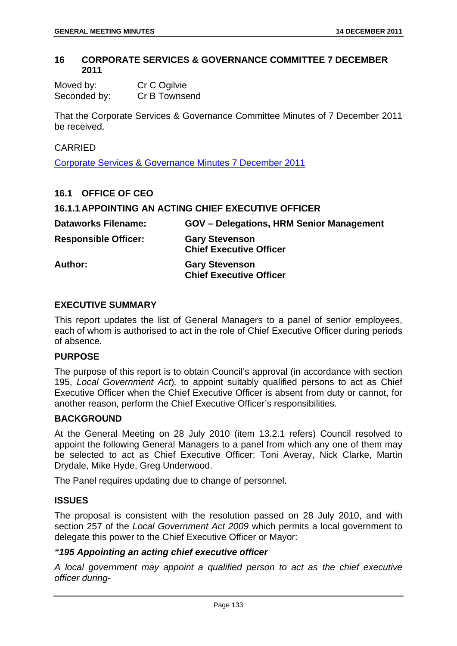### **16 CORPORATE SERVICES & GOVERNANCE COMMITTEE 7 DECEMBER 2011**

| Moved by:    | Cr C Ogilvie  |
|--------------|---------------|
| Seconded by: | Cr B Townsend |

That the Corporate Services & Governance Committee Minutes of 7 December 2011 be received.

#### CARRIED

Corporate Services & Governance Minutes 7 December 2011

| 16.1 OFFICE OF CEO          |                                                            |
|-----------------------------|------------------------------------------------------------|
|                             | <b>16.1.1 APPOINTING AN ACTING CHIEF EXECUTIVE OFFICER</b> |
| <b>Dataworks Filename:</b>  | <b>GOV</b> – Delegations, HRM Senior Management            |
| <b>Responsible Officer:</b> | <b>Gary Stevenson</b><br><b>Chief Executive Officer</b>    |
| Author:                     | <b>Gary Stevenson</b><br><b>Chief Executive Officer</b>    |

## **EXECUTIVE SUMMARY**

This report updates the list of General Managers to a panel of senior employees, each of whom is authorised to act in the role of Chief Executive Officer during periods of absence.

# **PURPOSE**

The purpose of this report is to obtain Council's approval (in accordance with section 195, *Local Government Act*)*,* to appoint suitably qualified persons to act as Chief Executive Officer when the Chief Executive Officer is absent from duty or cannot, for another reason, perform the Chief Executive Officer's responsibilities.

#### **BACKGROUND**

At the General Meeting on 28 July 2010 (item 13.2.1 refers) Council resolved to appoint the following General Managers to a panel from which any one of them may be selected to act as Chief Executive Officer: Toni Averay, Nick Clarke, Martin Drydale, Mike Hyde, Greg Underwood.

The Panel requires updating due to change of personnel.

#### **ISSUES**

The proposal is consistent with the resolution passed on 28 July 2010, and with section 257 of the *Local Government Act 2009* which permits a local government to delegate this power to the Chief Executive Officer or Mayor:

#### *"195 Appointing an acting chief executive officer*

*A local government may appoint a qualified person to act as the chief executive officer during-*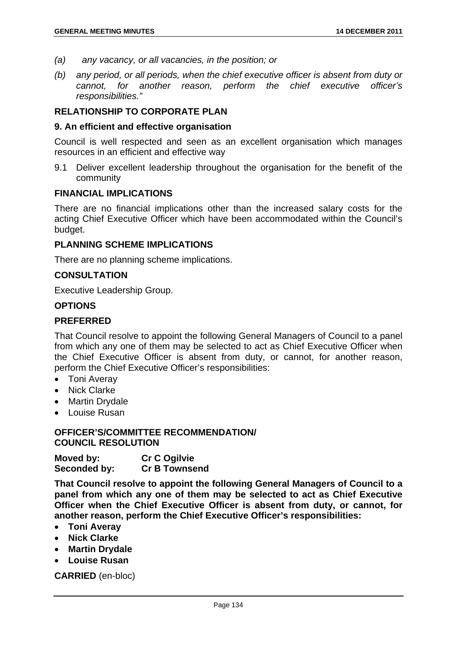- *(a) any vacancy, or all vacancies, in the position; or*
- *(b) any period, or all periods, when the chief executive officer is absent from duty or cannot, for another reason, perform the chief executive officer's responsibilities."*

### **RELATIONSHIP TO CORPORATE PLAN**

#### **9. An efficient and effective organisation**

Council is well respected and seen as an excellent organisation which manages resources in an efficient and effective way

9.1 Deliver excellent leadership throughout the organisation for the benefit of the community

#### **FINANCIAL IMPLICATIONS**

There are no financial implications other than the increased salary costs for the acting Chief Executive Officer which have been accommodated within the Council's budget.

#### **PLANNING SCHEME IMPLICATIONS**

There are no planning scheme implications.

#### **CONSULTATION**

Executive Leadership Group.

#### **OPTIONS**

#### **PREFERRED**

That Council resolve to appoint the following General Managers of Council to a panel from which any one of them may be selected to act as Chief Executive Officer when the Chief Executive Officer is absent from duty, or cannot, for another reason, perform the Chief Executive Officer's responsibilities:

- Toni Averay
- Nick Clarke
- Martin Drydale
- Louise Rusan

# **OFFICER'S/COMMITTEE RECOMMENDATION/ COUNCIL RESOLUTION**

**Moved by: Cr C Ogilvie Seconded by: Cr B Townsend** 

**That Council resolve to appoint the following General Managers of Council to a panel from which any one of them may be selected to act as Chief Executive Officer when the Chief Executive Officer is absent from duty, or cannot, for another reason, perform the Chief Executive Officer's responsibilities:**

- **Toni Averay**
- **Nick Clarke**
- **Martin Drydale**
- **Louise Rusan**

**CARRIED** (en-bloc)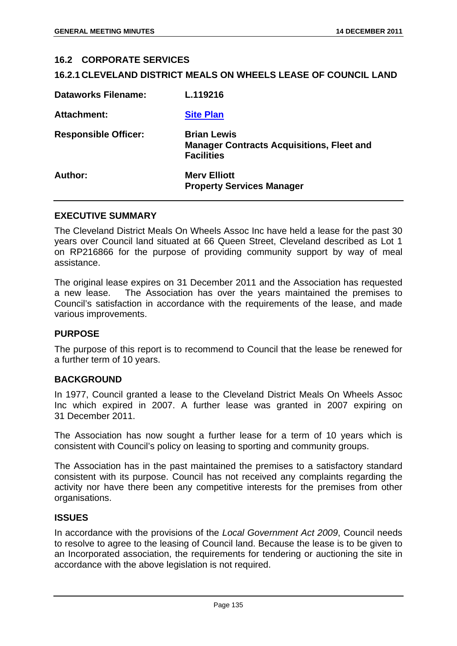#### **16.2 CORPORATE SERVICES**

#### **16.2.1 CLEVELAND DISTRICT MEALS ON WHEELS LEASE OF COUNCIL LAND**

| <b>Dataworks Filename:</b>  | L.119216                                                                                    |
|-----------------------------|---------------------------------------------------------------------------------------------|
| Attachment:                 | <b>Site Plan</b>                                                                            |
| <b>Responsible Officer:</b> | <b>Brian Lewis</b><br><b>Manager Contracts Acquisitions, Fleet and</b><br><b>Facilities</b> |
| Author:                     | <b>Mery Elliott</b><br><b>Property Services Manager</b>                                     |

#### **EXECUTIVE SUMMARY**

The Cleveland District Meals On Wheels Assoc Inc have held a lease for the past 30 years over Council land situated at 66 Queen Street, Cleveland described as Lot 1 on RP216866 for the purpose of providing community support by way of meal assistance.

The original lease expires on 31 December 2011 and the Association has requested a new lease. The Association has over the years maintained the premises to Council's satisfaction in accordance with the requirements of the lease, and made various improvements.

#### **PURPOSE**

The purpose of this report is to recommend to Council that the lease be renewed for a further term of 10 years.

#### **BACKGROUND**

In 1977, Council granted a lease to the Cleveland District Meals On Wheels Assoc Inc which expired in 2007. A further lease was granted in 2007 expiring on 31 December 2011.

The Association has now sought a further lease for a term of 10 years which is consistent with Council's policy on leasing to sporting and community groups.

The Association has in the past maintained the premises to a satisfactory standard consistent with its purpose. Council has not received any complaints regarding the activity nor have there been any competitive interests for the premises from other organisations.

#### **ISSUES**

In accordance with the provisions of the *Local Government Act 2009*, Council needs to resolve to agree to the leasing of Council land. Because the lease is to be given to an Incorporated association, the requirements for tendering or auctioning the site in accordance with the above legislation is not required.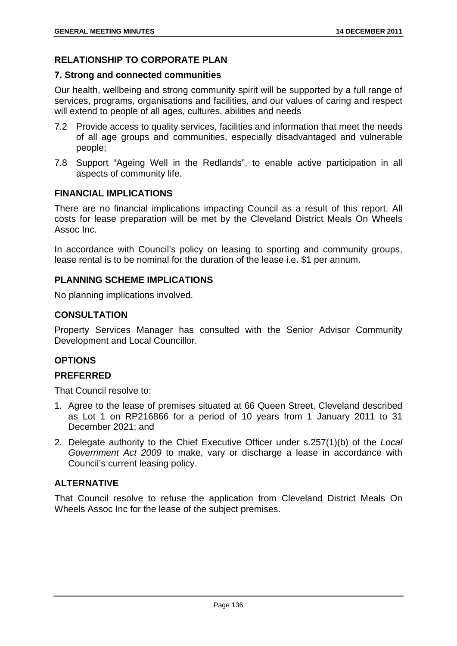# **RELATIONSHIP TO CORPORATE PLAN**

## **7. Strong and connected communities**

Our health, wellbeing and strong community spirit will be supported by a full range of services, programs, organisations and facilities, and our values of caring and respect will extend to people of all ages, cultures, abilities and needs

- 7.2 Provide access to quality services, facilities and information that meet the needs of all age groups and communities, especially disadvantaged and vulnerable people;
- 7.8 Support "Ageing Well in the Redlands", to enable active participation in all aspects of community life.

## **FINANCIAL IMPLICATIONS**

There are no financial implications impacting Council as a result of this report. All costs for lease preparation will be met by the Cleveland District Meals On Wheels Assoc Inc.

In accordance with Council's policy on leasing to sporting and community groups, lease rental is to be nominal for the duration of the lease i.e. \$1 per annum.

## **PLANNING SCHEME IMPLICATIONS**

No planning implications involved.

## **CONSULTATION**

Property Services Manager has consulted with the Senior Advisor Community Development and Local Councillor.

## **OPTIONS**

## **PREFERRED**

That Council resolve to:

- 1. Agree to the lease of premises situated at 66 Queen Street, Cleveland described as Lot 1 on RP216866 for a period of 10 years from 1 January 2011 to 31 December 2021; and
- 2. Delegate authority to the Chief Executive Officer under s.257(1)(b) of the *Local Government Act 2009* to make, vary or discharge a lease in accordance with Council's current leasing policy.

# **ALTERNATIVE**

That Council resolve to refuse the application from Cleveland District Meals On Wheels Assoc Inc for the lease of the subject premises.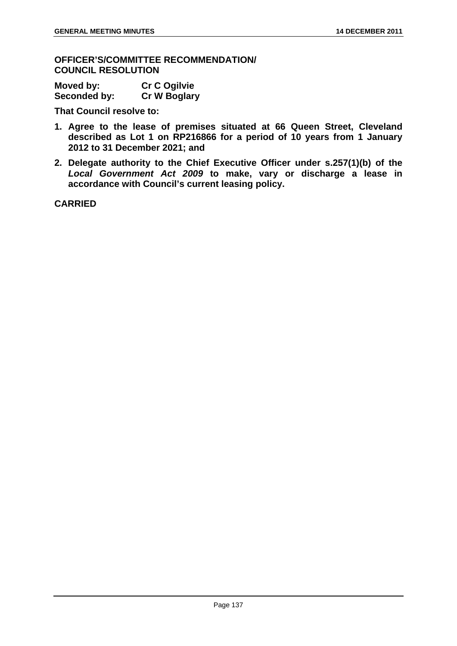**OFFICER'S/COMMITTEE RECOMMENDATION/ COUNCIL RESOLUTION** 

| Moved by:    | <b>Cr C Ogilvie</b> |
|--------------|---------------------|
| Seconded by: | <b>Cr W Boglary</b> |

**That Council resolve to:** 

- **1. Agree to the lease of premises situated at 66 Queen Street, Cleveland described as Lot 1 on RP216866 for a period of 10 years from 1 January 2012 to 31 December 2021; and**
- **2. Delegate authority to the Chief Executive Officer under s.257(1)(b) of the**  *Local Government Act 2009* **to make, vary or discharge a lease in accordance with Council's current leasing policy.**

**CARRIED**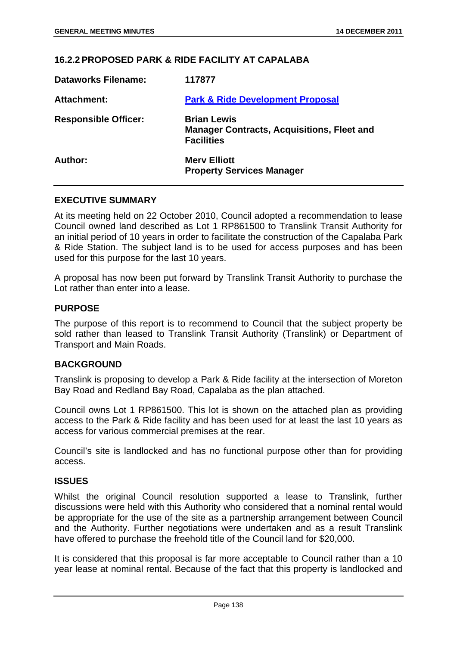#### **16.2.2 PROPOSED PARK & RIDE FACILITY AT CAPALABA**

| <b>Dataworks Filename:</b>  | 117877                                                                                       |
|-----------------------------|----------------------------------------------------------------------------------------------|
| Attachment:                 | <b>Park &amp; Ride Development Proposal</b>                                                  |
| <b>Responsible Officer:</b> | <b>Brian Lewis</b><br><b>Manager Contracts, Acquisitions, Fleet and</b><br><b>Facilities</b> |
| Author:                     | <b>Mery Elliott</b><br><b>Property Services Manager</b>                                      |

#### **EXECUTIVE SUMMARY**

At its meeting held on 22 October 2010, Council adopted a recommendation to lease Council owned land described as Lot 1 RP861500 to Translink Transit Authority for an initial period of 10 years in order to facilitate the construction of the Capalaba Park & Ride Station. The subject land is to be used for access purposes and has been used for this purpose for the last 10 years.

A proposal has now been put forward by Translink Transit Authority to purchase the Lot rather than enter into a lease.

### **PURPOSE**

The purpose of this report is to recommend to Council that the subject property be sold rather than leased to Translink Transit Authority (Translink) or Department of Transport and Main Roads.

#### **BACKGROUND**

Translink is proposing to develop a Park & Ride facility at the intersection of Moreton Bay Road and Redland Bay Road, Capalaba as the plan attached.

Council owns Lot 1 RP861500. This lot is shown on the attached plan as providing access to the Park & Ride facility and has been used for at least the last 10 years as access for various commercial premises at the rear.

Council's site is landlocked and has no functional purpose other than for providing access.

#### **ISSUES**

Whilst the original Council resolution supported a lease to Translink, further discussions were held with this Authority who considered that a nominal rental would be appropriate for the use of the site as a partnership arrangement between Council and the Authority. Further negotiations were undertaken and as a result Translink have offered to purchase the freehold title of the Council land for \$20,000.

It is considered that this proposal is far more acceptable to Council rather than a 10 year lease at nominal rental. Because of the fact that this property is landlocked and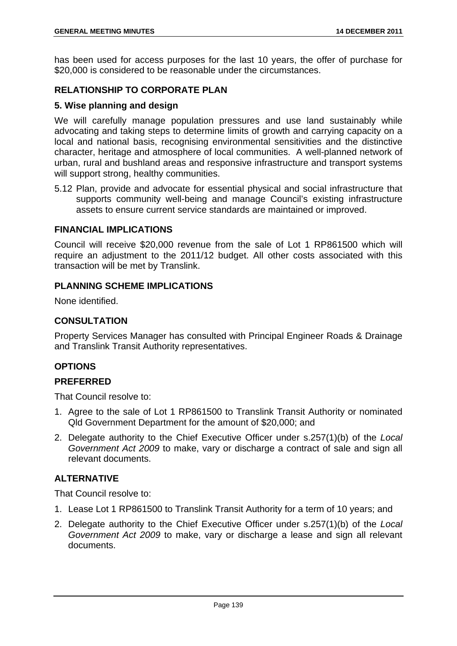has been used for access purposes for the last 10 years, the offer of purchase for \$20,000 is considered to be reasonable under the circumstances.

# **RELATIONSHIP TO CORPORATE PLAN**

### **5. Wise planning and design**

We will carefully manage population pressures and use land sustainably while advocating and taking steps to determine limits of growth and carrying capacity on a local and national basis, recognising environmental sensitivities and the distinctive character, heritage and atmosphere of local communities. A well-planned network of urban, rural and bushland areas and responsive infrastructure and transport systems will support strong, healthy communities.

5.12 Plan, provide and advocate for essential physical and social infrastructure that supports community well-being and manage Council's existing infrastructure assets to ensure current service standards are maintained or improved.

### **FINANCIAL IMPLICATIONS**

Council will receive \$20,000 revenue from the sale of Lot 1 RP861500 which will require an adjustment to the 2011/12 budget. All other costs associated with this transaction will be met by Translink.

### **PLANNING SCHEME IMPLICATIONS**

None identified.

# **CONSULTATION**

Property Services Manager has consulted with Principal Engineer Roads & Drainage and Translink Transit Authority representatives.

## **OPTIONS**

## **PREFERRED**

That Council resolve to:

- 1. Agree to the sale of Lot 1 RP861500 to Translink Transit Authority or nominated Qld Government Department for the amount of \$20,000; and
- 2. Delegate authority to the Chief Executive Officer under s.257(1)(b) of the *Local Government Act 2009* to make, vary or discharge a contract of sale and sign all relevant documents.

## **ALTERNATIVE**

That Council resolve to:

- 1. Lease Lot 1 RP861500 to Translink Transit Authority for a term of 10 years; and
- 2. Delegate authority to the Chief Executive Officer under s.257(1)(b) of the *Local Government Act 2009* to make, vary or discharge a lease and sign all relevant documents.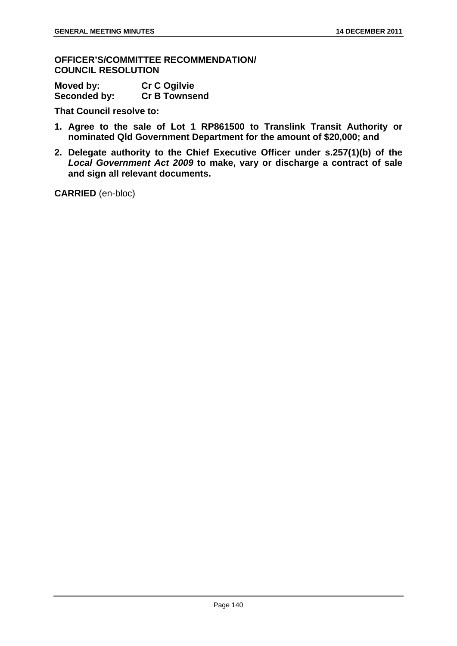**OFFICER'S/COMMITTEE RECOMMENDATION/ COUNCIL RESOLUTION** 

| Moved by:    | <b>Cr C Ogilvie</b>  |
|--------------|----------------------|
| Seconded by: | <b>Cr B Townsend</b> |

**That Council resolve to:** 

- **1. Agree to the sale of Lot 1 RP861500 to Translink Transit Authority or nominated Qld Government Department for the amount of \$20,000; and**
- **2. Delegate authority to the Chief Executive Officer under s.257(1)(b) of the**  *Local Government Act 2009* **to make, vary or discharge a contract of sale and sign all relevant documents.**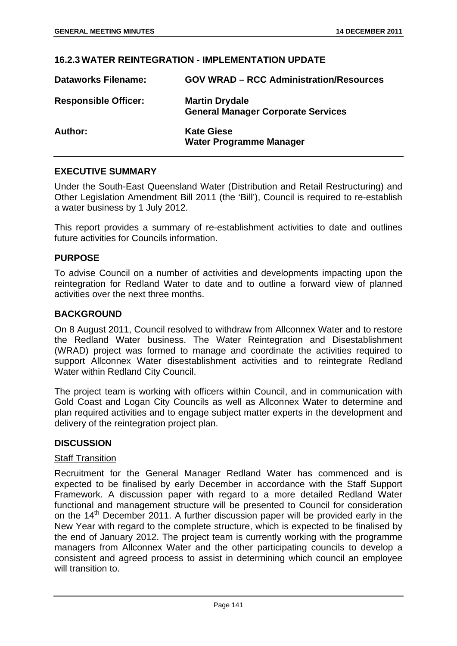#### **16.2.3 WATER REINTEGRATION - IMPLEMENTATION UPDATE**

| <b>Dataworks Filename:</b>  | <b>GOV WRAD – RCC Administration/Resources</b>                     |
|-----------------------------|--------------------------------------------------------------------|
| <b>Responsible Officer:</b> | <b>Martin Drydale</b><br><b>General Manager Corporate Services</b> |
| Author:                     | <b>Kate Giese</b><br><b>Water Programme Manager</b>                |

### **EXECUTIVE SUMMARY**

Under the South-East Queensland Water (Distribution and Retail Restructuring) and Other Legislation Amendment Bill 2011 (the 'Bill'), Council is required to re-establish a water business by 1 July 2012.

This report provides a summary of re-establishment activities to date and outlines future activities for Councils information.

#### **PURPOSE**

To advise Council on a number of activities and developments impacting upon the reintegration for Redland Water to date and to outline a forward view of planned activities over the next three months.

### **BACKGROUND**

On 8 August 2011, Council resolved to withdraw from Allconnex Water and to restore the Redland Water business. The Water Reintegration and Disestablishment (WRAD) project was formed to manage and coordinate the activities required to support Allconnex Water disestablishment activities and to reintegrate Redland Water within Redland City Council.

The project team is working with officers within Council, and in communication with Gold Coast and Logan City Councils as well as Allconnex Water to determine and plan required activities and to engage subject matter experts in the development and delivery of the reintegration project plan.

## **DISCUSSION**

## Staff Transition

Recruitment for the General Manager Redland Water has commenced and is expected to be finalised by early December in accordance with the Staff Support Framework. A discussion paper with regard to a more detailed Redland Water functional and management structure will be presented to Council for consideration on the 14<sup>th</sup> December 2011. A further discussion paper will be provided early in the New Year with regard to the complete structure, which is expected to be finalised by the end of January 2012. The project team is currently working with the programme managers from Allconnex Water and the other participating councils to develop a consistent and agreed process to assist in determining which council an employee will transition to.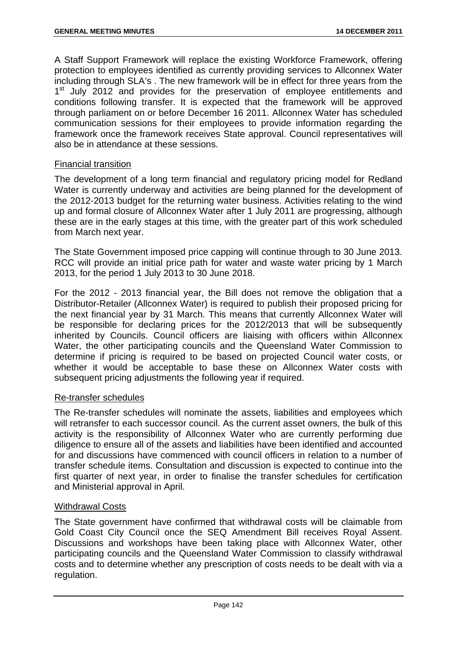A Staff Support Framework will replace the existing Workforce Framework, offering protection to employees identified as currently providing services to Allconnex Water including through SLA's . The new framework will be in effect for three years from the 1<sup>st</sup> July 2012 and provides for the preservation of employee entitlements and conditions following transfer. It is expected that the framework will be approved through parliament on or before December 16 2011. Allconnex Water has scheduled communication sessions for their employees to provide information regarding the framework once the framework receives State approval. Council representatives will also be in attendance at these sessions.

### Financial transition

The development of a long term financial and regulatory pricing model for Redland Water is currently underway and activities are being planned for the development of the 2012-2013 budget for the returning water business. Activities relating to the wind up and formal closure of Allconnex Water after 1 July 2011 are progressing, although these are in the early stages at this time, with the greater part of this work scheduled from March next year.

The State Government imposed price capping will continue through to 30 June 2013. RCC will provide an initial price path for water and waste water pricing by 1 March 2013, for the period 1 July 2013 to 30 June 2018.

For the 2012 - 2013 financial year, the Bill does not remove the obligation that a Distributor-Retailer (Allconnex Water) is required to publish their proposed pricing for the next financial year by 31 March. This means that currently Allconnex Water will be responsible for declaring prices for the 2012/2013 that will be subsequently inherited by Councils. Council officers are liaising with officers within Allconnex Water, the other participating councils and the Queensland Water Commission to determine if pricing is required to be based on projected Council water costs, or whether it would be acceptable to base these on Allconnex Water costs with subsequent pricing adjustments the following year if required.

#### Re-transfer schedules

The Re-transfer schedules will nominate the assets, liabilities and employees which will retransfer to each successor council. As the current asset owners, the bulk of this activity is the responsibility of Allconnex Water who are currently performing due diligence to ensure all of the assets and liabilities have been identified and accounted for and discussions have commenced with council officers in relation to a number of transfer schedule items. Consultation and discussion is expected to continue into the first quarter of next year, in order to finalise the transfer schedules for certification and Ministerial approval in April.

#### Withdrawal Costs

The State government have confirmed that withdrawal costs will be claimable from Gold Coast City Council once the SEQ Amendment Bill receives Royal Assent. Discussions and workshops have been taking place with Allconnex Water, other participating councils and the Queensland Water Commission to classify withdrawal costs and to determine whether any prescription of costs needs to be dealt with via a regulation.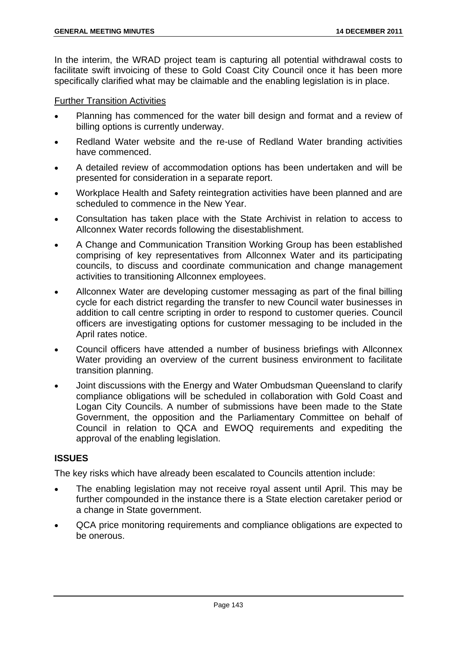In the interim, the WRAD project team is capturing all potential withdrawal costs to facilitate swift invoicing of these to Gold Coast City Council once it has been more specifically clarified what may be claimable and the enabling legislation is in place.

### Further Transition Activities

- Planning has commenced for the water bill design and format and a review of billing options is currently underway.
- Redland Water website and the re-use of Redland Water branding activities have commenced.
- A detailed review of accommodation options has been undertaken and will be presented for consideration in a separate report.
- Workplace Health and Safety reintegration activities have been planned and are scheduled to commence in the New Year.
- Consultation has taken place with the State Archivist in relation to access to Allconnex Water records following the disestablishment.
- A Change and Communication Transition Working Group has been established comprising of key representatives from Allconnex Water and its participating councils, to discuss and coordinate communication and change management activities to transitioning Allconnex employees.
- Allconnex Water are developing customer messaging as part of the final billing cycle for each district regarding the transfer to new Council water businesses in addition to call centre scripting in order to respond to customer queries. Council officers are investigating options for customer messaging to be included in the April rates notice.
- Council officers have attended a number of business briefings with Allconnex Water providing an overview of the current business environment to facilitate transition planning.
- Joint discussions with the Energy and Water Ombudsman Queensland to clarify compliance obligations will be scheduled in collaboration with Gold Coast and Logan City Councils. A number of submissions have been made to the State Government, the opposition and the Parliamentary Committee on behalf of Council in relation to QCA and EWOQ requirements and expediting the approval of the enabling legislation.

# **ISSUES**

The key risks which have already been escalated to Councils attention include:

- The enabling legislation may not receive royal assent until April. This may be further compounded in the instance there is a State election caretaker period or a change in State government.
- QCA price monitoring requirements and compliance obligations are expected to be onerous.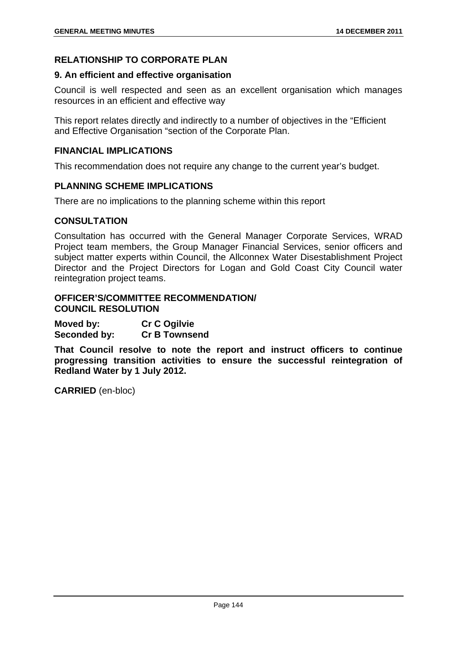### **RELATIONSHIP TO CORPORATE PLAN**

#### **9. An efficient and effective organisation**

Council is well respected and seen as an excellent organisation which manages resources in an efficient and effective way

This report relates directly and indirectly to a number of objectives in the "Efficient and Effective Organisation "section of the Corporate Plan.

#### **FINANCIAL IMPLICATIONS**

This recommendation does not require any change to the current year's budget.

#### **PLANNING SCHEME IMPLICATIONS**

There are no implications to the planning scheme within this report

### **CONSULTATION**

Consultation has occurred with the General Manager Corporate Services, WRAD Project team members, the Group Manager Financial Services, senior officers and subject matter experts within Council, the Allconnex Water Disestablishment Project Director and the Project Directors for Logan and Gold Coast City Council water reintegration project teams.

### **OFFICER'S/COMMITTEE RECOMMENDATION/ COUNCIL RESOLUTION**

**Moved by: Cr C Ogilvie Seconded by: Cr B Townsend** 

**That Council resolve to note the report and instruct officers to continue progressing transition activities to ensure the successful reintegration of Redland Water by 1 July 2012.**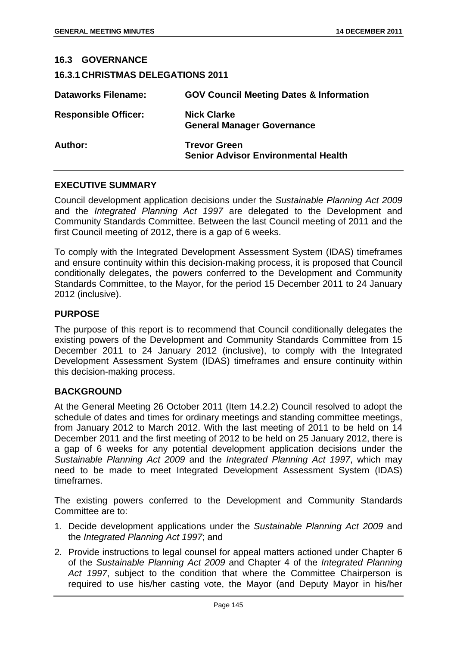| <b>16.3.1 CHRISTMAS DELEGATIONS 2011</b>                          |
|-------------------------------------------------------------------|
| <b>GOV Council Meeting Dates &amp; Information</b>                |
| <b>Nick Clarke</b><br><b>General Manager Governance</b>           |
| <b>Trevor Green</b><br><b>Senior Advisor Environmental Health</b> |
|                                                                   |

#### **EXECUTIVE SUMMARY**

Council development application decisions under the *Sustainable Planning Act 2009*  and the *Integrated Planning Act 1997* are delegated to the Development and Community Standards Committee. Between the last Council meeting of 2011 and the first Council meeting of 2012, there is a gap of 6 weeks.

To comply with the Integrated Development Assessment System (IDAS) timeframes and ensure continuity within this decision-making process, it is proposed that Council conditionally delegates, the powers conferred to the Development and Community Standards Committee, to the Mayor, for the period 15 December 2011 to 24 January 2012 (inclusive).

### **PURPOSE**

The purpose of this report is to recommend that Council conditionally delegates the existing powers of the Development and Community Standards Committee from 15 December 2011 to 24 January 2012 (inclusive), to comply with the Integrated Development Assessment System (IDAS) timeframes and ensure continuity within this decision-making process.

#### **BACKGROUND**

At the General Meeting 26 October 2011 (Item 14.2.2) Council resolved to adopt the schedule of dates and times for ordinary meetings and standing committee meetings, from January 2012 to March 2012. With the last meeting of 2011 to be held on 14 December 2011 and the first meeting of 2012 to be held on 25 January 2012, there is a gap of 6 weeks for any potential development application decisions under the *Sustainable Planning Act 2009* and the *Integrated Planning Act 1997*, which may need to be made to meet Integrated Development Assessment System (IDAS) timeframes.

The existing powers conferred to the Development and Community Standards Committee are to:

- 1. Decide development applications under the *Sustainable Planning Act 2009* and the *Integrated Planning Act 1997*; and
- 2. Provide instructions to legal counsel for appeal matters actioned under Chapter 6 of the *Sustainable Planning Act 2009* and Chapter 4 of the *Integrated Planning Act 1997*, subject to the condition that where the Committee Chairperson is required to use his/her casting vote, the Mayor (and Deputy Mayor in his/her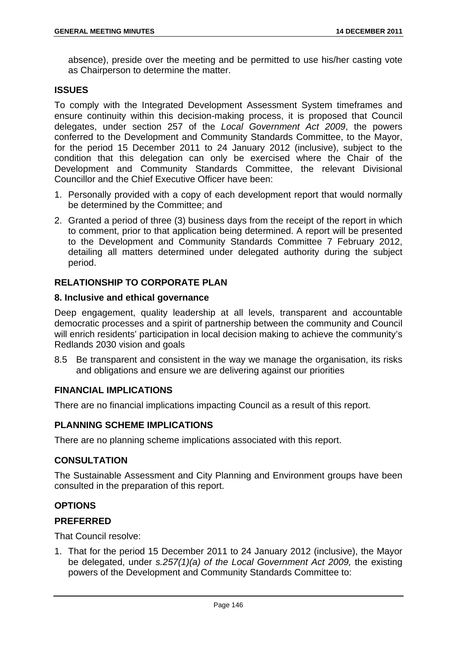absence), preside over the meeting and be permitted to use his/her casting vote as Chairperson to determine the matter.

### **ISSUES**

To comply with the Integrated Development Assessment System timeframes and ensure continuity within this decision-making process, it is proposed that Council delegates, under section 257 of the *Local Government Act 2009*, the powers conferred to the Development and Community Standards Committee, to the Mayor, for the period 15 December 2011 to 24 January 2012 (inclusive), subject to the condition that this delegation can only be exercised where the Chair of the Development and Community Standards Committee, the relevant Divisional Councillor and the Chief Executive Officer have been:

- 1. Personally provided with a copy of each development report that would normally be determined by the Committee; and
- 2. Granted a period of three (3) business days from the receipt of the report in which to comment, prior to that application being determined. A report will be presented to the Development and Community Standards Committee 7 February 2012, detailing all matters determined under delegated authority during the subject period.

# **RELATIONSHIP TO CORPORATE PLAN**

### **8. Inclusive and ethical governance**

Deep engagement, quality leadership at all levels, transparent and accountable democratic processes and a spirit of partnership between the community and Council will enrich residents' participation in local decision making to achieve the community's Redlands 2030 vision and goals

8.5 Be transparent and consistent in the way we manage the organisation, its risks and obligations and ensure we are delivering against our priorities

## **FINANCIAL IMPLICATIONS**

There are no financial implications impacting Council as a result of this report.

## **PLANNING SCHEME IMPLICATIONS**

There are no planning scheme implications associated with this report.

### **CONSULTATION**

The Sustainable Assessment and City Planning and Environment groups have been consulted in the preparation of this report.

## **OPTIONS**

#### **PREFERRED**

That Council resolve:

1. That for the period 15 December 2011 to 24 January 2012 (inclusive), the Mayor be delegated, under *s.257(1)(a) of the Local Government Act 2009,* the existing powers of the Development and Community Standards Committee to: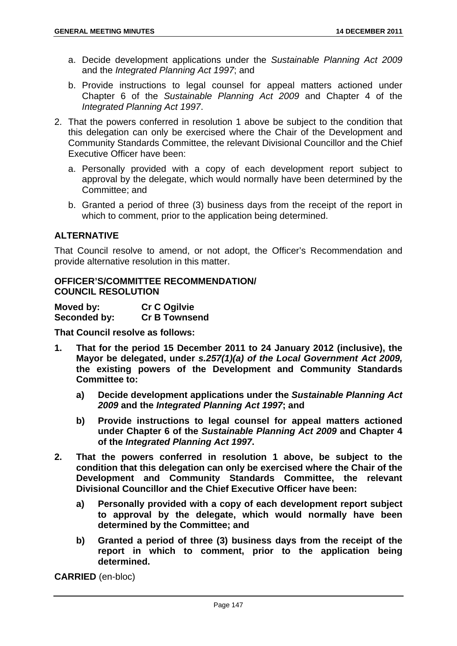- a. Decide development applications under the *Sustainable Planning Act 2009*  and the *Integrated Planning Act 1997*; and
- b. Provide instructions to legal counsel for appeal matters actioned under Chapter 6 of the *Sustainable Planning Act 2009* and Chapter 4 of the *Integrated Planning Act 1997*.
- 2. That the powers conferred in resolution 1 above be subject to the condition that this delegation can only be exercised where the Chair of the Development and Community Standards Committee, the relevant Divisional Councillor and the Chief Executive Officer have been:
	- a. Personally provided with a copy of each development report subject to approval by the delegate, which would normally have been determined by the Committee; and
	- b. Granted a period of three (3) business days from the receipt of the report in which to comment, prior to the application being determined.

## **ALTERNATIVE**

That Council resolve to amend, or not adopt, the Officer's Recommendation and provide alternative resolution in this matter.

### **OFFICER'S/COMMITTEE RECOMMENDATION/ COUNCIL RESOLUTION**

| Moved by:           | <b>Cr C Ogilvie</b>  |
|---------------------|----------------------|
| <b>Seconded by:</b> | <b>Cr B Townsend</b> |

**That Council resolve as follows:** 

- **1. That for the period 15 December 2011 to 24 January 2012 (inclusive), the Mayor be delegated, under** *s.257(1)(a) of the Local Government Act 2009,*  **the existing powers of the Development and Community Standards Committee to:** 
	- **a) Decide development applications under the** *Sustainable Planning Act 2009* **and the** *Integrated Planning Act 1997***; and**
	- **b) Provide instructions to legal counsel for appeal matters actioned under Chapter 6 of the** *Sustainable Planning Act 2009* **and Chapter 4 of the** *Integrated Planning Act 1997***.**
- **2. That the powers conferred in resolution 1 above, be subject to the condition that this delegation can only be exercised where the Chair of the Development and Community Standards Committee, the relevant Divisional Councillor and the Chief Executive Officer have been:** 
	- **a) Personally provided with a copy of each development report subject to approval by the delegate, which would normally have been determined by the Committee; and**
	- **b) Granted a period of three (3) business days from the receipt of the report in which to comment, prior to the application being determined.**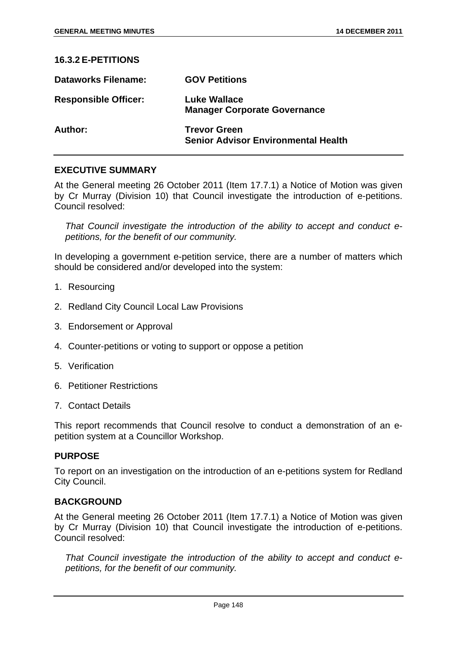### **16.3.2 E-PETITIONS**

| <b>Dataworks Filename:</b>  | <b>GOV Petitions</b>                                              |
|-----------------------------|-------------------------------------------------------------------|
| <b>Responsible Officer:</b> | <b>Luke Wallace</b><br><b>Manager Corporate Governance</b>        |
| Author:                     | <b>Trevor Green</b><br><b>Senior Advisor Environmental Health</b> |

### **EXECUTIVE SUMMARY**

At the General meeting 26 October 2011 (Item 17.7.1) a Notice of Motion was given by Cr Murray (Division 10) that Council investigate the introduction of e-petitions. Council resolved:

*That Council investigate the introduction of the ability to accept and conduct epetitions, for the benefit of our community.* 

In developing a government e-petition service, there are a number of matters which should be considered and/or developed into the system:

- 1. Resourcing
- 2. Redland City Council Local Law Provisions
- 3. Endorsement or Approval
- 4. Counter-petitions or voting to support or oppose a petition
- 5. Verification
- 6. Petitioner Restrictions
- 7. Contact Details

This report recommends that Council resolve to conduct a demonstration of an epetition system at a Councillor Workshop.

#### **PURPOSE**

To report on an investigation on the introduction of an e-petitions system for Redland City Council.

## **BACKGROUND**

At the General meeting 26 October 2011 (Item 17.7.1) a Notice of Motion was given by Cr Murray (Division 10) that Council investigate the introduction of e-petitions. Council resolved:

*That Council investigate the introduction of the ability to accept and conduct epetitions, for the benefit of our community.*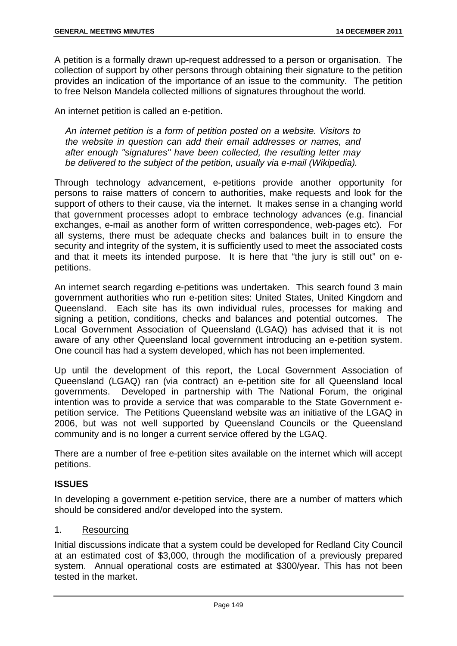A petition is a formally drawn up-request addressed to a person or organisation. The collection of support by other persons through obtaining their signature to the petition provides an indication of the importance of an issue to the community. The petition to free Nelson Mandela collected millions of signatures throughout the world.

An internet petition is called an e-petition.

*An internet petition is a form of petition posted on a website. Visitors to the website in question can add their email addresses or names, and after enough "signatures" have been collected, the resulting letter may be delivered to the subject of the petition, usually via e-mail (Wikipedia).* 

Through technology advancement, e-petitions provide another opportunity for persons to raise matters of concern to authorities, make requests and look for the support of others to their cause, via the internet. It makes sense in a changing world that government processes adopt to embrace technology advances (e.g. financial exchanges, e-mail as another form of written correspondence, web-pages etc). For all systems, there must be adequate checks and balances built in to ensure the security and integrity of the system, it is sufficiently used to meet the associated costs and that it meets its intended purpose. It is here that "the jury is still out" on epetitions.

An internet search regarding e-petitions was undertaken. This search found 3 main government authorities who run e-petition sites: United States, United Kingdom and Queensland. Each site has its own individual rules, processes for making and signing a petition, conditions, checks and balances and potential outcomes. The Local Government Association of Queensland (LGAQ) has advised that it is not aware of any other Queensland local government introducing an e-petition system. One council has had a system developed, which has not been implemented.

Up until the development of this report, the Local Government Association of Queensland (LGAQ) ran (via contract) an e-petition site for all Queensland local governments. Developed in partnership with The National Forum, the original intention was to provide a service that was comparable to the State Government epetition service. The Petitions Queensland website was an initiative of the LGAQ in 2006, but was not well supported by Queensland Councils or the Queensland community and is no longer a current service offered by the LGAQ.

There are a number of free e-petition sites available on the internet which will accept petitions.

## **ISSUES**

In developing a government e-petition service, there are a number of matters which should be considered and/or developed into the system.

### 1. Resourcing

Initial discussions indicate that a system could be developed for Redland City Council at an estimated cost of \$3,000, through the modification of a previously prepared system. Annual operational costs are estimated at \$300/year. This has not been tested in the market.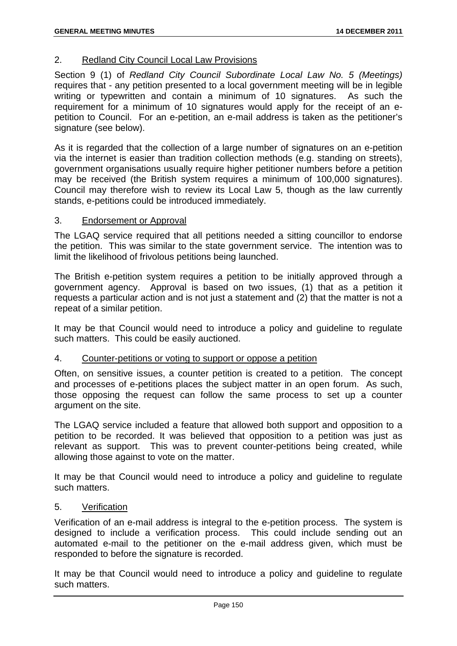## 2. Redland City Council Local Law Provisions

Section 9 (1) of *Redland City Council Subordinate Local Law No. 5 (Meetings)* requires that - any petition presented to a local government meeting will be in legible writing or typewritten and contain a minimum of 10 signatures. As such the requirement for a minimum of 10 signatures would apply for the receipt of an epetition to Council. For an e-petition, an e-mail address is taken as the petitioner's signature (see below).

As it is regarded that the collection of a large number of signatures on an e-petition via the internet is easier than tradition collection methods (e.g. standing on streets), government organisations usually require higher petitioner numbers before a petition may be received (the British system requires a minimum of 100,000 signatures). Council may therefore wish to review its Local Law 5, though as the law currently stands, e-petitions could be introduced immediately.

### 3. Endorsement or Approval

The LGAQ service required that all petitions needed a sitting councillor to endorse the petition. This was similar to the state government service. The intention was to limit the likelihood of frivolous petitions being launched.

The British e-petition system requires a petition to be initially approved through a government agency. Approval is based on two issues, (1) that as a petition it requests a particular action and is not just a statement and (2) that the matter is not a repeat of a similar petition.

It may be that Council would need to introduce a policy and guideline to regulate such matters. This could be easily auctioned.

### 4. Counter-petitions or voting to support or oppose a petition

Often, on sensitive issues, a counter petition is created to a petition. The concept and processes of e-petitions places the subject matter in an open forum. As such, those opposing the request can follow the same process to set up a counter argument on the site.

The LGAQ service included a feature that allowed both support and opposition to a petition to be recorded. It was believed that opposition to a petition was just as relevant as support. This was to prevent counter-petitions being created, while allowing those against to vote on the matter.

It may be that Council would need to introduce a policy and guideline to regulate such matters.

#### 5. Verification

Verification of an e-mail address is integral to the e-petition process. The system is designed to include a verification process. This could include sending out an automated e-mail to the petitioner on the e-mail address given, which must be responded to before the signature is recorded.

It may be that Council would need to introduce a policy and guideline to regulate such matters.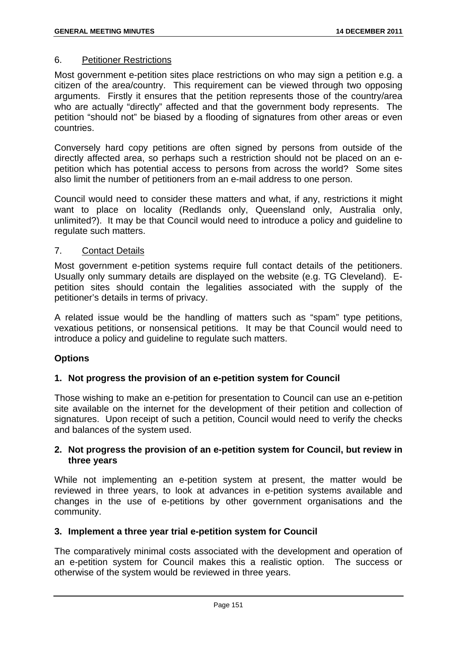### 6. Petitioner Restrictions

Most government e-petition sites place restrictions on who may sign a petition e.g. a citizen of the area/country. This requirement can be viewed through two opposing arguments. Firstly it ensures that the petition represents those of the country/area who are actually "directly" affected and that the government body represents. The petition "should not" be biased by a flooding of signatures from other areas or even countries.

Conversely hard copy petitions are often signed by persons from outside of the directly affected area, so perhaps such a restriction should not be placed on an epetition which has potential access to persons from across the world? Some sites also limit the number of petitioners from an e-mail address to one person.

Council would need to consider these matters and what, if any, restrictions it might want to place on locality (Redlands only, Queensland only, Australia only, unlimited?). It may be that Council would need to introduce a policy and guideline to regulate such matters.

### 7. Contact Details

Most government e-petition systems require full contact details of the petitioners. Usually only summary details are displayed on the website (e.g. TG Cleveland). Epetition sites should contain the legalities associated with the supply of the petitioner's details in terms of privacy.

A related issue would be the handling of matters such as "spam" type petitions, vexatious petitions, or nonsensical petitions. It may be that Council would need to introduce a policy and guideline to regulate such matters.

## **Options**

## **1. Not progress the provision of an e-petition system for Council**

Those wishing to make an e-petition for presentation to Council can use an e-petition site available on the internet for the development of their petition and collection of signatures. Upon receipt of such a petition, Council would need to verify the checks and balances of the system used.

## **2. Not progress the provision of an e-petition system for Council, but review in three years**

While not implementing an e-petition system at present, the matter would be reviewed in three years, to look at advances in e-petition systems available and changes in the use of e-petitions by other government organisations and the community.

## **3. Implement a three year trial e-petition system for Council**

The comparatively minimal costs associated with the development and operation of an e-petition system for Council makes this a realistic option. The success or otherwise of the system would be reviewed in three years.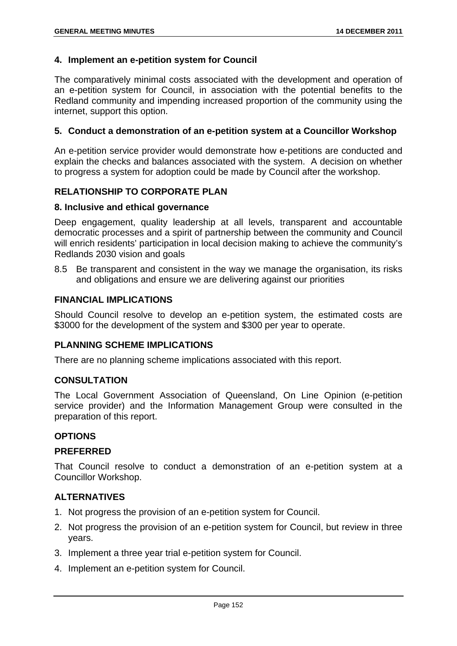### **4. Implement an e-petition system for Council**

The comparatively minimal costs associated with the development and operation of an e-petition system for Council, in association with the potential benefits to the Redland community and impending increased proportion of the community using the internet, support this option.

### **5. Conduct a demonstration of an e-petition system at a Councillor Workshop**

An e-petition service provider would demonstrate how e-petitions are conducted and explain the checks and balances associated with the system. A decision on whether to progress a system for adoption could be made by Council after the workshop.

## **RELATIONSHIP TO CORPORATE PLAN**

#### **8. Inclusive and ethical governance**

Deep engagement, quality leadership at all levels, transparent and accountable democratic processes and a spirit of partnership between the community and Council will enrich residents' participation in local decision making to achieve the community's Redlands 2030 vision and goals

8.5 Be transparent and consistent in the way we manage the organisation, its risks and obligations and ensure we are delivering against our priorities

## **FINANCIAL IMPLICATIONS**

Should Council resolve to develop an e-petition system, the estimated costs are \$3000 for the development of the system and \$300 per year to operate.

#### **PLANNING SCHEME IMPLICATIONS**

There are no planning scheme implications associated with this report.

#### **CONSULTATION**

The Local Government Association of Queensland, On Line Opinion (e-petition service provider) and the Information Management Group were consulted in the preparation of this report.

#### **OPTIONS**

#### **PREFERRED**

That Council resolve to conduct a demonstration of an e-petition system at a Councillor Workshop.

#### **ALTERNATIVES**

- 1. Not progress the provision of an e-petition system for Council.
- 2. Not progress the provision of an e-petition system for Council, but review in three years.
- 3. Implement a three year trial e-petition system for Council.
- 4. Implement an e-petition system for Council.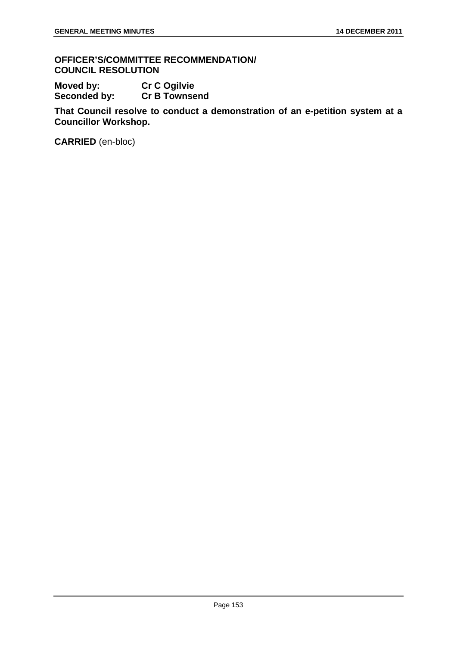**OFFICER'S/COMMITTEE RECOMMENDATION/ COUNCIL RESOLUTION** 

Moved by: Cr C Ogilvie<br>
Seconded by: Cr B Townse **Cr B Townsend** 

**That Council resolve to conduct a demonstration of an e-petition system at a Councillor Workshop.**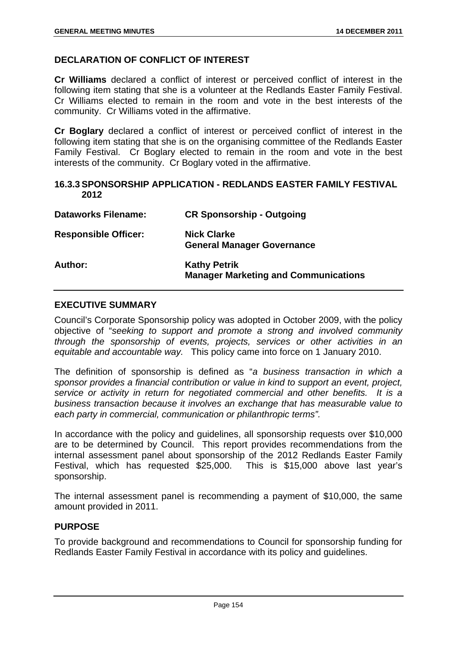# **DECLARATION OF CONFLICT OF INTEREST**

**Cr Williams** declared a conflict of interest or perceived conflict of interest in the following item stating that she is a volunteer at the Redlands Easter Family Festival. Cr Williams elected to remain in the room and vote in the best interests of the community. Cr Williams voted in the affirmative.

**Cr Boglary** declared a conflict of interest or perceived conflict of interest in the following item stating that she is on the organising committee of the Redlands Easter Family Festival. Cr Boglary elected to remain in the room and vote in the best interests of the community. Cr Boglary voted in the affirmative.

### **16.3.3 SPONSORSHIP APPLICATION - REDLANDS EASTER FAMILY FESTIVAL 2012**

| <b>Dataworks Filename:</b>  | <b>CR Sponsorship - Outgoing</b>                                   |
|-----------------------------|--------------------------------------------------------------------|
| <b>Responsible Officer:</b> | <b>Nick Clarke</b><br><b>General Manager Governance</b>            |
| <b>Author:</b>              | <b>Kathy Petrik</b><br><b>Manager Marketing and Communications</b> |

### **EXECUTIVE SUMMARY**

Council's Corporate Sponsorship policy was adopted in October 2009, with the policy objective of "*seeking to support and promote a strong and involved community through the sponsorship of events, projects, services or other activities in an equitable and accountable way.* This policy came into force on 1 January 2010.

The definition of sponsorship is defined as "*a business transaction in which a sponsor provides a financial contribution or value in kind to support an event, project, service or activity in return for negotiated commercial and other benefits. It is a business transaction because it involves an exchange that has measurable value to each party in commercial, communication or philanthropic terms".* 

In accordance with the policy and guidelines, all sponsorship requests over \$10,000 are to be determined by Council. This report provides recommendations from the internal assessment panel about sponsorship of the 2012 Redlands Easter Family Festival, which has requested \$25,000. This is \$15,000 above last year's sponsorship.

The internal assessment panel is recommending a payment of \$10,000, the same amount provided in 2011.

## **PURPOSE**

To provide background and recommendations to Council for sponsorship funding for Redlands Easter Family Festival in accordance with its policy and guidelines.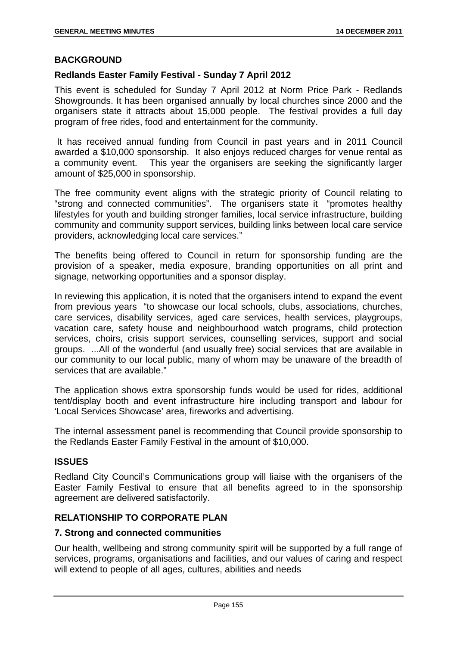### **BACKGROUND**

### **Redlands Easter Family Festival - Sunday 7 April 2012**

This event is scheduled for Sunday 7 April 2012 at Norm Price Park - Redlands Showgrounds. It has been organised annually by local churches since 2000 and the organisers state it attracts about 15,000 people. The festival provides a full day program of free rides, food and entertainment for the community.

 It has received annual funding from Council in past years and in 2011 Council awarded a \$10,000 sponsorship. It also enjoys reduced charges for venue rental as a community event. This year the organisers are seeking the significantly larger amount of \$25,000 in sponsorship.

The free community event aligns with the strategic priority of Council relating to "strong and connected communities". The organisers state it "promotes healthy lifestyles for youth and building stronger families, local service infrastructure, building community and community support services, building links between local care service providers, acknowledging local care services."

The benefits being offered to Council in return for sponsorship funding are the provision of a speaker, media exposure, branding opportunities on all print and signage, networking opportunities and a sponsor display.

In reviewing this application, it is noted that the organisers intend to expand the event from previous years "to showcase our local schools, clubs, associations, churches, care services, disability services, aged care services, health services, playgroups, vacation care, safety house and neighbourhood watch programs, child protection services, choirs, crisis support services, counselling services, support and social groups. ...All of the wonderful (and usually free) social services that are available in our community to our local public, many of whom may be unaware of the breadth of services that are available."

The application shows extra sponsorship funds would be used for rides, additional tent/display booth and event infrastructure hire including transport and labour for 'Local Services Showcase' area, fireworks and advertising.

The internal assessment panel is recommending that Council provide sponsorship to the Redlands Easter Family Festival in the amount of \$10,000.

## **ISSUES**

Redland City Council's Communications group will liaise with the organisers of the Easter Family Festival to ensure that all benefits agreed to in the sponsorship agreement are delivered satisfactorily.

# **RELATIONSHIP TO CORPORATE PLAN**

## **7. Strong and connected communities**

Our health, wellbeing and strong community spirit will be supported by a full range of services, programs, organisations and facilities, and our values of caring and respect will extend to people of all ages, cultures, abilities and needs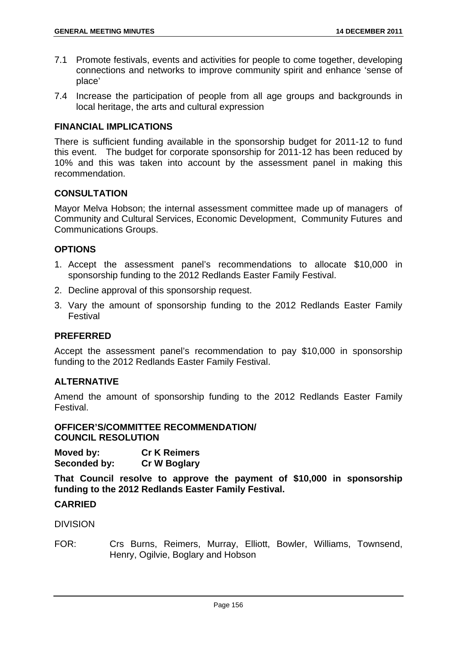- 7.1 Promote festivals, events and activities for people to come together, developing connections and networks to improve community spirit and enhance 'sense of place'
- 7.4 Increase the participation of people from all age groups and backgrounds in local heritage, the arts and cultural expression

### **FINANCIAL IMPLICATIONS**

There is sufficient funding available in the sponsorship budget for 2011-12 to fund this event. The budget for corporate sponsorship for 2011-12 has been reduced by 10% and this was taken into account by the assessment panel in making this recommendation.

## **CONSULTATION**

Mayor Melva Hobson; the internal assessment committee made up of managers of Community and Cultural Services, Economic Development, Community Futures and Communications Groups.

### **OPTIONS**

- 1. Accept the assessment panel's recommendations to allocate \$10,000 in sponsorship funding to the 2012 Redlands Easter Family Festival.
- 2. Decline approval of this sponsorship request.
- 3. Vary the amount of sponsorship funding to the 2012 Redlands Easter Family Festival

#### **PREFERRED**

Accept the assessment panel's recommendation to pay \$10,000 in sponsorship funding to the 2012 Redlands Easter Family Festival.

## **ALTERNATIVE**

Amend the amount of sponsorship funding to the 2012 Redlands Easter Family Festival.

#### **OFFICER'S/COMMITTEE RECOMMENDATION/ COUNCIL RESOLUTION**

| Moved by:    | <b>Cr K Reimers</b> |
|--------------|---------------------|
| Seconded by: | <b>Cr W Boglary</b> |

**That Council resolve to approve the payment of \$10,000 in sponsorship funding to the 2012 Redlands Easter Family Festival.** 

#### **CARRIED**

#### DIVISION

FOR: Crs Burns, Reimers, Murray, Elliott, Bowler, Williams, Townsend, Henry, Ogilvie, Boglary and Hobson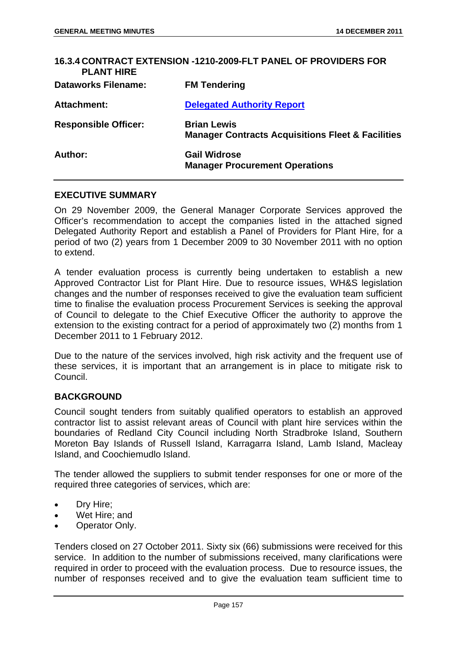| 16.3.4 CONTRACT EXTENSION -1210-2009-FLT PANEL OF PROVIDERS FOR<br><b>PLANT HIRE</b> |                                                                                    |
|--------------------------------------------------------------------------------------|------------------------------------------------------------------------------------|
| <b>Dataworks Filename:</b>                                                           | <b>FM Tendering</b>                                                                |
| <b>Attachment:</b>                                                                   | <b>Delegated Authority Report</b>                                                  |
| <b>Responsible Officer:</b>                                                          | <b>Brian Lewis</b><br><b>Manager Contracts Acquisitions Fleet &amp; Facilities</b> |
| Author:                                                                              | <b>Gail Widrose</b><br><b>Manager Procurement Operations</b>                       |

### **EXECUTIVE SUMMARY**

On 29 November 2009, the General Manager Corporate Services approved the Officer's recommendation to accept the companies listed in the attached signed Delegated Authority Report and establish a Panel of Providers for Plant Hire, for a period of two (2) years from 1 December 2009 to 30 November 2011 with no option to extend.

A tender evaluation process is currently being undertaken to establish a new Approved Contractor List for Plant Hire. Due to resource issues, WH&S legislation changes and the number of responses received to give the evaluation team sufficient time to finalise the evaluation process Procurement Services is seeking the approval of Council to delegate to the Chief Executive Officer the authority to approve the extension to the existing contract for a period of approximately two (2) months from 1 December 2011 to 1 February 2012.

Due to the nature of the services involved, high risk activity and the frequent use of these services, it is important that an arrangement is in place to mitigate risk to Council.

#### **BACKGROUND**

Council sought tenders from suitably qualified operators to establish an approved contractor list to assist relevant areas of Council with plant hire services within the boundaries of Redland City Council including North Stradbroke Island, Southern Moreton Bay Islands of Russell Island, Karragarra Island, Lamb Island, Macleay Island, and Coochiemudlo Island.

The tender allowed the suppliers to submit tender responses for one or more of the required three categories of services, which are:

- Dry Hire;
- Wet Hire; and
- Operator Only.

Tenders closed on 27 October 2011. Sixty six (66) submissions were received for this service. In addition to the number of submissions received, many clarifications were required in order to proceed with the evaluation process. Due to resource issues, the number of responses received and to give the evaluation team sufficient time to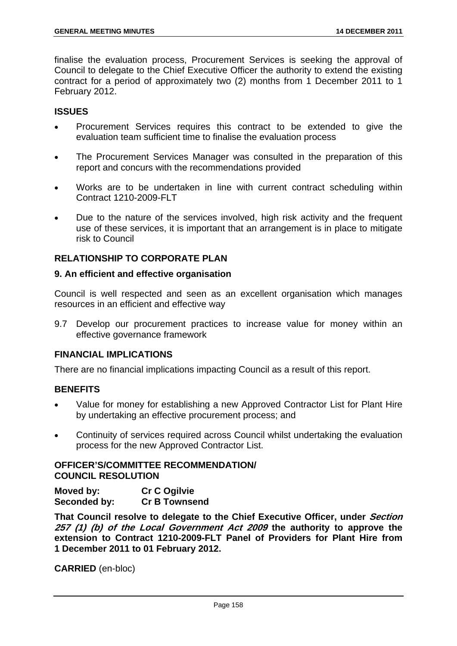finalise the evaluation process, Procurement Services is seeking the approval of Council to delegate to the Chief Executive Officer the authority to extend the existing contract for a period of approximately two (2) months from 1 December 2011 to 1 February 2012.

### **ISSUES**

- Procurement Services requires this contract to be extended to give the evaluation team sufficient time to finalise the evaluation process
- The Procurement Services Manager was consulted in the preparation of this report and concurs with the recommendations provided
- Works are to be undertaken in line with current contract scheduling within Contract 1210-2009-FLT
- Due to the nature of the services involved, high risk activity and the frequent use of these services, it is important that an arrangement is in place to mitigate risk to Council

## **RELATIONSHIP TO CORPORATE PLAN**

### **9. An efficient and effective organisation**

Council is well respected and seen as an excellent organisation which manages resources in an efficient and effective way

9.7 Develop our procurement practices to increase value for money within an effective governance framework

#### **FINANCIAL IMPLICATIONS**

There are no financial implications impacting Council as a result of this report.

## **BENEFITS**

- Value for money for establishing a new Approved Contractor List for Plant Hire by undertaking an effective procurement process; and
- Continuity of services required across Council whilst undertaking the evaluation process for the new Approved Contractor List.

## **OFFICER'S/COMMITTEE RECOMMENDATION/ COUNCIL RESOLUTION**

| Moved by:    | <b>Cr C Ogilvie</b>  |
|--------------|----------------------|
| Seconded by: | <b>Cr B Townsend</b> |

**That Council resolve to delegate to the Chief Executive Officer, under Section 257 (1) (b) of the Local Government Act 2009 the authority to approve the extension to Contract 1210-2009-FLT Panel of Providers for Plant Hire from 1 December 2011 to 01 February 2012.**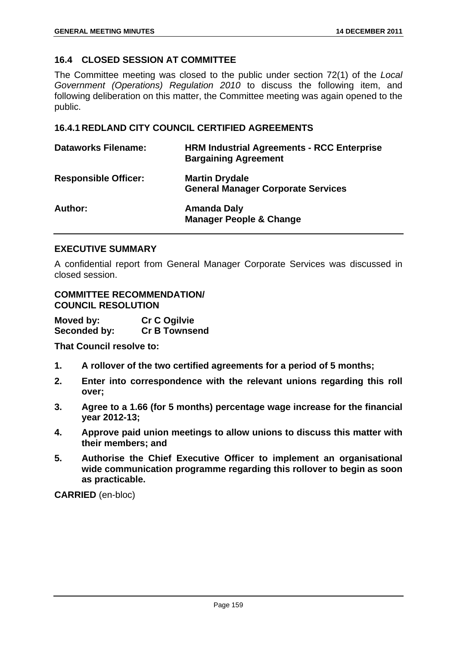# **16.4 CLOSED SESSION AT COMMITTEE**

The Committee meeting was closed to the public under section 72(1) of the *Local Government (Operations) Regulation 2010* to discuss the following item, and following deliberation on this matter, the Committee meeting was again opened to the public.

# **16.4.1 REDLAND CITY COUNCIL CERTIFIED AGREEMENTS**

| <b>Dataworks Filename:</b>  | <b>HRM Industrial Agreements - RCC Enterprise</b><br><b>Bargaining Agreement</b> |
|-----------------------------|----------------------------------------------------------------------------------|
| <b>Responsible Officer:</b> | <b>Martin Drydale</b><br><b>General Manager Corporate Services</b>               |
| Author:                     | Amanda Daly<br><b>Manager People &amp; Change</b>                                |

### **EXECUTIVE SUMMARY**

A confidential report from General Manager Corporate Services was discussed in closed session.

### **COMMITTEE RECOMMENDATION/ COUNCIL RESOLUTION**

| Moved by:    | <b>Cr C Ogilvie</b>  |
|--------------|----------------------|
| Seconded by: | <b>Cr B Townsend</b> |

**That Council resolve to:** 

- **1. A rollover of the two certified agreements for a period of 5 months;**
- **2. Enter into correspondence with the relevant unions regarding this roll over;**
- **3. Agree to a 1.66 (for 5 months) percentage wage increase for the financial year 2012-13;**
- **4. Approve paid union meetings to allow unions to discuss this matter with their members; and**
- **5. Authorise the Chief Executive Officer to implement an organisational wide communication programme regarding this rollover to begin as soon as practicable.**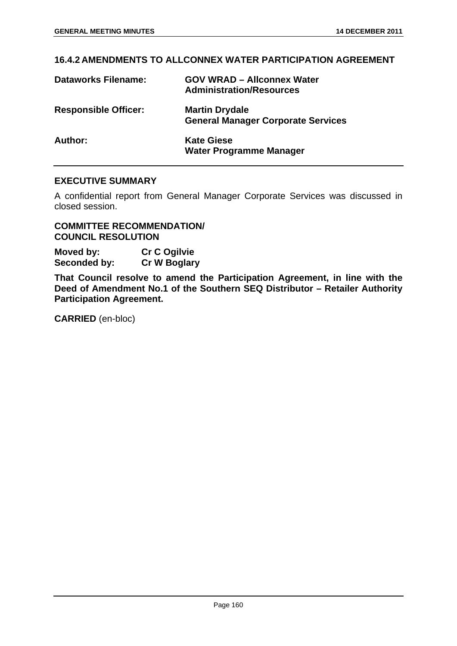## **16.4.2 AMENDMENTS TO ALLCONNEX WATER PARTICIPATION AGREEMENT**

| <b>Dataworks Filename:</b>  | <b>GOV WRAD - Allconnex Water</b><br><b>Administration/Resources</b> |
|-----------------------------|----------------------------------------------------------------------|
| <b>Responsible Officer:</b> | <b>Martin Drydale</b><br><b>General Manager Corporate Services</b>   |
| Author:                     | <b>Kate Giese</b><br><b>Water Programme Manager</b>                  |

# **EXECUTIVE SUMMARY**

A confidential report from General Manager Corporate Services was discussed in closed session.

### **COMMITTEE RECOMMENDATION/ COUNCIL RESOLUTION**

**Moved by: Cr C Ogilvie Seconded by: Cr W Boglary** 

**That Council resolve to amend the Participation Agreement, in line with the Deed of Amendment No.1 of the Southern SEQ Distributor – Retailer Authority Participation Agreement.**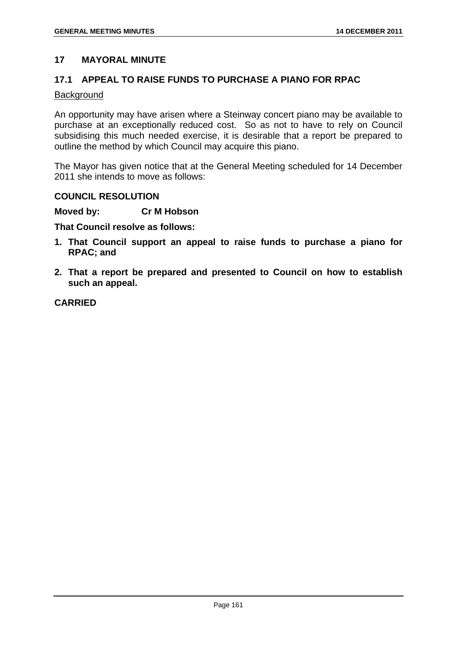## **17 MAYORAL MINUTE**

### **17.1 APPEAL TO RAISE FUNDS TO PURCHASE A PIANO FOR RPAC**

#### **Background**

An opportunity may have arisen where a Steinway concert piano may be available to purchase at an exceptionally reduced cost. So as not to have to rely on Council subsidising this much needed exercise, it is desirable that a report be prepared to outline the method by which Council may acquire this piano.

The Mayor has given notice that at the General Meeting scheduled for 14 December 2011 she intends to move as follows:

### **COUNCIL RESOLUTION**

**Moved by: Cr M Hobson** 

**That Council resolve as follows:** 

- **1. That Council support an appeal to raise funds to purchase a piano for RPAC; and**
- **2. That a report be prepared and presented to Council on how to establish such an appeal.**

**CARRIED**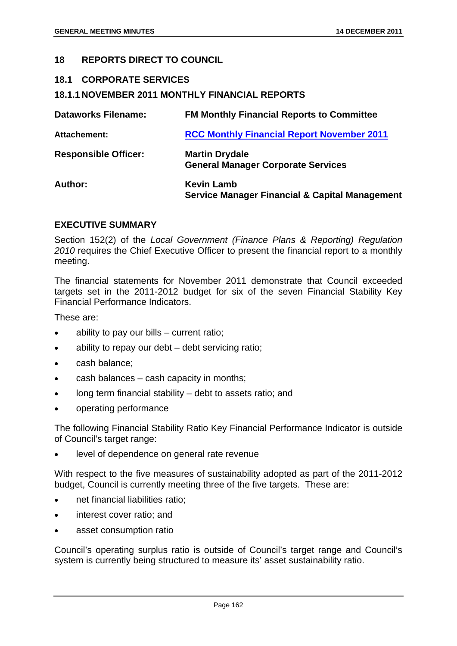### **18 REPORTS DIRECT TO COUNCIL**

### **18.1 CORPORATE SERVICES**

### **18.1.1 NOVEMBER 2011 MONTHLY FINANCIAL REPORTS**

| <b>Dataworks Filename:</b>  | <b>FM Monthly Financial Reports to Committee</b>                               |
|-----------------------------|--------------------------------------------------------------------------------|
| Attachement:                | <b>RCC Monthly Financial Report November 2011</b>                              |
| <b>Responsible Officer:</b> | <b>Martin Drydale</b><br><b>General Manager Corporate Services</b>             |
| Author:                     | <b>Kevin Lamb</b><br><b>Service Manager Financial &amp; Capital Management</b> |

#### **EXECUTIVE SUMMARY**

Section 152(2) of the *Local Government (Finance Plans & Reporting) Regulation 2010* requires the Chief Executive Officer to present the financial report to a monthly meeting.

The financial statements for November 2011 demonstrate that Council exceeded targets set in the 2011-2012 budget for six of the seven Financial Stability Key Financial Performance Indicators.

These are:

- ability to pay our bills current ratio;
- ability to repay our debt debt servicing ratio;
- cash balance:
- cash balances cash capacity in months;
- long term financial stability debt to assets ratio; and
- operating performance

The following Financial Stability Ratio Key Financial Performance Indicator is outside of Council's target range:

level of dependence on general rate revenue

With respect to the five measures of sustainability adopted as part of the 2011-2012 budget, Council is currently meeting three of the five targets. These are:

- net financial liabilities ratio;
- interest cover ratio; and
- asset consumption ratio

Council's operating surplus ratio is outside of Council's target range and Council's system is currently being structured to measure its' asset sustainability ratio.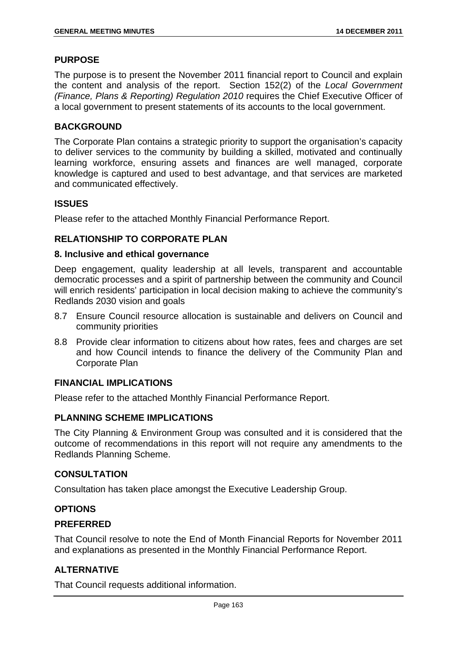## **PURPOSE**

The purpose is to present the November 2011 financial report to Council and explain the content and analysis of the report. Section 152(2) of the *Local Government (Finance, Plans & Reporting) Regulation 2010* requires the Chief Executive Officer of a local government to present statements of its accounts to the local government.

## **BACKGROUND**

The Corporate Plan contains a strategic priority to support the organisation's capacity to deliver services to the community by building a skilled, motivated and continually learning workforce, ensuring assets and finances are well managed, corporate knowledge is captured and used to best advantage, and that services are marketed and communicated effectively.

## **ISSUES**

Please refer to the attached Monthly Financial Performance Report.

# **RELATIONSHIP TO CORPORATE PLAN**

### **8. Inclusive and ethical governance**

Deep engagement, quality leadership at all levels, transparent and accountable democratic processes and a spirit of partnership between the community and Council will enrich residents' participation in local decision making to achieve the community's Redlands 2030 vision and goals

- 8.7 Ensure Council resource allocation is sustainable and delivers on Council and community priorities
- 8.8 Provide clear information to citizens about how rates, fees and charges are set and how Council intends to finance the delivery of the Community Plan and Corporate Plan

## **FINANCIAL IMPLICATIONS**

Please refer to the attached Monthly Financial Performance Report.

## **PLANNING SCHEME IMPLICATIONS**

The City Planning & Environment Group was consulted and it is considered that the outcome of recommendations in this report will not require any amendments to the Redlands Planning Scheme.

## **CONSULTATION**

Consultation has taken place amongst the Executive Leadership Group.

## **OPTIONS**

## **PREFERRED**

That Council resolve to note the End of Month Financial Reports for November 2011 and explanations as presented in the Monthly Financial Performance Report.

## **ALTERNATIVE**

That Council requests additional information.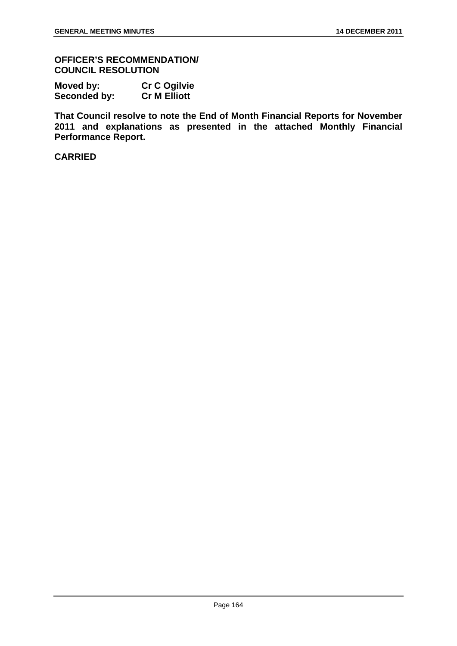**OFFICER'S RECOMMENDATION/ COUNCIL RESOLUTION** 

| Moved by:    | <b>Cr C Ogilvie</b> |
|--------------|---------------------|
| Seconded by: | <b>Cr M Elliott</b> |

**That Council resolve to note the End of Month Financial Reports for November 2011 and explanations as presented in the attached Monthly Financial Performance Report.** 

# **CARRIED**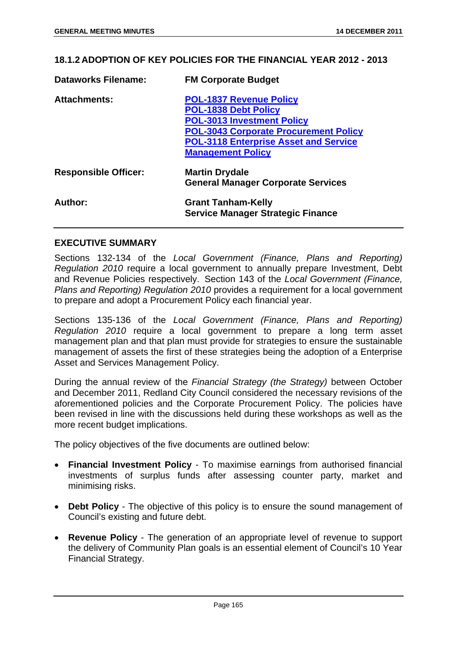**18.1.2 ADOPTION OF KEY POLICIES FOR THE FINANCIAL YEAR 2012 - 2013** 

| <b>Dataworks Filename:</b>  | <b>FM Corporate Budget</b>                   |
|-----------------------------|----------------------------------------------|
| <b>Attachments:</b>         | <b>POL-1837 Revenue Policy</b>               |
|                             | <b>POL-1838 Debt Policy</b>                  |
|                             | <b>POL-3013 Investment Policy</b>            |
|                             | <b>POL-3043 Corporate Procurement Policy</b> |
|                             | <b>POL-3118 Enterprise Asset and Service</b> |
|                             | <b>Management Policy</b>                     |
| <b>Responsible Officer:</b> | <b>Martin Drydale</b>                        |
|                             | <b>General Manager Corporate Services</b>    |
| Author:                     | <b>Grant Tanham-Kelly</b>                    |
|                             | <b>Service Manager Strategic Finance</b>     |

#### **EXECUTIVE SUMMARY**

Sections 132-134 of the *Local Government (Finance, Plans and Reporting) Regulation 2010* require a local government to annually prepare Investment, Debt and Revenue Policies respectively. Section 143 of the *Local Government (Finance, Plans and Reporting) Regulation 2010* provides a requirement for a local government to prepare and adopt a Procurement Policy each financial year.

Sections 135-136 of the *Local Government (Finance, Plans and Reporting) Regulation 2010* require a local government to prepare a long term asset management plan and that plan must provide for strategies to ensure the sustainable management of assets the first of these strategies being the adoption of a Enterprise Asset and Services Management Policy.

During the annual review of the *Financial Strategy (the Strategy)* between October and December 2011, Redland City Council considered the necessary revisions of the aforementioned policies and the Corporate Procurement Policy. The policies have been revised in line with the discussions held during these workshops as well as the more recent budget implications.

The policy objectives of the five documents are outlined below:

- **Financial Investment Policy** To maximise earnings from authorised financial investments of surplus funds after assessing counter party, market and minimising risks.
- **Debt Policy** The objective of this policy is to ensure the sound management of Council's existing and future debt.
- **Revenue Policy** The generation of an appropriate level of revenue to support the delivery of Community Plan goals is an essential element of Council's 10 Year Financial Strategy.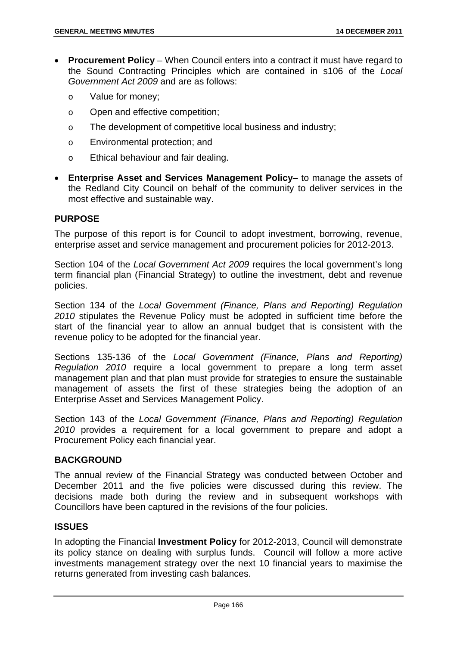- **Procurement Policy** When Council enters into a contract it must have regard to the Sound Contracting Principles which are contained in s106 of the *Local Government Act 2009* and are as follows:
	- o Value for money;
	- o Open and effective competition;
	- o The development of competitive local business and industry;
	- o Environmental protection; and
	- o Ethical behaviour and fair dealing.
- **Enterprise Asset and Services Management Policy** to manage the assets of the Redland City Council on behalf of the community to deliver services in the most effective and sustainable way.

## **PURPOSE**

The purpose of this report is for Council to adopt investment, borrowing, revenue, enterprise asset and service management and procurement policies for 2012-2013.

Section 104 of the *Local Government Act 2009* requires the local government's long term financial plan (Financial Strategy) to outline the investment, debt and revenue policies.

Section 134 of the *Local Government (Finance, Plans and Reporting) Regulation 2010* stipulates the Revenue Policy must be adopted in sufficient time before the start of the financial year to allow an annual budget that is consistent with the revenue policy to be adopted for the financial year.

Sections 135-136 of the *Local Government (Finance, Plans and Reporting) Regulation 2010* require a local government to prepare a long term asset management plan and that plan must provide for strategies to ensure the sustainable management of assets the first of these strategies being the adoption of an Enterprise Asset and Services Management Policy.

Section 143 of the *Local Government (Finance, Plans and Reporting) Regulation 2010* provides a requirement for a local government to prepare and adopt a Procurement Policy each financial year.

## **BACKGROUND**

The annual review of the Financial Strategy was conducted between October and December 2011 and the five policies were discussed during this review. The decisions made both during the review and in subsequent workshops with Councillors have been captured in the revisions of the four policies.

## **ISSUES**

In adopting the Financial **Investment Policy** for 2012-2013, Council will demonstrate its policy stance on dealing with surplus funds. Council will follow a more active investments management strategy over the next 10 financial years to maximise the returns generated from investing cash balances.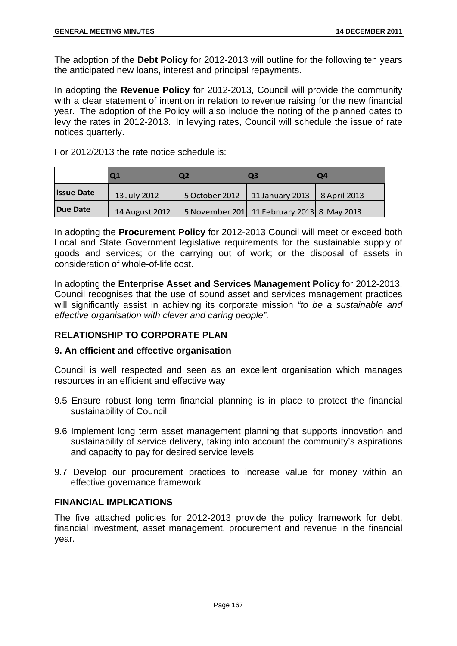The adoption of the **Debt Policy** for 2012-2013 will outline for the following ten years the anticipated new loans, interest and principal repayments.

In adopting the **Revenue Policy** for 2012-2013, Council will provide the community with a clear statement of intention in relation to revenue raising for the new financial year. The adoption of the Policy will also include the noting of the planned dates to levy the rates in 2012-2013. In levying rates, Council will schedule the issue of rate notices quarterly.

For 2012/2013 the rate notice schedule is:

|                   |                | О2             | O3                                         | O4           |
|-------------------|----------------|----------------|--------------------------------------------|--------------|
| <b>Issue Date</b> | 13 July 2012   | 5 October 2012 | 11 January 2013                            | 8 April 2013 |
| Due Date          | 14 August 2012 |                | 5 November 201 11 February 2013 8 May 2013 |              |

In adopting the **Procurement Policy** for 2012-2013 Council will meet or exceed both Local and State Government legislative requirements for the sustainable supply of goods and services; or the carrying out of work; or the disposal of assets in consideration of whole-of-life cost.

In adopting the **Enterprise Asset and Services Management Policy** for 2012-2013, Council recognises that the use of sound asset and services management practices will significantly assist in achieving its corporate mission *"to be a sustainable and effective organisation with clever and caring people".* 

## **RELATIONSHIP TO CORPORATE PLAN**

## **9. An efficient and effective organisation**

Council is well respected and seen as an excellent organisation which manages resources in an efficient and effective way

- 9.5 Ensure robust long term financial planning is in place to protect the financial sustainability of Council
- 9.6 Implement long term asset management planning that supports innovation and sustainability of service delivery, taking into account the community's aspirations and capacity to pay for desired service levels
- 9.7 Develop our procurement practices to increase value for money within an effective governance framework

## **FINANCIAL IMPLICATIONS**

The five attached policies for 2012-2013 provide the policy framework for debt, financial investment, asset management, procurement and revenue in the financial year.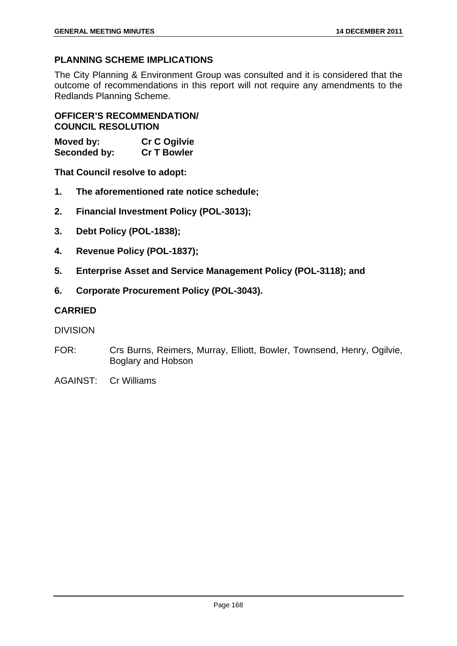# **PLANNING SCHEME IMPLICATIONS**

The City Planning & Environment Group was consulted and it is considered that the outcome of recommendations in this report will not require any amendments to the Redlands Planning Scheme.

**OFFICER'S RECOMMENDATION/ COUNCIL RESOLUTION** 

| Moved by:    | <b>Cr C Ogilvie</b> |
|--------------|---------------------|
| Seconded by: | <b>Cr T Bowler</b>  |

**That Council resolve to adopt:** 

- **1. The aforementioned rate notice schedule;**
- **2. Financial Investment Policy (POL-3013);**
- **3. Debt Policy (POL-1838);**
- **4. Revenue Policy (POL-1837);**
- **5. Enterprise Asset and Service Management Policy (POL-3118); and**
- **6. Corporate Procurement Policy (POL-3043).**

## **CARRIED**

## DIVISION

- FOR: Crs Burns, Reimers, Murray, Elliott, Bowler, Townsend, Henry, Ogilvie, Boglary and Hobson
- AGAINST: Cr Williams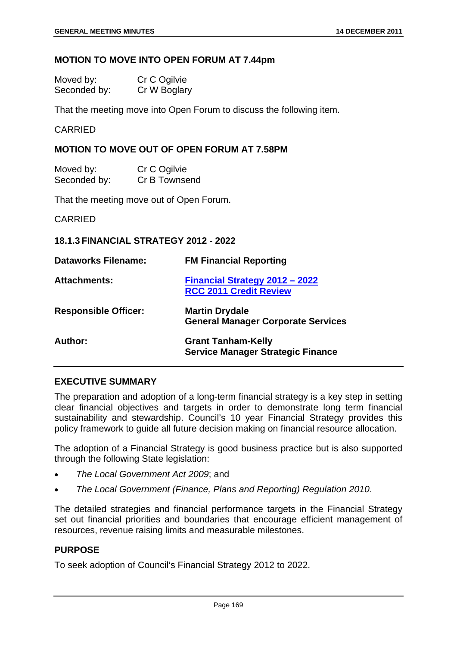#### **MOTION TO MOVE INTO OPEN FORUM AT 7.44pm**

| Moved by:    | Cr C Ogilvie |
|--------------|--------------|
| Seconded by: | Cr W Boglary |

That the meeting move into Open Forum to discuss the following item.

CARRIED

### **MOTION TO MOVE OUT OF OPEN FORUM AT 7.58PM**

| Moved by:    | Cr C Ogilvie  |
|--------------|---------------|
| Seconded by: | Cr B Townsend |

That the meeting move out of Open Forum.

CARRIED

### **18.1.3 FINANCIAL STRATEGY 2012 - 2022**

| <b>Dataworks Filename:</b>  | <b>FM Financial Reporting</b>                                         |
|-----------------------------|-----------------------------------------------------------------------|
| <b>Attachments:</b>         | Financial Strategy 2012 - 2022<br><b>RCC 2011 Credit Review</b>       |
| <b>Responsible Officer:</b> | <b>Martin Drydale</b><br><b>General Manager Corporate Services</b>    |
| Author:                     | <b>Grant Tanham-Kelly</b><br><b>Service Manager Strategic Finance</b> |

## **EXECUTIVE SUMMARY**

The preparation and adoption of a long-term financial strategy is a key step in setting clear financial objectives and targets in order to demonstrate long term financial sustainability and stewardship. Council's 10 year Financial Strategy provides this policy framework to guide all future decision making on financial resource allocation.

The adoption of a Financial Strategy is good business practice but is also supported through the following State legislation:

- *The Local Government Act 2009*; and
- *The Local Government (Finance, Plans and Reporting) Regulation 2010*.

The detailed strategies and financial performance targets in the Financial Strategy set out financial priorities and boundaries that encourage efficient management of resources, revenue raising limits and measurable milestones.

# **PURPOSE**

To seek adoption of Council's Financial Strategy 2012 to 2022.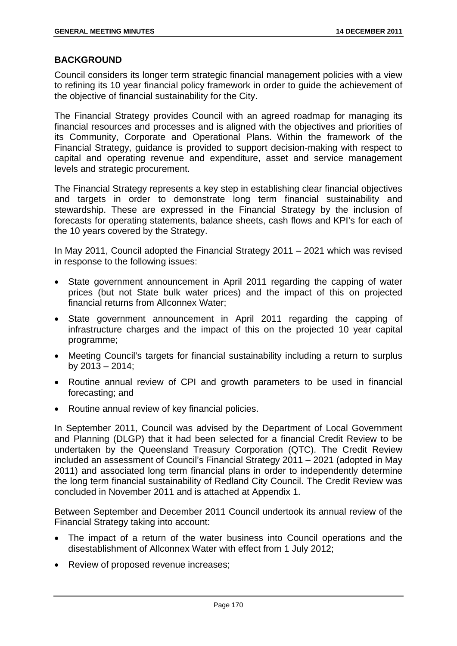### **BACKGROUND**

Council considers its longer term strategic financial management policies with a view to refining its 10 year financial policy framework in order to guide the achievement of the objective of financial sustainability for the City.

The Financial Strategy provides Council with an agreed roadmap for managing its financial resources and processes and is aligned with the objectives and priorities of its Community, Corporate and Operational Plans. Within the framework of the Financial Strategy, guidance is provided to support decision-making with respect to capital and operating revenue and expenditure, asset and service management levels and strategic procurement.

The Financial Strategy represents a key step in establishing clear financial objectives and targets in order to demonstrate long term financial sustainability and stewardship. These are expressed in the Financial Strategy by the inclusion of forecasts for operating statements, balance sheets, cash flows and KPI's for each of the 10 years covered by the Strategy.

In May 2011, Council adopted the Financial Strategy 2011 – 2021 which was revised in response to the following issues:

- State government announcement in April 2011 regarding the capping of water prices (but not State bulk water prices) and the impact of this on projected financial returns from Allconnex Water;
- State government announcement in April 2011 regarding the capping of infrastructure charges and the impact of this on the projected 10 year capital programme;
- Meeting Council's targets for financial sustainability including a return to surplus by 2013 – 2014;
- Routine annual review of CPI and growth parameters to be used in financial forecasting; and
- Routine annual review of key financial policies.

In September 2011, Council was advised by the Department of Local Government and Planning (DLGP) that it had been selected for a financial Credit Review to be undertaken by the Queensland Treasury Corporation (QTC). The Credit Review included an assessment of Council's Financial Strategy 2011 – 2021 (adopted in May 2011) and associated long term financial plans in order to independently determine the long term financial sustainability of Redland City Council. The Credit Review was concluded in November 2011 and is attached at Appendix 1.

Between September and December 2011 Council undertook its annual review of the Financial Strategy taking into account:

- The impact of a return of the water business into Council operations and the disestablishment of Allconnex Water with effect from 1 July 2012;
- Review of proposed revenue increases;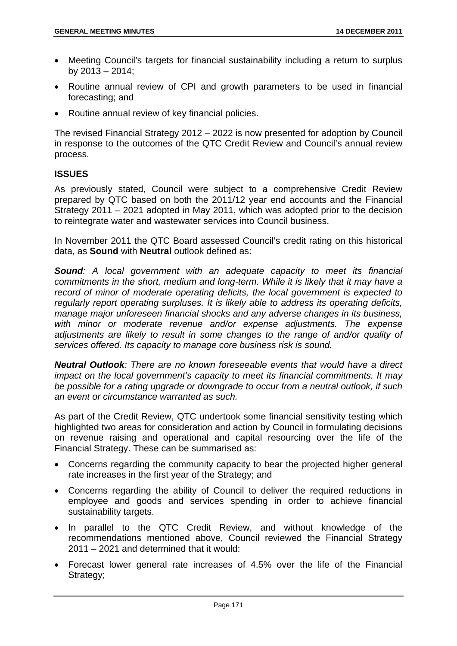- Meeting Council's targets for financial sustainability including a return to surplus by  $2013 - 2014$ ;
- Routine annual review of CPI and growth parameters to be used in financial forecasting; and
- Routine annual review of key financial policies.

The revised Financial Strategy 2012 – 2022 is now presented for adoption by Council in response to the outcomes of the QTC Credit Review and Council's annual review process.

## **ISSUES**

As previously stated, Council were subject to a comprehensive Credit Review prepared by QTC based on both the 2011/12 year end accounts and the Financial Strategy 2011 – 2021 adopted in May 2011, which was adopted prior to the decision to reintegrate water and wastewater services into Council business.

In November 2011 the QTC Board assessed Council's credit rating on this historical data, as **Sound** with **Neutral** outlook defined as:

*Sound: A local government with an adequate capacity to meet its financial commitments in the short, medium and long-term. While it is likely that it may have a record of minor of moderate operating deficits, the local government is expected to regularly report operating surpluses. It is likely able to address its operating deficits, manage major unforeseen financial shocks and any adverse changes in its business, with minor or moderate revenue and/or expense adjustments. The expense*  adjustments are likely to result in some changes to the range of and/or quality of *services offered. Its capacity to manage core business risk is sound.* 

*Neutral Outlook: There are no known foreseeable events that would have a direct impact on the local government's capacity to meet its financial commitments. It may be possible for a rating upgrade or downgrade to occur from a neutral outlook, if such an event or circumstance warranted as such.* 

As part of the Credit Review, QTC undertook some financial sensitivity testing which highlighted two areas for consideration and action by Council in formulating decisions on revenue raising and operational and capital resourcing over the life of the Financial Strategy. These can be summarised as:

- Concerns regarding the community capacity to bear the projected higher general rate increases in the first year of the Strategy; and
- Concerns regarding the ability of Council to deliver the required reductions in employee and goods and services spending in order to achieve financial sustainability targets.
- In parallel to the QTC Credit Review, and without knowledge of the recommendations mentioned above, Council reviewed the Financial Strategy 2011 – 2021 and determined that it would:
- Forecast lower general rate increases of 4.5% over the life of the Financial Strategy;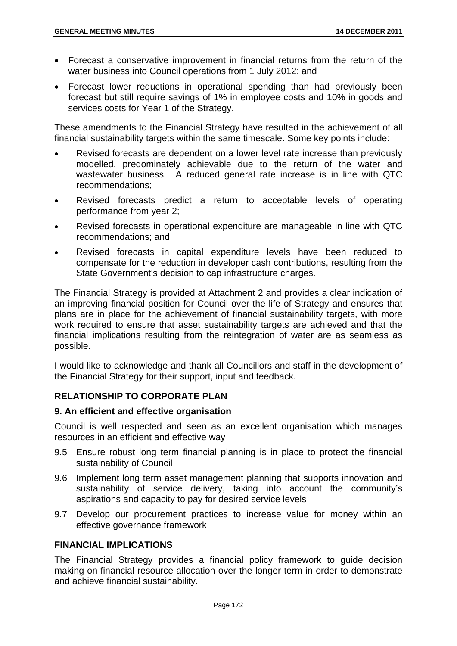- Forecast a conservative improvement in financial returns from the return of the water business into Council operations from 1 July 2012; and
- Forecast lower reductions in operational spending than had previously been forecast but still require savings of 1% in employee costs and 10% in goods and services costs for Year 1 of the Strategy.

These amendments to the Financial Strategy have resulted in the achievement of all financial sustainability targets within the same timescale. Some key points include:

- Revised forecasts are dependent on a lower level rate increase than previously modelled, predominately achievable due to the return of the water and wastewater business. A reduced general rate increase is in line with QTC recommendations;
- Revised forecasts predict a return to acceptable levels of operating performance from year 2;
- Revised forecasts in operational expenditure are manageable in line with QTC recommendations; and
- Revised forecasts in capital expenditure levels have been reduced to compensate for the reduction in developer cash contributions, resulting from the State Government's decision to cap infrastructure charges.

The Financial Strategy is provided at Attachment 2 and provides a clear indication of an improving financial position for Council over the life of Strategy and ensures that plans are in place for the achievement of financial sustainability targets, with more work required to ensure that asset sustainability targets are achieved and that the financial implications resulting from the reintegration of water are as seamless as possible.

I would like to acknowledge and thank all Councillors and staff in the development of the Financial Strategy for their support, input and feedback.

# **RELATIONSHIP TO CORPORATE PLAN**

## **9. An efficient and effective organisation**

Council is well respected and seen as an excellent organisation which manages resources in an efficient and effective way

- 9.5 Ensure robust long term financial planning is in place to protect the financial sustainability of Council
- 9.6 Implement long term asset management planning that supports innovation and sustainability of service delivery, taking into account the community's aspirations and capacity to pay for desired service levels
- 9.7 Develop our procurement practices to increase value for money within an effective governance framework

# **FINANCIAL IMPLICATIONS**

The Financial Strategy provides a financial policy framework to guide decision making on financial resource allocation over the longer term in order to demonstrate and achieve financial sustainability.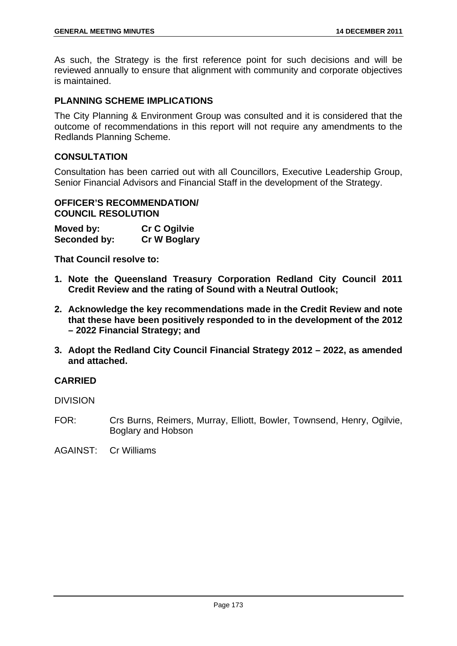As such, the Strategy is the first reference point for such decisions and will be reviewed annually to ensure that alignment with community and corporate objectives is maintained.

# **PLANNING SCHEME IMPLICATIONS**

The City Planning & Environment Group was consulted and it is considered that the outcome of recommendations in this report will not require any amendments to the Redlands Planning Scheme.

### **CONSULTATION**

Consultation has been carried out with all Councillors, Executive Leadership Group, Senior Financial Advisors and Financial Staff in the development of the Strategy.

### **OFFICER'S RECOMMENDATION/ COUNCIL RESOLUTION**

| Moved by:    | <b>Cr C Ogilvie</b> |
|--------------|---------------------|
| Seconded by: | <b>Cr W Boglary</b> |

**That Council resolve to:** 

- **1. Note the Queensland Treasury Corporation Redland City Council 2011 Credit Review and the rating of Sound with a Neutral Outlook;**
- **2. Acknowledge the key recommendations made in the Credit Review and note that these have been positively responded to in the development of the 2012 – 2022 Financial Strategy; and**
- **3. Adopt the Redland City Council Financial Strategy 2012 2022, as amended and attached.**

## **CARRIED**

DIVISION

- FOR: Crs Burns, Reimers, Murray, Elliott, Bowler, Townsend, Henry, Ogilvie, Boglary and Hobson
- AGAINST: Cr Williams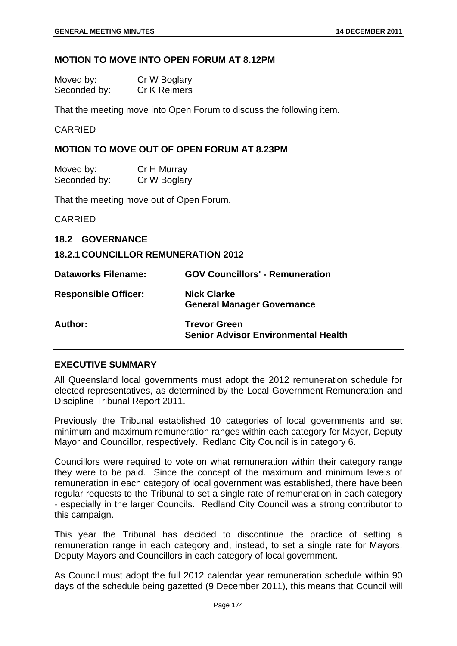#### **MOTION TO MOVE INTO OPEN FORUM AT 8.12PM**

| Moved by:    | Cr W Boglary |
|--------------|--------------|
| Seconded by: | Cr K Reimers |

That the meeting move into Open Forum to discuss the following item.

CARRIED

### **MOTION TO MOVE OUT OF OPEN FORUM AT 8.23PM**

| Moved by:    | Cr H Murray  |
|--------------|--------------|
| Seconded by: | Cr W Boglary |

That the meeting move out of Open Forum.

CARRIED

**18.2 GOVERNANCE** 

**18.2.1 COUNCILLOR REMUNERATION 2012** 

| <b>Dataworks Filename:</b>  | <b>GOV Councillors' - Remuneration</b>                            |
|-----------------------------|-------------------------------------------------------------------|
| <b>Responsible Officer:</b> | <b>Nick Clarke</b><br><b>General Manager Governance</b>           |
| Author:                     | <b>Trevor Green</b><br><b>Senior Advisor Environmental Health</b> |

### **EXECUTIVE SUMMARY**

All Queensland local governments must adopt the 2012 remuneration schedule for elected representatives, as determined by the Local Government Remuneration and Discipline Tribunal Report 2011.

Previously the Tribunal established 10 categories of local governments and set minimum and maximum remuneration ranges within each category for Mayor, Deputy Mayor and Councillor, respectively. Redland City Council is in category 6.

Councillors were required to vote on what remuneration within their category range they were to be paid. Since the concept of the maximum and minimum levels of remuneration in each category of local government was established, there have been regular requests to the Tribunal to set a single rate of remuneration in each category - especially in the larger Councils. Redland City Council was a strong contributor to this campaign.

This year the Tribunal has decided to discontinue the practice of setting a remuneration range in each category and, instead, to set a single rate for Mayors, Deputy Mayors and Councillors in each category of local government.

As Council must adopt the full 2012 calendar year remuneration schedule within 90 days of the schedule being gazetted (9 December 2011), this means that Council will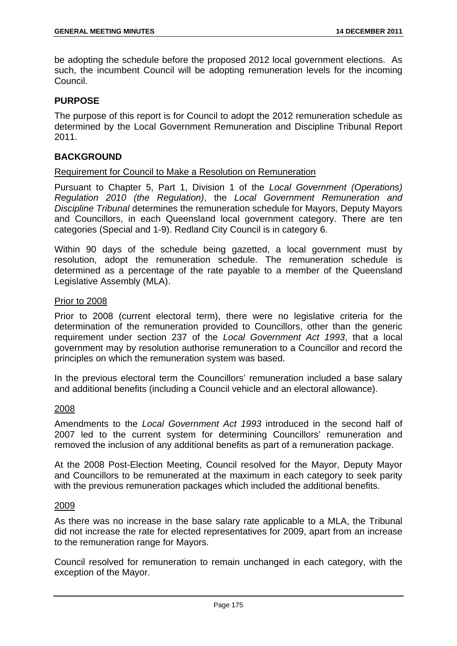be adopting the schedule before the proposed 2012 local government elections. As such, the incumbent Council will be adopting remuneration levels for the incoming Council.

## **PURPOSE**

The purpose of this report is for Council to adopt the 2012 remuneration schedule as determined by the Local Government Remuneration and Discipline Tribunal Report 2011.

#### **BACKGROUND**

#### Requirement for Council to Make a Resolution on Remuneration

Pursuant to Chapter 5, Part 1, Division 1 of the *Local Government (Operations) Regulation 2010 (the Regulation)*, the *Local Government Remuneration and Discipline Tribunal* determines the remuneration schedule for Mayors, Deputy Mayors and Councillors, in each Queensland local government category. There are ten categories (Special and 1-9). Redland City Council is in category 6.

Within 90 days of the schedule being gazetted, a local government must by resolution, adopt the remuneration schedule. The remuneration schedule is determined as a percentage of the rate payable to a member of the Queensland Legislative Assembly (MLA).

#### Prior to 2008

Prior to 2008 (current electoral term), there were no legislative criteria for the determination of the remuneration provided to Councillors, other than the generic requirement under section 237 of the *Local Government Act 1993*, that a local government may by resolution authorise remuneration to a Councillor and record the principles on which the remuneration system was based.

In the previous electoral term the Councillors' remuneration included a base salary and additional benefits (including a Council vehicle and an electoral allowance).

#### 2008

Amendments to the *Local Government Act 1993* introduced in the second half of 2007 led to the current system for determining Councillors' remuneration and removed the inclusion of any additional benefits as part of a remuneration package.

At the 2008 Post-Election Meeting, Council resolved for the Mayor, Deputy Mayor and Councillors to be remunerated at the maximum in each category to seek parity with the previous remuneration packages which included the additional benefits.

#### 2009

As there was no increase in the base salary rate applicable to a MLA, the Tribunal did not increase the rate for elected representatives for 2009, apart from an increase to the remuneration range for Mayors.

Council resolved for remuneration to remain unchanged in each category, with the exception of the Mayor.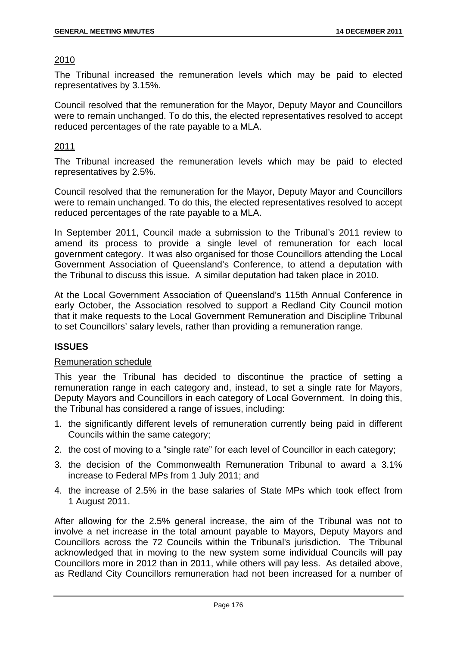## 2010

The Tribunal increased the remuneration levels which may be paid to elected representatives by 3.15%.

Council resolved that the remuneration for the Mayor, Deputy Mayor and Councillors were to remain unchanged. To do this, the elected representatives resolved to accept reduced percentages of the rate payable to a MLA.

## 2011

The Tribunal increased the remuneration levels which may be paid to elected representatives by 2.5%.

Council resolved that the remuneration for the Mayor, Deputy Mayor and Councillors were to remain unchanged. To do this, the elected representatives resolved to accept reduced percentages of the rate payable to a MLA.

In September 2011, Council made a submission to the Tribunal's 2011 review to amend its process to provide a single level of remuneration for each local government category. It was also organised for those Councillors attending the Local Government Association of Queensland's Conference, to attend a deputation with the Tribunal to discuss this issue. A similar deputation had taken place in 2010.

At the Local Government Association of Queensland's 115th Annual Conference in early October, the Association resolved to support a Redland City Council motion that it make requests to the Local Government Remuneration and Discipline Tribunal to set Councillors' salary levels, rather than providing a remuneration range.

## **ISSUES**

## Remuneration schedule

This year the Tribunal has decided to discontinue the practice of setting a remuneration range in each category and, instead, to set a single rate for Mayors, Deputy Mayors and Councillors in each category of Local Government. In doing this, the Tribunal has considered a range of issues, including:

- 1. the significantly different levels of remuneration currently being paid in different Councils within the same category;
- 2. the cost of moving to a "single rate" for each level of Councillor in each category;
- 3. the decision of the Commonwealth Remuneration Tribunal to award a 3.1% increase to Federal MPs from 1 July 2011; and
- 4. the increase of 2.5% in the base salaries of State MPs which took effect from 1 August 2011.

After allowing for the 2.5% general increase, the aim of the Tribunal was not to involve a net increase in the total amount payable to Mayors, Deputy Mayors and Councillors across the 72 Councils within the Tribunal's jurisdiction. The Tribunal acknowledged that in moving to the new system some individual Councils will pay Councillors more in 2012 than in 2011, while others will pay less. As detailed above, as Redland City Councillors remuneration had not been increased for a number of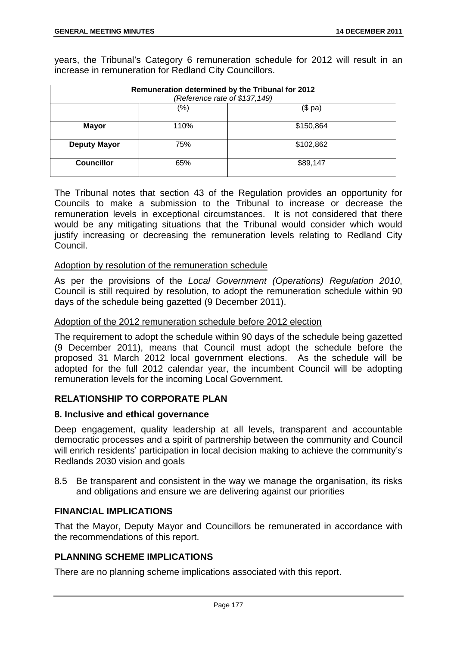years, the Tribunal's Category 6 remuneration schedule for 2012 will result in an increase in remuneration for Redland City Councillors.

| Remuneration determined by the Tribunal for 2012<br>(Reference rate of \$137,149) |      |           |
|-----------------------------------------------------------------------------------|------|-----------|
|                                                                                   | (%)  | (\$ pa)   |
| <b>Mayor</b>                                                                      | 110% | \$150,864 |
| <b>Deputy Mayor</b>                                                               | 75%  | \$102,862 |
| <b>Councillor</b>                                                                 | 65%  | \$89,147  |

The Tribunal notes that section 43 of the Regulation provides an opportunity for Councils to make a submission to the Tribunal to increase or decrease the remuneration levels in exceptional circumstances. It is not considered that there would be any mitigating situations that the Tribunal would consider which would justify increasing or decreasing the remuneration levels relating to Redland City Council.

## Adoption by resolution of the remuneration schedule

As per the provisions of the *Local Government (Operations) Regulation 2010*, Council is still required by resolution, to adopt the remuneration schedule within 90 days of the schedule being gazetted (9 December 2011).

## Adoption of the 2012 remuneration schedule before 2012 election

The requirement to adopt the schedule within 90 days of the schedule being gazetted (9 December 2011), means that Council must adopt the schedule before the proposed 31 March 2012 local government elections. As the schedule will be adopted for the full 2012 calendar year, the incumbent Council will be adopting remuneration levels for the incoming Local Government.

## **RELATIONSHIP TO CORPORATE PLAN**

## **8. Inclusive and ethical governance**

Deep engagement, quality leadership at all levels, transparent and accountable democratic processes and a spirit of partnership between the community and Council will enrich residents' participation in local decision making to achieve the community's Redlands 2030 vision and goals

8.5 Be transparent and consistent in the way we manage the organisation, its risks and obligations and ensure we are delivering against our priorities

## **FINANCIAL IMPLICATIONS**

That the Mayor, Deputy Mayor and Councillors be remunerated in accordance with the recommendations of this report.

## **PLANNING SCHEME IMPLICATIONS**

There are no planning scheme implications associated with this report.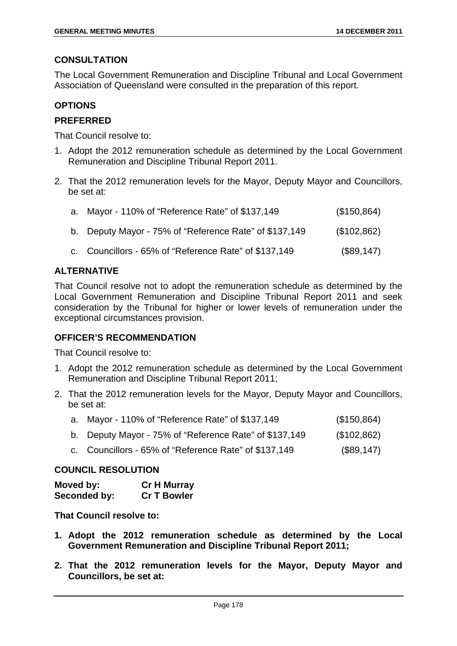#### **CONSULTATION**

The Local Government Remuneration and Discipline Tribunal and Local Government Association of Queensland were consulted in the preparation of this report.

#### **OPTIONS**

## **PREFERRED**

That Council resolve to:

- 1. Adopt the 2012 remuneration schedule as determined by the Local Government Remuneration and Discipline Tribunal Report 2011.
- 2. That the 2012 remuneration levels for the Mayor, Deputy Mayor and Councillors, be set at:

| a. Mayor - 110% of "Reference Rate" of \$137,149       | (\$150,864) |
|--------------------------------------------------------|-------------|
| b. Deputy Mayor - 75% of "Reference Rate" of \$137,149 | (\$102,862) |
| c. Councillors - 65% of "Reference Rate" of \$137,149  | (\$89,147)  |

## **ALTERNATIVE**

That Council resolve not to adopt the remuneration schedule as determined by the Local Government Remuneration and Discipline Tribunal Report 2011 and seek consideration by the Tribunal for higher or lower levels of remuneration under the exceptional circumstances provision.

## **OFFICER'S RECOMMENDATION**

That Council resolve to:

- 1. Adopt the 2012 remuneration schedule as determined by the Local Government Remuneration and Discipline Tribunal Report 2011;
- 2. That the 2012 remuneration levels for the Mayor, Deputy Mayor and Councillors, be set at:

| a. Mayor - 110% of "Reference Rate" of \$137,149       | (\$150,864) |
|--------------------------------------------------------|-------------|
| b. Deputy Mayor - 75% of "Reference Rate" of \$137,149 | (\$102,862) |
| c. Councillors - 65% of "Reference Rate" of \$137,149  | (\$89,147)  |

#### **COUNCIL RESOLUTION**

| Moved by:    | <b>Cr H Murray</b> |
|--------------|--------------------|
| Seconded by: | <b>Cr T Bowler</b> |

**That Council resolve to:** 

- **1. Adopt the 2012 remuneration schedule as determined by the Local Government Remuneration and Discipline Tribunal Report 2011;**
- **2. That the 2012 remuneration levels for the Mayor, Deputy Mayor and Councillors, be set at:**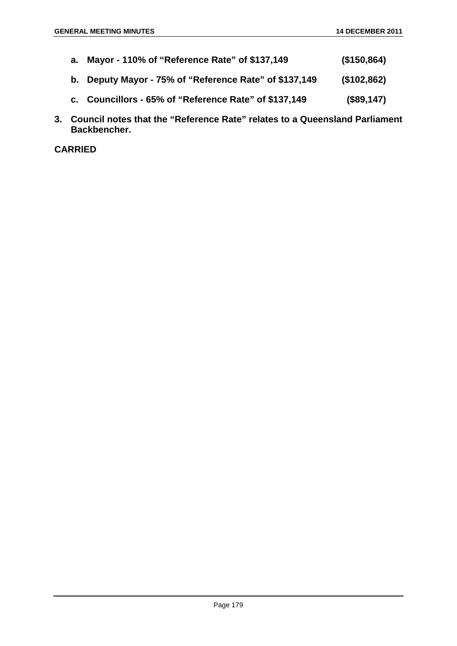- **a. Mayor 110% of "Reference Rate" of \$137,149 (\$150,864) b. Deputy Mayor - 75% of "Reference Rate" of \$137,149 (\$102,862) c. Councillors - 65% of "Reference Rate" of \$137,149 (\$89,147)**
- **3. Council notes that the "Reference Rate" relates to a Queensland Parliament Backbencher.**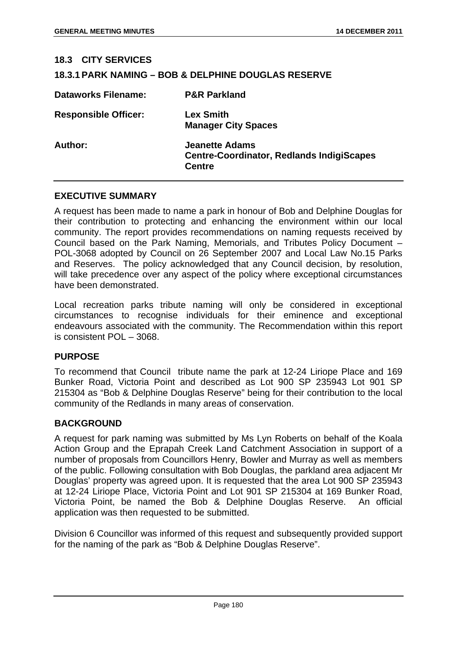| <b>18.3 CITY SERVICES</b>   |                                                                                            |
|-----------------------------|--------------------------------------------------------------------------------------------|
|                             | <b>18.3.1 PARK NAMING – BOB &amp; DELPHINE DOUGLAS RESERVE</b>                             |
| Dataworks Filename:         | <b>P&amp;R Parkland</b>                                                                    |
| <b>Responsible Officer:</b> | <b>Lex Smith</b><br><b>Manager City Spaces</b>                                             |
| Author:                     | <b>Jeanette Adams</b><br><b>Centre-Coordinator, Redlands IndigiScapes</b><br><b>Centre</b> |

#### **EXECUTIVE SUMMARY**

A request has been made to name a park in honour of Bob and Delphine Douglas for their contribution to protecting and enhancing the environment within our local community. The report provides recommendations on naming requests received by Council based on the Park Naming, Memorials, and Tributes Policy Document – POL-3068 adopted by Council on 26 September 2007 and Local Law No.15 Parks and Reserves. The policy acknowledged that any Council decision, by resolution, will take precedence over any aspect of the policy where exceptional circumstances have been demonstrated.

Local recreation parks tribute naming will only be considered in exceptional circumstances to recognise individuals for their eminence and exceptional endeavours associated with the community. The Recommendation within this report is consistent POL – 3068.

#### **PURPOSE**

To recommend that Council tribute name the park at 12-24 Liriope Place and 169 Bunker Road, Victoria Point and described as Lot 900 SP 235943 Lot 901 SP 215304 as "Bob & Delphine Douglas Reserve" being for their contribution to the local community of the Redlands in many areas of conservation.

## **BACKGROUND**

A request for park naming was submitted by Ms Lyn Roberts on behalf of the Koala Action Group and the Eprapah Creek Land Catchment Association in support of a number of proposals from Councillors Henry, Bowler and Murray as well as members of the public. Following consultation with Bob Douglas, the parkland area adjacent Mr Douglas' property was agreed upon. It is requested that the area Lot 900 SP 235943 at 12-24 Liriope Place, Victoria Point and Lot 901 SP 215304 at 169 Bunker Road, Victoria Point, be named the Bob & Delphine Douglas Reserve. An official application was then requested to be submitted.

Division 6 Councillor was informed of this request and subsequently provided support for the naming of the park as "Bob & Delphine Douglas Reserve".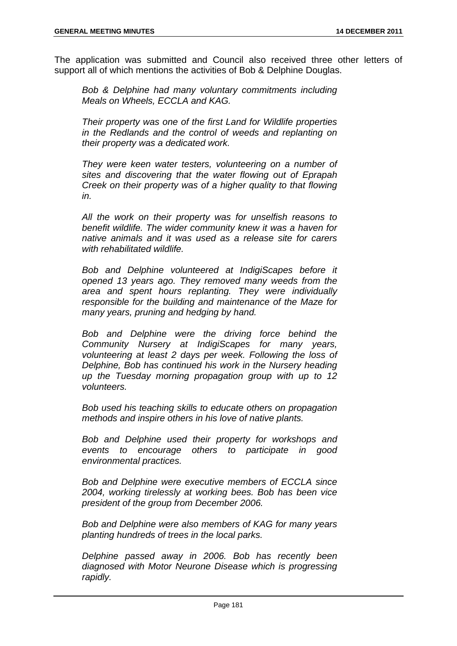The application was submitted and Council also received three other letters of support all of which mentions the activities of Bob & Delphine Douglas.

*Bob & Delphine had many voluntary commitments including Meals on Wheels, ECCLA and KAG.* 

*Their property was one of the first Land for Wildlife properties in the Redlands and the control of weeds and replanting on their property was a dedicated work.* 

*They were keen water testers, volunteering on a number of sites and discovering that the water flowing out of Eprapah Creek on their property was of a higher quality to that flowing in.* 

*All the work on their property was for unselfish reasons to benefit wildlife. The wider community knew it was a haven for native animals and it was used as a release site for carers with rehabilitated wildlife.* 

*Bob and Delphine volunteered at IndigiScapes before it opened 13 years ago. They removed many weeds from the area and spent hours replanting. They were individually responsible for the building and maintenance of the Maze for many years, pruning and hedging by hand.* 

*Bob and Delphine were the driving force behind the Community Nursery at IndigiScapes for many years, volunteering at least 2 days per week. Following the loss of Delphine, Bob has continued his work in the Nursery heading up the Tuesday morning propagation group with up to 12 volunteers.* 

*Bob used his teaching skills to educate others on propagation methods and inspire others in his love of native plants.* 

*Bob and Delphine used their property for workshops and events to encourage others to participate in good environmental practices.* 

*Bob and Delphine were executive members of ECCLA since 2004, working tirelessly at working bees. Bob has been vice president of the group from December 2006.* 

*Bob and Delphine were also members of KAG for many years planting hundreds of trees in the local parks.* 

*Delphine passed away in 2006. Bob has recently been diagnosed with Motor Neurone Disease which is progressing rapidly.*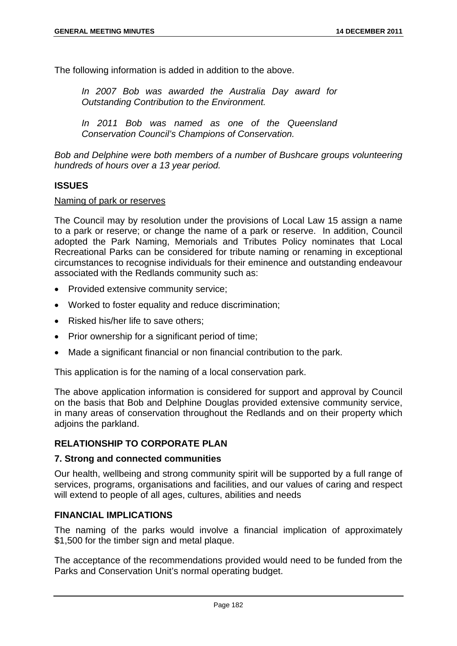The following information is added in addition to the above.

*In 2007 Bob was awarded the Australia Day award for Outstanding Contribution to the Environment.* 

*In 2011 Bob was named as one of the Queensland Conservation Council's Champions of Conservation.* 

*Bob and Delphine were both members of a number of Bushcare groups volunteering hundreds of hours over a 13 year period.*

#### **ISSUES**

#### Naming of park or reserves

The Council may by resolution under the provisions of Local Law 15 assign a name to a park or reserve; or change the name of a park or reserve. In addition, Council adopted the Park Naming, Memorials and Tributes Policy nominates that Local Recreational Parks can be considered for tribute naming or renaming in exceptional circumstances to recognise individuals for their eminence and outstanding endeavour associated with the Redlands community such as:

- Provided extensive community service;
- Worked to foster equality and reduce discrimination;
- Risked his/her life to save others;
- Prior ownership for a significant period of time;
- Made a significant financial or non financial contribution to the park.

This application is for the naming of a local conservation park.

The above application information is considered for support and approval by Council on the basis that Bob and Delphine Douglas provided extensive community service, in many areas of conservation throughout the Redlands and on their property which adjoins the parkland.

## **RELATIONSHIP TO CORPORATE PLAN**

#### **7. Strong and connected communities**

Our health, wellbeing and strong community spirit will be supported by a full range of services, programs, organisations and facilities, and our values of caring and respect will extend to people of all ages, cultures, abilities and needs

#### **FINANCIAL IMPLICATIONS**

The naming of the parks would involve a financial implication of approximately \$1,500 for the timber sign and metal plaque.

The acceptance of the recommendations provided would need to be funded from the Parks and Conservation Unit's normal operating budget.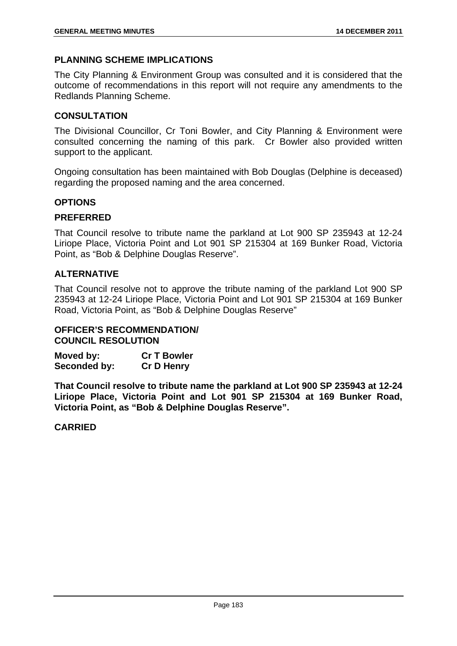## **PLANNING SCHEME IMPLICATIONS**

The City Planning & Environment Group was consulted and it is considered that the outcome of recommendations in this report will not require any amendments to the Redlands Planning Scheme.

## **CONSULTATION**

The Divisional Councillor, Cr Toni Bowler, and City Planning & Environment were consulted concerning the naming of this park. Cr Bowler also provided written support to the applicant.

Ongoing consultation has been maintained with Bob Douglas (Delphine is deceased) regarding the proposed naming and the area concerned.

## **OPTIONS**

## **PREFERRED**

That Council resolve to tribute name the parkland at Lot 900 SP 235943 at 12-24 Liriope Place, Victoria Point and Lot 901 SP 215304 at 169 Bunker Road, Victoria Point, as "Bob & Delphine Douglas Reserve".

## **ALTERNATIVE**

That Council resolve not to approve the tribute naming of the parkland Lot 900 SP 235943 at 12-24 Liriope Place, Victoria Point and Lot 901 SP 215304 at 169 Bunker Road, Victoria Point, as "Bob & Delphine Douglas Reserve"

## **OFFICER'S RECOMMENDATION/ COUNCIL RESOLUTION**

**Moved by: Cr T Bowler Seconded by: Cr D Henry** 

**That Council resolve to tribute name the parkland at Lot 900 SP 235943 at 12-24 Liriope Place, Victoria Point and Lot 901 SP 215304 at 169 Bunker Road, Victoria Point, as "Bob & Delphine Douglas Reserve".**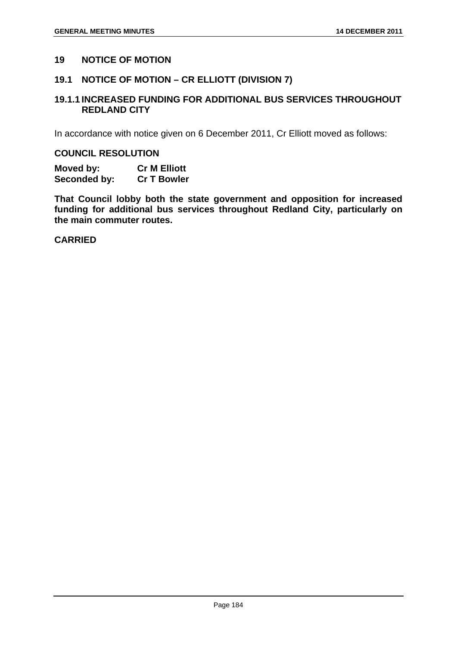#### **19 NOTICE OF MOTION**

#### **19.1 NOTICE OF MOTION – CR ELLIOTT (DIVISION 7)**

## **19.1.1 INCREASED FUNDING FOR ADDITIONAL BUS SERVICES THROUGHOUT REDLAND CITY**

In accordance with notice given on 6 December 2011, Cr Elliott moved as follows:

#### **COUNCIL RESOLUTION**

**Moved by: Cr M Elliott Seconded by: Cr T Bowler** 

**That Council lobby both the state government and opposition for increased funding for additional bus services throughout Redland City, particularly on the main commuter routes.**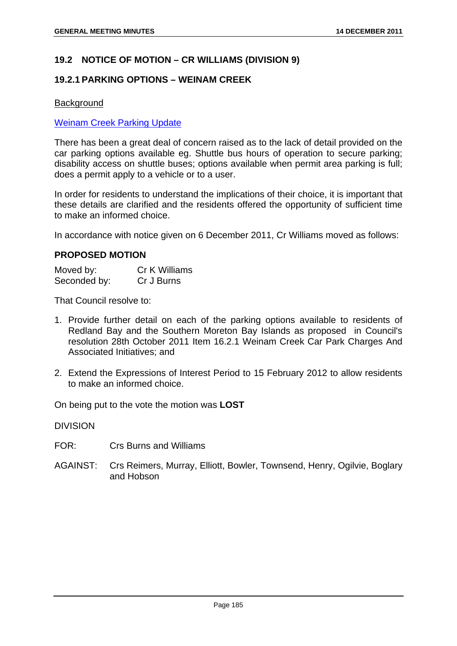#### **19.2 NOTICE OF MOTION – CR WILLIAMS (DIVISION 9)**

#### **19.2.1 PARKING OPTIONS – WEINAM CREEK**

#### Background

#### Weinam Creek Parking Update

There has been a great deal of concern raised as to the lack of detail provided on the car parking options available eg. Shuttle bus hours of operation to secure parking; disability access on shuttle buses; options available when permit area parking is full; does a permit apply to a vehicle or to a user.

In order for residents to understand the implications of their choice, it is important that these details are clarified and the residents offered the opportunity of sufficient time to make an informed choice.

In accordance with notice given on 6 December 2011, Cr Williams moved as follows:

#### **PROPOSED MOTION**

| Moved by:    | Cr K Williams |
|--------------|---------------|
| Seconded by: | Cr J Burns    |

That Council resolve to:

- 1. Provide further detail on each of the parking options available to residents of Redland Bay and the Southern Moreton Bay Islands as proposed in Council's resolution 28th October 2011 Item 16.2.1 Weinam Creek Car Park Charges And Associated Initiatives; and
- 2. Extend the Expressions of Interest Period to 15 February 2012 to allow residents to make an informed choice.

On being put to the vote the motion was **LOST**

DIVISION

- FOR: Crs Burns and Williams
- AGAINST: Crs Reimers, Murray, Elliott, Bowler, Townsend, Henry, Ogilvie, Boglary and Hobson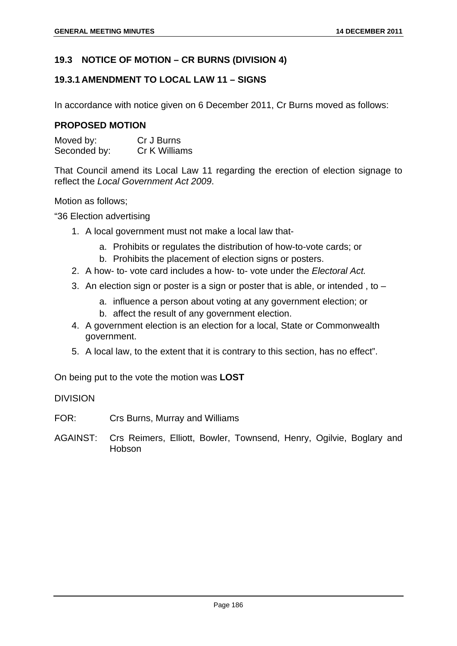## **19.3 NOTICE OF MOTION – CR BURNS (DIVISION 4)**

## **19.3.1 AMENDMENT TO LOCAL LAW 11 – SIGNS**

In accordance with notice given on 6 December 2011, Cr Burns moved as follows:

#### **PROPOSED MOTION**

| Moved by:    | Cr J Burns    |
|--------------|---------------|
| Seconded by: | Cr K Williams |

That Council amend its Local Law 11 regarding the erection of election signage to reflect the *Local Government Act 2009*.

Motion as follows;

"36 Election advertising

- 1. A local government must not make a local law that
	- a. Prohibits or regulates the distribution of how-to-vote cards; or
	- b. Prohibits the placement of election signs or posters.
- 2. A how- to- vote card includes a how- to- vote under the *Electoral Act.*
- 3. An election sign or poster is a sign or poster that is able, or intended, to  $$ 
	- a. influence a person about voting at any government election; or
	- b. affect the result of any government election.
- 4. A government election is an election for a local, State or Commonwealth government.
- 5. A local law, to the extent that it is contrary to this section, has no effect".

On being put to the vote the motion was **LOST**

#### DIVISION

- FOR: Crs Burns, Murray and Williams
- AGAINST: Crs Reimers, Elliott, Bowler, Townsend, Henry, Ogilvie, Boglary and Hobson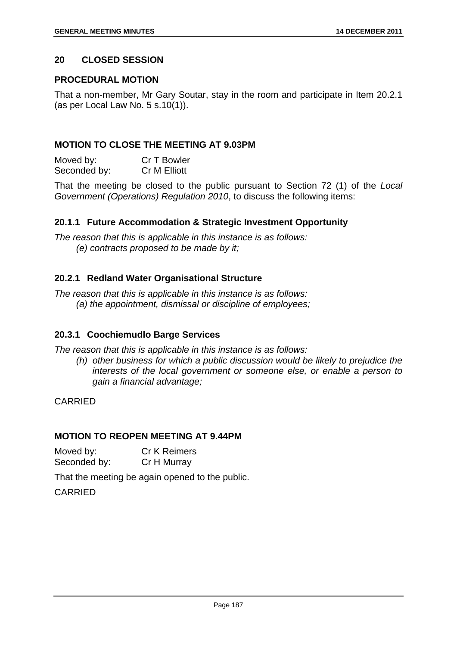## **20 CLOSED SESSION**

## **PROCEDURAL MOTION**

That a non-member, Mr Gary Soutar, stay in the room and participate in Item 20.2.1 (as per Local Law No. 5 s.10(1)).

## **MOTION TO CLOSE THE MEETING AT 9.03PM**

Moved by: Cr T Bowler Seconded by: Cr M Elliott

That the meeting be closed to the public pursuant to Section 72 (1) of the *Local Government (Operations) Regulation 2010*, to discuss the following items:

## **20.1.1 Future Accommodation & Strategic Investment Opportunity**

*The reason that this is applicable in this instance is as follows: (e) contracts proposed to be made by it;* 

## **20.2.1 Redland Water Organisational Structure**

*The reason that this is applicable in this instance is as follows: (a) the appointment, dismissal or discipline of employees;* 

## **20.3.1 Coochiemudlo Barge Services**

*The reason that this is applicable in this instance is as follows:* 

*(h) other business for which a public discussion would be likely to prejudice the interests of the local government or someone else, or enable a person to gain a financial advantage;* 

CARRIED

## **MOTION TO REOPEN MEETING AT 9.44PM**

Moved by: Cr K Reimers Seconded by: Cr H Murray

That the meeting be again opened to the public.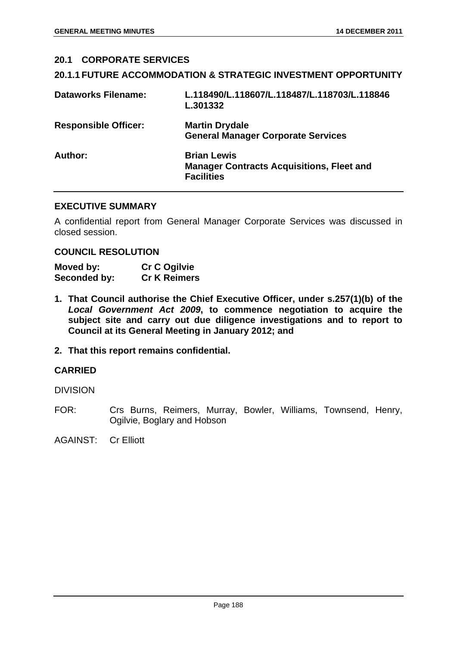# **20.1 CORPORATE SERVICES 20.1.1 FUTURE ACCOMMODATION & STRATEGIC INVESTMENT OPPORTUNITY Dataworks Filename: L.118490/L.118607/L.118487/L.118703/L.118846 L.301332 Responsible Officer: Martin Drydale General Manager Corporate Services Author: Brian Lewis Manager Contracts Acquisitions, Fleet and Facilities**

## **EXECUTIVE SUMMARY**

A confidential report from General Manager Corporate Services was discussed in closed session.

#### **COUNCIL RESOLUTION**

| Moved by:    | <b>Cr C Ogilvie</b> |
|--------------|---------------------|
| Seconded by: | <b>Cr K Reimers</b> |

- **1. That Council authorise the Chief Executive Officer, under s.257(1)(b) of the**  *Local Government Act 2009***, to commence negotiation to acquire the subject site and carry out due diligence investigations and to report to Council at its General Meeting in January 2012; and**
- **2. That this report remains confidential.**

## **CARRIED**

DIVISION

FOR: Crs Burns, Reimers, Murray, Bowler, Williams, Townsend, Henry, Ogilvie, Boglary and Hobson

AGAINST: Cr Elliott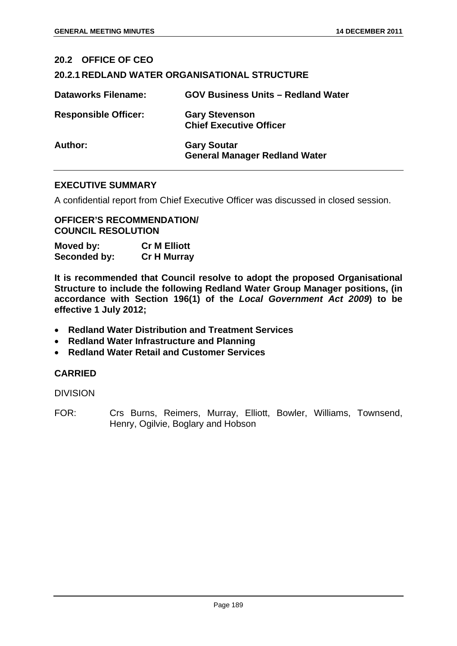| 20.2 OFFICE OF CEO          |                                                            |
|-----------------------------|------------------------------------------------------------|
|                             | <b>20.2.1 REDLAND WATER ORGANISATIONAL STRUCTURE</b>       |
| <b>Dataworks Filename:</b>  | <b>GOV Business Units - Redland Water</b>                  |
| <b>Responsible Officer:</b> | <b>Gary Stevenson</b><br><b>Chief Executive Officer</b>    |
| Author:                     | <b>Gary Soutar</b><br><b>General Manager Redland Water</b> |

#### **EXECUTIVE SUMMARY**

A confidential report from Chief Executive Officer was discussed in closed session.

#### **OFFICER'S RECOMMENDATION/ COUNCIL RESOLUTION**

| Moved by:    | <b>Cr M Elliott</b> |
|--------------|---------------------|
| Seconded by: | <b>Cr H Murray</b>  |

**It is recommended that Council resolve to adopt the proposed Organisational Structure to include the following Redland Water Group Manager positions, (in accordance with Section 196(1) of the** *Local Government Act 2009***) to be effective 1 July 2012;** 

- **Redland Water Distribution and Treatment Services**
- **Redland Water Infrastructure and Planning**
- **Redland Water Retail and Customer Services**

## **CARRIED**

DIVISION

FOR: Crs Burns, Reimers, Murray, Elliott, Bowler, Williams, Townsend, Henry, Ogilvie, Boglary and Hobson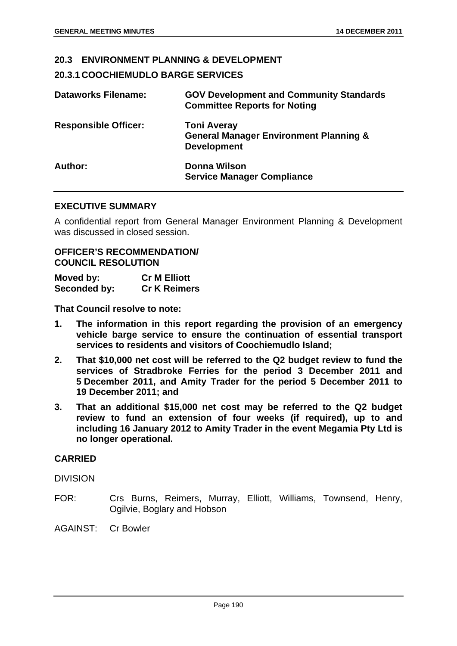## **20.3 ENVIRONMENT PLANNING & DEVELOPMENT**

## **20.3.1 COOCHIEMUDLO BARGE SERVICES**

| <b>Dataworks Filename:</b>  | <b>GOV Development and Community Standards</b><br><b>Committee Reports for Noting</b>         |
|-----------------------------|-----------------------------------------------------------------------------------------------|
| <b>Responsible Officer:</b> | <b>Toni Averay</b><br><b>General Manager Environment Planning &amp;</b><br><b>Development</b> |
| Author:                     | Donna Wilson<br><b>Service Manager Compliance</b>                                             |

#### **EXECUTIVE SUMMARY**

A confidential report from General Manager Environment Planning & Development was discussed in closed session.

#### **OFFICER'S RECOMMENDATION/ COUNCIL RESOLUTION**

| Moved by:    | <b>Cr M Elliott</b> |
|--------------|---------------------|
| Seconded by: | <b>Cr K Reimers</b> |

**That Council resolve to note:** 

- **1. The information in this report regarding the provision of an emergency vehicle barge service to ensure the continuation of essential transport services to residents and visitors of Coochiemudlo Island;**
- **2. That \$10,000 net cost will be referred to the Q2 budget review to fund the services of Stradbroke Ferries for the period 3 December 2011 and 5 December 2011, and Amity Trader for the period 5 December 2011 to 19 December 2011; and**
- **3. That an additional \$15,000 net cost may be referred to the Q2 budget review to fund an extension of four weeks (if required), up to and including 16 January 2012 to Amity Trader in the event Megamia Pty Ltd is no longer operational.**

## **CARRIED**

DIVISION

FOR: Crs Burns, Reimers, Murray, Elliott, Williams, Townsend, Henry, Ogilvie, Boglary and Hobson

AGAINST: Cr Bowler